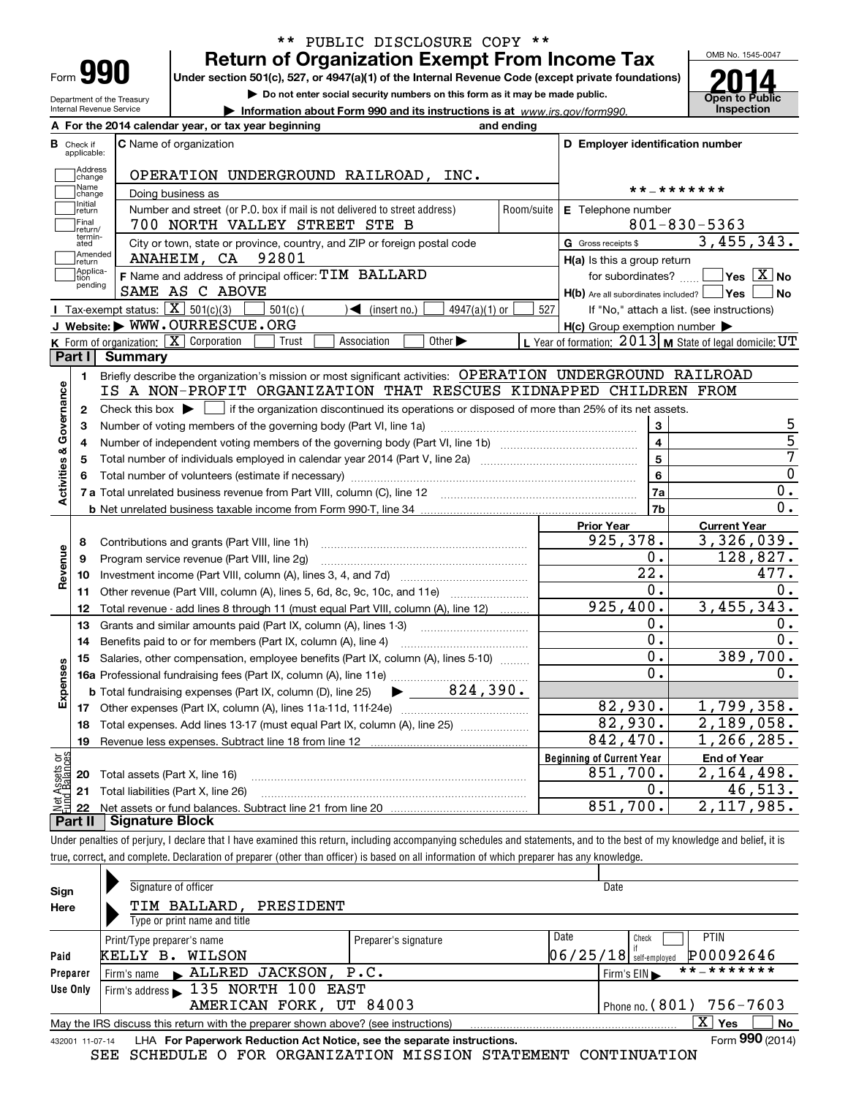| Form |  |
|------|--|

### **Return of Organization Exempt From Income Tax** \*\* PUBLIC DISCLOSURE COPY \*\*

**Under section 501(c), 527, or 4947(a)(1) of the Internal Revenue Code (except private foundations)**

Department of the Treasury Internal Revenue Service

**| Do not enter social security numbers on this form as it may be made public.**





|                         |                                                                                                                                                                                                                                                                     | A For the 2014 calendar year, or tax year beginning                                                                                       | and ending              |                                                     |                                                             |  |  |  |  |  |
|-------------------------|---------------------------------------------------------------------------------------------------------------------------------------------------------------------------------------------------------------------------------------------------------------------|-------------------------------------------------------------------------------------------------------------------------------------------|-------------------------|-----------------------------------------------------|-------------------------------------------------------------|--|--|--|--|--|
| В                       | Check if<br>applicable:                                                                                                                                                                                                                                             | <b>C</b> Name of organization                                                                                                             |                         | D Employer identification number                    |                                                             |  |  |  |  |  |
|                         | Address<br>change                                                                                                                                                                                                                                                   | OPERATION UNDERGROUND RAILROAD, INC.                                                                                                      |                         |                                                     |                                                             |  |  |  |  |  |
|                         | Name<br>**_*******<br>Doing business as<br>change<br>Initial<br>Number and street (or P.O. box if mail is not delivered to street address)<br>Room/suite<br>E Telephone number<br>return<br>Final<br>700 NORTH VALLEY STREET STE B<br>$801 - 830 - 5363$<br>return/ |                                                                                                                                           |                         |                                                     |                                                             |  |  |  |  |  |
|                         |                                                                                                                                                                                                                                                                     |                                                                                                                                           |                         |                                                     |                                                             |  |  |  |  |  |
|                         |                                                                                                                                                                                                                                                                     |                                                                                                                                           |                         |                                                     |                                                             |  |  |  |  |  |
|                         | termin-<br>ated                                                                                                                                                                                                                                                     | City or town, state or province, country, and ZIP or foreign postal code                                                                  |                         | G Gross receipts \$                                 | 3,455,343.                                                  |  |  |  |  |  |
|                         | Amended<br>return                                                                                                                                                                                                                                                   | ANAHEIM, CA<br>92801                                                                                                                      |                         | H(a) Is this a group return                         |                                                             |  |  |  |  |  |
|                         | Applica-<br>tion                                                                                                                                                                                                                                                    | F Name and address of principal officer: TIM BALLARD                                                                                      |                         | for subordinates?                                   | $\overline{\ }$ Yes $\overline{\phantom{a}X}$ No            |  |  |  |  |  |
|                         | pending                                                                                                                                                                                                                                                             | SAME AS C ABOVE                                                                                                                           |                         | $H(b)$ Are all subordinates included?               | ∣Yes<br>N <sub>o</sub>                                      |  |  |  |  |  |
|                         |                                                                                                                                                                                                                                                                     | <b>I</b> Tax-exempt status: $\overline{\mathbf{X}}$ 501(c)(3)<br>$501(c)$ (<br>$\sqrt{\bullet}$ (insert no.)<br>4947(a)(1) or             | 527                     |                                                     | If "No," attach a list. (see instructions)                  |  |  |  |  |  |
|                         |                                                                                                                                                                                                                                                                     | J Website: WWW.OURRESCUE.ORG                                                                                                              |                         | $H(c)$ Group exemption number $\blacktriangleright$ |                                                             |  |  |  |  |  |
|                         |                                                                                                                                                                                                                                                                     | K Form of organization: X Corporation<br>Other $\blacktriangleright$<br>Trust<br>Association                                              |                         |                                                     | L Year of formation: $2013$ M State of legal domicile: $UT$ |  |  |  |  |  |
|                         | Part I                                                                                                                                                                                                                                                              | <b>Summary</b>                                                                                                                            |                         |                                                     |                                                             |  |  |  |  |  |
|                         | 1.                                                                                                                                                                                                                                                                  | Briefly describe the organization's mission or most significant activities: OPERATION UNDERGROUND RAILROAD                                |                         |                                                     |                                                             |  |  |  |  |  |
|                         |                                                                                                                                                                                                                                                                     | IS A NON-PROFIT ORGANIZATION THAT RESCUES KIDNAPPED CHILDREN FROM                                                                         |                         |                                                     |                                                             |  |  |  |  |  |
| Activities & Governance | 2                                                                                                                                                                                                                                                                   | Check this box $\blacktriangleright \Box$ if the organization discontinued its operations or disposed of more than 25% of its net assets. |                         |                                                     |                                                             |  |  |  |  |  |
|                         | 3                                                                                                                                                                                                                                                                   | Number of voting members of the governing body (Part VI, line 1a)                                                                         |                         |                                                     |                                                             |  |  |  |  |  |
|                         | 4                                                                                                                                                                                                                                                                   |                                                                                                                                           | 4                       | $\overline{5}$                                      |                                                             |  |  |  |  |  |
|                         | 5                                                                                                                                                                                                                                                                   |                                                                                                                                           | $\overline{\mathbf{5}}$ | 7                                                   |                                                             |  |  |  |  |  |
|                         | 6                                                                                                                                                                                                                                                                   |                                                                                                                                           | 6                       | $\overline{0}$                                      |                                                             |  |  |  |  |  |
|                         |                                                                                                                                                                                                                                                                     |                                                                                                                                           |                         | 7a                                                  | $\mathbf 0$ .                                               |  |  |  |  |  |
|                         |                                                                                                                                                                                                                                                                     |                                                                                                                                           | 7b                      | $\overline{0}$ .                                    |                                                             |  |  |  |  |  |
|                         |                                                                                                                                                                                                                                                                     |                                                                                                                                           |                         | <b>Prior Year</b>                                   | <b>Current Year</b>                                         |  |  |  |  |  |
|                         | 8                                                                                                                                                                                                                                                                   | Contributions and grants (Part VIII, line 1h)                                                                                             |                         | 925,378.                                            | 3,326,039.                                                  |  |  |  |  |  |
| Revenue                 | 9                                                                                                                                                                                                                                                                   | Program service revenue (Part VIII, line 2g)                                                                                              |                         | 0.                                                  | 128,827.                                                    |  |  |  |  |  |
|                         | 10                                                                                                                                                                                                                                                                  |                                                                                                                                           |                         | $\overline{22}$ .                                   | 477.                                                        |  |  |  |  |  |
|                         | 11                                                                                                                                                                                                                                                                  | Other revenue (Part VIII, column (A), lines 5, 6d, 8c, 9c, 10c, and 11e)                                                                  |                         | о.                                                  | 0.                                                          |  |  |  |  |  |
|                         | 12                                                                                                                                                                                                                                                                  | Total revenue - add lines 8 through 11 (must equal Part VIII, column (A), line 12)                                                        |                         | 925,400.                                            | 3,455,343.                                                  |  |  |  |  |  |
|                         | 13                                                                                                                                                                                                                                                                  | Grants and similar amounts paid (Part IX, column (A), lines 1-3)                                                                          |                         | 0.                                                  | 0.                                                          |  |  |  |  |  |
|                         | 14                                                                                                                                                                                                                                                                  | Benefits paid to or for members (Part IX, column (A), line 4)                                                                             |                         | $\overline{0}$ .                                    | $\overline{0}$ .                                            |  |  |  |  |  |
|                         |                                                                                                                                                                                                                                                                     | 15 Salaries, other compensation, employee benefits (Part IX, column (A), lines 5-10)                                                      |                         | 0.                                                  | 389,700.                                                    |  |  |  |  |  |
| Expenses                |                                                                                                                                                                                                                                                                     |                                                                                                                                           |                         | $\overline{0}$ .                                    | $\overline{0}$ .                                            |  |  |  |  |  |
|                         |                                                                                                                                                                                                                                                                     | $\blacktriangleright$ 824,390.<br><b>b</b> Total fundraising expenses (Part IX, column (D), line 25)                                      |                         |                                                     |                                                             |  |  |  |  |  |
|                         |                                                                                                                                                                                                                                                                     |                                                                                                                                           |                         | 82,930.                                             | 1,799,358.                                                  |  |  |  |  |  |
|                         | 18                                                                                                                                                                                                                                                                  | Total expenses. Add lines 13-17 (must equal Part IX, column (A), line 25) [                                                               |                         | 82,930.                                             | $\overline{2,189,058}$ .                                    |  |  |  |  |  |
|                         | 19                                                                                                                                                                                                                                                                  |                                                                                                                                           |                         | 842,470.                                            | 1, 266, 285.                                                |  |  |  |  |  |
| ăğ                      |                                                                                                                                                                                                                                                                     |                                                                                                                                           |                         | <b>Beginning of Current Year</b>                    | <b>End of Year</b>                                          |  |  |  |  |  |
| sets                    | 20                                                                                                                                                                                                                                                                  | Total assets (Part X, line 16)                                                                                                            |                         | 851,700.                                            | 2, 164, 498.                                                |  |  |  |  |  |
|                         |                                                                                                                                                                                                                                                                     | 21 Total liabilities (Part X, line 26)                                                                                                    |                         | 0.                                                  | 46,513.                                                     |  |  |  |  |  |
|                         | 22                                                                                                                                                                                                                                                                  |                                                                                                                                           |                         | 851,700.                                            | 2,117,985.                                                  |  |  |  |  |  |
|                         | Part II                                                                                                                                                                                                                                                             | <b>Signature Block</b>                                                                                                                    |                         |                                                     |                                                             |  |  |  |  |  |

Under penalties of perjury, I declare that I have examined this return, including accompanying schedules and statements, and to the best of my knowledge and belief, it is true, correct, and complete. Declaration of preparer (other than officer) is based on all information of which preparer has any knowledge.

| Sign                                                  | Signature of officer                                                                                         |                      | Date                     |                                                |  |  |  |  |  |  |
|-------------------------------------------------------|--------------------------------------------------------------------------------------------------------------|----------------------|--------------------------|------------------------------------------------|--|--|--|--|--|--|
| Here                                                  | TIM BALLARD, PRESIDENT                                                                                       |                      |                          |                                                |  |  |  |  |  |  |
|                                                       | Type or print name and title                                                                                 |                      |                          |                                                |  |  |  |  |  |  |
|                                                       | Print/Type preparer's name                                                                                   | Preparer's signature | Date                     | PTIN<br>Check                                  |  |  |  |  |  |  |
| Paid                                                  | KELLY B.<br>WILSON                                                                                           |                      | $06/25/18$ self-employed | P00092646                                      |  |  |  |  |  |  |
| Preparer                                              | Firm's name RLLRED JACKSON, P.C.                                                                             |                      |                          | **_*******<br>Firm's $EIN \blacktriangleright$ |  |  |  |  |  |  |
| Use Only                                              | Firm's address 135 NORTH 100 EAST                                                                            |                      |                          |                                                |  |  |  |  |  |  |
| Phone no. $(801)$ 756-7603<br>AMERICAN FORK, UT 84003 |                                                                                                              |                      |                          |                                                |  |  |  |  |  |  |
|                                                       | x<br><b>No</b><br>May the IRS discuss this return with the preparer shown above? (see instructions)<br>Yes   |                      |                          |                                                |  |  |  |  |  |  |
|                                                       | Form 990 (2014)<br>LHA For Paperwork Reduction Act Notice, see the separate instructions.<br>432001 11-07-14 |                      |                          |                                                |  |  |  |  |  |  |

SEE SCHEDULE O FOR ORGANIZATION MISSION STATEMENT CONTINUATION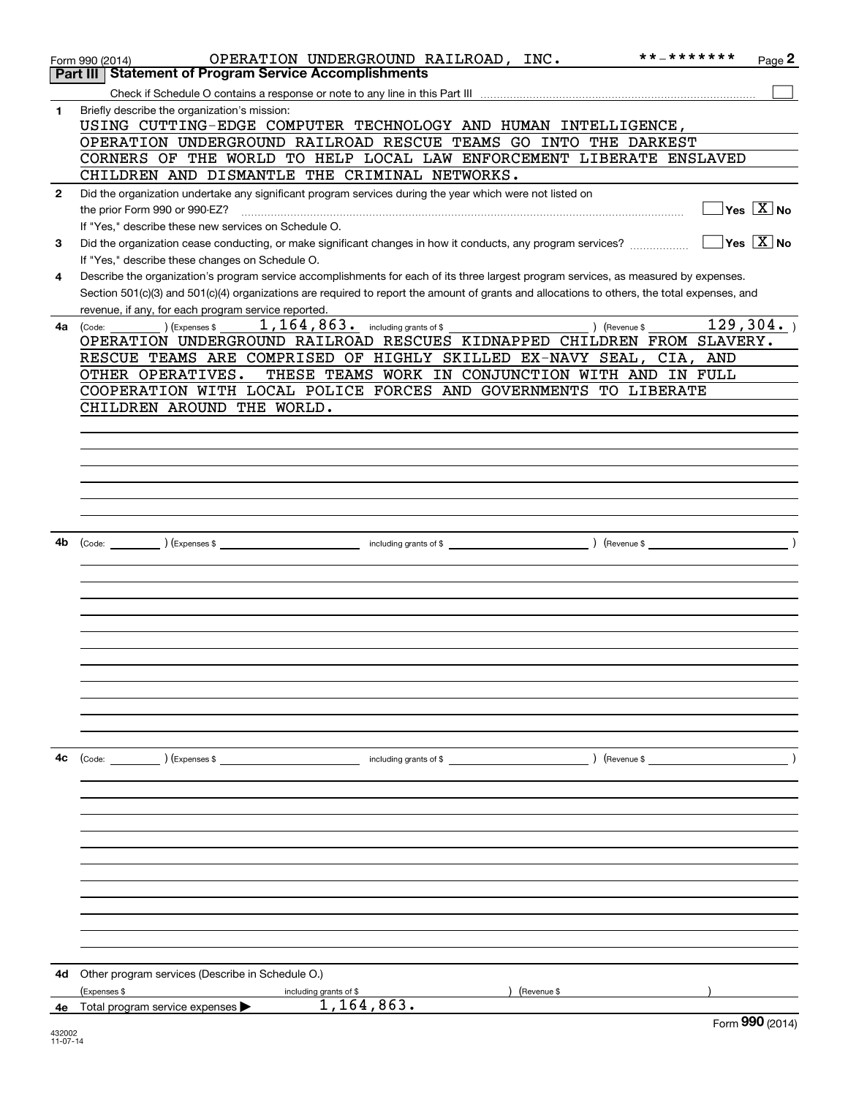|              | OPERATION UNDERGROUND RAILROAD, INC.<br>Form 990 (2014)                                                                                                                                                                                                                                                                                                                                                                                                                           | **_******* | $Page$ 2                                        |
|--------------|-----------------------------------------------------------------------------------------------------------------------------------------------------------------------------------------------------------------------------------------------------------------------------------------------------------------------------------------------------------------------------------------------------------------------------------------------------------------------------------|------------|-------------------------------------------------|
|              | <b>Part III   Statement of Program Service Accomplishments</b>                                                                                                                                                                                                                                                                                                                                                                                                                    |            |                                                 |
|              |                                                                                                                                                                                                                                                                                                                                                                                                                                                                                   |            |                                                 |
|              |                                                                                                                                                                                                                                                                                                                                                                                                                                                                                   |            |                                                 |
| 1            | Briefly describe the organization's mission:<br>USING CUTTING-EDGE COMPUTER TECHNOLOGY AND HUMAN INTELLIGENCE,                                                                                                                                                                                                                                                                                                                                                                    |            |                                                 |
|              |                                                                                                                                                                                                                                                                                                                                                                                                                                                                                   |            |                                                 |
|              | OPERATION UNDERGROUND RAILROAD RESCUE TEAMS GO INTO THE DARKEST                                                                                                                                                                                                                                                                                                                                                                                                                   |            |                                                 |
|              | CORNERS OF THE WORLD TO HELP LOCAL LAW ENFORCEMENT LIBERATE ENSLAVED                                                                                                                                                                                                                                                                                                                                                                                                              |            |                                                 |
|              | CHILDREN AND DISMANTLE THE CRIMINAL NETWORKS.                                                                                                                                                                                                                                                                                                                                                                                                                                     |            |                                                 |
| $\mathbf{2}$ | Did the organization undertake any significant program services during the year which were not listed on                                                                                                                                                                                                                                                                                                                                                                          |            |                                                 |
|              | the prior Form 990 or 990-EZ?<br>$\begin{minipage}{0.5\textwidth} \begin{tabular}{ l l l } \hline \multicolumn{1}{ l l l } \hline \multicolumn{1}{ l l } \hline \multicolumn{1}{ l } \multicolumn{1}{ l } \hline \multicolumn{1}{ l } \multicolumn{1}{ l } \multicolumn{1}{ l } \hline \multicolumn{1}{ l } \multicolumn{1}{ l } \multicolumn{1}{ l } \hline \multicolumn{1}{ l } \multicolumn{1}{ l } \hline \multicolumn{1}{ l } \multicolumn{1}{ l } \hline \multicolumn{1}{ $ |            | $\boxed{\phantom{1}}$ Yes $\boxed{\text{X}}$ No |
|              | If "Yes," describe these new services on Schedule O.                                                                                                                                                                                                                                                                                                                                                                                                                              |            |                                                 |
| 3            | Did the organization cease conducting, or make significant changes in how it conducts, any program services?                                                                                                                                                                                                                                                                                                                                                                      |            | $\Box$ Yes $\Box$ No                            |
|              | If "Yes," describe these changes on Schedule O.                                                                                                                                                                                                                                                                                                                                                                                                                                   |            |                                                 |
| 4            | Describe the organization's program service accomplishments for each of its three largest program services, as measured by expenses.                                                                                                                                                                                                                                                                                                                                              |            |                                                 |
|              | Section 501(c)(3) and 501(c)(4) organizations are required to report the amount of grants and allocations to others, the total expenses, and                                                                                                                                                                                                                                                                                                                                      |            |                                                 |
|              | revenue, if any, for each program service reported.                                                                                                                                                                                                                                                                                                                                                                                                                               |            |                                                 |
| 4a l         | $1,164,863$ . including grants of \$<br>(Expenses \$<br>) (Revenue \$<br>(Code:                                                                                                                                                                                                                                                                                                                                                                                                   |            | 129, 304.                                       |
|              | OPERATION UNDERGROUND RAILROAD RESCUES KIDNAPPED CHILDREN FROM SLAVERY.                                                                                                                                                                                                                                                                                                                                                                                                           |            |                                                 |
|              | RESCUE TEAMS ARE COMPRISED OF HIGHLY SKILLED EX-NAVY SEAL, CIA, AND                                                                                                                                                                                                                                                                                                                                                                                                               |            |                                                 |
|              | THESE TEAMS WORK IN CONJUNCTION WITH AND IN FULL<br>OTHER OPERATIVES.                                                                                                                                                                                                                                                                                                                                                                                                             |            |                                                 |
|              | COOPERATION WITH LOCAL POLICE FORCES AND GOVERNMENTS TO LIBERATE                                                                                                                                                                                                                                                                                                                                                                                                                  |            |                                                 |
|              | CHILDREN AROUND THE WORLD.                                                                                                                                                                                                                                                                                                                                                                                                                                                        |            |                                                 |
|              |                                                                                                                                                                                                                                                                                                                                                                                                                                                                                   |            |                                                 |
|              |                                                                                                                                                                                                                                                                                                                                                                                                                                                                                   |            |                                                 |
|              |                                                                                                                                                                                                                                                                                                                                                                                                                                                                                   |            |                                                 |
|              |                                                                                                                                                                                                                                                                                                                                                                                                                                                                                   |            |                                                 |
|              |                                                                                                                                                                                                                                                                                                                                                                                                                                                                                   |            |                                                 |
|              |                                                                                                                                                                                                                                                                                                                                                                                                                                                                                   |            |                                                 |
|              |                                                                                                                                                                                                                                                                                                                                                                                                                                                                                   |            |                                                 |
|              |                                                                                                                                                                                                                                                                                                                                                                                                                                                                                   |            |                                                 |
| 4b           |                                                                                                                                                                                                                                                                                                                                                                                                                                                                                   |            |                                                 |
|              |                                                                                                                                                                                                                                                                                                                                                                                                                                                                                   |            |                                                 |
|              |                                                                                                                                                                                                                                                                                                                                                                                                                                                                                   |            |                                                 |
|              |                                                                                                                                                                                                                                                                                                                                                                                                                                                                                   |            |                                                 |
|              |                                                                                                                                                                                                                                                                                                                                                                                                                                                                                   |            |                                                 |
|              |                                                                                                                                                                                                                                                                                                                                                                                                                                                                                   |            |                                                 |
|              |                                                                                                                                                                                                                                                                                                                                                                                                                                                                                   |            |                                                 |
|              |                                                                                                                                                                                                                                                                                                                                                                                                                                                                                   |            |                                                 |
|              |                                                                                                                                                                                                                                                                                                                                                                                                                                                                                   |            |                                                 |
|              |                                                                                                                                                                                                                                                                                                                                                                                                                                                                                   |            |                                                 |
|              |                                                                                                                                                                                                                                                                                                                                                                                                                                                                                   |            |                                                 |
|              |                                                                                                                                                                                                                                                                                                                                                                                                                                                                                   |            |                                                 |
|              |                                                                                                                                                                                                                                                                                                                                                                                                                                                                                   |            |                                                 |
|              |                                                                                                                                                                                                                                                                                                                                                                                                                                                                                   |            |                                                 |
| 4с           | (Code: ) (Expenses \$<br>including grants of \$                                                                                                                                                                                                                                                                                                                                                                                                                                   |            |                                                 |
|              |                                                                                                                                                                                                                                                                                                                                                                                                                                                                                   |            |                                                 |
|              |                                                                                                                                                                                                                                                                                                                                                                                                                                                                                   |            |                                                 |
|              |                                                                                                                                                                                                                                                                                                                                                                                                                                                                                   |            |                                                 |
|              |                                                                                                                                                                                                                                                                                                                                                                                                                                                                                   |            |                                                 |
|              |                                                                                                                                                                                                                                                                                                                                                                                                                                                                                   |            |                                                 |
|              |                                                                                                                                                                                                                                                                                                                                                                                                                                                                                   |            |                                                 |
|              |                                                                                                                                                                                                                                                                                                                                                                                                                                                                                   |            |                                                 |
|              |                                                                                                                                                                                                                                                                                                                                                                                                                                                                                   |            |                                                 |
|              |                                                                                                                                                                                                                                                                                                                                                                                                                                                                                   |            |                                                 |
|              |                                                                                                                                                                                                                                                                                                                                                                                                                                                                                   |            |                                                 |
|              |                                                                                                                                                                                                                                                                                                                                                                                                                                                                                   |            |                                                 |
|              |                                                                                                                                                                                                                                                                                                                                                                                                                                                                                   |            |                                                 |
|              |                                                                                                                                                                                                                                                                                                                                                                                                                                                                                   |            |                                                 |
| 4d           | Other program services (Describe in Schedule O.)                                                                                                                                                                                                                                                                                                                                                                                                                                  |            |                                                 |
|              | (Expenses \$<br>including grants of \$<br>(Revenue \$<br>1,164,863.                                                                                                                                                                                                                                                                                                                                                                                                               |            |                                                 |
| 4е           | Total program service expenses                                                                                                                                                                                                                                                                                                                                                                                                                                                    |            |                                                 |
|              |                                                                                                                                                                                                                                                                                                                                                                                                                                                                                   |            | Form 990 (2014)                                 |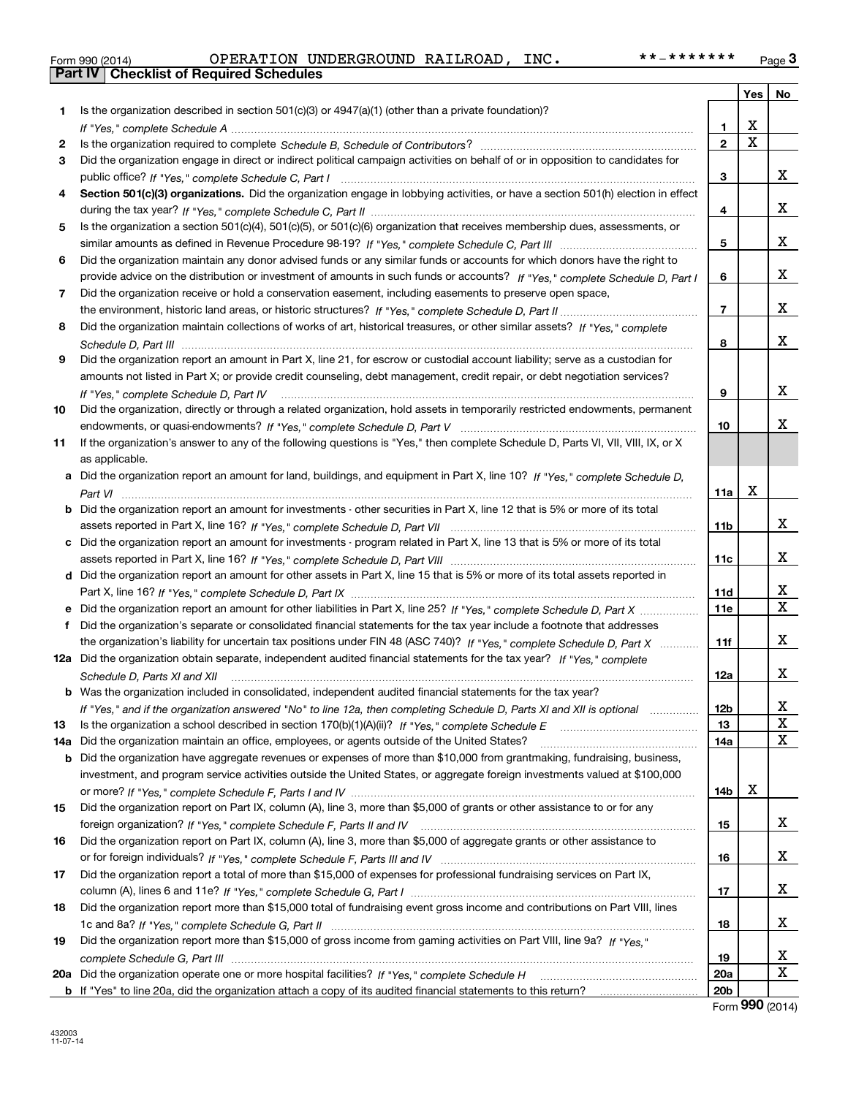|  | Form 990 (2014) |
|--|-----------------|

|     |                                                                                                                                   |                 | Yes                     | No                      |
|-----|-----------------------------------------------------------------------------------------------------------------------------------|-----------------|-------------------------|-------------------------|
| 1.  | Is the organization described in section $501(c)(3)$ or $4947(a)(1)$ (other than a private foundation)?                           |                 |                         |                         |
|     |                                                                                                                                   | 1.              | X                       |                         |
| 2   |                                                                                                                                   | $\overline{2}$  | $\overline{\mathbf{x}}$ |                         |
| 3.  | Did the organization engage in direct or indirect political campaign activities on behalf of or in opposition to candidates for   |                 |                         |                         |
|     |                                                                                                                                   | 3               |                         | x                       |
| 4   | Section 501(c)(3) organizations. Did the organization engage in lobbying activities, or have a section 501(h) election in effect  |                 |                         |                         |
|     |                                                                                                                                   | 4               |                         | x                       |
| 5   | Is the organization a section 501(c)(4), 501(c)(5), or 501(c)(6) organization that receives membership dues, assessments, or      |                 |                         |                         |
|     |                                                                                                                                   | 5               |                         | x                       |
| 6   | Did the organization maintain any donor advised funds or any similar funds or accounts for which donors have the right to         |                 |                         |                         |
|     | provide advice on the distribution or investment of amounts in such funds or accounts? If "Yes," complete Schedule D, Part I      | 6               |                         | x                       |
| 7   | Did the organization receive or hold a conservation easement, including easements to preserve open space,                         |                 |                         |                         |
|     |                                                                                                                                   | $\overline{7}$  |                         | X                       |
| 8   | Did the organization maintain collections of works of art, historical treasures, or other similar assets? If "Yes," complete      |                 |                         |                         |
|     |                                                                                                                                   | 8               |                         | x                       |
| 9   | Did the organization report an amount in Part X, line 21, for escrow or custodial account liability; serve as a custodian for     |                 |                         |                         |
|     | amounts not listed in Part X; or provide credit counseling, debt management, credit repair, or debt negotiation services?         |                 |                         |                         |
|     | If "Yes," complete Schedule D, Part IV                                                                                            | 9               |                         | x                       |
| 10  | Did the organization, directly or through a related organization, hold assets in temporarily restricted endowments, permanent     |                 |                         |                         |
|     |                                                                                                                                   | 10              |                         | х                       |
| 11  | If the organization's answer to any of the following questions is "Yes," then complete Schedule D, Parts VI, VIII, VIII, IX, or X |                 |                         |                         |
|     | as applicable.                                                                                                                    |                 |                         |                         |
|     | a Did the organization report an amount for land, buildings, and equipment in Part X, line 10? If "Yes," complete Schedule D,     |                 |                         |                         |
|     |                                                                                                                                   | 11a             | X                       |                         |
| b   | Did the organization report an amount for investments - other securities in Part X, line 12 that is 5% or more of its total       |                 |                         |                         |
|     |                                                                                                                                   | 11b             |                         | x                       |
| c   | Did the organization report an amount for investments - program related in Part X, line 13 that is 5% or more of its total        |                 |                         |                         |
|     |                                                                                                                                   | 11c             |                         | x                       |
|     | d Did the organization report an amount for other assets in Part X, line 15 that is 5% or more of its total assets reported in    |                 |                         |                         |
|     |                                                                                                                                   | 11d             |                         | x                       |
|     | Did the organization report an amount for other liabilities in Part X, line 25? If "Yes," complete Schedule D, Part X             | 11e             |                         | $\overline{\mathbf{x}}$ |
| f   | Did the organization's separate or consolidated financial statements for the tax year include a footnote that addresses           |                 |                         |                         |
|     | the organization's liability for uncertain tax positions under FIN 48 (ASC 740)? If "Yes," complete Schedule D, Part X            | 11f             |                         | x                       |
|     | 12a Did the organization obtain separate, independent audited financial statements for the tax year? If "Yes," complete           |                 |                         |                         |
|     | Schedule D, Parts XI and XII                                                                                                      | 12a             |                         | x                       |
|     | <b>b</b> Was the organization included in consolidated, independent audited financial statements for the tax year?                |                 |                         |                         |
|     | If "Yes," and if the organization answered "No" to line 12a, then completing Schedule D, Parts XI and XII is optional             | 12D             |                         | ᅀ<br>$\mathbf X$        |
| 13  |                                                                                                                                   | 13              |                         | $\mathbf X$             |
| 14a | Did the organization maintain an office, employees, or agents outside of the United States?                                       | 14a             |                         |                         |
| b   | Did the organization have aggregate revenues or expenses of more than \$10,000 from grantmaking, fundraising, business,           |                 |                         |                         |
|     | investment, and program service activities outside the United States, or aggregate foreign investments valued at \$100,000        |                 | х                       |                         |
|     | Did the organization report on Part IX, column (A), line 3, more than \$5,000 of grants or other assistance to or for any         | 14b             |                         |                         |
| 15  |                                                                                                                                   |                 |                         | x                       |
|     | Did the organization report on Part IX, column (A), line 3, more than \$5,000 of aggregate grants or other assistance to          | 15              |                         |                         |
| 16  |                                                                                                                                   | 16              |                         | х                       |
| 17  | Did the organization report a total of more than \$15,000 of expenses for professional fundraising services on Part IX,           |                 |                         |                         |
|     |                                                                                                                                   | 17              |                         | х                       |
| 18  | Did the organization report more than \$15,000 total of fundraising event gross income and contributions on Part VIII, lines      |                 |                         |                         |
|     |                                                                                                                                   | 18              |                         | x                       |
| 19  | Did the organization report more than \$15,000 of gross income from gaming activities on Part VIII, line 9a? If "Yes."            |                 |                         |                         |
|     |                                                                                                                                   | 19              |                         | X                       |
| 20a |                                                                                                                                   | 20a             |                         | $\mathbf X$             |
|     |                                                                                                                                   | 20 <sub>b</sub> |                         |                         |
|     |                                                                                                                                   |                 |                         |                         |

Form (2014) **990**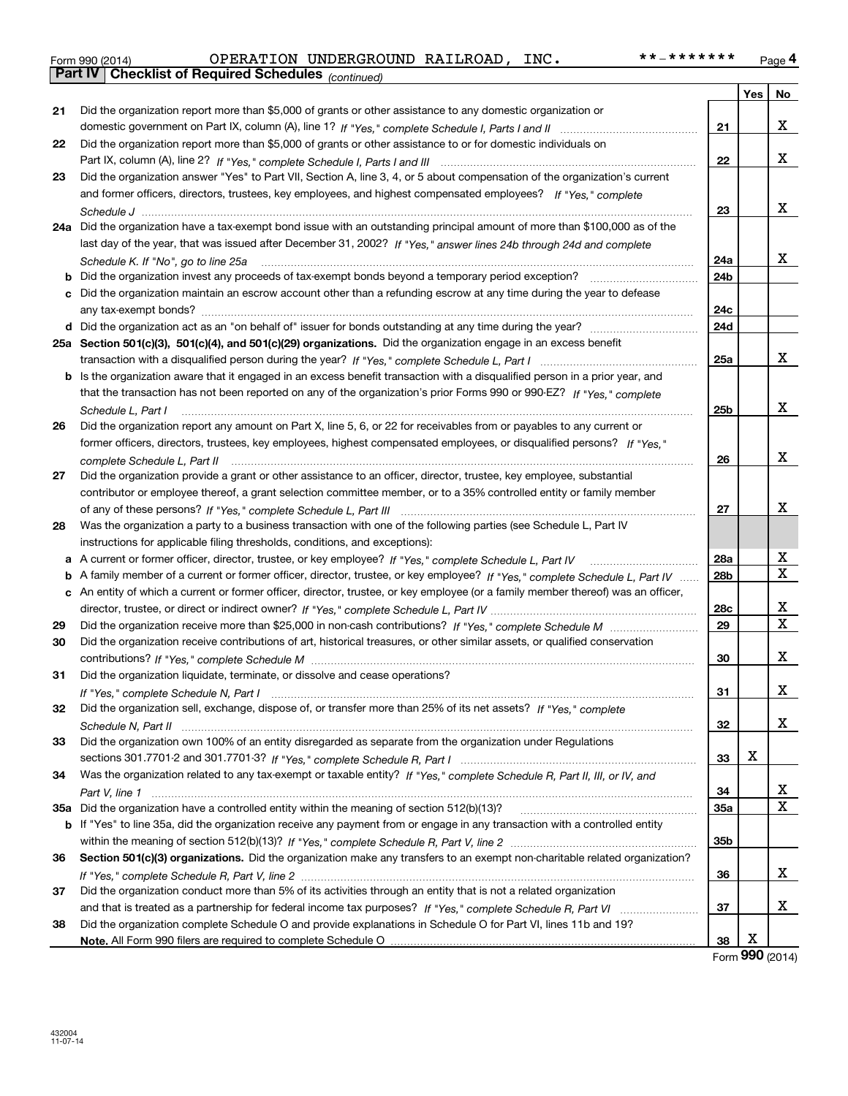| OPERATION UNDERGROUND RAILROAD, INC. |  |
|--------------------------------------|--|
|                                      |  |

|          | OPERATION UNDERGROUND RAILROAD, INC.<br>* * _ * * * * * * *<br>Form 990 (2014)                                                           |            |     | Page 4                                             |
|----------|------------------------------------------------------------------------------------------------------------------------------------------|------------|-----|----------------------------------------------------|
|          | Part IV<br><b>Checklist of Required Schedules</b> (continued)                                                                            |            |     |                                                    |
|          |                                                                                                                                          |            | Yes | No                                                 |
| 21       | Did the organization report more than \$5,000 of grants or other assistance to any domestic organization or                              |            |     |                                                    |
|          |                                                                                                                                          | 21         |     | x                                                  |
| 22       | Did the organization report more than \$5,000 of grants or other assistance to or for domestic individuals on                            |            |     |                                                    |
|          |                                                                                                                                          | 22         |     | x                                                  |
| 23       | Did the organization answer "Yes" to Part VII, Section A, line 3, 4, or 5 about compensation of the organization's current               |            |     |                                                    |
|          | and former officers, directors, trustees, key employees, and highest compensated employees? If "Yes," complete                           |            |     | x                                                  |
| 24a      | Did the organization have a tax-exempt bond issue with an outstanding principal amount of more than \$100,000 as of the                  | 23         |     |                                                    |
|          | last day of the year, that was issued after December 31, 2002? If "Yes," answer lines 24b through 24d and complete                       |            |     |                                                    |
|          |                                                                                                                                          | 24a        |     | x                                                  |
| b        | Schedule K. If "No", go to line 25a<br>Did the organization invest any proceeds of tax-exempt bonds beyond a temporary period exception? | 24b        |     |                                                    |
|          | Did the organization maintain an escrow account other than a refunding escrow at any time during the year to defease                     |            |     |                                                    |
|          |                                                                                                                                          | 24c        |     |                                                    |
|          |                                                                                                                                          | 24d        |     |                                                    |
|          | 25a Section 501(c)(3), 501(c)(4), and 501(c)(29) organizations. Did the organization engage in an excess benefit                         |            |     |                                                    |
|          |                                                                                                                                          | 25a        |     | x                                                  |
|          | Is the organization aware that it engaged in an excess benefit transaction with a disqualified person in a prior year, and               |            |     |                                                    |
|          | that the transaction has not been reported on any of the organization's prior Forms 990 or 990-EZ? If "Yes," complete                    |            |     |                                                    |
|          | Schedule L, Part I                                                                                                                       | 25b        |     | X                                                  |
| 26       | Did the organization report any amount on Part X, line 5, 6, or 22 for receivables from or payables to any current or                    |            |     |                                                    |
|          | former officers, directors, trustees, key employees, highest compensated employees, or disqualified persons? If "Yes."                   |            |     |                                                    |
|          | complete Schedule L, Part II <i>manufacture complete Schedule L</i> , Part II                                                            | 26         |     | x                                                  |
| 27       | Did the organization provide a grant or other assistance to an officer, director, trustee, key employee, substantial                     |            |     |                                                    |
|          | contributor or employee thereof, a grant selection committee member, or to a 35% controlled entity or family member                      |            |     |                                                    |
|          |                                                                                                                                          | 27         |     | x                                                  |
| 28       | Was the organization a party to a business transaction with one of the following parties (see Schedule L, Part IV                        |            |     |                                                    |
|          | instructions for applicable filing thresholds, conditions, and exceptions):                                                              |            |     |                                                    |
|          | A current or former officer, director, trustee, or key employee? If "Yes," complete Schedule L, Part IV                                  | <b>28a</b> |     | $\overline{\mathbf{x}}$<br>$\overline{\mathtt{x}}$ |
| b        | A family member of a current or former officer, director, trustee, or key employee? If "Yes," complete Schedule L, Part IV               | 28b        |     |                                                    |
|          | c An entity of which a current or former officer, director, trustee, or key employee (or a family member thereof) was an officer,        |            |     |                                                    |
|          |                                                                                                                                          | 28c<br>29  |     | x<br>$\overline{\mathbf{X}}$                       |
| 29<br>30 | Did the organization receive contributions of art, historical treasures, or other similar assets, or qualified conservation              |            |     |                                                    |
|          |                                                                                                                                          | 30         |     | x                                                  |
| 31       | Did the organization liquidate, terminate, or dissolve and cease operations?                                                             |            |     |                                                    |
|          |                                                                                                                                          | 31         |     | x                                                  |
| 32       | Did the organization sell, exchange, dispose of, or transfer more than 25% of its net assets? If "Yes," complete                         |            |     |                                                    |
|          |                                                                                                                                          | 32         |     | x                                                  |
| 33       | Did the organization own 100% of an entity disregarded as separate from the organization under Regulations                               |            |     |                                                    |
|          |                                                                                                                                          | 33         | х   |                                                    |
| 34       | Was the organization related to any tax-exempt or taxable entity? If "Yes," complete Schedule R, Part II, III, or IV, and                |            |     |                                                    |
|          |                                                                                                                                          | 34         |     | x                                                  |
| 35a      | Did the organization have a controlled entity within the meaning of section 512(b)(13)?                                                  | 35a        |     | $\overline{\mathbf{X}}$                            |
|          | b If "Yes" to line 35a, did the organization receive any payment from or engage in any transaction with a controlled entity              |            |     |                                                    |
|          |                                                                                                                                          | 35b        |     |                                                    |
| 36       | Section 501(c)(3) organizations. Did the organization make any transfers to an exempt non-charitable related organization?               |            |     |                                                    |
|          |                                                                                                                                          | 36         |     | x                                                  |
| 37       | Did the organization conduct more than 5% of its activities through an entity that is not a related organization                         |            |     |                                                    |
|          |                                                                                                                                          | 37         |     | x                                                  |
| 38       | Did the organization complete Schedule O and provide explanations in Schedule O for Part VI, lines 11b and 19?                           |            |     |                                                    |
|          |                                                                                                                                          | 38         | х   |                                                    |

Form (2014) **990**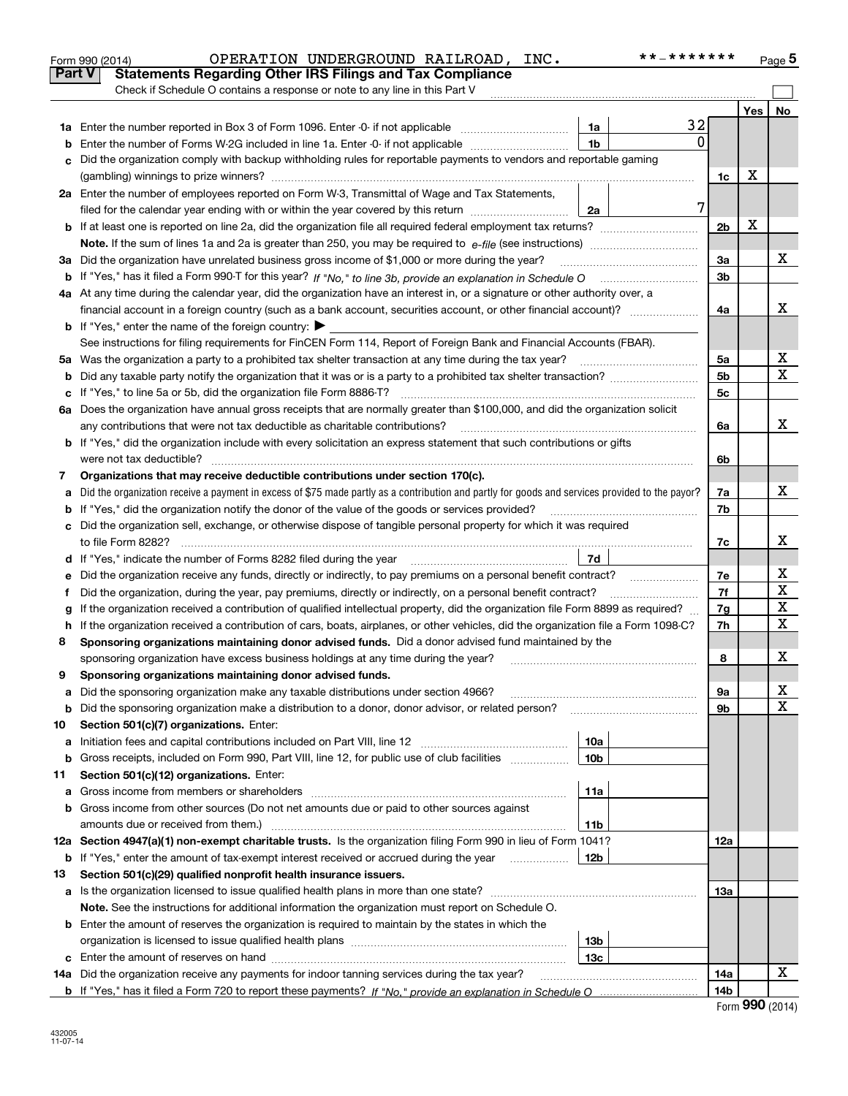|               | * * _ * * * * * * *<br>OPERATION UNDERGROUND RAILROAD, INC.<br>Form 990 (2014)                                                                  |                |     | Page 5                  |
|---------------|-------------------------------------------------------------------------------------------------------------------------------------------------|----------------|-----|-------------------------|
| <b>Part V</b> | <b>Statements Regarding Other IRS Filings and Tax Compliance</b>                                                                                |                |     |                         |
|               | Check if Schedule O contains a response or note to any line in this Part V                                                                      |                |     |                         |
|               |                                                                                                                                                 |                | Yes | No.                     |
|               | 32<br><b>1a</b> Enter the number reported in Box 3 of Form 1096. Enter -0- if not applicable<br>1a                                              |                |     |                         |
| b             | 0<br>1 <sub>b</sub><br>Enter the number of Forms W-2G included in line 1a. Enter -0- if not applicable                                          |                |     |                         |
| c             | Did the organization comply with backup withholding rules for reportable payments to vendors and reportable gaming                              |                |     |                         |
|               |                                                                                                                                                 | 1c             | X   |                         |
|               | 2a Enter the number of employees reported on Form W-3, Transmittal of Wage and Tax Statements,                                                  |                |     |                         |
|               | 7<br>filed for the calendar year ending with or within the year covered by this return<br>2a                                                    |                |     |                         |
|               |                                                                                                                                                 | 2 <sub>b</sub> | х   |                         |
|               |                                                                                                                                                 |                |     |                         |
|               | 3a Did the organization have unrelated business gross income of \$1,000 or more during the year?                                                | 3a             |     | X                       |
|               |                                                                                                                                                 | 3b             |     |                         |
|               | 4a At any time during the calendar year, did the organization have an interest in, or a signature or other authority over, a                    |                |     |                         |
|               | financial account in a foreign country (such as a bank account, securities account, or other financial account)?                                | 4a             |     | х                       |
|               | <b>b</b> If "Yes," enter the name of the foreign country: $\blacktriangleright$                                                                 |                |     |                         |
|               | See instructions for filing requirements for FinCEN Form 114, Report of Foreign Bank and Financial Accounts (FBAR).                             |                |     |                         |
|               | 5a Was the organization a party to a prohibited tax shelter transaction at any time during the tax year?                                        | 5a             |     | <u>x</u>                |
| b             |                                                                                                                                                 | 5 <sub>b</sub> |     | $\overline{\text{x}}$   |
| c             | If "Yes," to line 5a or 5b, did the organization file Form 8886-T?                                                                              | 5c             |     |                         |
|               | 6a Does the organization have annual gross receipts that are normally greater than \$100,000, and did the organization solicit                  |                |     |                         |
|               | any contributions that were not tax deductible as charitable contributions?                                                                     | 6a             |     | x                       |
|               | <b>b</b> If "Yes," did the organization include with every solicitation an express statement that such contributions or gifts                   |                |     |                         |
|               | were not tax deductible?                                                                                                                        | 6b             |     |                         |
| 7             | Organizations that may receive deductible contributions under section 170(c).                                                                   |                |     |                         |
| а             | Did the organization receive a payment in excess of \$75 made partly as a contribution and partly for goods and services provided to the payor? | 7a             |     | x                       |
| b             | If "Yes," did the organization notify the donor of the value of the goods or services provided?                                                 | 7b             |     |                         |
|               | c Did the organization sell, exchange, or otherwise dispose of tangible personal property for which it was required                             |                |     |                         |
|               |                                                                                                                                                 | 7c             |     | X                       |
|               | 7d<br>d If "Yes," indicate the number of Forms 8282 filed during the year [11,111] [12] [13] [13] [14] [15] [15] [15                            |                |     |                         |
| е             | Did the organization receive any funds, directly or indirectly, to pay premiums on a personal benefit contract?                                 | 7e             |     | $\mathbf{x}$            |
| f             | Did the organization, during the year, pay premiums, directly or indirectly, on a personal benefit contract?                                    | 7f             |     | $\overline{\textbf{X}}$ |
| g             | If the organization received a contribution of qualified intellectual property, did the organization file Form 8899 as required?                | 7g             |     | $\mathbf X$             |
| h.            | If the organization received a contribution of cars, boats, airplanes, or other vehicles, did the organization file a Form 1098-C?              | 7h             |     | X                       |
| 8             | Sponsoring organizations maintaining donor advised funds. Did a donor advised fund maintained by the                                            |                |     |                         |
|               | sponsoring organization have excess business holdings at any time during the year?                                                              | 8              |     | х                       |
|               | Sponsoring organizations maintaining donor advised funds.                                                                                       |                |     |                         |
| a             | Did the sponsoring organization make any taxable distributions under section 4966?                                                              | 9а             |     | X                       |
| b             | Did the sponsoring organization make a distribution to a donor, donor advisor, or related person?                                               | 9b             |     | X                       |
| 10            | Section 501(c)(7) organizations. Enter:                                                                                                         |                |     |                         |
| а             | 10a                                                                                                                                             |                |     |                         |
| b             | 10 <sub>b</sub><br>Gross receipts, included on Form 990, Part VIII, line 12, for public use of club facilities                                  |                |     |                         |
| 11            | Section 501(c)(12) organizations. Enter:                                                                                                        |                |     |                         |
| а             | 11a                                                                                                                                             |                |     |                         |
| b             | Gross income from other sources (Do not net amounts due or paid to other sources against                                                        |                |     |                         |
|               | 11b                                                                                                                                             |                |     |                         |
|               | 12a Section 4947(a)(1) non-exempt charitable trusts. Is the organization filing Form 990 in lieu of Form 1041?                                  | 12a            |     |                         |
|               | <b>b</b> If "Yes," enter the amount of tax-exempt interest received or accrued during the year <i>manument</i><br>12b                           |                |     |                         |
| 13            | Section 501(c)(29) qualified nonprofit health insurance issuers.                                                                                |                |     |                         |
| а             | Is the organization licensed to issue qualified health plans in more than one state?                                                            | 13a            |     |                         |
|               | Note. See the instructions for additional information the organization must report on Schedule O.                                               |                |     |                         |
| b             | Enter the amount of reserves the organization is required to maintain by the states in which the                                                |                |     |                         |
|               | 13 <sub>b</sub>                                                                                                                                 |                |     |                         |
|               | 13с                                                                                                                                             |                |     |                         |
|               | 14a Did the organization receive any payments for indoor tanning services during the tax year?                                                  | 14a            |     | х                       |
|               |                                                                                                                                                 | 14b            |     |                         |
|               |                                                                                                                                                 |                |     |                         |

|  | Form 990 (2014) |
|--|-----------------|
|--|-----------------|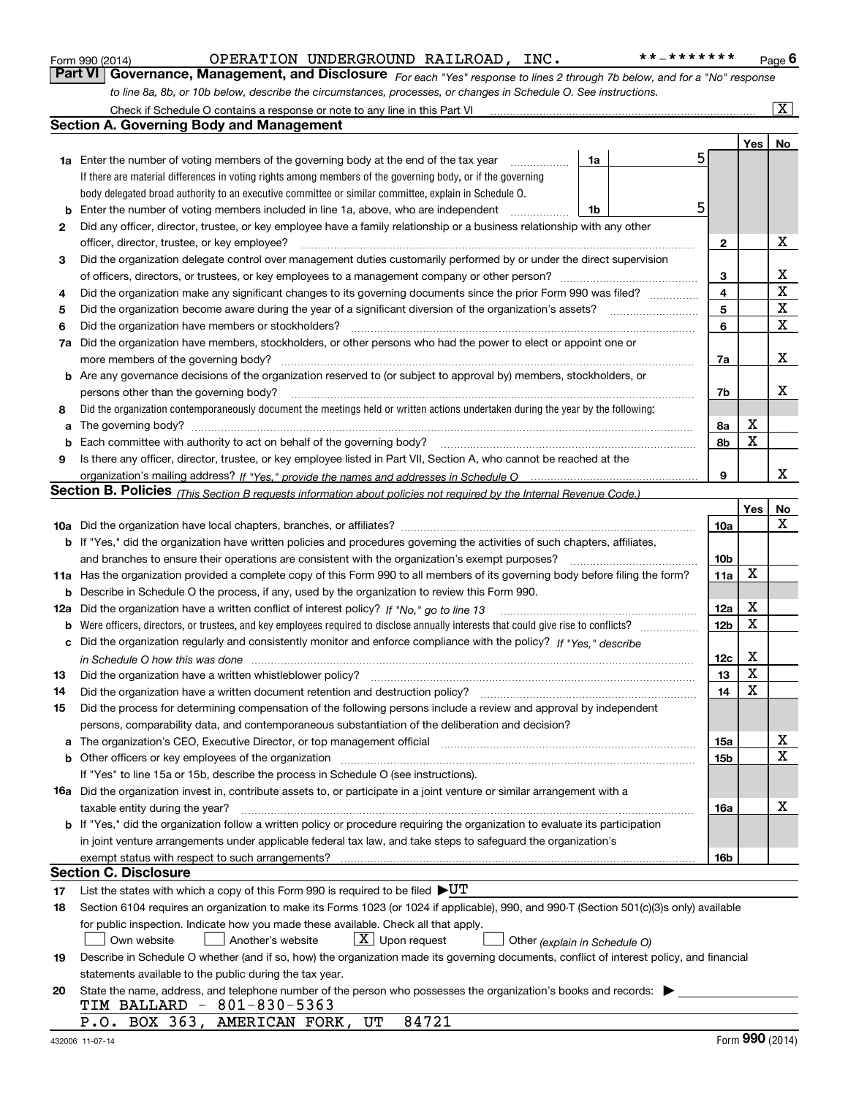|    | OPERATION UNDERGROUND RAILROAD, INC.<br>* * _ * * * * * * *<br>Form 990 (2014)                                                                                                                                                                                                                                                      |   |                 |                              | <u>Page</u> 6   |
|----|-------------------------------------------------------------------------------------------------------------------------------------------------------------------------------------------------------------------------------------------------------------------------------------------------------------------------------------|---|-----------------|------------------------------|-----------------|
|    | Part VI   Governance, Management, and Disclosure For each "Yes" response to lines 2 through 7b below, and for a "No" response                                                                                                                                                                                                       |   |                 |                              |                 |
|    | to line 8a, 8b, or 10b below, describe the circumstances, processes, or changes in Schedule O. See instructions.                                                                                                                                                                                                                    |   |                 |                              |                 |
|    | Check if Schedule O contains a response or note to any line in this Part VI                                                                                                                                                                                                                                                         |   |                 |                              | $\vert X \vert$ |
|    | <b>Section A. Governing Body and Management</b>                                                                                                                                                                                                                                                                                     |   |                 |                              |                 |
|    |                                                                                                                                                                                                                                                                                                                                     |   |                 | Yes                          | No              |
|    | 1a Enter the number of voting members of the governing body at the end of the tax year<br>1a<br>.                                                                                                                                                                                                                                   | 5 |                 |                              |                 |
|    | If there are material differences in voting rights among members of the governing body, or if the governing                                                                                                                                                                                                                         |   |                 |                              |                 |
|    | body delegated broad authority to an executive committee or similar committee, explain in Schedule O.                                                                                                                                                                                                                               | 5 |                 |                              |                 |
| b  | Enter the number of voting members included in line 1a, above, who are independent<br>1b                                                                                                                                                                                                                                            |   |                 |                              |                 |
| 2  | Did any officer, director, trustee, or key employee have a family relationship or a business relationship with any other                                                                                                                                                                                                            |   |                 |                              | x               |
|    | officer, director, trustee, or key employee?<br>Did the organization delegate control over management duties customarily performed by or under the direct supervision                                                                                                                                                               |   | 2               |                              |                 |
| 3  |                                                                                                                                                                                                                                                                                                                                     |   | 3               |                              | x               |
| 4  | Did the organization make any significant changes to its governing documents since the prior Form 990 was filed?                                                                                                                                                                                                                    |   | 4               |                              | $\mathbf X$     |
| 5  |                                                                                                                                                                                                                                                                                                                                     |   | 5               |                              | X               |
| 6  | Did the organization have members or stockholders?                                                                                                                                                                                                                                                                                  |   | 6               |                              | $\mathbf X$     |
| 7a | Did the organization have members, stockholders, or other persons who had the power to elect or appoint one or                                                                                                                                                                                                                      |   |                 |                              |                 |
|    | more members of the governing body?                                                                                                                                                                                                                                                                                                 |   | 7a              |                              | х               |
|    | <b>b</b> Are any governance decisions of the organization reserved to (or subject to approval by) members, stockholders, or                                                                                                                                                                                                         |   |                 |                              |                 |
|    | persons other than the governing body?                                                                                                                                                                                                                                                                                              |   | 7b              |                              | x               |
| 8  | Did the organization contemporaneously document the meetings held or written actions undertaken during the year by the following:                                                                                                                                                                                                   |   |                 |                              |                 |
| a  |                                                                                                                                                                                                                                                                                                                                     |   | 8а              | X                            |                 |
| b  | Each committee with authority to act on behalf of the governing body?                                                                                                                                                                                                                                                               |   | 8b              | X                            |                 |
| 9  | Is there any officer, director, trustee, or key employee listed in Part VII, Section A, who cannot be reached at the                                                                                                                                                                                                                |   |                 |                              |                 |
|    |                                                                                                                                                                                                                                                                                                                                     |   | 9               |                              | х               |
|    | Section B. Policies (This Section B requests information about policies not required by the Internal Revenue Code.)                                                                                                                                                                                                                 |   |                 |                              |                 |
|    |                                                                                                                                                                                                                                                                                                                                     |   |                 | Yes                          | No              |
|    |                                                                                                                                                                                                                                                                                                                                     |   | 10a             |                              | X               |
|    | <b>b</b> If "Yes," did the organization have written policies and procedures governing the activities of such chapters, affiliates,                                                                                                                                                                                                 |   |                 |                              |                 |
|    | and branches to ensure their operations are consistent with the organization's exempt purposes?                                                                                                                                                                                                                                     |   | 10 <sub>b</sub> |                              |                 |
|    | 11a Has the organization provided a complete copy of this Form 990 to all members of its governing body before filing the form?                                                                                                                                                                                                     |   | 11a             | X                            |                 |
|    | <b>b</b> Describe in Schedule O the process, if any, used by the organization to review this Form 990.                                                                                                                                                                                                                              |   |                 |                              |                 |
|    | 12a Did the organization have a written conflict of interest policy? If "No," go to line 13                                                                                                                                                                                                                                         |   | 12a             | х                            |                 |
|    |                                                                                                                                                                                                                                                                                                                                     |   | 12b             | X                            |                 |
| c  | Did the organization regularly and consistently monitor and enforce compliance with the policy? If "Yes," describe                                                                                                                                                                                                                  |   |                 |                              |                 |
|    | in Schedule O how this was done with the continuum control of the control of the control of the control of the                                                                                                                                                                                                                      |   | 12c             | x<br>$\overline{\textbf{X}}$ |                 |
|    |                                                                                                                                                                                                                                                                                                                                     |   | 13              | X                            |                 |
| 14 | Did the organization have a written document retention and destruction policy?                                                                                                                                                                                                                                                      |   | 14              |                              |                 |
| 15 | Did the process for determining compensation of the following persons include a review and approval by independent                                                                                                                                                                                                                  |   |                 |                              |                 |
|    | persons, comparability data, and contemporaneous substantiation of the deliberation and decision?<br>The organization's CEO, Executive Director, or top management official manufactured contains and contained a manufactured with the organization's CEO, Executive Director, or top management official manufactured with the st |   |                 |                              | x               |
| a  |                                                                                                                                                                                                                                                                                                                                     |   | 15a<br>15b      |                              | X               |
|    | If "Yes" to line 15a or 15b, describe the process in Schedule O (see instructions).                                                                                                                                                                                                                                                 |   |                 |                              |                 |
|    | <b>16a</b> Did the organization invest in, contribute assets to, or participate in a joint venture or similar arrangement with a                                                                                                                                                                                                    |   |                 |                              |                 |
|    | taxable entity during the year?                                                                                                                                                                                                                                                                                                     |   | 16a             |                              | x               |
|    | b If "Yes," did the organization follow a written policy or procedure requiring the organization to evaluate its participation                                                                                                                                                                                                      |   |                 |                              |                 |
|    | in joint venture arrangements under applicable federal tax law, and take steps to safeguard the organization's                                                                                                                                                                                                                      |   |                 |                              |                 |
|    |                                                                                                                                                                                                                                                                                                                                     |   | 16b             |                              |                 |
|    | <b>Section C. Disclosure</b>                                                                                                                                                                                                                                                                                                        |   |                 |                              |                 |
| 17 | List the states with which a copy of this Form 990 is required to be filed $\blacktriangleright U T$                                                                                                                                                                                                                                |   |                 |                              |                 |
| 18 | Section 6104 requires an organization to make its Forms 1023 (or 1024 if applicable), 990, and 990-T (Section 501(c)(3)s only) available                                                                                                                                                                                            |   |                 |                              |                 |
|    | for public inspection. Indicate how you made these available. Check all that apply.                                                                                                                                                                                                                                                 |   |                 |                              |                 |
|    | $\lfloor x \rfloor$ Upon request<br>Own website<br>Another's website<br>Other (explain in Schedule O)                                                                                                                                                                                                                               |   |                 |                              |                 |
| 19 | Describe in Schedule O whether (and if so, how) the organization made its governing documents, conflict of interest policy, and financial                                                                                                                                                                                           |   |                 |                              |                 |
|    | statements available to the public during the tax year.                                                                                                                                                                                                                                                                             |   |                 |                              |                 |
| 20 | State the name, address, and telephone number of the person who possesses the organization's books and records:                                                                                                                                                                                                                     |   |                 |                              |                 |
|    | TIM BALLARD - 801-830-5363                                                                                                                                                                                                                                                                                                          |   |                 |                              |                 |
|    | 84721<br>P.O. BOX 363, AMERICAN FORK, UT                                                                                                                                                                                                                                                                                            |   |                 |                              |                 |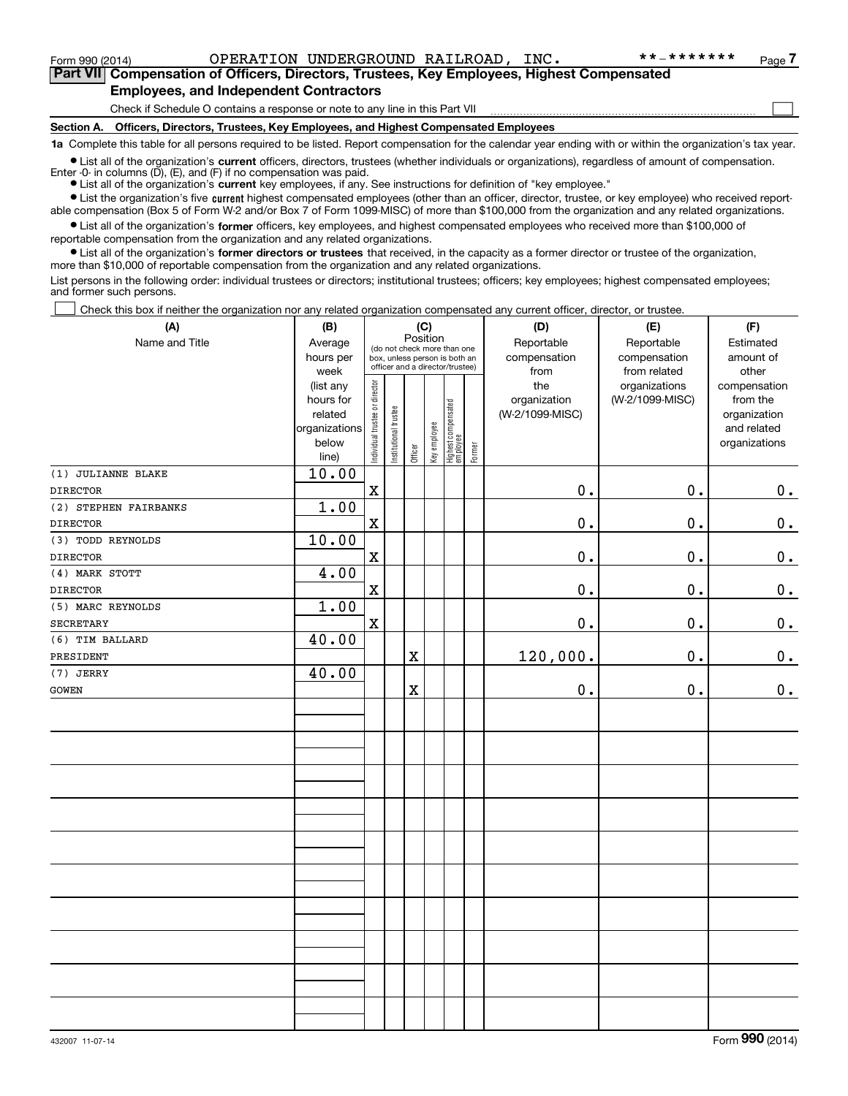Form 990 (2014) OPERATION UNDERGROUND RAILROAD , INC • \* \* - \* \* \* \* \* \* \* Page

 $\mathcal{L}^{\text{max}}$ 

Form 990 (2014) **1998 COMPTER BRAT COND INDERGROUND RAILROAD**, INC. \*\*-\*\*\*\*\*\*\* Page 7<br>**Part VII** Compensation of Officers, Directors, Trustees, Key Employees, Highest Compensated **Employees, and Independent Contractors**

Check if Schedule O contains a response or note to any line in this Part VII

**Section A. Officers, Directors, Trustees, Key Employees, and Highest Compensated Employees**

**1a**  Complete this table for all persons required to be listed. Report compensation for the calendar year ending with or within the organization's tax year.

**•** List all of the organization's current officers, directors, trustees (whether individuals or organizations), regardless of amount of compensation. Enter -0- in columns  $(D)$ ,  $(E)$ , and  $(F)$  if no compensation was paid.

● List all of the organization's **current** key employees, if any. See instructions for definition of "key employee."

**•** List the organization's five current highest compensated employees (other than an officer, director, trustee, or key employee) who received reportable compensation (Box 5 of Form W-2 and/or Box 7 of Form 1099-MISC) of more than \$100,000 from the organization and any related organizations.

 $\bullet$  List all of the organization's **former** officers, key employees, and highest compensated employees who received more than \$100,000 of reportable compensation from the organization and any related organizations.

**•** List all of the organization's former directors or trustees that received, in the capacity as a former director or trustee of the organization, more than \$10,000 of reportable compensation from the organization and any related organizations.

List persons in the following order: individual trustees or directors; institutional trustees; officers; key employees; highest compensated employees; and former such persons.

Check this box if neither the organization nor any related organization compensated any current officer, director, or trustee.  $\mathcal{L}^{\text{max}}$ 

| (A)                   | (B)<br>(C)     |                                |                                         |                         |              |                                  |        | (D)             | (E)             | (F)           |
|-----------------------|----------------|--------------------------------|-----------------------------------------|-------------------------|--------------|----------------------------------|--------|-----------------|-----------------|---------------|
| Name and Title        | Average        |                                | Position<br>(do not check more than one |                         |              |                                  |        | Reportable      | Reportable      | Estimated     |
|                       | hours per      |                                | box, unless person is both an           |                         |              |                                  |        | compensation    | compensation    | amount of     |
|                       | week           |                                | officer and a director/trustee)         |                         |              |                                  |        | from            | from related    | other         |
|                       | (list any      |                                |                                         |                         |              |                                  |        | the             | organizations   | compensation  |
|                       | hours for      |                                |                                         |                         |              |                                  |        | organization    | (W-2/1099-MISC) | from the      |
|                       | related        |                                |                                         |                         |              |                                  |        | (W-2/1099-MISC) |                 | organization  |
|                       | organizations  |                                |                                         |                         |              |                                  |        |                 |                 | and related   |
|                       | below<br>line) | Individual trustee or director | Institutional trustee                   | Officer                 | Key employee | Highest compensated<br> employee | Former |                 |                 | organizations |
| (1) JULIANNE BLAKE    | 10.00          |                                |                                         |                         |              |                                  |        |                 |                 |               |
| <b>DIRECTOR</b>       |                | $\mathbf X$                    |                                         |                         |              |                                  |        | $0$ .           | 0.              | 0.            |
| (2) STEPHEN FAIRBANKS | 1.00           |                                |                                         |                         |              |                                  |        |                 |                 |               |
| <b>DIRECTOR</b>       |                | $\mathbf X$                    |                                         |                         |              |                                  |        | $0$ .           | 0.              | 0.            |
| (3) TODD REYNOLDS     | 10.00          |                                |                                         |                         |              |                                  |        |                 |                 |               |
| <b>DIRECTOR</b>       |                | $\mathbf X$                    |                                         |                         |              |                                  |        | 0.              | $\mathbf 0$ .   | $0_{.}$       |
| (4) MARK STOTT        | 4.00           |                                |                                         |                         |              |                                  |        |                 |                 |               |
| <b>DIRECTOR</b>       |                | $\mathbf X$                    |                                         |                         |              |                                  |        | 0.              | 0.              | 0.            |
| (5) MARC REYNOLDS     | 1.00           |                                |                                         |                         |              |                                  |        |                 |                 |               |
| <b>SECRETARY</b>      |                | $\mathbf X$                    |                                         |                         |              |                                  |        | $0$ .           | 0.              | 0.            |
| (6) TIM BALLARD       | 40.00          |                                |                                         |                         |              |                                  |        |                 |                 |               |
| PRESIDENT             |                |                                |                                         | $\mathbf X$             |              |                                  |        | 120,000.        | 0.              | 0.            |
| $(7)$ JERRY           | 40.00          |                                |                                         |                         |              |                                  |        |                 |                 |               |
| <b>GOWEN</b>          |                |                                |                                         | $\overline{\textbf{X}}$ |              |                                  |        | $0$ .           | 0.              | 0.            |
|                       |                |                                |                                         |                         |              |                                  |        |                 |                 |               |
|                       |                |                                |                                         |                         |              |                                  |        |                 |                 |               |
|                       |                |                                |                                         |                         |              |                                  |        |                 |                 |               |
|                       |                |                                |                                         |                         |              |                                  |        |                 |                 |               |
|                       |                |                                |                                         |                         |              |                                  |        |                 |                 |               |
|                       |                |                                |                                         |                         |              |                                  |        |                 |                 |               |
|                       |                |                                |                                         |                         |              |                                  |        |                 |                 |               |
|                       |                |                                |                                         |                         |              |                                  |        |                 |                 |               |
|                       |                |                                |                                         |                         |              |                                  |        |                 |                 |               |
|                       |                |                                |                                         |                         |              |                                  |        |                 |                 |               |
|                       |                |                                |                                         |                         |              |                                  |        |                 |                 |               |
|                       |                |                                |                                         |                         |              |                                  |        |                 |                 |               |
|                       |                |                                |                                         |                         |              |                                  |        |                 |                 |               |
|                       |                |                                |                                         |                         |              |                                  |        |                 |                 |               |
|                       |                |                                |                                         |                         |              |                                  |        |                 |                 |               |
|                       |                |                                |                                         |                         |              |                                  |        |                 |                 |               |
|                       |                |                                |                                         |                         |              |                                  |        |                 |                 |               |
|                       |                |                                |                                         |                         |              |                                  |        |                 |                 |               |
|                       |                |                                |                                         |                         |              |                                  |        |                 |                 |               |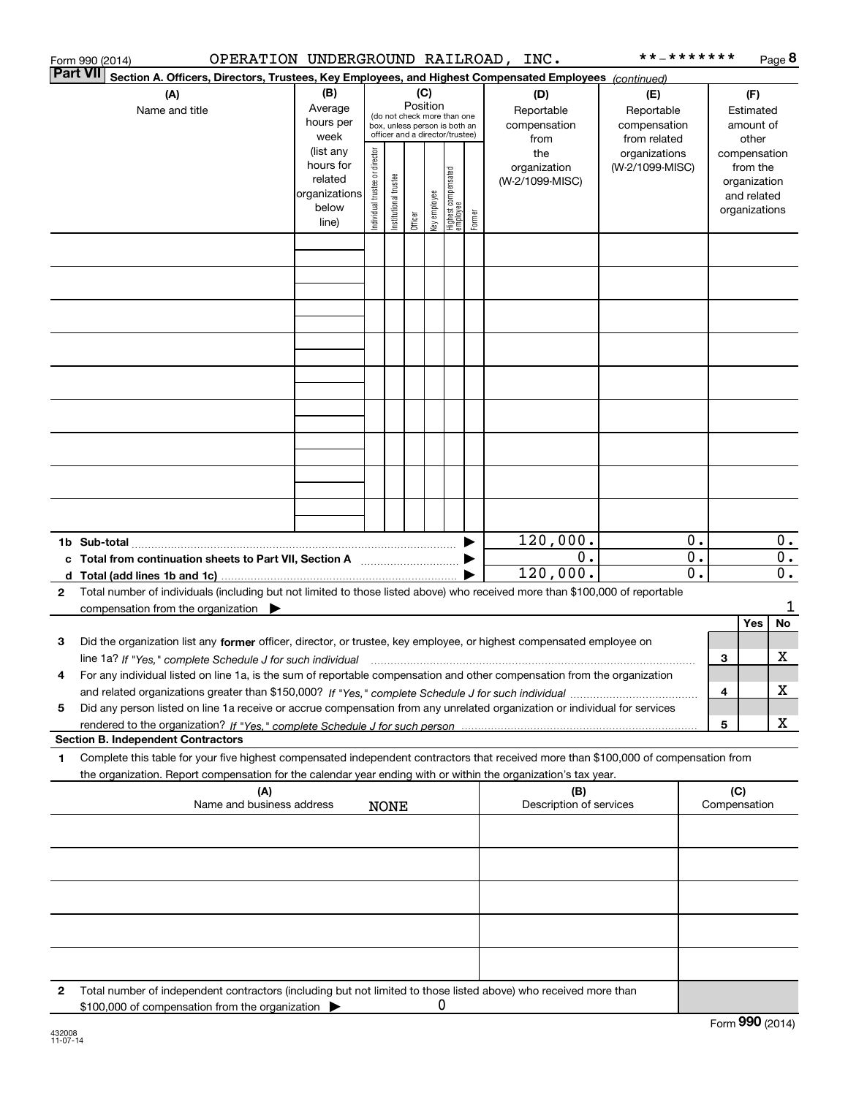|                 | OPERATION UNDERGROUND RAILROAD, INC.<br>Form 990 (2014)                                                                                                                                                                                                                          |                                                                      |                                |                                                                                                                                                                                                        |         |              |                                   |        |                                        | * * _ * * * * * * *                               |                     |                                        |                                                                          | Page 8         |
|-----------------|----------------------------------------------------------------------------------------------------------------------------------------------------------------------------------------------------------------------------------------------------------------------------------|----------------------------------------------------------------------|--------------------------------|--------------------------------------------------------------------------------------------------------------------------------------------------------------------------------------------------------|---------|--------------|-----------------------------------|--------|----------------------------------------|---------------------------------------------------|---------------------|----------------------------------------|--------------------------------------------------------------------------|----------------|
| <b>Part VII</b> | Section A. Officers, Directors, Trustees, Key Employees, and Highest Compensated Employees (continued)                                                                                                                                                                           |                                                                      |                                |                                                                                                                                                                                                        |         |              |                                   |        |                                        |                                                   |                     |                                        |                                                                          |                |
|                 | (A)<br>Name and title                                                                                                                                                                                                                                                            |                                                                      |                                | (B)<br>(C)<br>(D)<br>Position<br>Average<br>Reportable<br>(do not check more than one<br>hours per<br>compensation<br>box, unless person is both an<br>officer and a director/trustee)<br>week<br>from |         |              |                                   |        |                                        | (E)<br>Reportable<br>compensation<br>from related |                     | (F)<br>Estimated<br>amount of<br>other |                                                                          |                |
|                 |                                                                                                                                                                                                                                                                                  | (list any<br>hours for<br>related<br>organizations<br>below<br>line) | Individual trustee or director | Institutional trustee                                                                                                                                                                                  | Officer | key employee | Highest compensated<br>  employee | Former | the<br>organization<br>(W-2/1099-MISC) | organizations<br>(W-2/1099-MISC)                  |                     |                                        | compensation<br>from the<br>organization<br>and related<br>organizations |                |
|                 |                                                                                                                                                                                                                                                                                  |                                                                      |                                |                                                                                                                                                                                                        |         |              |                                   |        |                                        |                                                   |                     |                                        |                                                                          |                |
|                 |                                                                                                                                                                                                                                                                                  |                                                                      |                                |                                                                                                                                                                                                        |         |              |                                   |        |                                        |                                                   |                     |                                        |                                                                          |                |
|                 |                                                                                                                                                                                                                                                                                  |                                                                      |                                |                                                                                                                                                                                                        |         |              |                                   |        |                                        |                                                   |                     |                                        |                                                                          |                |
|                 |                                                                                                                                                                                                                                                                                  |                                                                      |                                |                                                                                                                                                                                                        |         |              |                                   |        |                                        |                                                   |                     |                                        |                                                                          |                |
|                 |                                                                                                                                                                                                                                                                                  |                                                                      |                                |                                                                                                                                                                                                        |         |              |                                   |        |                                        |                                                   |                     |                                        |                                                                          |                |
|                 |                                                                                                                                                                                                                                                                                  |                                                                      |                                |                                                                                                                                                                                                        |         |              |                                   |        |                                        |                                                   |                     |                                        |                                                                          |                |
|                 |                                                                                                                                                                                                                                                                                  |                                                                      |                                |                                                                                                                                                                                                        |         |              |                                   |        |                                        |                                                   |                     |                                        |                                                                          |                |
|                 |                                                                                                                                                                                                                                                                                  |                                                                      |                                |                                                                                                                                                                                                        |         |              |                                   |        |                                        |                                                   |                     |                                        |                                                                          |                |
|                 |                                                                                                                                                                                                                                                                                  |                                                                      |                                |                                                                                                                                                                                                        |         |              |                                   |        | 120,000.                               |                                                   | 0.                  |                                        |                                                                          | $0$ .          |
|                 | c Total from continuation sheets to Part VII, Section A                                                                                                                                                                                                                          |                                                                      |                                |                                                                                                                                                                                                        |         |              |                                   |        | 0.<br>120,000.                         |                                                   | 0.<br>0.            |                                        |                                                                          | $0$ .<br>$0$ . |
| $\mathbf{2}$    | Total number of individuals (including but not limited to those listed above) who received more than \$100,000 of reportable<br>compensation from the organization $\blacktriangleright$                                                                                         |                                                                      |                                |                                                                                                                                                                                                        |         |              |                                   |        |                                        |                                                   |                     |                                        |                                                                          | 1              |
| 3               | Did the organization list any former officer, director, or trustee, key employee, or highest compensated employee on                                                                                                                                                             |                                                                      |                                |                                                                                                                                                                                                        |         |              |                                   |        |                                        |                                                   |                     |                                        | Yes                                                                      | No             |
|                 | line 1a? If "Yes," complete Schedule J for such individual manufactured contained and the line 1a? If "Yes," complete Schedule J for such individual<br>For any individual listed on line 1a, is the sum of reportable compensation and other compensation from the organization |                                                                      |                                |                                                                                                                                                                                                        |         |              |                                   |        |                                        |                                                   |                     | З                                      |                                                                          | X              |
| 5               | Did any person listed on line 1a receive or accrue compensation from any unrelated organization or individual for services                                                                                                                                                       |                                                                      |                                |                                                                                                                                                                                                        |         |              |                                   |        |                                        |                                                   |                     | 4                                      |                                                                          | x<br>x         |
|                 | <b>Section B. Independent Contractors</b>                                                                                                                                                                                                                                        |                                                                      |                                |                                                                                                                                                                                                        |         |              |                                   |        |                                        |                                                   |                     | 5                                      |                                                                          |                |
| 1               | Complete this table for your five highest compensated independent contractors that received more than \$100,000 of compensation from                                                                                                                                             |                                                                      |                                |                                                                                                                                                                                                        |         |              |                                   |        |                                        |                                                   |                     |                                        |                                                                          |                |
|                 | the organization. Report compensation for the calendar year ending with or within the organization's tax year.<br>(A)<br>(B)<br>Name and business address<br>Description of services<br><b>NONE</b>                                                                              |                                                                      |                                |                                                                                                                                                                                                        |         |              |                                   |        |                                        |                                                   | (C)<br>Compensation |                                        |                                                                          |                |
|                 |                                                                                                                                                                                                                                                                                  |                                                                      |                                |                                                                                                                                                                                                        |         |              |                                   |        |                                        |                                                   |                     |                                        |                                                                          |                |
|                 |                                                                                                                                                                                                                                                                                  |                                                                      |                                |                                                                                                                                                                                                        |         |              |                                   |        |                                        |                                                   |                     |                                        |                                                                          |                |
|                 |                                                                                                                                                                                                                                                                                  |                                                                      |                                |                                                                                                                                                                                                        |         |              |                                   |        |                                        |                                                   |                     |                                        |                                                                          |                |
|                 |                                                                                                                                                                                                                                                                                  |                                                                      |                                |                                                                                                                                                                                                        |         |              |                                   |        |                                        |                                                   |                     |                                        |                                                                          |                |
| 2               | Total number of independent contractors (including but not limited to those listed above) who received more than                                                                                                                                                                 |                                                                      |                                |                                                                                                                                                                                                        |         |              |                                   |        |                                        |                                                   |                     |                                        |                                                                          |                |
|                 | \$100,000 of compensation from the organization                                                                                                                                                                                                                                  |                                                                      |                                |                                                                                                                                                                                                        |         | 0            |                                   |        |                                        |                                                   |                     |                                        |                                                                          |                |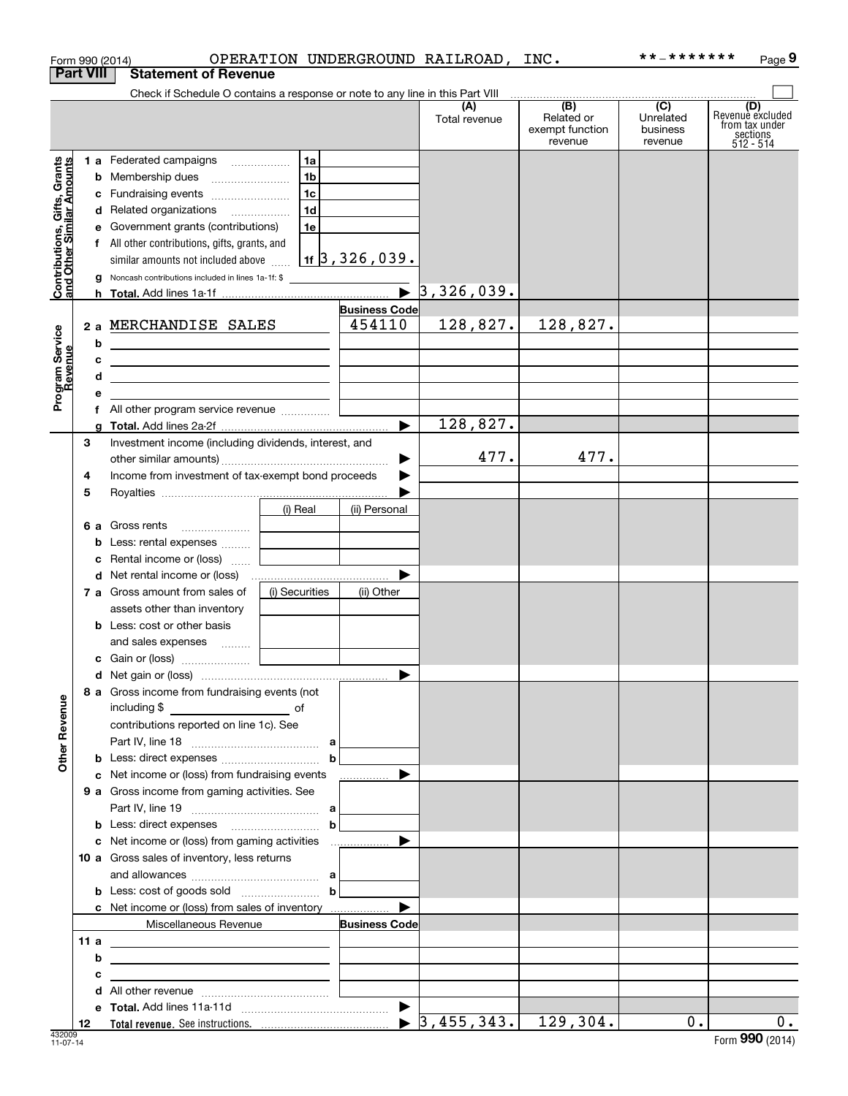|                                                           | Form 990 (2014)  |                                                                                                                                                 |                |                                | OPERATION UNDERGROUND RAILROAD, INC. |                                                 | **_*******                                           | Page 9                                                             |
|-----------------------------------------------------------|------------------|-------------------------------------------------------------------------------------------------------------------------------------------------|----------------|--------------------------------|--------------------------------------|-------------------------------------------------|------------------------------------------------------|--------------------------------------------------------------------|
|                                                           | <b>Part VIII</b> | <b>Statement of Revenue</b>                                                                                                                     |                |                                |                                      |                                                 |                                                      |                                                                    |
|                                                           |                  | Check if Schedule O contains a response or note to any line in this Part VIII                                                                   |                |                                |                                      |                                                 |                                                      |                                                                    |
|                                                           |                  |                                                                                                                                                 |                |                                | (A)<br>Total revenue                 | (B)<br>Related or<br>exempt function<br>revenue | $\overline{(C)}$<br>Unrelated<br>business<br>revenue | (D)<br>Revenue excluded<br>from tax under<br>sections<br>512 - 514 |
|                                                           |                  | 1 a Federated campaigns                                                                                                                         | 1a             |                                |                                      |                                                 |                                                      |                                                                    |
| Contributions, Gifts, Grants<br>and Other Similar Amounts | b                |                                                                                                                                                 | 1 <sub>b</sub> |                                |                                      |                                                 |                                                      |                                                                    |
|                                                           |                  | c Fundraising events                                                                                                                            | 1 <sub>c</sub> |                                |                                      |                                                 |                                                      |                                                                    |
|                                                           |                  | d Related organizations                                                                                                                         | 1d             |                                |                                      |                                                 |                                                      |                                                                    |
|                                                           | е                | Government grants (contributions)                                                                                                               | 1e             |                                |                                      |                                                 |                                                      |                                                                    |
|                                                           |                  | f All other contributions, gifts, grants, and                                                                                                   |                |                                |                                      |                                                 |                                                      |                                                                    |
|                                                           |                  | similar amounts not included above                                                                                                              |                | 1f 3, 326, 039.                |                                      |                                                 |                                                      |                                                                    |
|                                                           | g                | Noncash contributions included in lines 1a-1f: \$                                                                                               |                | $\blacktriangleright$          | 3,326,039.                           |                                                 |                                                      |                                                                    |
|                                                           | h.               |                                                                                                                                                 |                |                                |                                      |                                                 |                                                      |                                                                    |
|                                                           |                  | 2 a MERCHANDISE SALES                                                                                                                           |                | <b>Business Code</b><br>454110 | 128,827.                             | 128,827.                                        |                                                      |                                                                    |
|                                                           | b                |                                                                                                                                                 |                |                                |                                      |                                                 |                                                      |                                                                    |
|                                                           | с                | <u> 1989 - Johann Barbara, martxa alemaniar a</u>                                                                                               |                |                                |                                      |                                                 |                                                      |                                                                    |
|                                                           | d                | <u> 2000 - Jan James James School (f. 1982)</u>                                                                                                 |                |                                |                                      |                                                 |                                                      |                                                                    |
| Program Service<br>Revenue                                | е                | <u> 1989 - Johann Stein, mars an de Brasilia (b. 1989)</u>                                                                                      |                |                                |                                      |                                                 |                                                      |                                                                    |
|                                                           |                  |                                                                                                                                                 |                |                                |                                      |                                                 |                                                      |                                                                    |
|                                                           | a                |                                                                                                                                                 |                | $\blacktriangleright$          | 128,827.                             |                                                 |                                                      |                                                                    |
|                                                           | 3                | Investment income (including dividends, interest, and                                                                                           |                |                                |                                      |                                                 |                                                      |                                                                    |
|                                                           |                  |                                                                                                                                                 |                | ▶                              | 477.                                 | 477.                                            |                                                      |                                                                    |
|                                                           | 4                | Income from investment of tax-exempt bond proceeds                                                                                              |                |                                |                                      |                                                 |                                                      |                                                                    |
|                                                           | 5                |                                                                                                                                                 |                |                                |                                      |                                                 |                                                      |                                                                    |
|                                                           |                  |                                                                                                                                                 | (i) Real       | (ii) Personal                  |                                      |                                                 |                                                      |                                                                    |
|                                                           |                  | 6 a Gross rents                                                                                                                                 |                |                                |                                      |                                                 |                                                      |                                                                    |
|                                                           | b                | Less: rental expenses                                                                                                                           |                |                                |                                      |                                                 |                                                      |                                                                    |
|                                                           | с                | Rental income or (loss)                                                                                                                         |                |                                |                                      |                                                 |                                                      |                                                                    |
|                                                           |                  |                                                                                                                                                 |                |                                |                                      |                                                 |                                                      |                                                                    |
|                                                           |                  | 7 a Gross amount from sales of                                                                                                                  | (i) Securities | (ii) Other                     |                                      |                                                 |                                                      |                                                                    |
|                                                           |                  | assets other than inventory                                                                                                                     |                |                                |                                      |                                                 |                                                      |                                                                    |
|                                                           |                  | <b>b</b> Less: cost or other basis<br>and sales expenses                                                                                        |                |                                |                                      |                                                 |                                                      |                                                                    |
|                                                           |                  |                                                                                                                                                 |                |                                |                                      |                                                 |                                                      |                                                                    |
|                                                           |                  |                                                                                                                                                 |                |                                |                                      |                                                 |                                                      |                                                                    |
|                                                           |                  | 8 a Gross income from fundraising events (not                                                                                                   |                |                                |                                      |                                                 |                                                      |                                                                    |
|                                                           |                  |                                                                                                                                                 |                |                                |                                      |                                                 |                                                      |                                                                    |
|                                                           |                  | contributions reported on line 1c). See                                                                                                         |                |                                |                                      |                                                 |                                                      |                                                                    |
|                                                           |                  |                                                                                                                                                 |                |                                |                                      |                                                 |                                                      |                                                                    |
| <b>Other Revenue</b>                                      |                  |                                                                                                                                                 | $\mathbf b$    |                                |                                      |                                                 |                                                      |                                                                    |
|                                                           |                  | c Net income or (loss) from fundraising events                                                                                                  |                | .                              |                                      |                                                 |                                                      |                                                                    |
|                                                           |                  | 9 a Gross income from gaming activities. See                                                                                                    |                |                                |                                      |                                                 |                                                      |                                                                    |
|                                                           |                  |                                                                                                                                                 |                |                                |                                      |                                                 |                                                      |                                                                    |
|                                                           |                  |                                                                                                                                                 | b              |                                |                                      |                                                 |                                                      |                                                                    |
|                                                           |                  |                                                                                                                                                 |                | ▶                              |                                      |                                                 |                                                      |                                                                    |
|                                                           |                  | 10 a Gross sales of inventory, less returns                                                                                                     |                |                                |                                      |                                                 |                                                      |                                                                    |
|                                                           |                  |                                                                                                                                                 |                |                                |                                      |                                                 |                                                      |                                                                    |
|                                                           |                  |                                                                                                                                                 | $\mathbf b$    |                                |                                      |                                                 |                                                      |                                                                    |
|                                                           |                  | <b>c</b> Net income or (loss) from sales of inventory<br>Miscellaneous Revenue                                                                  |                | ▶<br><b>Business Code</b>      |                                      |                                                 |                                                      |                                                                    |
|                                                           | 11 a             |                                                                                                                                                 |                |                                |                                      |                                                 |                                                      |                                                                    |
|                                                           | b                | <u> 1989 - Johann John Stone, meil in der Stone aus der Stone aus der Stone aus der Stone aus der Stone anderen S</u>                           |                |                                |                                      |                                                 |                                                      |                                                                    |
|                                                           | с                | <u> 1989 - Johann Barbara, martxa eta idazlea (h. 1989).</u><br>the contract of the contract of the contract of the contract of the contract of |                |                                |                                      |                                                 |                                                      |                                                                    |
|                                                           | d                |                                                                                                                                                 |                |                                |                                      |                                                 |                                                      |                                                                    |
|                                                           |                  |                                                                                                                                                 |                |                                |                                      |                                                 |                                                      |                                                                    |
|                                                           | 12               |                                                                                                                                                 |                |                                | $\blacktriangleright$ 3,455,343.     | 129,304.                                        | 0.                                                   | 0.                                                                 |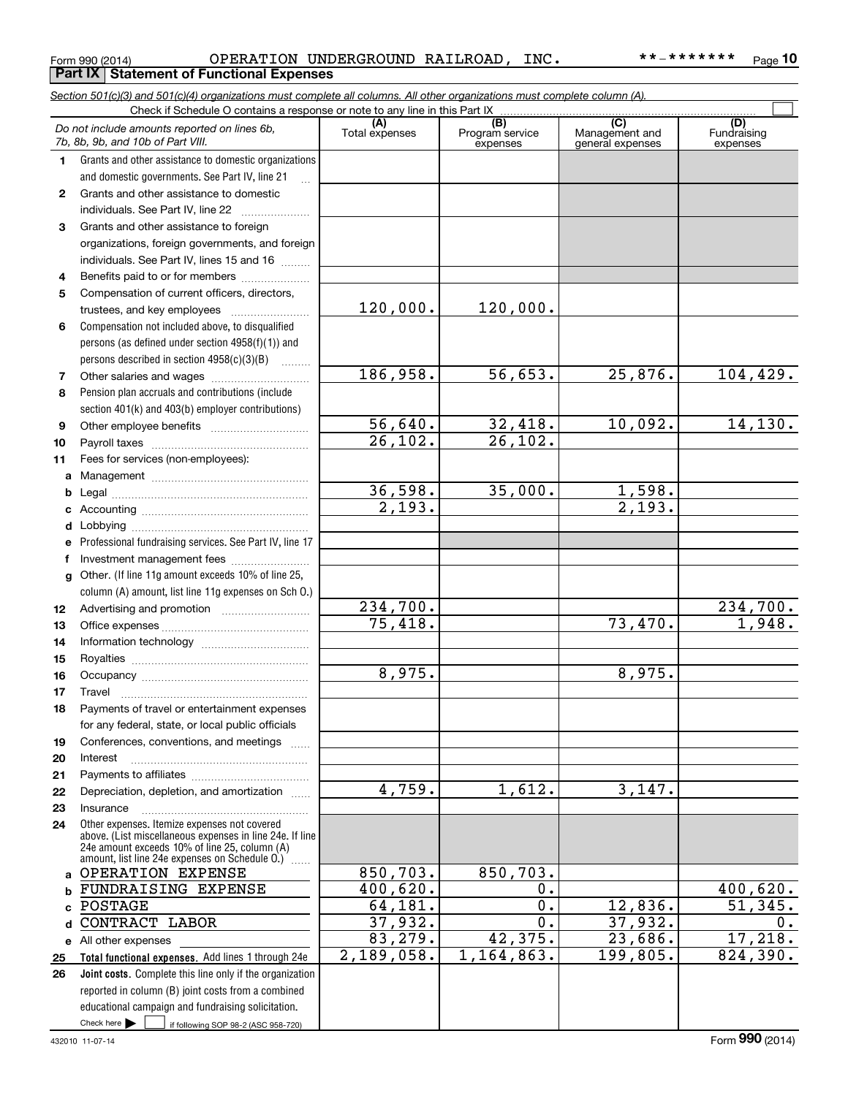|              | Form 990 (2014)<br><b>Part IX   Statement of Functional Expenses</b>                                                                                                                                      |                       | OPERATION UNDERGROUND RAILROAD, INC. |                                           | **_*******<br>Page             |
|--------------|-----------------------------------------------------------------------------------------------------------------------------------------------------------------------------------------------------------|-----------------------|--------------------------------------|-------------------------------------------|--------------------------------|
|              | Section 501(c)(3) and 501(c)(4) organizations must complete all columns. All other organizations must complete column (A).<br>Check if Schedule O contains a response or note to any line in this Part IX |                       |                                      |                                           |                                |
|              | Do not include amounts reported on lines 6b,<br>7b, 8b, 9b, and 10b of Part VIII.                                                                                                                         | (A)<br>Total expenses | (B)<br>Program service<br>expenses   | (C)<br>Management and<br>general expenses | (D)<br>Fundraising<br>expenses |
|              | Grants and other assistance to domestic organizations<br>and domestic governments. See Part IV, line 21                                                                                                   |                       |                                      |                                           |                                |
| $\mathbf{2}$ | Grants and other assistance to domestic<br>individuals. See Part IV, line 22                                                                                                                              |                       |                                      |                                           |                                |
| 3            | Grants and other assistance to foreign<br>organizations, foreign governments, and foreign<br>individuals, See Part IV, lines 15 and 16                                                                    |                       |                                      |                                           |                                |

**10**

 $\mathcal{L}^{\text{max}}$ 

|              | 7b, 8b, 9b, and 10b of Part VIII.                                                                        |                       | expenses         | general expenses | expenses |
|--------------|----------------------------------------------------------------------------------------------------------|-----------------------|------------------|------------------|----------|
| 1.           | Grants and other assistance to domestic organizations                                                    |                       |                  |                  |          |
|              | and domestic governments. See Part IV, line 21<br>$\ddotsc$                                              |                       |                  |                  |          |
| $\mathbf{2}$ | Grants and other assistance to domestic                                                                  |                       |                  |                  |          |
|              | individuals. See Part IV, line 22                                                                        |                       |                  |                  |          |
| 3            | Grants and other assistance to foreign                                                                   |                       |                  |                  |          |
|              | organizations, foreign governments, and foreign                                                          |                       |                  |                  |          |
|              | individuals. See Part IV, lines 15 and 16                                                                |                       |                  |                  |          |
| 4            | Benefits paid to or for members                                                                          |                       |                  |                  |          |
| 5            | Compensation of current officers, directors,                                                             |                       |                  |                  |          |
|              | trustees, and key employees                                                                              | 120,000.              | 120,000.         |                  |          |
| 6            | Compensation not included above, to disqualified                                                         |                       |                  |                  |          |
|              | persons (as defined under section 4958(f)(1)) and                                                        |                       |                  |                  |          |
|              | persons described in section 4958(c)(3)(B)                                                               |                       |                  |                  |          |
| 7            |                                                                                                          | 186,958.              | 56,653.          | 25,876.          | 104,429. |
| 8            | Pension plan accruals and contributions (include                                                         |                       |                  |                  |          |
|              | section 401(k) and 403(b) employer contributions)                                                        |                       |                  |                  |          |
| 9            |                                                                                                          | 56,640.               | 32,418.          | 10,092.          | 14,130.  |
| 10           |                                                                                                          | $\overline{26,102}$ . | 26, 102.         |                  |          |
| 11           | Fees for services (non-employees):                                                                       |                       |                  |                  |          |
|              |                                                                                                          |                       |                  |                  |          |
| b            |                                                                                                          | 36,598.               | 35,000.          | 1,598.           |          |
| с            |                                                                                                          | 2,193.                |                  | 2,193.           |          |
| d            |                                                                                                          |                       |                  |                  |          |
| е            | Professional fundraising services. See Part IV, line 17                                                  |                       |                  |                  |          |
| f            | Investment management fees                                                                               |                       |                  |                  |          |
| g            | Other. (If line 11g amount exceeds 10% of line 25,                                                       |                       |                  |                  |          |
|              | column (A) amount, list line 11g expenses on Sch 0.)                                                     | 234,700.              |                  |                  | 234,700. |
| 12           |                                                                                                          | 75,418.               |                  | 73,470.          | 1,948.   |
| 13           |                                                                                                          |                       |                  |                  |          |
| 14           |                                                                                                          |                       |                  |                  |          |
| 15           |                                                                                                          | 8,975.                |                  | 8,975.           |          |
| 16<br>17     |                                                                                                          |                       |                  |                  |          |
| 18           | Payments of travel or entertainment expenses                                                             |                       |                  |                  |          |
|              | for any federal, state, or local public officials                                                        |                       |                  |                  |          |
| 19           | Conferences, conventions, and meetings                                                                   |                       |                  |                  |          |
| 20           | Interest                                                                                                 |                       |                  |                  |          |
| 21           |                                                                                                          |                       |                  |                  |          |
| 22           | Depreciation, depletion, and amortization                                                                | 4,759.                | 1,612.           | 3,147.           |          |
| 23           | Insurance                                                                                                |                       |                  |                  |          |
| 24           | Other expenses. Itemize expenses not covered<br>above. (List miscellaneous expenses in line 24e. If line |                       |                  |                  |          |
|              | 24e amount exceeds 10% of line 25, column (A)<br>amount, list line 24e expenses on Schedule O.)          |                       |                  |                  |          |
| a            | OPERATION EXPENSE                                                                                        | 850,703.              | 850,703.         |                  |          |
| b            | FUNDRAISING EXPENSE                                                                                      | 400,620.              | 0.               |                  | 400,620. |
| C            | <b>POSTAGE</b>                                                                                           | 64,181.               | 0.               | 12,836.          | 51, 345. |
| d            | CONTRACT LABOR                                                                                           | 37,932.               | $\overline{0}$ . | 37,932.          | 0.       |
|              | e All other expenses                                                                                     | 83,279.               | 42,375.          | 23,686.          | 17,218.  |
| 25           | Total functional expenses. Add lines 1 through 24e                                                       | 2,189,058.            | 1,164,863.       | 199,805.         | 824,390. |
| 26           | Joint costs. Complete this line only if the organization                                                 |                       |                  |                  |          |
|              | reported in column (B) joint costs from a combined                                                       |                       |                  |                  |          |
|              | educational campaign and fundraising solicitation.                                                       |                       |                  |                  |          |
|              | Check here $\blacktriangleright$<br>if following SOP 98-2 (ASC 958-720)                                  |                       |                  |                  |          |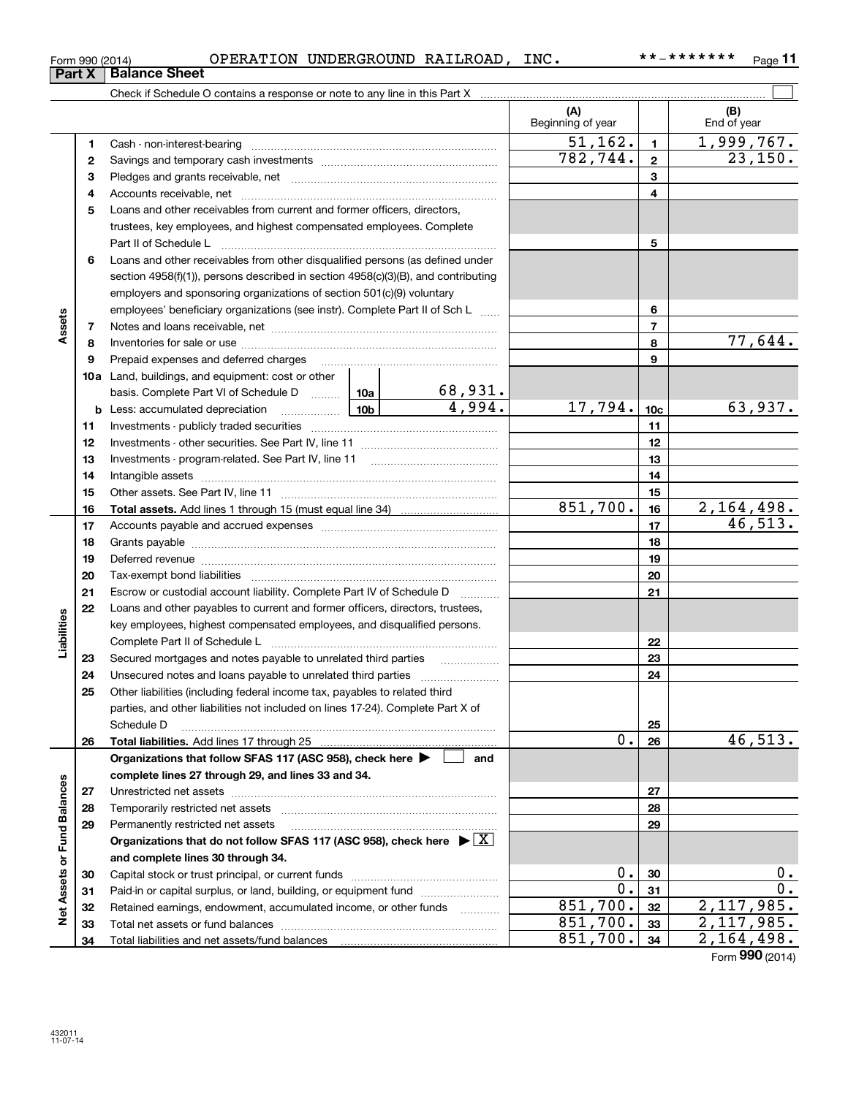|                             | OPERATION UNDERGROUND RAILROAD, INC.<br>Form 990 (2014)<br><b>Part X   Balance Sheet</b>                                                                                         |          |     |                              |                 | $Page$ 11                               |
|-----------------------------|----------------------------------------------------------------------------------------------------------------------------------------------------------------------------------|----------|-----|------------------------------|-----------------|-----------------------------------------|
|                             |                                                                                                                                                                                  |          |     |                              |                 |                                         |
|                             |                                                                                                                                                                                  |          |     | (A)                          |                 | (B)                                     |
|                             |                                                                                                                                                                                  |          |     | Beginning of year            |                 | End of year                             |
| 1                           | Cash - non-interest-bearing                                                                                                                                                      |          |     | 51, 162.                     | $\mathbf{1}$    | $\overline{1,}$ 999,767.                |
| 2                           |                                                                                                                                                                                  |          |     | 782, 744.                    | $\overline{2}$  | 23,150.                                 |
| з                           |                                                                                                                                                                                  |          | 3   |                              |                 |                                         |
| 4                           |                                                                                                                                                                                  |          | 4   |                              |                 |                                         |
| 5                           | Loans and other receivables from current and former officers, directors,                                                                                                         |          |     |                              |                 |                                         |
|                             | trustees, key employees, and highest compensated employees. Complete                                                                                                             |          |     |                              |                 |                                         |
|                             | Part II of Schedule L                                                                                                                                                            |          |     |                              | 5               |                                         |
| 6                           | Loans and other receivables from other disqualified persons (as defined under                                                                                                    |          |     |                              |                 |                                         |
|                             | section 4958(f)(1)), persons described in section 4958(c)(3)(B), and contributing                                                                                                |          |     |                              |                 |                                         |
|                             | employers and sponsoring organizations of section 501(c)(9) voluntary                                                                                                            |          |     |                              |                 |                                         |
|                             | employees' beneficiary organizations (see instr). Complete Part II of Sch L                                                                                                      |          |     |                              | 6               |                                         |
| Assets<br>7                 |                                                                                                                                                                                  |          |     | $\overline{7}$               |                 |                                         |
| 8                           |                                                                                                                                                                                  |          |     |                              | 8               | 77,644.                                 |
| 9                           | Prepaid expenses and deferred charges                                                                                                                                            |          |     |                              | 9               |                                         |
|                             | 10a Land, buildings, and equipment: cost or other                                                                                                                                |          |     |                              |                 |                                         |
|                             | basis. Complete Part VI of Schedule D $\begin{array}{ c c c c c }\n\hline\n10a & 68,931. \\ \hline\n\text{Less: accumulated depreciation} & 10b & 4,994. \\ \hline\n\end{array}$ |          |     |                              |                 |                                         |
|                             |                                                                                                                                                                                  |          |     | 17,794.                      | 10 <sub>c</sub> | 63,937.                                 |
| 11                          |                                                                                                                                                                                  |          |     |                              |                 |                                         |
| 12                          |                                                                                                                                                                                  |          | 12  |                              |                 |                                         |
| 13                          |                                                                                                                                                                                  |          | 13  |                              |                 |                                         |
| 14                          |                                                                                                                                                                                  |          | 14  |                              |                 |                                         |
| 15                          |                                                                                                                                                                                  |          | 15  |                              |                 |                                         |
| 16                          |                                                                                                                                                                                  | 851,700. | 16  | $\frac{2,164,498.}{46,513.}$ |                 |                                         |
| 17                          |                                                                                                                                                                                  |          |     |                              | 17              |                                         |
| 18                          |                                                                                                                                                                                  |          |     |                              | 18              |                                         |
| 19                          | Deferred revenue material contracts and contracts are contracted and contract and contract are contracted and c                                                                  |          |     |                              | 19              |                                         |
| 20                          |                                                                                                                                                                                  |          |     |                              | 20              |                                         |
| 21                          | Escrow or custodial account liability. Complete Part IV of Schedule D                                                                                                            |          |     |                              | 21              |                                         |
| 22                          | Loans and other payables to current and former officers, directors, trustees,                                                                                                    |          |     |                              |                 |                                         |
|                             | key employees, highest compensated employees, and disqualified persons.<br>Complete Part II of Schedule L                                                                        |          |     |                              |                 |                                         |
| Liabilities<br>23           | Secured mortgages and notes payable to unrelated third parties                                                                                                                   |          |     |                              | 22<br>23        |                                         |
| 24                          | Unsecured notes and loans payable to unrelated third parties                                                                                                                     |          | .   |                              | 24              |                                         |
| 25                          | Other liabilities (including federal income tax, payables to related third                                                                                                       |          |     |                              |                 |                                         |
|                             | parties, and other liabilities not included on lines 17-24). Complete Part X of                                                                                                  |          |     |                              |                 |                                         |
|                             | Schedule D                                                                                                                                                                       |          |     |                              | 25              |                                         |
| 26                          | <b>Total liabilities.</b> Add lines 17 through 25                                                                                                                                |          |     | $\overline{0}$ .             | 26              | 46,513.                                 |
|                             | Organizations that follow SFAS 117 (ASC 958), check here                                                                                                                         |          | and |                              |                 |                                         |
|                             | complete lines 27 through 29, and lines 33 and 34.                                                                                                                               |          |     |                              |                 |                                         |
| 27                          |                                                                                                                                                                                  |          |     |                              | 27              |                                         |
| 28                          | Temporarily restricted net assets                                                                                                                                                |          |     |                              | 28              |                                         |
| 29                          | Permanently restricted net assets                                                                                                                                                |          |     |                              | 29              |                                         |
| Net Assets or Fund Balances | Organizations that do not follow SFAS 117 (ASC 958), check here $\blacktriangleright \lfloor X \rfloor$                                                                          |          |     |                              |                 |                                         |
|                             | and complete lines 30 through 34.                                                                                                                                                |          |     |                              |                 |                                         |
| 30                          | Capital stock or trust principal, or current funds                                                                                                                               |          |     | 0.                           | 30              | 0.                                      |
| 31                          | Paid-in or capital surplus, or land, building, or equipment fund                                                                                                                 |          |     | 0.                           | 31              | 0.                                      |
| 32                          | Retained earnings, endowment, accumulated income, or other funds                                                                                                                 |          | .   | 851,700.<br>851              | 32              | 2,117,985.<br>$\overline{2}$<br>11<br>7 |
| 33                          | Total net assets or fund halances                                                                                                                                                |          |     | 700                          | 33              | 9                                       |

Capital stock or trust principal, or current funds ~~~~~~~~~~~~~~~ Paid-in or capital surplus, or land, building, or equipment fund www.commun.com Retained earnings, endowment, accumulated income, or other funds we have all the Total net assets or fund balances ~~~~~~~~~~~~~~~~~~~~~~

Total liabilities and net assets/fund balances

Form (2014) **990**

851,700.| 32 | 2,117,985. 851,700.| 33 | 2,117,985. 851,700. 2,164,498.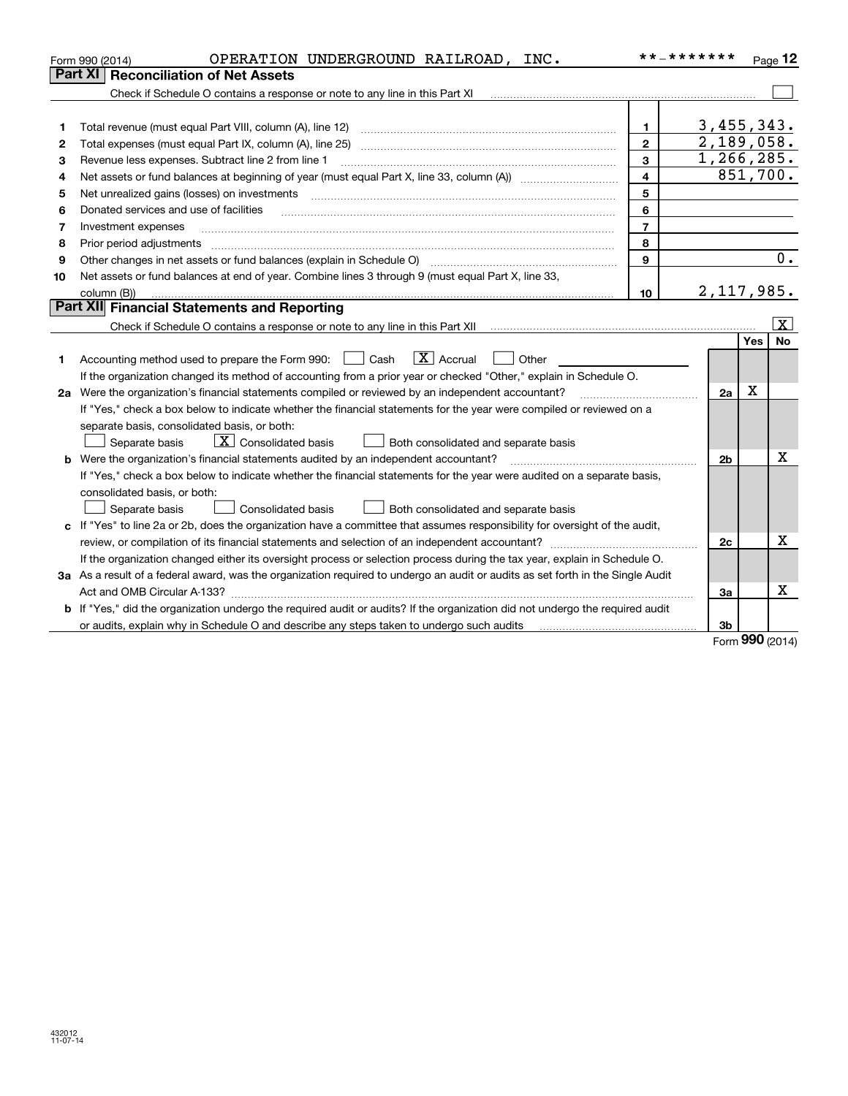|    | OPERATION UNDERGROUND RAILROAD, INC.<br>Form 990 (2014)                                                                                                                                                                        |                | **_*******     |            | Page 12                 |
|----|--------------------------------------------------------------------------------------------------------------------------------------------------------------------------------------------------------------------------------|----------------|----------------|------------|-------------------------|
|    | Part XI<br><b>Reconciliation of Net Assets</b>                                                                                                                                                                                 |                |                |            |                         |
|    | Check if Schedule O contains a response or note to any line in this Part XI must consume the container contains and the contains a response or note to any line in this Part XI must consume that the Contains of the Contains |                |                |            |                         |
|    |                                                                                                                                                                                                                                |                |                |            |                         |
| 1  |                                                                                                                                                                                                                                | 1              | 3,455,343.     |            |                         |
| 2  |                                                                                                                                                                                                                                | $\mathbf{2}$   | 2,189,058.     |            |                         |
| з  | Revenue less expenses. Subtract line 2 from line 1                                                                                                                                                                             | 3              | 1,266,285.     |            |                         |
| 4  |                                                                                                                                                                                                                                | 4              |                |            | 851,700.                |
| 5  | Net unrealized gains (losses) on investments                                                                                                                                                                                   | 5              |                |            |                         |
| 6  | Donated services and use of facilities                                                                                                                                                                                         | 6              |                |            |                         |
| 7  | Investment expenses                                                                                                                                                                                                            | $\overline{7}$ |                |            |                         |
| 8  | Prior period adjustments                                                                                                                                                                                                       | 8              |                |            |                         |
| 9  | Other changes in net assets or fund balances (explain in Schedule O) [11] [12] contraction contraction of the changes in net assets or fund balances (explain in Schedule O)                                                   | 9              |                |            | 0.                      |
| 10 | Net assets or fund balances at end of year. Combine lines 3 through 9 (must equal Part X, line 33,                                                                                                                             |                |                |            |                         |
|    | column (B))                                                                                                                                                                                                                    | 10             | 2, 117, 985.   |            |                         |
|    | Part XII Financial Statements and Reporting                                                                                                                                                                                    |                |                |            |                         |
|    |                                                                                                                                                                                                                                |                |                |            | $\overline{\mathbf{X}}$ |
|    |                                                                                                                                                                                                                                |                |                | <b>Yes</b> | No                      |
| 1  | $\boxed{\text{X}}$ Accrual<br>Accounting method used to prepare the Form 990: <u>June</u> Cash<br>Other<br>$\perp$                                                                                                             |                |                |            |                         |
|    | If the organization changed its method of accounting from a prior year or checked "Other," explain in Schedule O.                                                                                                              |                |                |            |                         |
|    | 2a Were the organization's financial statements compiled or reviewed by an independent accountant?                                                                                                                             |                | 2a             | X          |                         |
|    | If "Yes," check a box below to indicate whether the financial statements for the year were compiled or reviewed on a                                                                                                           |                |                |            |                         |
|    | separate basis, consolidated basis, or both:                                                                                                                                                                                   |                |                |            |                         |
|    | $\boxed{\textbf{X}}$ Consolidated basis<br>Separate basis<br>Both consolidated and separate basis                                                                                                                              |                |                |            |                         |
|    | <b>b</b> Were the organization's financial statements audited by an independent accountant?                                                                                                                                    |                | 2 <sub>b</sub> |            | Х                       |
|    | If "Yes," check a box below to indicate whether the financial statements for the year were audited on a separate basis,                                                                                                        |                |                |            |                         |
|    | consolidated basis, or both:                                                                                                                                                                                                   |                |                |            |                         |
|    | <b>Consolidated basis</b><br>Separate basis<br>Both consolidated and separate basis                                                                                                                                            |                |                |            |                         |
|    | c If "Yes" to line 2a or 2b, does the organization have a committee that assumes responsibility for oversight of the audit,                                                                                                    |                |                |            |                         |
|    | review, or compilation of its financial statements and selection of an independent accountant?                                                                                                                                 |                | 2c             |            | x                       |
|    | If the organization changed either its oversight process or selection process during the tax year, explain in Schedule O.                                                                                                      |                |                |            |                         |
|    | 3a As a result of a federal award, was the organization required to undergo an audit or audits as set forth in the Single Audit                                                                                                |                |                |            |                         |
|    |                                                                                                                                                                                                                                |                | 3a             |            | х                       |
|    | <b>b</b> If "Yes," did the organization undergo the required audit or audits? If the organization did not undergo the required audit                                                                                           |                |                |            |                         |
|    |                                                                                                                                                                                                                                |                | 3b             | nn n       |                         |

Form (2014) **990**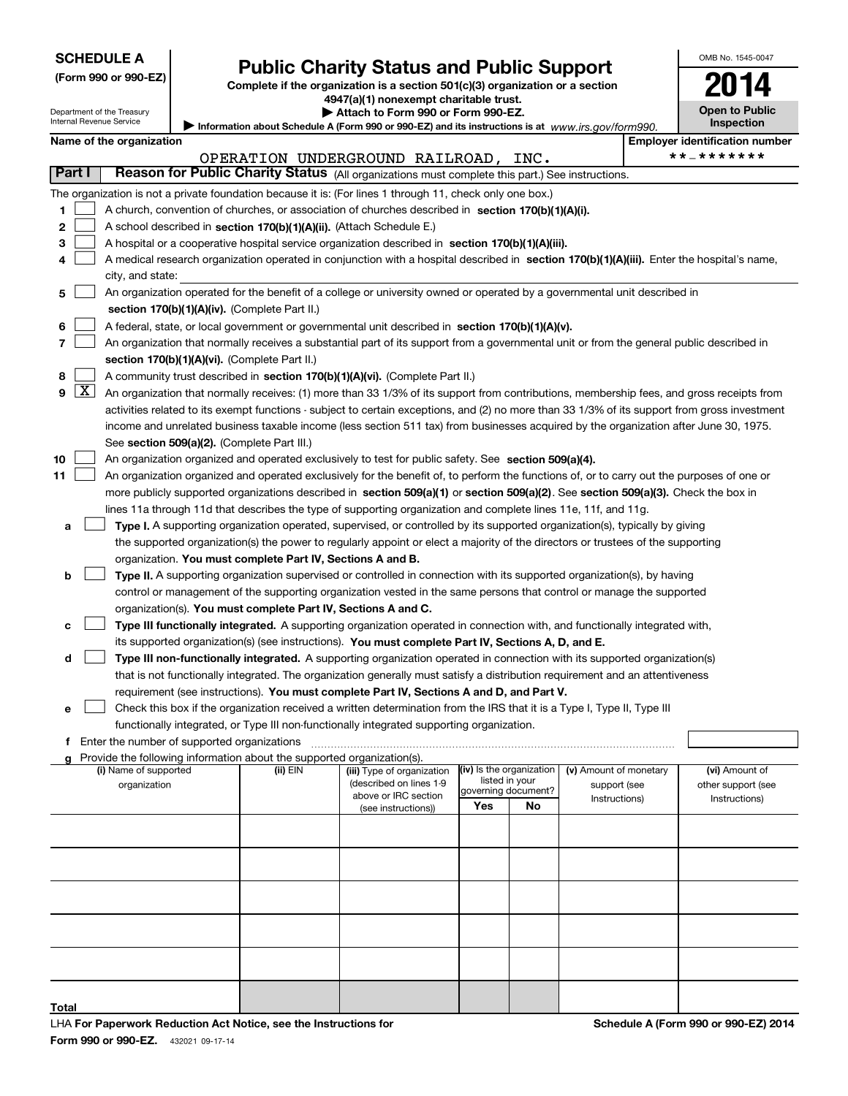| <b>SCHEDULE A</b> |
|-------------------|
|-------------------|

Department of the Treasury Internal Revenue Service

| (Form 990 or 990-EZ) |  |  |
|----------------------|--|--|
|----------------------|--|--|

# **Public Charity Status and Public Support**

**Complete if the organization is a section 501(c)(3) organization or a section 4947(a)(1) nonexempt charitable trust.**

**| Attach to Form 990 or Form 990-EZ.** 

Information about Schedule A (Form 990 or 990-EZ) and its instructions is at *www.irs.gov/form990.* 

| OMB No. 1545-0047                   |
|-------------------------------------|
| 2014                                |
| <b>Open to Public</b><br>Inspection |
| er identification numt              |

|  |  | Name of the organization |
|--|--|--------------------------|
|--|--|--------------------------|

|    | Name of the organization<br>OPERATION UNDERGROUND RAILROAD, INC. |                                                                                                                                                                                                                               |          |                            |                          |                     |                        | <b>Employer identification number</b><br>* * _ * * * * * * * |                    |  |
|----|------------------------------------------------------------------|-------------------------------------------------------------------------------------------------------------------------------------------------------------------------------------------------------------------------------|----------|----------------------------|--------------------------|---------------------|------------------------|--------------------------------------------------------------|--------------------|--|
|    | Part I                                                           | Reason for Public Charity Status (All organizations must complete this part.) See instructions.                                                                                                                               |          |                            |                          |                     |                        |                                                              |                    |  |
|    |                                                                  | The organization is not a private foundation because it is: (For lines 1 through 11, check only one box.)                                                                                                                     |          |                            |                          |                     |                        |                                                              |                    |  |
| 1. |                                                                  |                                                                                                                                                                                                                               |          |                            |                          |                     |                        |                                                              |                    |  |
| 2  |                                                                  | A church, convention of churches, or association of churches described in section 170(b)(1)(A)(i).<br>A school described in section 170(b)(1)(A)(ii). (Attach Schedule E.)                                                    |          |                            |                          |                     |                        |                                                              |                    |  |
| з  |                                                                  | A hospital or a cooperative hospital service organization described in section 170(b)(1)(A)(iii).                                                                                                                             |          |                            |                          |                     |                        |                                                              |                    |  |
|    |                                                                  | A medical research organization operated in conjunction with a hospital described in section 170(b)(1)(A)(iii). Enter the hospital's name,                                                                                    |          |                            |                          |                     |                        |                                                              |                    |  |
|    |                                                                  | city, and state:                                                                                                                                                                                                              |          |                            |                          |                     |                        |                                                              |                    |  |
| 5  |                                                                  | An organization operated for the benefit of a college or university owned or operated by a governmental unit described in                                                                                                     |          |                            |                          |                     |                        |                                                              |                    |  |
|    |                                                                  | section 170(b)(1)(A)(iv). (Complete Part II.)                                                                                                                                                                                 |          |                            |                          |                     |                        |                                                              |                    |  |
| 6  |                                                                  | A federal, state, or local government or governmental unit described in section 170(b)(1)(A)(v).                                                                                                                              |          |                            |                          |                     |                        |                                                              |                    |  |
| 7  |                                                                  | An organization that normally receives a substantial part of its support from a governmental unit or from the general public described in                                                                                     |          |                            |                          |                     |                        |                                                              |                    |  |
|    |                                                                  | section 170(b)(1)(A)(vi). (Complete Part II.)                                                                                                                                                                                 |          |                            |                          |                     |                        |                                                              |                    |  |
| 8  |                                                                  | A community trust described in section 170(b)(1)(A)(vi). (Complete Part II.)                                                                                                                                                  |          |                            |                          |                     |                        |                                                              |                    |  |
| 9  | $\boxed{\text{X}}$                                               | An organization that normally receives: (1) more than 33 1/3% of its support from contributions, membership fees, and gross receipts from                                                                                     |          |                            |                          |                     |                        |                                                              |                    |  |
|    |                                                                  | activities related to its exempt functions - subject to certain exceptions, and (2) no more than 33 1/3% of its support from gross investment                                                                                 |          |                            |                          |                     |                        |                                                              |                    |  |
|    |                                                                  | income and unrelated business taxable income (less section 511 tax) from businesses acquired by the organization after June 30, 1975.                                                                                         |          |                            |                          |                     |                        |                                                              |                    |  |
|    |                                                                  | See section 509(a)(2). (Complete Part III.)                                                                                                                                                                                   |          |                            |                          |                     |                        |                                                              |                    |  |
| 10 |                                                                  | An organization organized and operated exclusively to test for public safety. See section 509(a)(4).                                                                                                                          |          |                            |                          |                     |                        |                                                              |                    |  |
| 11 |                                                                  | An organization organized and operated exclusively for the benefit of, to perform the functions of, or to carry out the purposes of one or                                                                                    |          |                            |                          |                     |                        |                                                              |                    |  |
|    |                                                                  | more publicly supported organizations described in section 509(a)(1) or section 509(a)(2). See section 509(a)(3). Check the box in                                                                                            |          |                            |                          |                     |                        |                                                              |                    |  |
|    |                                                                  | lines 11a through 11d that describes the type of supporting organization and complete lines 11e, 11f, and 11g.                                                                                                                |          |                            |                          |                     |                        |                                                              |                    |  |
| а  |                                                                  | Type I. A supporting organization operated, supervised, or controlled by its supported organization(s), typically by giving                                                                                                   |          |                            |                          |                     |                        |                                                              |                    |  |
|    |                                                                  | the supported organization(s) the power to regularly appoint or elect a majority of the directors or trustees of the supporting                                                                                               |          |                            |                          |                     |                        |                                                              |                    |  |
|    |                                                                  | organization. You must complete Part IV, Sections A and B.                                                                                                                                                                    |          |                            |                          |                     |                        |                                                              |                    |  |
| b  |                                                                  | Type II. A supporting organization supervised or controlled in connection with its supported organization(s), by having                                                                                                       |          |                            |                          |                     |                        |                                                              |                    |  |
|    |                                                                  | control or management of the supporting organization vested in the same persons that control or manage the supported                                                                                                          |          |                            |                          |                     |                        |                                                              |                    |  |
|    |                                                                  | organization(s). You must complete Part IV, Sections A and C.                                                                                                                                                                 |          |                            |                          |                     |                        |                                                              |                    |  |
| c  |                                                                  | Type III functionally integrated. A supporting organization operated in connection with, and functionally integrated with,                                                                                                    |          |                            |                          |                     |                        |                                                              |                    |  |
|    |                                                                  | its supported organization(s) (see instructions). You must complete Part IV, Sections A, D, and E.                                                                                                                            |          |                            |                          |                     |                        |                                                              |                    |  |
| d  |                                                                  | Type III non-functionally integrated. A supporting organization operated in connection with its supported organization(s)                                                                                                     |          |                            |                          |                     |                        |                                                              |                    |  |
|    |                                                                  | that is not functionally integrated. The organization generally must satisfy a distribution requirement and an attentiveness                                                                                                  |          |                            |                          |                     |                        |                                                              |                    |  |
|    |                                                                  | requirement (see instructions). You must complete Part IV, Sections A and D, and Part V.                                                                                                                                      |          |                            |                          |                     |                        |                                                              |                    |  |
| е  |                                                                  | Check this box if the organization received a written determination from the IRS that it is a Type I, Type II, Type III                                                                                                       |          |                            |                          |                     |                        |                                                              |                    |  |
|    |                                                                  | functionally integrated, or Type III non-functionally integrated supporting organization.                                                                                                                                     |          |                            |                          |                     |                        |                                                              |                    |  |
|    |                                                                  | Enter the number of supported organizations [11] matter contracts and the number of supported organizations [11] matter contracts and the number of supported organizations [11] matter contracts and the number of supported |          |                            |                          |                     |                        |                                                              |                    |  |
|    |                                                                  | Provide the following information about the supported organization(s).<br>(i) Name of supported                                                                                                                               | (ii) EIN | (iii) Type of organization | (iv) Is the organization |                     | (v) Amount of monetary |                                                              | (vi) Amount of     |  |
|    |                                                                  | organization                                                                                                                                                                                                                  |          | (described on lines 1-9    |                          | listed in your      | support (see           |                                                              | other support (see |  |
|    |                                                                  |                                                                                                                                                                                                                               |          | above or IRC section       |                          | governing document? | Instructions)          |                                                              | Instructions)      |  |
|    |                                                                  |                                                                                                                                                                                                                               |          | (see instructions))        | Yes                      | No                  |                        |                                                              |                    |  |
|    |                                                                  |                                                                                                                                                                                                                               |          |                            |                          |                     |                        |                                                              |                    |  |
|    |                                                                  |                                                                                                                                                                                                                               |          |                            |                          |                     |                        |                                                              |                    |  |
|    |                                                                  |                                                                                                                                                                                                                               |          |                            |                          |                     |                        |                                                              |                    |  |
|    |                                                                  |                                                                                                                                                                                                                               |          |                            |                          |                     |                        |                                                              |                    |  |
|    |                                                                  |                                                                                                                                                                                                                               |          |                            |                          |                     |                        |                                                              |                    |  |
|    |                                                                  |                                                                                                                                                                                                                               |          |                            |                          |                     |                        |                                                              |                    |  |
|    |                                                                  |                                                                                                                                                                                                                               |          |                            |                          |                     |                        |                                                              |                    |  |
|    |                                                                  |                                                                                                                                                                                                                               |          |                            |                          |                     |                        |                                                              |                    |  |
|    |                                                                  |                                                                                                                                                                                                                               |          |                            |                          |                     |                        |                                                              |                    |  |

**Total**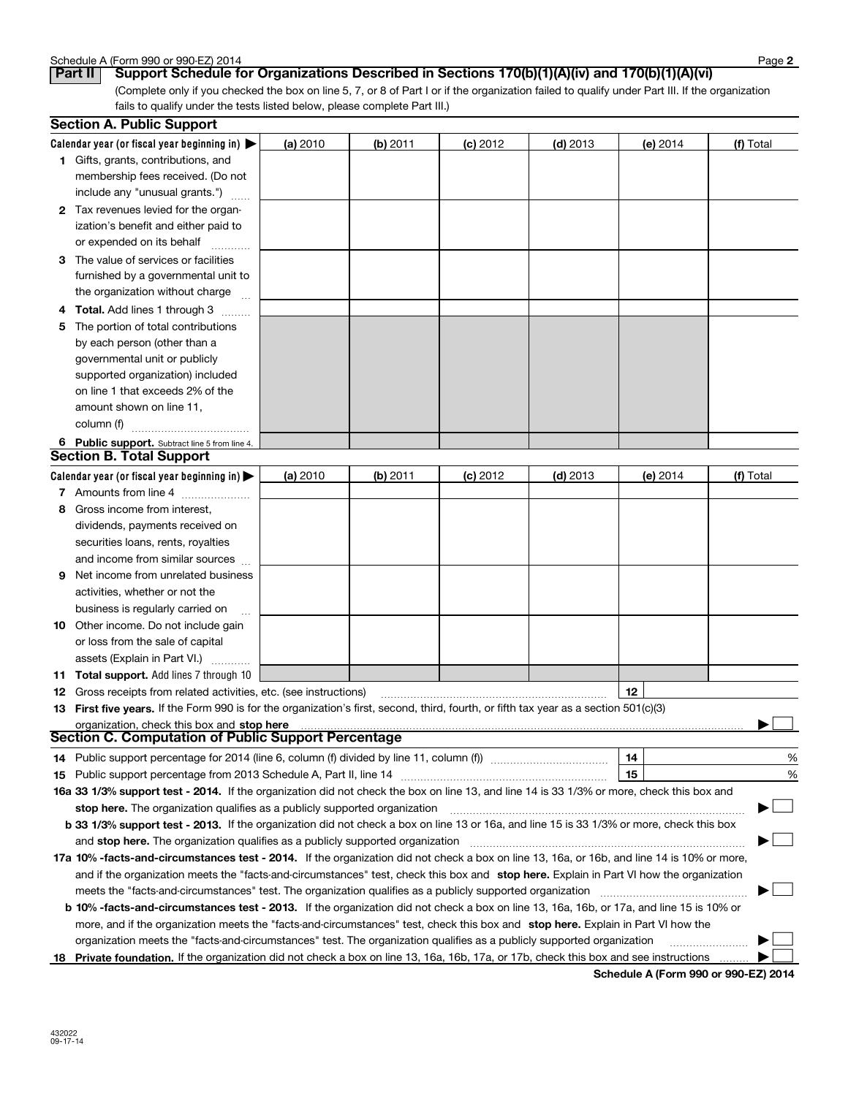|     | (Complete only if you checked the box on line 5, 7, or 8 of Part I or if the organization failed to qualify under Part III. If the organization<br>fails to qualify under the tests listed below, please complete Part III.) |          |            |            |            |            |           |
|-----|------------------------------------------------------------------------------------------------------------------------------------------------------------------------------------------------------------------------------|----------|------------|------------|------------|------------|-----------|
|     | <b>Section A. Public Support</b>                                                                                                                                                                                             |          |            |            |            |            |           |
|     | Calendar year (or fiscal year beginning in)                                                                                                                                                                                  | (a) 2010 | (b) 2011   | $(c)$ 2012 | $(d)$ 2013 | (e) $2014$ | (f) Total |
|     | 1 Gifts, grants, contributions, and                                                                                                                                                                                          |          |            |            |            |            |           |
|     | membership fees received. (Do not                                                                                                                                                                                            |          |            |            |            |            |           |
|     | include any "unusual grants.")                                                                                                                                                                                               |          |            |            |            |            |           |
|     | 2 Tax revenues levied for the organ-                                                                                                                                                                                         |          |            |            |            |            |           |
|     | ization's benefit and either paid to                                                                                                                                                                                         |          |            |            |            |            |           |
|     | or expended on its behalf                                                                                                                                                                                                    |          |            |            |            |            |           |
|     | 3 The value of services or facilities                                                                                                                                                                                        |          |            |            |            |            |           |
|     | furnished by a governmental unit to                                                                                                                                                                                          |          |            |            |            |            |           |
|     | the organization without charge                                                                                                                                                                                              |          |            |            |            |            |           |
|     | Total. Add lines 1 through 3                                                                                                                                                                                                 |          |            |            |            |            |           |
| 5.  | The portion of total contributions                                                                                                                                                                                           |          |            |            |            |            |           |
|     | by each person (other than a                                                                                                                                                                                                 |          |            |            |            |            |           |
|     | governmental unit or publicly                                                                                                                                                                                                |          |            |            |            |            |           |
|     | supported organization) included                                                                                                                                                                                             |          |            |            |            |            |           |
|     | on line 1 that exceeds 2% of the                                                                                                                                                                                             |          |            |            |            |            |           |
|     | amount shown on line 11,                                                                                                                                                                                                     |          |            |            |            |            |           |
|     | column (f)                                                                                                                                                                                                                   |          |            |            |            |            |           |
|     | 6 Public support. Subtract line 5 from line 4.<br><b>Section B. Total Support</b>                                                                                                                                            |          |            |            |            |            |           |
|     | Calendar year (or fiscal year beginning in) $\blacktriangleright$                                                                                                                                                            | (a) 2010 | $(b)$ 2011 | $(c)$ 2012 | $(d)$ 2013 | (e) $2014$ | (f) Total |
|     | 7 Amounts from line 4                                                                                                                                                                                                        |          |            |            |            |            |           |
|     | 8 Gross income from interest,                                                                                                                                                                                                |          |            |            |            |            |           |
|     | dividends, payments received on                                                                                                                                                                                              |          |            |            |            |            |           |
|     | securities loans, rents, royalties                                                                                                                                                                                           |          |            |            |            |            |           |
|     | and income from similar sources                                                                                                                                                                                              |          |            |            |            |            |           |
| 9   | Net income from unrelated business                                                                                                                                                                                           |          |            |            |            |            |           |
|     | activities, whether or not the                                                                                                                                                                                               |          |            |            |            |            |           |
|     | business is regularly carried on                                                                                                                                                                                             |          |            |            |            |            |           |
|     | 10 Other income. Do not include gain                                                                                                                                                                                         |          |            |            |            |            |           |
|     | or loss from the sale of capital                                                                                                                                                                                             |          |            |            |            |            |           |
|     | assets (Explain in Part VI.)                                                                                                                                                                                                 |          |            |            |            |            |           |
|     | 11 Total support. Add lines 7 through 10                                                                                                                                                                                     |          |            |            |            |            |           |
|     | 12 Gross receipts from related activities, etc. (see instructions)                                                                                                                                                           |          |            |            |            | 12         |           |
|     | 13 First five years. If the Form 990 is for the organization's first, second, third, fourth, or fifth tax year as a section 501(c)(3)                                                                                        |          |            |            |            |            |           |
|     | Section C. Computation of Public Support Percentage <b>Section C. Computation of Public Support Percentage</b>                                                                                                               |          |            |            |            |            |           |
|     |                                                                                                                                                                                                                              |          |            |            |            |            |           |
|     | 14 Public support percentage for 2014 (line 6, column (f) divided by line 11, column (f) <i></i>                                                                                                                             |          |            |            |            | 14         | %         |
|     | 16a 33 1/3% support test - 2014. If the organization did not check the box on line 13, and line 14 is 33 1/3% or more, check this box and                                                                                    |          |            |            |            | 15         | %         |
|     | stop here. The organization qualifies as a publicly supported organization                                                                                                                                                   |          |            |            |            |            |           |
|     | b 33 1/3% support test - 2013. If the organization did not check a box on line 13 or 16a, and line 15 is 33 1/3% or more, check this box                                                                                     |          |            |            |            |            |           |
|     | and stop here. The organization qualifies as a publicly supported organization                                                                                                                                               |          |            |            |            |            |           |
|     | 17a 10% -facts-and-circumstances test - 2014. If the organization did not check a box on line 13, 16a, or 16b, and line 14 is 10% or more,                                                                                   |          |            |            |            |            |           |
|     | and if the organization meets the "facts-and-circumstances" test, check this box and stop here. Explain in Part VI how the organization                                                                                      |          |            |            |            |            |           |
|     | meets the "facts-and-circumstances" test. The organization qualifies as a publicly supported organization                                                                                                                    |          |            |            |            |            |           |
|     | <b>b 10% -facts-and-circumstances test - 2013.</b> If the organization did not check a box on line 13, 16a, 16b, or 17a, and line 15 is 10% or                                                                               |          |            |            |            |            |           |
|     | more, and if the organization meets the "facts-and-circumstances" test, check this box and stop here. Explain in Part VI how the                                                                                             |          |            |            |            |            |           |
|     | organization meets the "facts-and-circumstances" test. The organization qualifies as a publicly supported organization                                                                                                       |          |            |            |            |            |           |
| 18. | Private foundation. If the organization did not check a box on line 13, 16a, 16b, 17a, or 17b, check this box and see instructions                                                                                           |          |            |            |            |            |           |

**Part II** | Support Schedule for Organizations Described in Sections 170(b)(1)(A)(iv) and 170(b)(1)(A)(vi)

**Schedule A (Form 990 or 990-EZ) 2014**

**2**

Schedule A (Form 990 or 990-EZ) 2014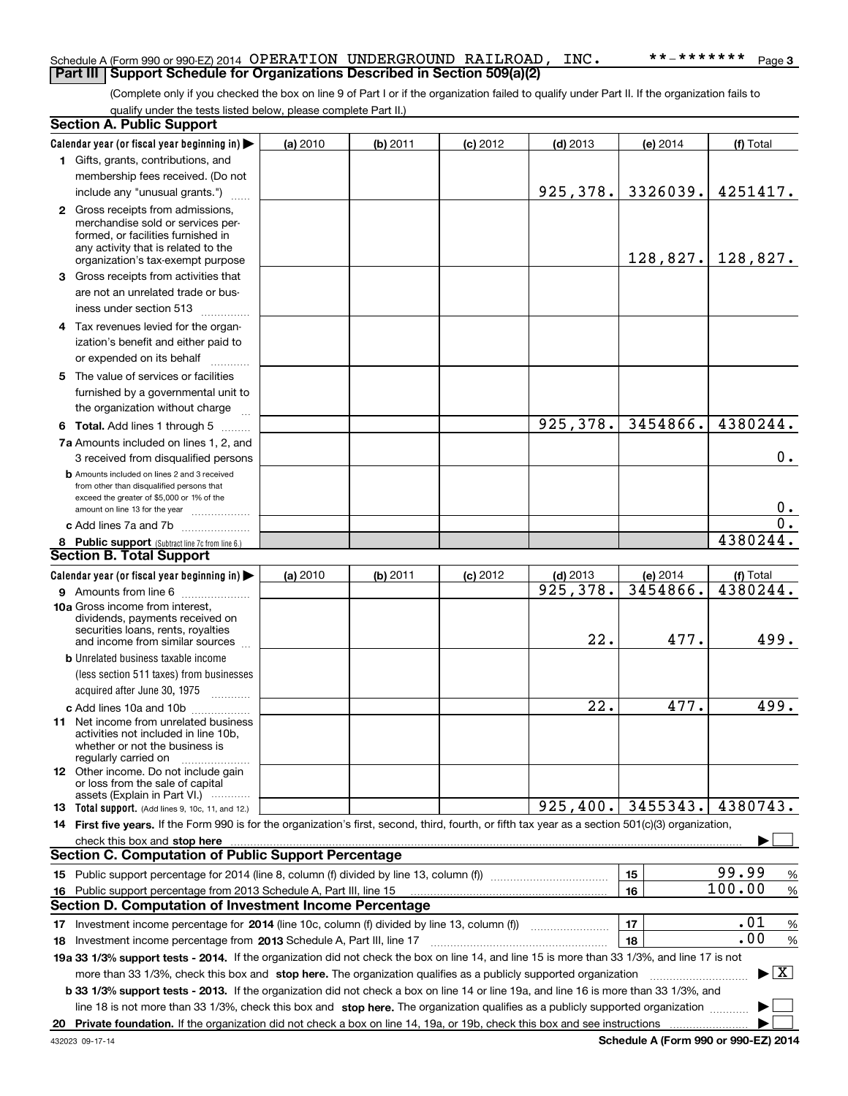#### Schedule A (Form 990 or 990-EZ) 2014 Page OPERATION UNDERGROUND RAILROAD, INC. \*\*-\*\*\*\*\*\*\* **Part III Support Schedule for Organizations Described in Section 509(a)(2)**

(Complete only if you checked the box on line 9 of Part I or if the organization failed to qualify under Part II. If the organization fails to qualify under the tests listed below, please complete Part II.)

|    | <b>Section A. Public Support</b>                                                                                                                                                                                                  |          |          |            |                   |          |                                          |
|----|-----------------------------------------------------------------------------------------------------------------------------------------------------------------------------------------------------------------------------------|----------|----------|------------|-------------------|----------|------------------------------------------|
|    | Calendar year (or fiscal year beginning in)                                                                                                                                                                                       | (a) 2010 | (b) 2011 | $(c)$ 2012 | $(d)$ 2013        | (e) 2014 | (f) Total                                |
|    | 1 Gifts, grants, contributions, and                                                                                                                                                                                               |          |          |            |                   |          |                                          |
|    | membership fees received. (Do not                                                                                                                                                                                                 |          |          |            |                   |          |                                          |
|    | include any "unusual grants.")                                                                                                                                                                                                    |          |          |            | 925,378.          | 3326039. | 4251417.                                 |
|    | 2 Gross receipts from admissions,                                                                                                                                                                                                 |          |          |            |                   |          |                                          |
|    | merchandise sold or services per-                                                                                                                                                                                                 |          |          |            |                   |          |                                          |
|    | formed, or facilities furnished in                                                                                                                                                                                                |          |          |            |                   |          |                                          |
|    | any activity that is related to the<br>organization's tax-exempt purpose                                                                                                                                                          |          |          |            |                   | 128,827. | 128,827.                                 |
|    | 3 Gross receipts from activities that                                                                                                                                                                                             |          |          |            |                   |          |                                          |
|    | are not an unrelated trade or bus-                                                                                                                                                                                                |          |          |            |                   |          |                                          |
|    | iness under section 513                                                                                                                                                                                                           |          |          |            |                   |          |                                          |
|    | 4 Tax revenues levied for the organ-                                                                                                                                                                                              |          |          |            |                   |          |                                          |
|    | ization's benefit and either paid to                                                                                                                                                                                              |          |          |            |                   |          |                                          |
|    | or expended on its behalf                                                                                                                                                                                                         |          |          |            |                   |          |                                          |
|    | 5 The value of services or facilities                                                                                                                                                                                             |          |          |            |                   |          |                                          |
|    | furnished by a governmental unit to                                                                                                                                                                                               |          |          |            |                   |          |                                          |
|    | the organization without charge                                                                                                                                                                                                   |          |          |            |                   |          |                                          |
|    |                                                                                                                                                                                                                                   |          |          |            | 925,378.          | 3454866. | 4380244.                                 |
|    | <b>6 Total.</b> Add lines 1 through 5                                                                                                                                                                                             |          |          |            |                   |          |                                          |
|    | 7a Amounts included on lines 1, 2, and                                                                                                                                                                                            |          |          |            |                   |          | 0.                                       |
|    | 3 received from disqualified persons                                                                                                                                                                                              |          |          |            |                   |          |                                          |
|    | <b>b</b> Amounts included on lines 2 and 3 received<br>from other than disqualified persons that                                                                                                                                  |          |          |            |                   |          |                                          |
|    | exceed the greater of \$5,000 or 1% of the                                                                                                                                                                                        |          |          |            |                   |          |                                          |
|    | amount on line 13 for the year                                                                                                                                                                                                    |          |          |            |                   |          | 0.<br>$\overline{0}$ .                   |
|    | c Add lines 7a and 7b                                                                                                                                                                                                             |          |          |            |                   |          |                                          |
|    | 8 Public support (Subtract line 7c from line 6.)<br><b>Section B. Total Support</b>                                                                                                                                               |          |          |            |                   |          | 4380244.                                 |
|    |                                                                                                                                                                                                                                   |          |          |            |                   |          |                                          |
|    | Calendar year (or fiscal year beginning in)                                                                                                                                                                                       | (a) 2010 | (b) 2011 | $(c)$ 2012 | $(d)$ 2013        | (e) 2014 | (f) Total                                |
|    | 9 Amounts from line 6                                                                                                                                                                                                             |          |          |            | 925,378.          | 3454866. | 4380244.                                 |
|    | 10a Gross income from interest,<br>dividends, payments received on                                                                                                                                                                |          |          |            |                   |          |                                          |
|    | securities loans, rents, royalties                                                                                                                                                                                                |          |          |            |                   |          |                                          |
|    | and income from similar sources                                                                                                                                                                                                   |          |          |            | 22.               | 477.     | 499.                                     |
|    | <b>b</b> Unrelated business taxable income                                                                                                                                                                                        |          |          |            |                   |          |                                          |
|    | (less section 511 taxes) from businesses                                                                                                                                                                                          |          |          |            |                   |          |                                          |
|    | acquired after June 30, 1975                                                                                                                                                                                                      |          |          |            |                   |          |                                          |
|    | c Add lines 10a and 10b                                                                                                                                                                                                           |          |          |            | $\overline{2}2$ . | 477.     | 499.                                     |
|    | 11 Net income from unrelated business                                                                                                                                                                                             |          |          |            |                   |          |                                          |
|    | activities not included in line 10b,<br>whether or not the business is                                                                                                                                                            |          |          |            |                   |          |                                          |
|    | regularly carried on                                                                                                                                                                                                              |          |          |            |                   |          |                                          |
|    | <b>12</b> Other income. Do not include gain                                                                                                                                                                                       |          |          |            |                   |          |                                          |
|    | or loss from the sale of capital<br>assets (Explain in Part VI.)                                                                                                                                                                  |          |          |            |                   |          |                                          |
|    | 13 Total support. (Add lines 9, 10c, 11, and 12.)                                                                                                                                                                                 |          |          |            | 925,400.          | 3455343. | 4380743.                                 |
|    | 14 First five years. If the Form 990 is for the organization's first, second, third, fourth, or fifth tax year as a section 501(c)(3) organization,                                                                               |          |          |            |                   |          |                                          |
|    | check this box and stop here <b>contained and contained and contained</b> and contained and stop here <b>contained and stop here contained and stop here contained and stop here contained and stop here contained and stop h</b> |          |          |            |                   |          |                                          |
|    | <b>Section C. Computation of Public Support Percentage</b>                                                                                                                                                                        |          |          |            |                   |          |                                          |
|    | 15 Public support percentage for 2014 (line 8, column (f) divided by line 13, column (f))                                                                                                                                         |          |          |            |                   | 15       | 99.99<br>%                               |
| 16 | Public support percentage from 2013 Schedule A, Part III, line 15                                                                                                                                                                 |          |          |            |                   | 16       | 100.00<br>%                              |
|    | <b>Section D. Computation of Investment Income Percentage</b>                                                                                                                                                                     |          |          |            |                   |          |                                          |
| 17 | Investment income percentage for 2014 (line 10c, column (f) divided by line 13, column (f))                                                                                                                                       |          |          |            |                   | 17       | .01<br>$\%$                              |
|    | 18 Investment income percentage from 2013 Schedule A, Part III, line 17                                                                                                                                                           |          |          |            |                   | 18       | .00<br>$\%$                              |
|    | 19a 33 1/3% support tests - 2014. If the organization did not check the box on line 14, and line 15 is more than 33 1/3%, and line 17 is not                                                                                      |          |          |            |                   |          |                                          |
|    | more than 33 1/3%, check this box and stop here. The organization qualifies as a publicly supported organization                                                                                                                  |          |          |            |                   |          | $\blacktriangleright$ $\boxed{\text{X}}$ |
|    | b 33 1/3% support tests - 2013. If the organization did not check a box on line 14 or line 19a, and line 16 is more than 33 1/3%, and                                                                                             |          |          |            |                   |          |                                          |
|    | line 18 is not more than 33 1/3%, check this box and stop here. The organization qualifies as a publicly supported organization                                                                                                   |          |          |            |                   |          |                                          |
| 20 |                                                                                                                                                                                                                                   |          |          |            |                   |          | ▶                                        |
|    |                                                                                                                                                                                                                                   |          |          |            |                   |          |                                          |

**Schedule A (Form 990 or 990-EZ) 2014**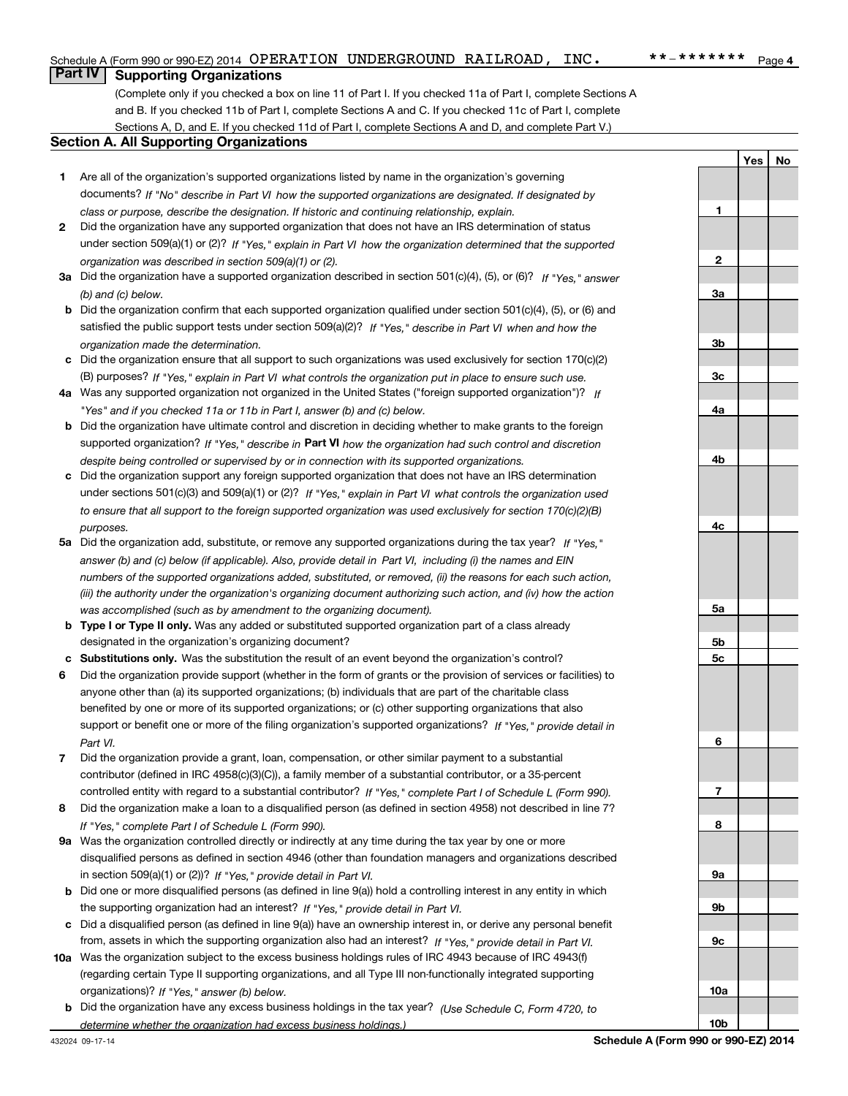**1**

**2**

**3a**

**3b**

**3c**

**4a**

**4b**

**4c**

**5a**

**5b5c**

**6**

**7**

**8**

**9a**

**9b**

**9c**

**10a**

**10b**

**YesNo**

### **Part IV Supporting Organizations**

(Complete only if you checked a box on line 11 of Part I. If you checked 11a of Part I, complete Sections A and B. If you checked 11b of Part I, complete Sections A and C. If you checked 11c of Part I, complete Sections A, D, and E. If you checked 11d of Part I, complete Sections A and D, and complete Part V.)

#### **Section A. All Supporting Organizations**

- **1** Are all of the organization's supported organizations listed by name in the organization's governing *If "No" describe in how the supported organizations are designated. If designated by* documents? *Part VI class or purpose, describe the designation. If historic and continuing relationship, explain.*
- **2** Did the organization have any supported organization that does not have an IRS determination of status under section 509(a)(1) or (2)? If "Yes," explain in Part VI how the organization determined that the supported *organization was described in section 509(a)(1) or (2).*
- **3a** Did the organization have a supported organization described in section 501(c)(4), (5), or (6)? If "Yes," answer *(b) and (c) below.*
- **b** Did the organization confirm that each supported organization qualified under section 501(c)(4), (5), or (6) and satisfied the public support tests under section 509(a)(2)? If "Yes," describe in Part VI when and how the *organization made the determination.*
- **c**Did the organization ensure that all support to such organizations was used exclusively for section 170(c)(2) (B) purposes? If "Yes," explain in Part VI what controls the organization put in place to ensure such use.
- **4a***If* Was any supported organization not organized in the United States ("foreign supported organization")? *"Yes" and if you checked 11a or 11b in Part I, answer (b) and (c) below.*
- **b** Did the organization have ultimate control and discretion in deciding whether to make grants to the foreign supported organization? If "Yes," describe in **Part VI** how the organization had such control and discretion *despite being controlled or supervised by or in connection with its supported organizations.*
- **c** Did the organization support any foreign supported organization that does not have an IRS determination under sections 501(c)(3) and 509(a)(1) or (2)? If "Yes," explain in Part VI what controls the organization used *to ensure that all support to the foreign supported organization was used exclusively for section 170(c)(2)(B) purposes.*
- **5a***If "Yes,"* Did the organization add, substitute, or remove any supported organizations during the tax year? answer (b) and (c) below (if applicable). Also, provide detail in Part VI, including (i) the names and EIN *numbers of the supported organizations added, substituted, or removed, (ii) the reasons for each such action, (iii) the authority under the organization's organizing document authorizing such action, and (iv) how the action was accomplished (such as by amendment to the organizing document).*
- **b** Type I or Type II only. Was any added or substituted supported organization part of a class already designated in the organization's organizing document?
- **cSubstitutions only.**  Was the substitution the result of an event beyond the organization's control?
- **6** Did the organization provide support (whether in the form of grants or the provision of services or facilities) to *If "Yes," provide detail in* support or benefit one or more of the filing organization's supported organizations? anyone other than (a) its supported organizations; (b) individuals that are part of the charitable class benefited by one or more of its supported organizations; or (c) other supporting organizations that also *Part VI.*
- **7**Did the organization provide a grant, loan, compensation, or other similar payment to a substantial *If "Yes," complete Part I of Schedule L (Form 990).* controlled entity with regard to a substantial contributor? contributor (defined in IRC 4958(c)(3)(C)), a family member of a substantial contributor, or a 35-percent
- **8** Did the organization make a loan to a disqualified person (as defined in section 4958) not described in line 7? *If "Yes," complete Part I of Schedule L (Form 990).*
- **9a** Was the organization controlled directly or indirectly at any time during the tax year by one or more in section 509(a)(1) or (2))? If "Yes," *provide detail in Part VI.* disqualified persons as defined in section 4946 (other than foundation managers and organizations described
- **b** Did one or more disqualified persons (as defined in line 9(a)) hold a controlling interest in any entity in which the supporting organization had an interest? If "Yes," provide detail in Part VI.
- **c** Did a disqualified person (as defined in line 9(a)) have an ownership interest in, or derive any personal benefit from, assets in which the supporting organization also had an interest? If "Yes," provide detail in Part VI.
- **10a**Was the organization subject to the excess business holdings rules of IRC 4943 because of IRC 4943(f)  *If "Yes," answer (b) below.* organizations)? (regarding certain Type II supporting organizations, and all Type III non-functionally integrated supporting
- **b** Did the organization have any excess business holdings in the tax year? (Use Schedule C, Form 4720, to *determine whether the organization had excess business holdings.)*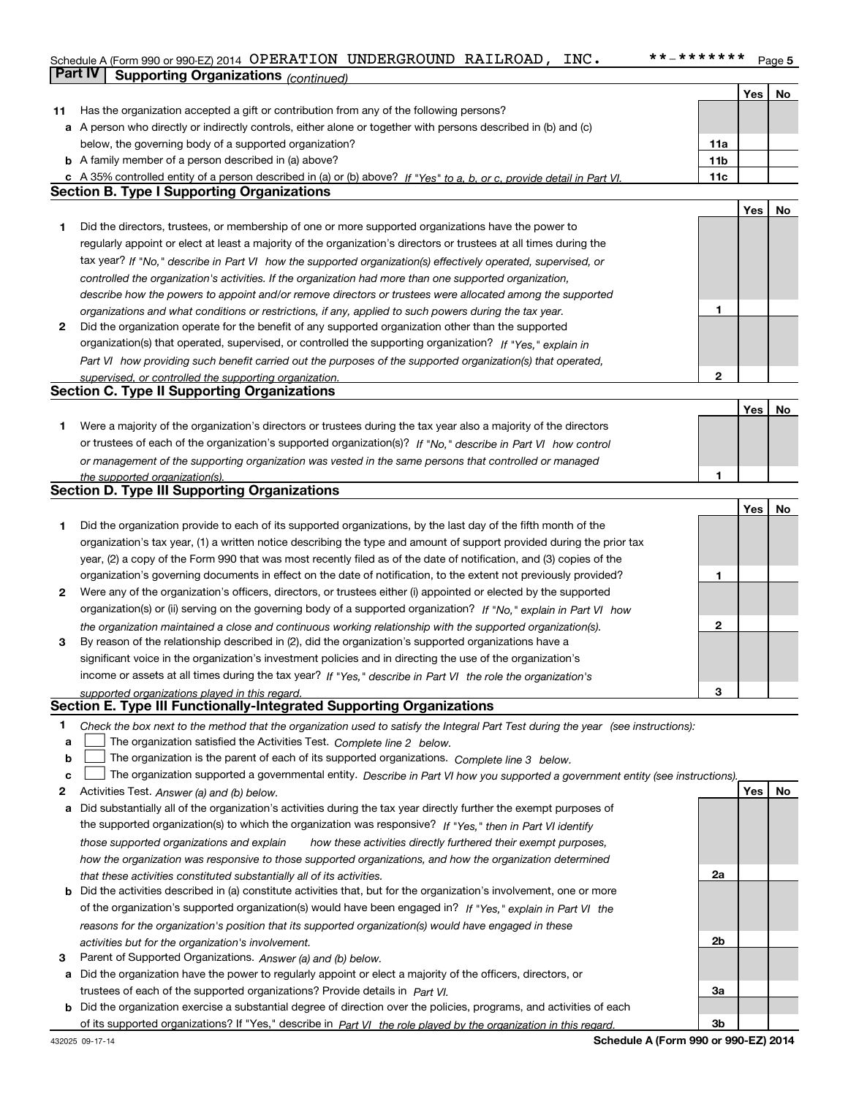### Schedule A (Form 990 or 990-EZ) 2014 OPERATION UNDERGROUND RAILROAD , INC **.** \* \* - \*\*\*\*\*\*\* Page 5 **Part IV** Supporting Organizations *(continued)*

| 11 Has the organization accepted a gift or contribution from any of the following persons?<br>a A person who directly or indirectly controls, either alone or together with persons described in (b) and (c)<br>below, the governing body of a supported organization?<br>11a<br><b>b</b> A family member of a person described in (a) above?<br>11b<br>c A 35% controlled entity of a person described in (a) or (b) above? If "Yes" to a, b, or c, provide detail in Part VI.<br>11c<br><b>Section B. Type I Supporting Organizations</b><br>Yes<br>No<br>Did the directors, trustees, or membership of one or more supported organizations have the power to<br>1<br>regularly appoint or elect at least a majority of the organization's directors or trustees at all times during the<br>tax year? If "No," describe in Part VI how the supported organization(s) effectively operated, supervised, or<br>controlled the organization's activities. If the organization had more than one supported organization,<br>describe how the powers to appoint and/or remove directors or trustees were allocated among the supported<br>1<br>organizations and what conditions or restrictions, if any, applied to such powers during the tax year.<br>Did the organization operate for the benefit of any supported organization other than the supported<br>2<br>organization(s) that operated, supervised, or controlled the supporting organization? If "Yes," explain in<br>Part VI how providing such benefit carried out the purposes of the supported organization(s) that operated,<br>$\mathbf{2}$<br>supervised, or controlled the supporting organization.<br><b>Section C. Type II Supporting Organizations</b><br>Yes<br>No<br>Were a majority of the organization's directors or trustees during the tax year also a majority of the directors<br>1.<br>or trustees of each of the organization's supported organization(s)? If "No," describe in Part VI how control<br>or management of the supporting organization was vested in the same persons that controlled or managed<br>1<br>the supported organization(s).<br><b>Section D. Type III Supporting Organizations</b><br>Yes<br>No<br>Did the organization provide to each of its supported organizations, by the last day of the fifth month of the<br>1<br>organization's tax year, (1) a written notice describing the type and amount of support provided during the prior tax<br>year, (2) a copy of the Form 990 that was most recently filed as of the date of notification, and (3) copies of the<br>1<br>organization's governing documents in effect on the date of notification, to the extent not previously provided?<br>Were any of the organization's officers, directors, or trustees either (i) appointed or elected by the supported<br>2<br>organization(s) or (ii) serving on the governing body of a supported organization? If "No," explain in Part VI how<br>$\mathbf{2}$<br>the organization maintained a close and continuous working relationship with the supported organization(s).<br>By reason of the relationship described in (2), did the organization's supported organizations have a<br>3<br>significant voice in the organization's investment policies and in directing the use of the organization's<br>income or assets at all times during the tax year? If "Yes," describe in Part VI the role the organization's<br>3<br>supported organizations played in this regard.<br>Section E. Type III Functionally-Integrated Supporting Organizations<br>1<br>Check the box next to the method that the organization used to satisfy the Integral Part Test during the year (see instructions):<br>The organization satisfied the Activities Test. Complete line 2 below.<br>a<br>The organization is the parent of each of its supported organizations. Complete line 3 below.<br>b<br>The organization supported a governmental entity. Describe in Part VI how you supported a government entity (see instructions).<br>c<br>Yes<br>No<br>Activities Test. Answer (a) and (b) below.<br>2<br>Did substantially all of the organization's activities during the tax year directly further the exempt purposes of<br>а<br>the supported organization(s) to which the organization was responsive? If "Yes," then in Part VI identify<br>those supported organizations and explain<br>how these activities directly furthered their exempt purposes,<br>how the organization was responsive to those supported organizations, and how the organization determined<br>2a<br>that these activities constituted substantially all of its activities.<br><b>b</b> Did the activities described in (a) constitute activities that, but for the organization's involvement, one or more<br>of the organization's supported organization(s) would have been engaged in? If "Yes," explain in Part VI the<br>reasons for the organization's position that its supported organization(s) would have engaged in these<br>2b<br>activities but for the organization's involvement.<br>Parent of Supported Organizations. Answer (a) and (b) below.<br>3<br>a Did the organization have the power to regularly appoint or elect a majority of the officers, directors, or<br>trustees of each of the supported organizations? Provide details in Part VI.<br>За<br><b>b</b> Did the organization exercise a substantial degree of direction over the policies, programs, and activities of each<br>3b<br>of its supported organizations? If "Yes," describe in Part VI the role played by the organization in this regard. |  | Yes | No |
|----------------------------------------------------------------------------------------------------------------------------------------------------------------------------------------------------------------------------------------------------------------------------------------------------------------------------------------------------------------------------------------------------------------------------------------------------------------------------------------------------------------------------------------------------------------------------------------------------------------------------------------------------------------------------------------------------------------------------------------------------------------------------------------------------------------------------------------------------------------------------------------------------------------------------------------------------------------------------------------------------------------------------------------------------------------------------------------------------------------------------------------------------------------------------------------------------------------------------------------------------------------------------------------------------------------------------------------------------------------------------------------------------------------------------------------------------------------------------------------------------------------------------------------------------------------------------------------------------------------------------------------------------------------------------------------------------------------------------------------------------------------------------------------------------------------------------------------------------------------------------------------------------------------------------------------------------------------------------------------------------------------------------------------------------------------------------------------------------------------------------------------------------------------------------------------------------------------------------------------------------------------------------------------------------------------------------------------------------------------------------------------------------------------------------------------------------------------------------------------------------------------------------------------------------------------------------------------------------------------------------------------------------------------------------------------------------------------------------------------------------------------------------------------------------------------------------------------------------------------------------------------------------------------------------------------------------------------------------------------------------------------------------------------------------------------------------------------------------------------------------------------------------------------------------------------------------------------------------------------------------------------------------------------------------------------------------------------------------------------------------------------------------------------------------------------------------------------------------------------------------------------------------------------------------------------------------------------------------------------------------------------------------------------------------------------------------------------------------------------------------------------------------------------------------------------------------------------------------------------------------------------------------------------------------------------------------------------------------------------------------------------------------------------------------------------------------------------------------------------------------------------------------------------------------------------------------------------------------------------------------------------------------------------------------------------------------------------------------------------------------------------------------------------------------------------------------------------------------------------------------------------------------------------------------------------------------------------------------------------------------------------------------------------------------------------------------------------------------------------------------------------------------------------------------------------------------------------------------------------------------------------------------------------------------------------------------------------------------------------------------------------------------------------------------------------------------------------------------------------------------------------------------------------------------------------------------------------------------------------------------------------------------------------------------------------------------------------------------------------------------------------------------------------------------------------------------------------------------------------------------------------------------------------------------------------------------------------------------------------------------|--|-----|----|
|                                                                                                                                                                                                                                                                                                                                                                                                                                                                                                                                                                                                                                                                                                                                                                                                                                                                                                                                                                                                                                                                                                                                                                                                                                                                                                                                                                                                                                                                                                                                                                                                                                                                                                                                                                                                                                                                                                                                                                                                                                                                                                                                                                                                                                                                                                                                                                                                                                                                                                                                                                                                                                                                                                                                                                                                                                                                                                                                                                                                                                                                                                                                                                                                                                                                                                                                                                                                                                                                                                                                                                                                                                                                                                                                                                                                                                                                                                                                                                                                                                                                                                                                                                                                                                                                                                                                                                                                                                                                                                                                                                                                                                                                                                                                                                                                                                                                                                                                                                                                                                                                                                                                                                                                                                                                                                                                                                                                                                                                                                                                                                                                                            |  |     |    |
|                                                                                                                                                                                                                                                                                                                                                                                                                                                                                                                                                                                                                                                                                                                                                                                                                                                                                                                                                                                                                                                                                                                                                                                                                                                                                                                                                                                                                                                                                                                                                                                                                                                                                                                                                                                                                                                                                                                                                                                                                                                                                                                                                                                                                                                                                                                                                                                                                                                                                                                                                                                                                                                                                                                                                                                                                                                                                                                                                                                                                                                                                                                                                                                                                                                                                                                                                                                                                                                                                                                                                                                                                                                                                                                                                                                                                                                                                                                                                                                                                                                                                                                                                                                                                                                                                                                                                                                                                                                                                                                                                                                                                                                                                                                                                                                                                                                                                                                                                                                                                                                                                                                                                                                                                                                                                                                                                                                                                                                                                                                                                                                                                            |  |     |    |
|                                                                                                                                                                                                                                                                                                                                                                                                                                                                                                                                                                                                                                                                                                                                                                                                                                                                                                                                                                                                                                                                                                                                                                                                                                                                                                                                                                                                                                                                                                                                                                                                                                                                                                                                                                                                                                                                                                                                                                                                                                                                                                                                                                                                                                                                                                                                                                                                                                                                                                                                                                                                                                                                                                                                                                                                                                                                                                                                                                                                                                                                                                                                                                                                                                                                                                                                                                                                                                                                                                                                                                                                                                                                                                                                                                                                                                                                                                                                                                                                                                                                                                                                                                                                                                                                                                                                                                                                                                                                                                                                                                                                                                                                                                                                                                                                                                                                                                                                                                                                                                                                                                                                                                                                                                                                                                                                                                                                                                                                                                                                                                                                                            |  |     |    |
|                                                                                                                                                                                                                                                                                                                                                                                                                                                                                                                                                                                                                                                                                                                                                                                                                                                                                                                                                                                                                                                                                                                                                                                                                                                                                                                                                                                                                                                                                                                                                                                                                                                                                                                                                                                                                                                                                                                                                                                                                                                                                                                                                                                                                                                                                                                                                                                                                                                                                                                                                                                                                                                                                                                                                                                                                                                                                                                                                                                                                                                                                                                                                                                                                                                                                                                                                                                                                                                                                                                                                                                                                                                                                                                                                                                                                                                                                                                                                                                                                                                                                                                                                                                                                                                                                                                                                                                                                                                                                                                                                                                                                                                                                                                                                                                                                                                                                                                                                                                                                                                                                                                                                                                                                                                                                                                                                                                                                                                                                                                                                                                                                            |  |     |    |
|                                                                                                                                                                                                                                                                                                                                                                                                                                                                                                                                                                                                                                                                                                                                                                                                                                                                                                                                                                                                                                                                                                                                                                                                                                                                                                                                                                                                                                                                                                                                                                                                                                                                                                                                                                                                                                                                                                                                                                                                                                                                                                                                                                                                                                                                                                                                                                                                                                                                                                                                                                                                                                                                                                                                                                                                                                                                                                                                                                                                                                                                                                                                                                                                                                                                                                                                                                                                                                                                                                                                                                                                                                                                                                                                                                                                                                                                                                                                                                                                                                                                                                                                                                                                                                                                                                                                                                                                                                                                                                                                                                                                                                                                                                                                                                                                                                                                                                                                                                                                                                                                                                                                                                                                                                                                                                                                                                                                                                                                                                                                                                                                                            |  |     |    |
|                                                                                                                                                                                                                                                                                                                                                                                                                                                                                                                                                                                                                                                                                                                                                                                                                                                                                                                                                                                                                                                                                                                                                                                                                                                                                                                                                                                                                                                                                                                                                                                                                                                                                                                                                                                                                                                                                                                                                                                                                                                                                                                                                                                                                                                                                                                                                                                                                                                                                                                                                                                                                                                                                                                                                                                                                                                                                                                                                                                                                                                                                                                                                                                                                                                                                                                                                                                                                                                                                                                                                                                                                                                                                                                                                                                                                                                                                                                                                                                                                                                                                                                                                                                                                                                                                                                                                                                                                                                                                                                                                                                                                                                                                                                                                                                                                                                                                                                                                                                                                                                                                                                                                                                                                                                                                                                                                                                                                                                                                                                                                                                                                            |  |     |    |
|                                                                                                                                                                                                                                                                                                                                                                                                                                                                                                                                                                                                                                                                                                                                                                                                                                                                                                                                                                                                                                                                                                                                                                                                                                                                                                                                                                                                                                                                                                                                                                                                                                                                                                                                                                                                                                                                                                                                                                                                                                                                                                                                                                                                                                                                                                                                                                                                                                                                                                                                                                                                                                                                                                                                                                                                                                                                                                                                                                                                                                                                                                                                                                                                                                                                                                                                                                                                                                                                                                                                                                                                                                                                                                                                                                                                                                                                                                                                                                                                                                                                                                                                                                                                                                                                                                                                                                                                                                                                                                                                                                                                                                                                                                                                                                                                                                                                                                                                                                                                                                                                                                                                                                                                                                                                                                                                                                                                                                                                                                                                                                                                                            |  |     |    |
|                                                                                                                                                                                                                                                                                                                                                                                                                                                                                                                                                                                                                                                                                                                                                                                                                                                                                                                                                                                                                                                                                                                                                                                                                                                                                                                                                                                                                                                                                                                                                                                                                                                                                                                                                                                                                                                                                                                                                                                                                                                                                                                                                                                                                                                                                                                                                                                                                                                                                                                                                                                                                                                                                                                                                                                                                                                                                                                                                                                                                                                                                                                                                                                                                                                                                                                                                                                                                                                                                                                                                                                                                                                                                                                                                                                                                                                                                                                                                                                                                                                                                                                                                                                                                                                                                                                                                                                                                                                                                                                                                                                                                                                                                                                                                                                                                                                                                                                                                                                                                                                                                                                                                                                                                                                                                                                                                                                                                                                                                                                                                                                                                            |  |     |    |
|                                                                                                                                                                                                                                                                                                                                                                                                                                                                                                                                                                                                                                                                                                                                                                                                                                                                                                                                                                                                                                                                                                                                                                                                                                                                                                                                                                                                                                                                                                                                                                                                                                                                                                                                                                                                                                                                                                                                                                                                                                                                                                                                                                                                                                                                                                                                                                                                                                                                                                                                                                                                                                                                                                                                                                                                                                                                                                                                                                                                                                                                                                                                                                                                                                                                                                                                                                                                                                                                                                                                                                                                                                                                                                                                                                                                                                                                                                                                                                                                                                                                                                                                                                                                                                                                                                                                                                                                                                                                                                                                                                                                                                                                                                                                                                                                                                                                                                                                                                                                                                                                                                                                                                                                                                                                                                                                                                                                                                                                                                                                                                                                                            |  |     |    |
|                                                                                                                                                                                                                                                                                                                                                                                                                                                                                                                                                                                                                                                                                                                                                                                                                                                                                                                                                                                                                                                                                                                                                                                                                                                                                                                                                                                                                                                                                                                                                                                                                                                                                                                                                                                                                                                                                                                                                                                                                                                                                                                                                                                                                                                                                                                                                                                                                                                                                                                                                                                                                                                                                                                                                                                                                                                                                                                                                                                                                                                                                                                                                                                                                                                                                                                                                                                                                                                                                                                                                                                                                                                                                                                                                                                                                                                                                                                                                                                                                                                                                                                                                                                                                                                                                                                                                                                                                                                                                                                                                                                                                                                                                                                                                                                                                                                                                                                                                                                                                                                                                                                                                                                                                                                                                                                                                                                                                                                                                                                                                                                                                            |  |     |    |
|                                                                                                                                                                                                                                                                                                                                                                                                                                                                                                                                                                                                                                                                                                                                                                                                                                                                                                                                                                                                                                                                                                                                                                                                                                                                                                                                                                                                                                                                                                                                                                                                                                                                                                                                                                                                                                                                                                                                                                                                                                                                                                                                                                                                                                                                                                                                                                                                                                                                                                                                                                                                                                                                                                                                                                                                                                                                                                                                                                                                                                                                                                                                                                                                                                                                                                                                                                                                                                                                                                                                                                                                                                                                                                                                                                                                                                                                                                                                                                                                                                                                                                                                                                                                                                                                                                                                                                                                                                                                                                                                                                                                                                                                                                                                                                                                                                                                                                                                                                                                                                                                                                                                                                                                                                                                                                                                                                                                                                                                                                                                                                                                                            |  |     |    |
|                                                                                                                                                                                                                                                                                                                                                                                                                                                                                                                                                                                                                                                                                                                                                                                                                                                                                                                                                                                                                                                                                                                                                                                                                                                                                                                                                                                                                                                                                                                                                                                                                                                                                                                                                                                                                                                                                                                                                                                                                                                                                                                                                                                                                                                                                                                                                                                                                                                                                                                                                                                                                                                                                                                                                                                                                                                                                                                                                                                                                                                                                                                                                                                                                                                                                                                                                                                                                                                                                                                                                                                                                                                                                                                                                                                                                                                                                                                                                                                                                                                                                                                                                                                                                                                                                                                                                                                                                                                                                                                                                                                                                                                                                                                                                                                                                                                                                                                                                                                                                                                                                                                                                                                                                                                                                                                                                                                                                                                                                                                                                                                                                            |  |     |    |
|                                                                                                                                                                                                                                                                                                                                                                                                                                                                                                                                                                                                                                                                                                                                                                                                                                                                                                                                                                                                                                                                                                                                                                                                                                                                                                                                                                                                                                                                                                                                                                                                                                                                                                                                                                                                                                                                                                                                                                                                                                                                                                                                                                                                                                                                                                                                                                                                                                                                                                                                                                                                                                                                                                                                                                                                                                                                                                                                                                                                                                                                                                                                                                                                                                                                                                                                                                                                                                                                                                                                                                                                                                                                                                                                                                                                                                                                                                                                                                                                                                                                                                                                                                                                                                                                                                                                                                                                                                                                                                                                                                                                                                                                                                                                                                                                                                                                                                                                                                                                                                                                                                                                                                                                                                                                                                                                                                                                                                                                                                                                                                                                                            |  |     |    |
|                                                                                                                                                                                                                                                                                                                                                                                                                                                                                                                                                                                                                                                                                                                                                                                                                                                                                                                                                                                                                                                                                                                                                                                                                                                                                                                                                                                                                                                                                                                                                                                                                                                                                                                                                                                                                                                                                                                                                                                                                                                                                                                                                                                                                                                                                                                                                                                                                                                                                                                                                                                                                                                                                                                                                                                                                                                                                                                                                                                                                                                                                                                                                                                                                                                                                                                                                                                                                                                                                                                                                                                                                                                                                                                                                                                                                                                                                                                                                                                                                                                                                                                                                                                                                                                                                                                                                                                                                                                                                                                                                                                                                                                                                                                                                                                                                                                                                                                                                                                                                                                                                                                                                                                                                                                                                                                                                                                                                                                                                                                                                                                                                            |  |     |    |
|                                                                                                                                                                                                                                                                                                                                                                                                                                                                                                                                                                                                                                                                                                                                                                                                                                                                                                                                                                                                                                                                                                                                                                                                                                                                                                                                                                                                                                                                                                                                                                                                                                                                                                                                                                                                                                                                                                                                                                                                                                                                                                                                                                                                                                                                                                                                                                                                                                                                                                                                                                                                                                                                                                                                                                                                                                                                                                                                                                                                                                                                                                                                                                                                                                                                                                                                                                                                                                                                                                                                                                                                                                                                                                                                                                                                                                                                                                                                                                                                                                                                                                                                                                                                                                                                                                                                                                                                                                                                                                                                                                                                                                                                                                                                                                                                                                                                                                                                                                                                                                                                                                                                                                                                                                                                                                                                                                                                                                                                                                                                                                                                                            |  |     |    |
|                                                                                                                                                                                                                                                                                                                                                                                                                                                                                                                                                                                                                                                                                                                                                                                                                                                                                                                                                                                                                                                                                                                                                                                                                                                                                                                                                                                                                                                                                                                                                                                                                                                                                                                                                                                                                                                                                                                                                                                                                                                                                                                                                                                                                                                                                                                                                                                                                                                                                                                                                                                                                                                                                                                                                                                                                                                                                                                                                                                                                                                                                                                                                                                                                                                                                                                                                                                                                                                                                                                                                                                                                                                                                                                                                                                                                                                                                                                                                                                                                                                                                                                                                                                                                                                                                                                                                                                                                                                                                                                                                                                                                                                                                                                                                                                                                                                                                                                                                                                                                                                                                                                                                                                                                                                                                                                                                                                                                                                                                                                                                                                                                            |  |     |    |
|                                                                                                                                                                                                                                                                                                                                                                                                                                                                                                                                                                                                                                                                                                                                                                                                                                                                                                                                                                                                                                                                                                                                                                                                                                                                                                                                                                                                                                                                                                                                                                                                                                                                                                                                                                                                                                                                                                                                                                                                                                                                                                                                                                                                                                                                                                                                                                                                                                                                                                                                                                                                                                                                                                                                                                                                                                                                                                                                                                                                                                                                                                                                                                                                                                                                                                                                                                                                                                                                                                                                                                                                                                                                                                                                                                                                                                                                                                                                                                                                                                                                                                                                                                                                                                                                                                                                                                                                                                                                                                                                                                                                                                                                                                                                                                                                                                                                                                                                                                                                                                                                                                                                                                                                                                                                                                                                                                                                                                                                                                                                                                                                                            |  |     |    |
|                                                                                                                                                                                                                                                                                                                                                                                                                                                                                                                                                                                                                                                                                                                                                                                                                                                                                                                                                                                                                                                                                                                                                                                                                                                                                                                                                                                                                                                                                                                                                                                                                                                                                                                                                                                                                                                                                                                                                                                                                                                                                                                                                                                                                                                                                                                                                                                                                                                                                                                                                                                                                                                                                                                                                                                                                                                                                                                                                                                                                                                                                                                                                                                                                                                                                                                                                                                                                                                                                                                                                                                                                                                                                                                                                                                                                                                                                                                                                                                                                                                                                                                                                                                                                                                                                                                                                                                                                                                                                                                                                                                                                                                                                                                                                                                                                                                                                                                                                                                                                                                                                                                                                                                                                                                                                                                                                                                                                                                                                                                                                                                                                            |  |     |    |
|                                                                                                                                                                                                                                                                                                                                                                                                                                                                                                                                                                                                                                                                                                                                                                                                                                                                                                                                                                                                                                                                                                                                                                                                                                                                                                                                                                                                                                                                                                                                                                                                                                                                                                                                                                                                                                                                                                                                                                                                                                                                                                                                                                                                                                                                                                                                                                                                                                                                                                                                                                                                                                                                                                                                                                                                                                                                                                                                                                                                                                                                                                                                                                                                                                                                                                                                                                                                                                                                                                                                                                                                                                                                                                                                                                                                                                                                                                                                                                                                                                                                                                                                                                                                                                                                                                                                                                                                                                                                                                                                                                                                                                                                                                                                                                                                                                                                                                                                                                                                                                                                                                                                                                                                                                                                                                                                                                                                                                                                                                                                                                                                                            |  |     |    |
|                                                                                                                                                                                                                                                                                                                                                                                                                                                                                                                                                                                                                                                                                                                                                                                                                                                                                                                                                                                                                                                                                                                                                                                                                                                                                                                                                                                                                                                                                                                                                                                                                                                                                                                                                                                                                                                                                                                                                                                                                                                                                                                                                                                                                                                                                                                                                                                                                                                                                                                                                                                                                                                                                                                                                                                                                                                                                                                                                                                                                                                                                                                                                                                                                                                                                                                                                                                                                                                                                                                                                                                                                                                                                                                                                                                                                                                                                                                                                                                                                                                                                                                                                                                                                                                                                                                                                                                                                                                                                                                                                                                                                                                                                                                                                                                                                                                                                                                                                                                                                                                                                                                                                                                                                                                                                                                                                                                                                                                                                                                                                                                                                            |  |     |    |
|                                                                                                                                                                                                                                                                                                                                                                                                                                                                                                                                                                                                                                                                                                                                                                                                                                                                                                                                                                                                                                                                                                                                                                                                                                                                                                                                                                                                                                                                                                                                                                                                                                                                                                                                                                                                                                                                                                                                                                                                                                                                                                                                                                                                                                                                                                                                                                                                                                                                                                                                                                                                                                                                                                                                                                                                                                                                                                                                                                                                                                                                                                                                                                                                                                                                                                                                                                                                                                                                                                                                                                                                                                                                                                                                                                                                                                                                                                                                                                                                                                                                                                                                                                                                                                                                                                                                                                                                                                                                                                                                                                                                                                                                                                                                                                                                                                                                                                                                                                                                                                                                                                                                                                                                                                                                                                                                                                                                                                                                                                                                                                                                                            |  |     |    |
|                                                                                                                                                                                                                                                                                                                                                                                                                                                                                                                                                                                                                                                                                                                                                                                                                                                                                                                                                                                                                                                                                                                                                                                                                                                                                                                                                                                                                                                                                                                                                                                                                                                                                                                                                                                                                                                                                                                                                                                                                                                                                                                                                                                                                                                                                                                                                                                                                                                                                                                                                                                                                                                                                                                                                                                                                                                                                                                                                                                                                                                                                                                                                                                                                                                                                                                                                                                                                                                                                                                                                                                                                                                                                                                                                                                                                                                                                                                                                                                                                                                                                                                                                                                                                                                                                                                                                                                                                                                                                                                                                                                                                                                                                                                                                                                                                                                                                                                                                                                                                                                                                                                                                                                                                                                                                                                                                                                                                                                                                                                                                                                                                            |  |     |    |
|                                                                                                                                                                                                                                                                                                                                                                                                                                                                                                                                                                                                                                                                                                                                                                                                                                                                                                                                                                                                                                                                                                                                                                                                                                                                                                                                                                                                                                                                                                                                                                                                                                                                                                                                                                                                                                                                                                                                                                                                                                                                                                                                                                                                                                                                                                                                                                                                                                                                                                                                                                                                                                                                                                                                                                                                                                                                                                                                                                                                                                                                                                                                                                                                                                                                                                                                                                                                                                                                                                                                                                                                                                                                                                                                                                                                                                                                                                                                                                                                                                                                                                                                                                                                                                                                                                                                                                                                                                                                                                                                                                                                                                                                                                                                                                                                                                                                                                                                                                                                                                                                                                                                                                                                                                                                                                                                                                                                                                                                                                                                                                                                                            |  |     |    |
|                                                                                                                                                                                                                                                                                                                                                                                                                                                                                                                                                                                                                                                                                                                                                                                                                                                                                                                                                                                                                                                                                                                                                                                                                                                                                                                                                                                                                                                                                                                                                                                                                                                                                                                                                                                                                                                                                                                                                                                                                                                                                                                                                                                                                                                                                                                                                                                                                                                                                                                                                                                                                                                                                                                                                                                                                                                                                                                                                                                                                                                                                                                                                                                                                                                                                                                                                                                                                                                                                                                                                                                                                                                                                                                                                                                                                                                                                                                                                                                                                                                                                                                                                                                                                                                                                                                                                                                                                                                                                                                                                                                                                                                                                                                                                                                                                                                                                                                                                                                                                                                                                                                                                                                                                                                                                                                                                                                                                                                                                                                                                                                                                            |  |     |    |
|                                                                                                                                                                                                                                                                                                                                                                                                                                                                                                                                                                                                                                                                                                                                                                                                                                                                                                                                                                                                                                                                                                                                                                                                                                                                                                                                                                                                                                                                                                                                                                                                                                                                                                                                                                                                                                                                                                                                                                                                                                                                                                                                                                                                                                                                                                                                                                                                                                                                                                                                                                                                                                                                                                                                                                                                                                                                                                                                                                                                                                                                                                                                                                                                                                                                                                                                                                                                                                                                                                                                                                                                                                                                                                                                                                                                                                                                                                                                                                                                                                                                                                                                                                                                                                                                                                                                                                                                                                                                                                                                                                                                                                                                                                                                                                                                                                                                                                                                                                                                                                                                                                                                                                                                                                                                                                                                                                                                                                                                                                                                                                                                                            |  |     |    |
|                                                                                                                                                                                                                                                                                                                                                                                                                                                                                                                                                                                                                                                                                                                                                                                                                                                                                                                                                                                                                                                                                                                                                                                                                                                                                                                                                                                                                                                                                                                                                                                                                                                                                                                                                                                                                                                                                                                                                                                                                                                                                                                                                                                                                                                                                                                                                                                                                                                                                                                                                                                                                                                                                                                                                                                                                                                                                                                                                                                                                                                                                                                                                                                                                                                                                                                                                                                                                                                                                                                                                                                                                                                                                                                                                                                                                                                                                                                                                                                                                                                                                                                                                                                                                                                                                                                                                                                                                                                                                                                                                                                                                                                                                                                                                                                                                                                                                                                                                                                                                                                                                                                                                                                                                                                                                                                                                                                                                                                                                                                                                                                                                            |  |     |    |
|                                                                                                                                                                                                                                                                                                                                                                                                                                                                                                                                                                                                                                                                                                                                                                                                                                                                                                                                                                                                                                                                                                                                                                                                                                                                                                                                                                                                                                                                                                                                                                                                                                                                                                                                                                                                                                                                                                                                                                                                                                                                                                                                                                                                                                                                                                                                                                                                                                                                                                                                                                                                                                                                                                                                                                                                                                                                                                                                                                                                                                                                                                                                                                                                                                                                                                                                                                                                                                                                                                                                                                                                                                                                                                                                                                                                                                                                                                                                                                                                                                                                                                                                                                                                                                                                                                                                                                                                                                                                                                                                                                                                                                                                                                                                                                                                                                                                                                                                                                                                                                                                                                                                                                                                                                                                                                                                                                                                                                                                                                                                                                                                                            |  |     |    |
|                                                                                                                                                                                                                                                                                                                                                                                                                                                                                                                                                                                                                                                                                                                                                                                                                                                                                                                                                                                                                                                                                                                                                                                                                                                                                                                                                                                                                                                                                                                                                                                                                                                                                                                                                                                                                                                                                                                                                                                                                                                                                                                                                                                                                                                                                                                                                                                                                                                                                                                                                                                                                                                                                                                                                                                                                                                                                                                                                                                                                                                                                                                                                                                                                                                                                                                                                                                                                                                                                                                                                                                                                                                                                                                                                                                                                                                                                                                                                                                                                                                                                                                                                                                                                                                                                                                                                                                                                                                                                                                                                                                                                                                                                                                                                                                                                                                                                                                                                                                                                                                                                                                                                                                                                                                                                                                                                                                                                                                                                                                                                                                                                            |  |     |    |
|                                                                                                                                                                                                                                                                                                                                                                                                                                                                                                                                                                                                                                                                                                                                                                                                                                                                                                                                                                                                                                                                                                                                                                                                                                                                                                                                                                                                                                                                                                                                                                                                                                                                                                                                                                                                                                                                                                                                                                                                                                                                                                                                                                                                                                                                                                                                                                                                                                                                                                                                                                                                                                                                                                                                                                                                                                                                                                                                                                                                                                                                                                                                                                                                                                                                                                                                                                                                                                                                                                                                                                                                                                                                                                                                                                                                                                                                                                                                                                                                                                                                                                                                                                                                                                                                                                                                                                                                                                                                                                                                                                                                                                                                                                                                                                                                                                                                                                                                                                                                                                                                                                                                                                                                                                                                                                                                                                                                                                                                                                                                                                                                                            |  |     |    |
|                                                                                                                                                                                                                                                                                                                                                                                                                                                                                                                                                                                                                                                                                                                                                                                                                                                                                                                                                                                                                                                                                                                                                                                                                                                                                                                                                                                                                                                                                                                                                                                                                                                                                                                                                                                                                                                                                                                                                                                                                                                                                                                                                                                                                                                                                                                                                                                                                                                                                                                                                                                                                                                                                                                                                                                                                                                                                                                                                                                                                                                                                                                                                                                                                                                                                                                                                                                                                                                                                                                                                                                                                                                                                                                                                                                                                                                                                                                                                                                                                                                                                                                                                                                                                                                                                                                                                                                                                                                                                                                                                                                                                                                                                                                                                                                                                                                                                                                                                                                                                                                                                                                                                                                                                                                                                                                                                                                                                                                                                                                                                                                                                            |  |     |    |
|                                                                                                                                                                                                                                                                                                                                                                                                                                                                                                                                                                                                                                                                                                                                                                                                                                                                                                                                                                                                                                                                                                                                                                                                                                                                                                                                                                                                                                                                                                                                                                                                                                                                                                                                                                                                                                                                                                                                                                                                                                                                                                                                                                                                                                                                                                                                                                                                                                                                                                                                                                                                                                                                                                                                                                                                                                                                                                                                                                                                                                                                                                                                                                                                                                                                                                                                                                                                                                                                                                                                                                                                                                                                                                                                                                                                                                                                                                                                                                                                                                                                                                                                                                                                                                                                                                                                                                                                                                                                                                                                                                                                                                                                                                                                                                                                                                                                                                                                                                                                                                                                                                                                                                                                                                                                                                                                                                                                                                                                                                                                                                                                                            |  |     |    |
|                                                                                                                                                                                                                                                                                                                                                                                                                                                                                                                                                                                                                                                                                                                                                                                                                                                                                                                                                                                                                                                                                                                                                                                                                                                                                                                                                                                                                                                                                                                                                                                                                                                                                                                                                                                                                                                                                                                                                                                                                                                                                                                                                                                                                                                                                                                                                                                                                                                                                                                                                                                                                                                                                                                                                                                                                                                                                                                                                                                                                                                                                                                                                                                                                                                                                                                                                                                                                                                                                                                                                                                                                                                                                                                                                                                                                                                                                                                                                                                                                                                                                                                                                                                                                                                                                                                                                                                                                                                                                                                                                                                                                                                                                                                                                                                                                                                                                                                                                                                                                                                                                                                                                                                                                                                                                                                                                                                                                                                                                                                                                                                                                            |  |     |    |
|                                                                                                                                                                                                                                                                                                                                                                                                                                                                                                                                                                                                                                                                                                                                                                                                                                                                                                                                                                                                                                                                                                                                                                                                                                                                                                                                                                                                                                                                                                                                                                                                                                                                                                                                                                                                                                                                                                                                                                                                                                                                                                                                                                                                                                                                                                                                                                                                                                                                                                                                                                                                                                                                                                                                                                                                                                                                                                                                                                                                                                                                                                                                                                                                                                                                                                                                                                                                                                                                                                                                                                                                                                                                                                                                                                                                                                                                                                                                                                                                                                                                                                                                                                                                                                                                                                                                                                                                                                                                                                                                                                                                                                                                                                                                                                                                                                                                                                                                                                                                                                                                                                                                                                                                                                                                                                                                                                                                                                                                                                                                                                                                                            |  |     |    |
|                                                                                                                                                                                                                                                                                                                                                                                                                                                                                                                                                                                                                                                                                                                                                                                                                                                                                                                                                                                                                                                                                                                                                                                                                                                                                                                                                                                                                                                                                                                                                                                                                                                                                                                                                                                                                                                                                                                                                                                                                                                                                                                                                                                                                                                                                                                                                                                                                                                                                                                                                                                                                                                                                                                                                                                                                                                                                                                                                                                                                                                                                                                                                                                                                                                                                                                                                                                                                                                                                                                                                                                                                                                                                                                                                                                                                                                                                                                                                                                                                                                                                                                                                                                                                                                                                                                                                                                                                                                                                                                                                                                                                                                                                                                                                                                                                                                                                                                                                                                                                                                                                                                                                                                                                                                                                                                                                                                                                                                                                                                                                                                                                            |  |     |    |
|                                                                                                                                                                                                                                                                                                                                                                                                                                                                                                                                                                                                                                                                                                                                                                                                                                                                                                                                                                                                                                                                                                                                                                                                                                                                                                                                                                                                                                                                                                                                                                                                                                                                                                                                                                                                                                                                                                                                                                                                                                                                                                                                                                                                                                                                                                                                                                                                                                                                                                                                                                                                                                                                                                                                                                                                                                                                                                                                                                                                                                                                                                                                                                                                                                                                                                                                                                                                                                                                                                                                                                                                                                                                                                                                                                                                                                                                                                                                                                                                                                                                                                                                                                                                                                                                                                                                                                                                                                                                                                                                                                                                                                                                                                                                                                                                                                                                                                                                                                                                                                                                                                                                                                                                                                                                                                                                                                                                                                                                                                                                                                                                                            |  |     |    |
|                                                                                                                                                                                                                                                                                                                                                                                                                                                                                                                                                                                                                                                                                                                                                                                                                                                                                                                                                                                                                                                                                                                                                                                                                                                                                                                                                                                                                                                                                                                                                                                                                                                                                                                                                                                                                                                                                                                                                                                                                                                                                                                                                                                                                                                                                                                                                                                                                                                                                                                                                                                                                                                                                                                                                                                                                                                                                                                                                                                                                                                                                                                                                                                                                                                                                                                                                                                                                                                                                                                                                                                                                                                                                                                                                                                                                                                                                                                                                                                                                                                                                                                                                                                                                                                                                                                                                                                                                                                                                                                                                                                                                                                                                                                                                                                                                                                                                                                                                                                                                                                                                                                                                                                                                                                                                                                                                                                                                                                                                                                                                                                                                            |  |     |    |
|                                                                                                                                                                                                                                                                                                                                                                                                                                                                                                                                                                                                                                                                                                                                                                                                                                                                                                                                                                                                                                                                                                                                                                                                                                                                                                                                                                                                                                                                                                                                                                                                                                                                                                                                                                                                                                                                                                                                                                                                                                                                                                                                                                                                                                                                                                                                                                                                                                                                                                                                                                                                                                                                                                                                                                                                                                                                                                                                                                                                                                                                                                                                                                                                                                                                                                                                                                                                                                                                                                                                                                                                                                                                                                                                                                                                                                                                                                                                                                                                                                                                                                                                                                                                                                                                                                                                                                                                                                                                                                                                                                                                                                                                                                                                                                                                                                                                                                                                                                                                                                                                                                                                                                                                                                                                                                                                                                                                                                                                                                                                                                                                                            |  |     |    |
|                                                                                                                                                                                                                                                                                                                                                                                                                                                                                                                                                                                                                                                                                                                                                                                                                                                                                                                                                                                                                                                                                                                                                                                                                                                                                                                                                                                                                                                                                                                                                                                                                                                                                                                                                                                                                                                                                                                                                                                                                                                                                                                                                                                                                                                                                                                                                                                                                                                                                                                                                                                                                                                                                                                                                                                                                                                                                                                                                                                                                                                                                                                                                                                                                                                                                                                                                                                                                                                                                                                                                                                                                                                                                                                                                                                                                                                                                                                                                                                                                                                                                                                                                                                                                                                                                                                                                                                                                                                                                                                                                                                                                                                                                                                                                                                                                                                                                                                                                                                                                                                                                                                                                                                                                                                                                                                                                                                                                                                                                                                                                                                                                            |  |     |    |
|                                                                                                                                                                                                                                                                                                                                                                                                                                                                                                                                                                                                                                                                                                                                                                                                                                                                                                                                                                                                                                                                                                                                                                                                                                                                                                                                                                                                                                                                                                                                                                                                                                                                                                                                                                                                                                                                                                                                                                                                                                                                                                                                                                                                                                                                                                                                                                                                                                                                                                                                                                                                                                                                                                                                                                                                                                                                                                                                                                                                                                                                                                                                                                                                                                                                                                                                                                                                                                                                                                                                                                                                                                                                                                                                                                                                                                                                                                                                                                                                                                                                                                                                                                                                                                                                                                                                                                                                                                                                                                                                                                                                                                                                                                                                                                                                                                                                                                                                                                                                                                                                                                                                                                                                                                                                                                                                                                                                                                                                                                                                                                                                                            |  |     |    |
|                                                                                                                                                                                                                                                                                                                                                                                                                                                                                                                                                                                                                                                                                                                                                                                                                                                                                                                                                                                                                                                                                                                                                                                                                                                                                                                                                                                                                                                                                                                                                                                                                                                                                                                                                                                                                                                                                                                                                                                                                                                                                                                                                                                                                                                                                                                                                                                                                                                                                                                                                                                                                                                                                                                                                                                                                                                                                                                                                                                                                                                                                                                                                                                                                                                                                                                                                                                                                                                                                                                                                                                                                                                                                                                                                                                                                                                                                                                                                                                                                                                                                                                                                                                                                                                                                                                                                                                                                                                                                                                                                                                                                                                                                                                                                                                                                                                                                                                                                                                                                                                                                                                                                                                                                                                                                                                                                                                                                                                                                                                                                                                                                            |  |     |    |
|                                                                                                                                                                                                                                                                                                                                                                                                                                                                                                                                                                                                                                                                                                                                                                                                                                                                                                                                                                                                                                                                                                                                                                                                                                                                                                                                                                                                                                                                                                                                                                                                                                                                                                                                                                                                                                                                                                                                                                                                                                                                                                                                                                                                                                                                                                                                                                                                                                                                                                                                                                                                                                                                                                                                                                                                                                                                                                                                                                                                                                                                                                                                                                                                                                                                                                                                                                                                                                                                                                                                                                                                                                                                                                                                                                                                                                                                                                                                                                                                                                                                                                                                                                                                                                                                                                                                                                                                                                                                                                                                                                                                                                                                                                                                                                                                                                                                                                                                                                                                                                                                                                                                                                                                                                                                                                                                                                                                                                                                                                                                                                                                                            |  |     |    |
|                                                                                                                                                                                                                                                                                                                                                                                                                                                                                                                                                                                                                                                                                                                                                                                                                                                                                                                                                                                                                                                                                                                                                                                                                                                                                                                                                                                                                                                                                                                                                                                                                                                                                                                                                                                                                                                                                                                                                                                                                                                                                                                                                                                                                                                                                                                                                                                                                                                                                                                                                                                                                                                                                                                                                                                                                                                                                                                                                                                                                                                                                                                                                                                                                                                                                                                                                                                                                                                                                                                                                                                                                                                                                                                                                                                                                                                                                                                                                                                                                                                                                                                                                                                                                                                                                                                                                                                                                                                                                                                                                                                                                                                                                                                                                                                                                                                                                                                                                                                                                                                                                                                                                                                                                                                                                                                                                                                                                                                                                                                                                                                                                            |  |     |    |
|                                                                                                                                                                                                                                                                                                                                                                                                                                                                                                                                                                                                                                                                                                                                                                                                                                                                                                                                                                                                                                                                                                                                                                                                                                                                                                                                                                                                                                                                                                                                                                                                                                                                                                                                                                                                                                                                                                                                                                                                                                                                                                                                                                                                                                                                                                                                                                                                                                                                                                                                                                                                                                                                                                                                                                                                                                                                                                                                                                                                                                                                                                                                                                                                                                                                                                                                                                                                                                                                                                                                                                                                                                                                                                                                                                                                                                                                                                                                                                                                                                                                                                                                                                                                                                                                                                                                                                                                                                                                                                                                                                                                                                                                                                                                                                                                                                                                                                                                                                                                                                                                                                                                                                                                                                                                                                                                                                                                                                                                                                                                                                                                                            |  |     |    |
|                                                                                                                                                                                                                                                                                                                                                                                                                                                                                                                                                                                                                                                                                                                                                                                                                                                                                                                                                                                                                                                                                                                                                                                                                                                                                                                                                                                                                                                                                                                                                                                                                                                                                                                                                                                                                                                                                                                                                                                                                                                                                                                                                                                                                                                                                                                                                                                                                                                                                                                                                                                                                                                                                                                                                                                                                                                                                                                                                                                                                                                                                                                                                                                                                                                                                                                                                                                                                                                                                                                                                                                                                                                                                                                                                                                                                                                                                                                                                                                                                                                                                                                                                                                                                                                                                                                                                                                                                                                                                                                                                                                                                                                                                                                                                                                                                                                                                                                                                                                                                                                                                                                                                                                                                                                                                                                                                                                                                                                                                                                                                                                                                            |  |     |    |
|                                                                                                                                                                                                                                                                                                                                                                                                                                                                                                                                                                                                                                                                                                                                                                                                                                                                                                                                                                                                                                                                                                                                                                                                                                                                                                                                                                                                                                                                                                                                                                                                                                                                                                                                                                                                                                                                                                                                                                                                                                                                                                                                                                                                                                                                                                                                                                                                                                                                                                                                                                                                                                                                                                                                                                                                                                                                                                                                                                                                                                                                                                                                                                                                                                                                                                                                                                                                                                                                                                                                                                                                                                                                                                                                                                                                                                                                                                                                                                                                                                                                                                                                                                                                                                                                                                                                                                                                                                                                                                                                                                                                                                                                                                                                                                                                                                                                                                                                                                                                                                                                                                                                                                                                                                                                                                                                                                                                                                                                                                                                                                                                                            |  |     |    |
|                                                                                                                                                                                                                                                                                                                                                                                                                                                                                                                                                                                                                                                                                                                                                                                                                                                                                                                                                                                                                                                                                                                                                                                                                                                                                                                                                                                                                                                                                                                                                                                                                                                                                                                                                                                                                                                                                                                                                                                                                                                                                                                                                                                                                                                                                                                                                                                                                                                                                                                                                                                                                                                                                                                                                                                                                                                                                                                                                                                                                                                                                                                                                                                                                                                                                                                                                                                                                                                                                                                                                                                                                                                                                                                                                                                                                                                                                                                                                                                                                                                                                                                                                                                                                                                                                                                                                                                                                                                                                                                                                                                                                                                                                                                                                                                                                                                                                                                                                                                                                                                                                                                                                                                                                                                                                                                                                                                                                                                                                                                                                                                                                            |  |     |    |
|                                                                                                                                                                                                                                                                                                                                                                                                                                                                                                                                                                                                                                                                                                                                                                                                                                                                                                                                                                                                                                                                                                                                                                                                                                                                                                                                                                                                                                                                                                                                                                                                                                                                                                                                                                                                                                                                                                                                                                                                                                                                                                                                                                                                                                                                                                                                                                                                                                                                                                                                                                                                                                                                                                                                                                                                                                                                                                                                                                                                                                                                                                                                                                                                                                                                                                                                                                                                                                                                                                                                                                                                                                                                                                                                                                                                                                                                                                                                                                                                                                                                                                                                                                                                                                                                                                                                                                                                                                                                                                                                                                                                                                                                                                                                                                                                                                                                                                                                                                                                                                                                                                                                                                                                                                                                                                                                                                                                                                                                                                                                                                                                                            |  |     |    |
|                                                                                                                                                                                                                                                                                                                                                                                                                                                                                                                                                                                                                                                                                                                                                                                                                                                                                                                                                                                                                                                                                                                                                                                                                                                                                                                                                                                                                                                                                                                                                                                                                                                                                                                                                                                                                                                                                                                                                                                                                                                                                                                                                                                                                                                                                                                                                                                                                                                                                                                                                                                                                                                                                                                                                                                                                                                                                                                                                                                                                                                                                                                                                                                                                                                                                                                                                                                                                                                                                                                                                                                                                                                                                                                                                                                                                                                                                                                                                                                                                                                                                                                                                                                                                                                                                                                                                                                                                                                                                                                                                                                                                                                                                                                                                                                                                                                                                                                                                                                                                                                                                                                                                                                                                                                                                                                                                                                                                                                                                                                                                                                                                            |  |     |    |
|                                                                                                                                                                                                                                                                                                                                                                                                                                                                                                                                                                                                                                                                                                                                                                                                                                                                                                                                                                                                                                                                                                                                                                                                                                                                                                                                                                                                                                                                                                                                                                                                                                                                                                                                                                                                                                                                                                                                                                                                                                                                                                                                                                                                                                                                                                                                                                                                                                                                                                                                                                                                                                                                                                                                                                                                                                                                                                                                                                                                                                                                                                                                                                                                                                                                                                                                                                                                                                                                                                                                                                                                                                                                                                                                                                                                                                                                                                                                                                                                                                                                                                                                                                                                                                                                                                                                                                                                                                                                                                                                                                                                                                                                                                                                                                                                                                                                                                                                                                                                                                                                                                                                                                                                                                                                                                                                                                                                                                                                                                                                                                                                                            |  |     |    |
|                                                                                                                                                                                                                                                                                                                                                                                                                                                                                                                                                                                                                                                                                                                                                                                                                                                                                                                                                                                                                                                                                                                                                                                                                                                                                                                                                                                                                                                                                                                                                                                                                                                                                                                                                                                                                                                                                                                                                                                                                                                                                                                                                                                                                                                                                                                                                                                                                                                                                                                                                                                                                                                                                                                                                                                                                                                                                                                                                                                                                                                                                                                                                                                                                                                                                                                                                                                                                                                                                                                                                                                                                                                                                                                                                                                                                                                                                                                                                                                                                                                                                                                                                                                                                                                                                                                                                                                                                                                                                                                                                                                                                                                                                                                                                                                                                                                                                                                                                                                                                                                                                                                                                                                                                                                                                                                                                                                                                                                                                                                                                                                                                            |  |     |    |
|                                                                                                                                                                                                                                                                                                                                                                                                                                                                                                                                                                                                                                                                                                                                                                                                                                                                                                                                                                                                                                                                                                                                                                                                                                                                                                                                                                                                                                                                                                                                                                                                                                                                                                                                                                                                                                                                                                                                                                                                                                                                                                                                                                                                                                                                                                                                                                                                                                                                                                                                                                                                                                                                                                                                                                                                                                                                                                                                                                                                                                                                                                                                                                                                                                                                                                                                                                                                                                                                                                                                                                                                                                                                                                                                                                                                                                                                                                                                                                                                                                                                                                                                                                                                                                                                                                                                                                                                                                                                                                                                                                                                                                                                                                                                                                                                                                                                                                                                                                                                                                                                                                                                                                                                                                                                                                                                                                                                                                                                                                                                                                                                                            |  |     |    |
|                                                                                                                                                                                                                                                                                                                                                                                                                                                                                                                                                                                                                                                                                                                                                                                                                                                                                                                                                                                                                                                                                                                                                                                                                                                                                                                                                                                                                                                                                                                                                                                                                                                                                                                                                                                                                                                                                                                                                                                                                                                                                                                                                                                                                                                                                                                                                                                                                                                                                                                                                                                                                                                                                                                                                                                                                                                                                                                                                                                                                                                                                                                                                                                                                                                                                                                                                                                                                                                                                                                                                                                                                                                                                                                                                                                                                                                                                                                                                                                                                                                                                                                                                                                                                                                                                                                                                                                                                                                                                                                                                                                                                                                                                                                                                                                                                                                                                                                                                                                                                                                                                                                                                                                                                                                                                                                                                                                                                                                                                                                                                                                                                            |  |     |    |
|                                                                                                                                                                                                                                                                                                                                                                                                                                                                                                                                                                                                                                                                                                                                                                                                                                                                                                                                                                                                                                                                                                                                                                                                                                                                                                                                                                                                                                                                                                                                                                                                                                                                                                                                                                                                                                                                                                                                                                                                                                                                                                                                                                                                                                                                                                                                                                                                                                                                                                                                                                                                                                                                                                                                                                                                                                                                                                                                                                                                                                                                                                                                                                                                                                                                                                                                                                                                                                                                                                                                                                                                                                                                                                                                                                                                                                                                                                                                                                                                                                                                                                                                                                                                                                                                                                                                                                                                                                                                                                                                                                                                                                                                                                                                                                                                                                                                                                                                                                                                                                                                                                                                                                                                                                                                                                                                                                                                                                                                                                                                                                                                                            |  |     |    |
|                                                                                                                                                                                                                                                                                                                                                                                                                                                                                                                                                                                                                                                                                                                                                                                                                                                                                                                                                                                                                                                                                                                                                                                                                                                                                                                                                                                                                                                                                                                                                                                                                                                                                                                                                                                                                                                                                                                                                                                                                                                                                                                                                                                                                                                                                                                                                                                                                                                                                                                                                                                                                                                                                                                                                                                                                                                                                                                                                                                                                                                                                                                                                                                                                                                                                                                                                                                                                                                                                                                                                                                                                                                                                                                                                                                                                                                                                                                                                                                                                                                                                                                                                                                                                                                                                                                                                                                                                                                                                                                                                                                                                                                                                                                                                                                                                                                                                                                                                                                                                                                                                                                                                                                                                                                                                                                                                                                                                                                                                                                                                                                                                            |  |     |    |
|                                                                                                                                                                                                                                                                                                                                                                                                                                                                                                                                                                                                                                                                                                                                                                                                                                                                                                                                                                                                                                                                                                                                                                                                                                                                                                                                                                                                                                                                                                                                                                                                                                                                                                                                                                                                                                                                                                                                                                                                                                                                                                                                                                                                                                                                                                                                                                                                                                                                                                                                                                                                                                                                                                                                                                                                                                                                                                                                                                                                                                                                                                                                                                                                                                                                                                                                                                                                                                                                                                                                                                                                                                                                                                                                                                                                                                                                                                                                                                                                                                                                                                                                                                                                                                                                                                                                                                                                                                                                                                                                                                                                                                                                                                                                                                                                                                                                                                                                                                                                                                                                                                                                                                                                                                                                                                                                                                                                                                                                                                                                                                                                                            |  |     |    |
|                                                                                                                                                                                                                                                                                                                                                                                                                                                                                                                                                                                                                                                                                                                                                                                                                                                                                                                                                                                                                                                                                                                                                                                                                                                                                                                                                                                                                                                                                                                                                                                                                                                                                                                                                                                                                                                                                                                                                                                                                                                                                                                                                                                                                                                                                                                                                                                                                                                                                                                                                                                                                                                                                                                                                                                                                                                                                                                                                                                                                                                                                                                                                                                                                                                                                                                                                                                                                                                                                                                                                                                                                                                                                                                                                                                                                                                                                                                                                                                                                                                                                                                                                                                                                                                                                                                                                                                                                                                                                                                                                                                                                                                                                                                                                                                                                                                                                                                                                                                                                                                                                                                                                                                                                                                                                                                                                                                                                                                                                                                                                                                                                            |  |     |    |
|                                                                                                                                                                                                                                                                                                                                                                                                                                                                                                                                                                                                                                                                                                                                                                                                                                                                                                                                                                                                                                                                                                                                                                                                                                                                                                                                                                                                                                                                                                                                                                                                                                                                                                                                                                                                                                                                                                                                                                                                                                                                                                                                                                                                                                                                                                                                                                                                                                                                                                                                                                                                                                                                                                                                                                                                                                                                                                                                                                                                                                                                                                                                                                                                                                                                                                                                                                                                                                                                                                                                                                                                                                                                                                                                                                                                                                                                                                                                                                                                                                                                                                                                                                                                                                                                                                                                                                                                                                                                                                                                                                                                                                                                                                                                                                                                                                                                                                                                                                                                                                                                                                                                                                                                                                                                                                                                                                                                                                                                                                                                                                                                                            |  |     |    |
|                                                                                                                                                                                                                                                                                                                                                                                                                                                                                                                                                                                                                                                                                                                                                                                                                                                                                                                                                                                                                                                                                                                                                                                                                                                                                                                                                                                                                                                                                                                                                                                                                                                                                                                                                                                                                                                                                                                                                                                                                                                                                                                                                                                                                                                                                                                                                                                                                                                                                                                                                                                                                                                                                                                                                                                                                                                                                                                                                                                                                                                                                                                                                                                                                                                                                                                                                                                                                                                                                                                                                                                                                                                                                                                                                                                                                                                                                                                                                                                                                                                                                                                                                                                                                                                                                                                                                                                                                                                                                                                                                                                                                                                                                                                                                                                                                                                                                                                                                                                                                                                                                                                                                                                                                                                                                                                                                                                                                                                                                                                                                                                                                            |  |     |    |

**Schedule A (Form 990 or 990-EZ) 2014**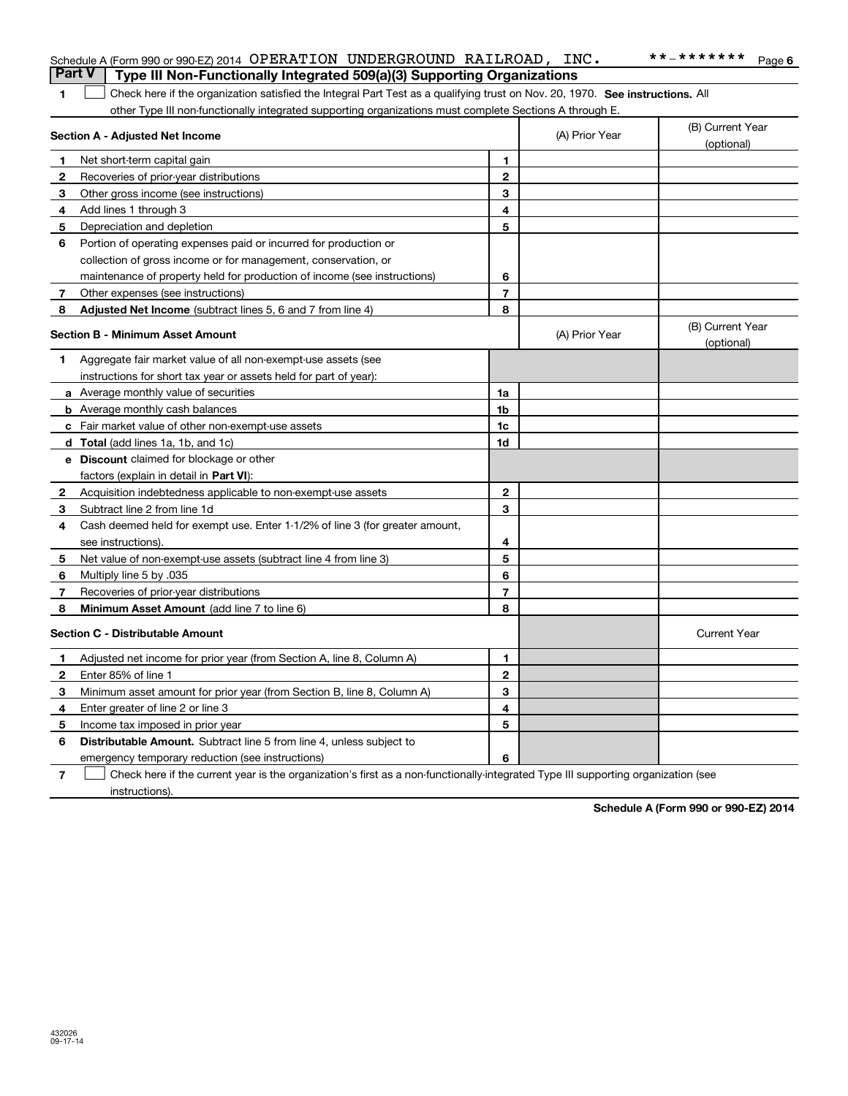| <b>Part V</b>  | Type III Non-Functionally Integrated 509(a)(3) Supporting Organizations                                                           |                |                |                                |
|----------------|-----------------------------------------------------------------------------------------------------------------------------------|----------------|----------------|--------------------------------|
| 1.             | Check here if the organization satisfied the Integral Part Test as a qualifying trust on Nov. 20, 1970. See instructions. All     |                |                |                                |
|                | other Type III non-functionally integrated supporting organizations must complete Sections A through E.                           |                |                |                                |
|                | Section A - Adjusted Net Income                                                                                                   |                | (A) Prior Year | (B) Current Year<br>(optional) |
| 1              | Net short-term capital gain                                                                                                       | 1              |                |                                |
| $\mathbf{2}$   | Recoveries of prior-year distributions                                                                                            | $\mathbf{2}$   |                |                                |
| З              | Other gross income (see instructions)                                                                                             | 3              |                |                                |
| 4              | Add lines 1 through 3                                                                                                             | 4              |                |                                |
| 5              | Depreciation and depletion                                                                                                        | 5              |                |                                |
| 6              | Portion of operating expenses paid or incurred for production or                                                                  |                |                |                                |
|                | collection of gross income or for management, conservation, or                                                                    |                |                |                                |
|                | maintenance of property held for production of income (see instructions)                                                          | 6              |                |                                |
| 7              | Other expenses (see instructions)                                                                                                 | $\overline{7}$ |                |                                |
| 8              | <b>Adjusted Net Income</b> (subtract lines 5, 6 and 7 from line 4)                                                                | 8              |                |                                |
|                | Section B - Minimum Asset Amount                                                                                                  |                | (A) Prior Year | (B) Current Year<br>(optional) |
| 1              | Aggregate fair market value of all non-exempt-use assets (see                                                                     |                |                |                                |
|                | instructions for short tax year or assets held for part of year):                                                                 |                |                |                                |
|                | a Average monthly value of securities                                                                                             | 1a             |                |                                |
|                | <b>b</b> Average monthly cash balances                                                                                            | 1b             |                |                                |
|                | c Fair market value of other non-exempt-use assets                                                                                | 1c             |                |                                |
|                | <b>d</b> Total (add lines 1a, 1b, and 1c)                                                                                         | 1d             |                |                                |
|                | <b>e</b> Discount claimed for blockage or other                                                                                   |                |                |                                |
|                | factors (explain in detail in Part VI):                                                                                           |                |                |                                |
| $\mathbf{2}$   | Acquisition indebtedness applicable to non-exempt-use assets                                                                      | $\mathbf{2}$   |                |                                |
| з              | Subtract line 2 from line 1d                                                                                                      | 3              |                |                                |
| 4              | Cash deemed held for exempt use. Enter 1-1/2% of line 3 (for greater amount,                                                      |                |                |                                |
|                | see instructions).                                                                                                                | 4              |                |                                |
| 5              | Net value of non-exempt-use assets (subtract line 4 from line 3)                                                                  | 5              |                |                                |
| 6              | Multiply line 5 by .035                                                                                                           | 6              |                |                                |
| 7              | Recoveries of prior-year distributions                                                                                            | $\overline{7}$ |                |                                |
| 8              | Minimum Asset Amount (add line 7 to line 6)                                                                                       | 8              |                |                                |
|                | <b>Section C - Distributable Amount</b>                                                                                           |                |                | <b>Current Year</b>            |
| 1              | Adjusted net income for prior year (from Section A, line 8, Column A)                                                             | 1              |                |                                |
| $\mathbf{2}$   | Enter 85% of line 1                                                                                                               | $\mathbf{2}$   |                |                                |
| 3              | Minimum asset amount for prior year (from Section B, line 8, Column A)                                                            | 3              |                |                                |
| 4              | Enter greater of line 2 or line 3                                                                                                 | 4              |                |                                |
| 5              | Income tax imposed in prior year                                                                                                  | 5              |                |                                |
| 6              | <b>Distributable Amount.</b> Subtract line 5 from line 4, unless subject to                                                       |                |                |                                |
|                | emergency temporary reduction (see instructions)                                                                                  | 6              |                |                                |
| $\overline{7}$ | Check here if the current year is the organization's first as a non-functionally-integrated Type III supporting organization (see |                |                |                                |

Schedule A (Form 990 or 990-EZ) 2014 Page OPERATION UNDERGROUND RAILROAD, INC. \*\*-\*\*\*\*\*\*\*

instructions).

**Schedule A (Form 990 or 990-EZ) 2014**

**6**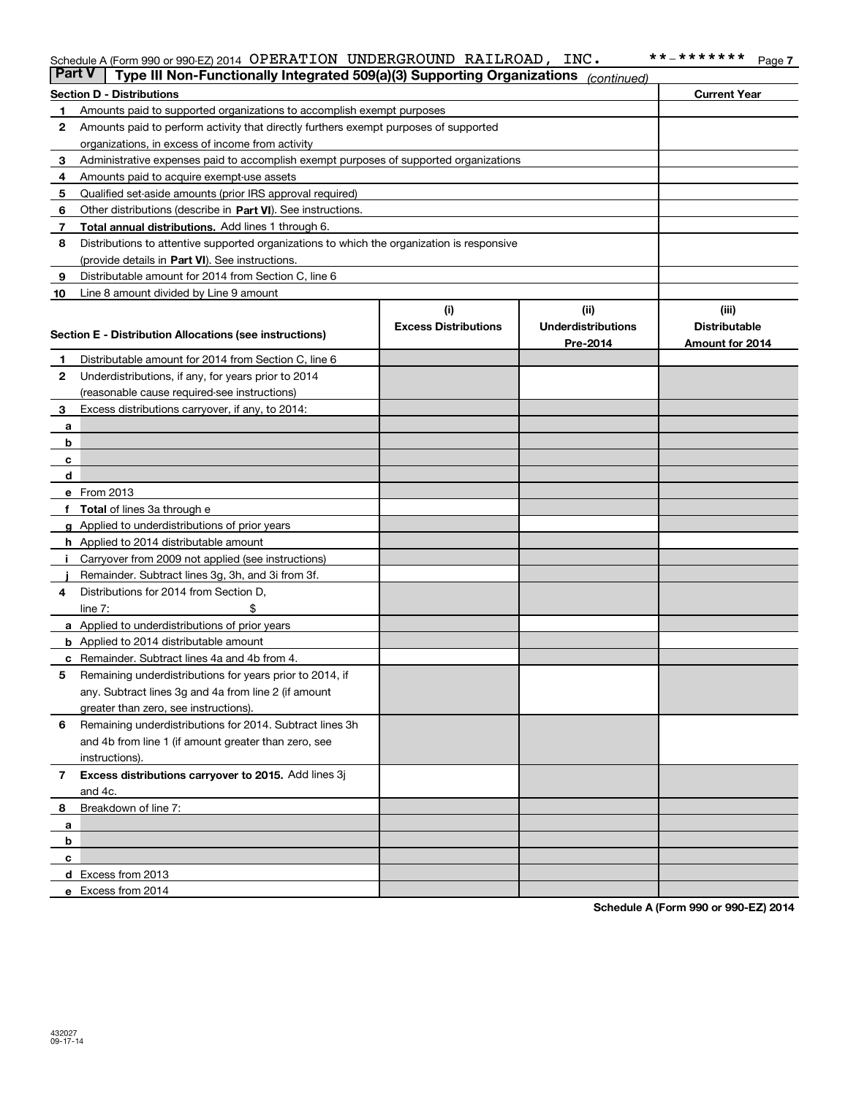#### Schedule A (Form 990 or 990-EZ) 2014 Page OPERATION UNDERGROUND RAILROAD, INC. \*\*-\*\*\*\*\*\*\*

| Part V | Type III Non-Functionally Integrated 509(a)(3) Supporting Organizations                                          |                             | (continued)               |                      |  |  |
|--------|------------------------------------------------------------------------------------------------------------------|-----------------------------|---------------------------|----------------------|--|--|
|        | <b>Section D - Distributions</b>                                                                                 |                             |                           | <b>Current Year</b>  |  |  |
| 1      | Amounts paid to supported organizations to accomplish exempt purposes                                            |                             |                           |                      |  |  |
| 2      | Amounts paid to perform activity that directly furthers exempt purposes of supported                             |                             |                           |                      |  |  |
|        | organizations, in excess of income from activity                                                                 |                             |                           |                      |  |  |
| з      | Administrative expenses paid to accomplish exempt purposes of supported organizations                            |                             |                           |                      |  |  |
| 4      | Amounts paid to acquire exempt-use assets                                                                        |                             |                           |                      |  |  |
| 5      | Qualified set-aside amounts (prior IRS approval required)                                                        |                             |                           |                      |  |  |
| 6      | Other distributions (describe in Part VI). See instructions.                                                     |                             |                           |                      |  |  |
| 7      | Total annual distributions. Add lines 1 through 6.                                                               |                             |                           |                      |  |  |
| 8      | Distributions to attentive supported organizations to which the organization is responsive                       |                             |                           |                      |  |  |
|        | (provide details in Part VI). See instructions.                                                                  |                             |                           |                      |  |  |
| 9      | Distributable amount for 2014 from Section C, line 6                                                             |                             |                           |                      |  |  |
| 10     | Line 8 amount divided by Line 9 amount                                                                           |                             |                           |                      |  |  |
|        |                                                                                                                  | (i)                         | (ii)                      | (iii)                |  |  |
|        |                                                                                                                  | <b>Excess Distributions</b> | <b>Underdistributions</b> | <b>Distributable</b> |  |  |
|        | <b>Section E - Distribution Allocations (see instructions)</b>                                                   |                             | Pre-2014                  | Amount for 2014      |  |  |
| 1      | Distributable amount for 2014 from Section C, line 6                                                             |                             |                           |                      |  |  |
| 2      | Underdistributions, if any, for years prior to 2014                                                              |                             |                           |                      |  |  |
|        | (reasonable cause required-see instructions)                                                                     |                             |                           |                      |  |  |
| 3      | Excess distributions carryover, if any, to 2014:                                                                 |                             |                           |                      |  |  |
| а      |                                                                                                                  |                             |                           |                      |  |  |
| b      |                                                                                                                  |                             |                           |                      |  |  |
| с      |                                                                                                                  |                             |                           |                      |  |  |
| d      |                                                                                                                  |                             |                           |                      |  |  |
|        | e From 2013                                                                                                      |                             |                           |                      |  |  |
|        | Total of lines 3a through e                                                                                      |                             |                           |                      |  |  |
| a      | Applied to underdistributions of prior years                                                                     |                             |                           |                      |  |  |
|        | <b>h</b> Applied to 2014 distributable amount                                                                    |                             |                           |                      |  |  |
|        | Carryover from 2009 not applied (see instructions)                                                               |                             |                           |                      |  |  |
|        | Remainder. Subtract lines 3g, 3h, and 3i from 3f.                                                                |                             |                           |                      |  |  |
| 4      | Distributions for 2014 from Section D,                                                                           |                             |                           |                      |  |  |
|        | line $7:$                                                                                                        |                             |                           |                      |  |  |
|        |                                                                                                                  |                             |                           |                      |  |  |
|        | a Applied to underdistributions of prior years<br><b>b</b> Applied to 2014 distributable amount                  |                             |                           |                      |  |  |
|        |                                                                                                                  |                             |                           |                      |  |  |
| c      | Remainder. Subtract lines 4a and 4b from 4.                                                                      |                             |                           |                      |  |  |
| 5      | Remaining underdistributions for years prior to 2014, if<br>any. Subtract lines 3g and 4a from line 2 (if amount |                             |                           |                      |  |  |
|        |                                                                                                                  |                             |                           |                      |  |  |
|        | greater than zero, see instructions).                                                                            |                             |                           |                      |  |  |
| 6      | Remaining underdistributions for 2014. Subtract lines 3h<br>and 4b from line 1 (if amount greater than zero, see |                             |                           |                      |  |  |
|        |                                                                                                                  |                             |                           |                      |  |  |
|        | instructions).                                                                                                   |                             |                           |                      |  |  |
| 7      | Excess distributions carryover to 2015. Add lines 3j                                                             |                             |                           |                      |  |  |
|        | and 4c.                                                                                                          |                             |                           |                      |  |  |
| 8      | Breakdown of line 7:                                                                                             |                             |                           |                      |  |  |
| a      |                                                                                                                  |                             |                           |                      |  |  |
| b      |                                                                                                                  |                             |                           |                      |  |  |
| c      |                                                                                                                  |                             |                           |                      |  |  |
|        | d Excess from 2013                                                                                               |                             |                           |                      |  |  |
|        | e Excess from 2014                                                                                               |                             |                           |                      |  |  |

**Schedule A (Form 990 or 990-EZ) 2014**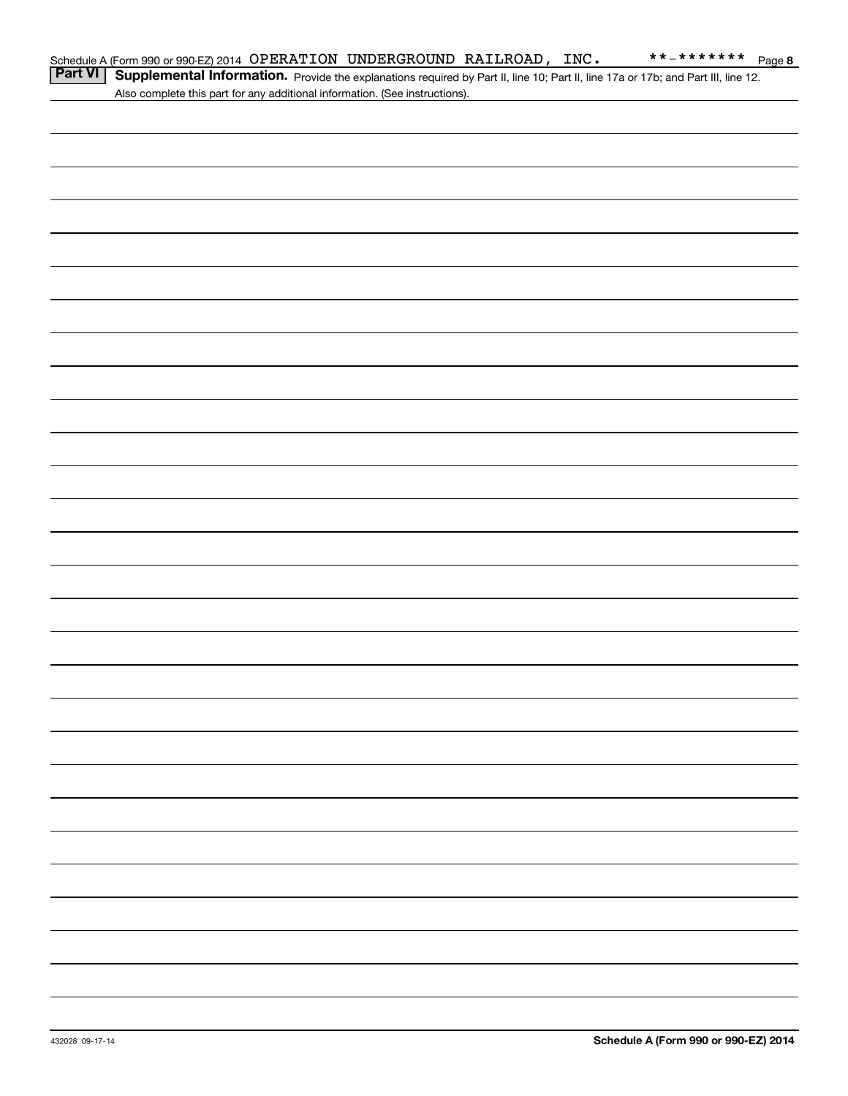| Part VI | Supplemental Information. Provide the explanations required by Part II, line 10; Part II, line 17a or 17b; and Part III, line 12. |  |  |  |  |
|---------|-----------------------------------------------------------------------------------------------------------------------------------|--|--|--|--|
|         | Also complete this part for any additional information. (See instructions).                                                       |  |  |  |  |
|         |                                                                                                                                   |  |  |  |  |
|         |                                                                                                                                   |  |  |  |  |
|         |                                                                                                                                   |  |  |  |  |
|         |                                                                                                                                   |  |  |  |  |
|         |                                                                                                                                   |  |  |  |  |
|         |                                                                                                                                   |  |  |  |  |
|         |                                                                                                                                   |  |  |  |  |
|         |                                                                                                                                   |  |  |  |  |
|         |                                                                                                                                   |  |  |  |  |
|         |                                                                                                                                   |  |  |  |  |
|         |                                                                                                                                   |  |  |  |  |
|         |                                                                                                                                   |  |  |  |  |
|         |                                                                                                                                   |  |  |  |  |
|         |                                                                                                                                   |  |  |  |  |
|         |                                                                                                                                   |  |  |  |  |
|         |                                                                                                                                   |  |  |  |  |
|         |                                                                                                                                   |  |  |  |  |
|         |                                                                                                                                   |  |  |  |  |
|         |                                                                                                                                   |  |  |  |  |
|         |                                                                                                                                   |  |  |  |  |
|         |                                                                                                                                   |  |  |  |  |
|         |                                                                                                                                   |  |  |  |  |
|         |                                                                                                                                   |  |  |  |  |
|         |                                                                                                                                   |  |  |  |  |
|         |                                                                                                                                   |  |  |  |  |
|         |                                                                                                                                   |  |  |  |  |
|         |                                                                                                                                   |  |  |  |  |
|         |                                                                                                                                   |  |  |  |  |
|         |                                                                                                                                   |  |  |  |  |

Schedule A (Form 990 or 990-EZ) 2014 Page

OPERATION UNDERGROUND RAILROAD, INC. \*\*-\*\*\*\*\*\*\*

**8**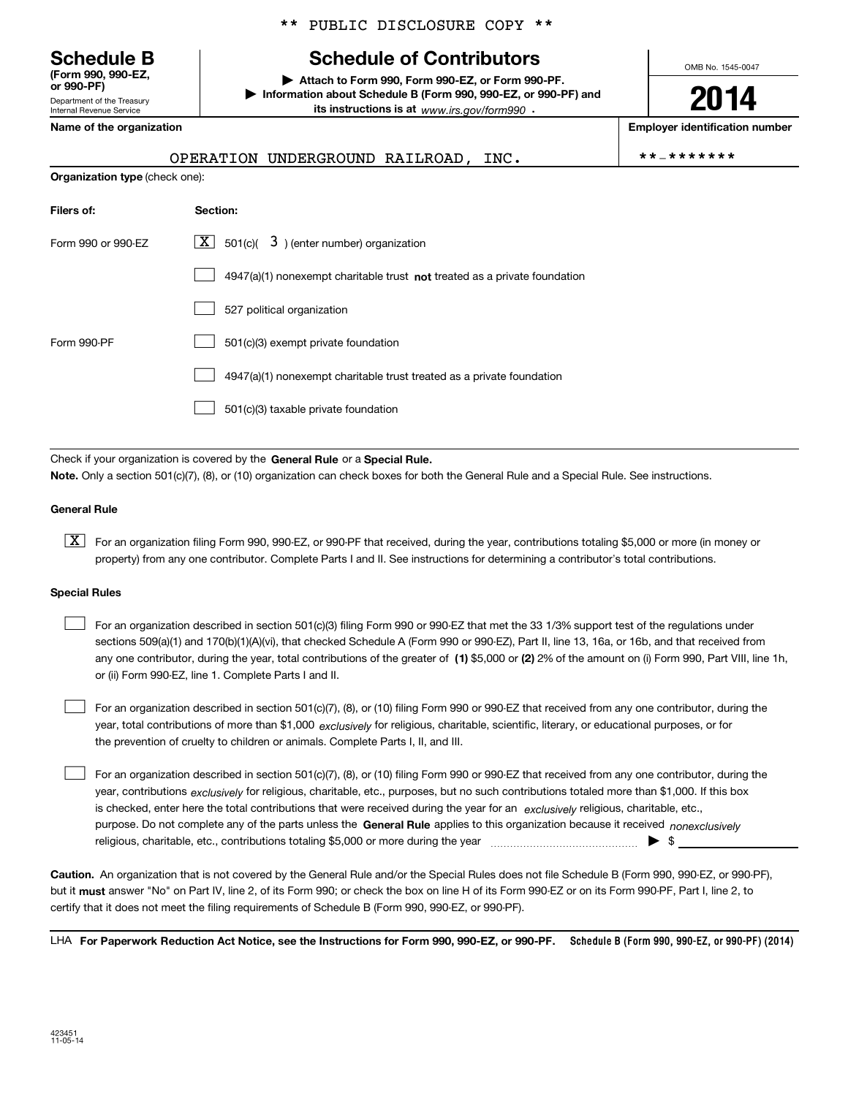Department of the Treasury **(Form 990, 990-EZ, or 990-PF)**

Internal Revenue Service

### \*\* PUBLIC DISCLOSURE COPY \*\*

# **Schedule B Schedule of Contributors**

**| Attach to Form 990, Form 990-EZ, or Form 990-PF. | Information about Schedule B (Form 990, 990-EZ, or 990-PF) and its instructions is at** www.irs.gov/form990  $\cdot$ 

**Name of the organization Employer identification number**

OMB No. 1545-0047

**2014**

|  |  | * _ * * * * * * * |  |  |  |
|--|--|-------------------|--|--|--|
|  |  |                   |  |  |  |

| <b>Organization type (check one):</b> |                                                                             |  |  |  |  |
|---------------------------------------|-----------------------------------------------------------------------------|--|--|--|--|
| Filers of:                            | Section:                                                                    |  |  |  |  |
| Form 990 or 990-EZ                    | $X$ 501(c)( 3) (enter number) organization                                  |  |  |  |  |
|                                       | $4947(a)(1)$ nonexempt charitable trust not treated as a private foundation |  |  |  |  |
|                                       | 527 political organization                                                  |  |  |  |  |
| Form 990-PF                           | 501(c)(3) exempt private foundation                                         |  |  |  |  |
|                                       | 4947(a)(1) nonexempt charitable trust treated as a private foundation       |  |  |  |  |
|                                       | 501(c)(3) taxable private foundation                                        |  |  |  |  |
|                                       |                                                                             |  |  |  |  |

Check if your organization is covered by the **General Rule** or a **Special Rule. Note.**  Only a section 501(c)(7), (8), or (10) organization can check boxes for both the General Rule and a Special Rule. See instructions.

#### **General Rule**

 $\boxed{\textbf{X}}$  For an organization filing Form 990, 990-EZ, or 990-PF that received, during the year, contributions totaling \$5,000 or more (in money or property) from any one contributor. Complete Parts I and II. See instructions for determining a contributor's total contributions.

#### **Special Rules**

 $\mathcal{L}^{\text{max}}$ 

any one contributor, during the year, total contributions of the greater of  $\,$  (1) \$5,000 or (2) 2% of the amount on (i) Form 990, Part VIII, line 1h, For an organization described in section 501(c)(3) filing Form 990 or 990-EZ that met the 33 1/3% support test of the regulations under sections 509(a)(1) and 170(b)(1)(A)(vi), that checked Schedule A (Form 990 or 990-EZ), Part II, line 13, 16a, or 16b, and that received from or (ii) Form 990-EZ, line 1. Complete Parts I and II.  $\mathcal{L}^{\text{max}}$ 

year, total contributions of more than \$1,000 *exclusively* for religious, charitable, scientific, literary, or educational purposes, or for For an organization described in section 501(c)(7), (8), or (10) filing Form 990 or 990-EZ that received from any one contributor, during the the prevention of cruelty to children or animals. Complete Parts I, II, and III.  $\mathcal{L}^{\text{max}}$ 

purpose. Do not complete any of the parts unless the **General Rule** applies to this organization because it received *nonexclusively* year, contributions <sub>exclusively</sub> for religious, charitable, etc., purposes, but no such contributions totaled more than \$1,000. If this box is checked, enter here the total contributions that were received during the year for an  $\;$ exclusively religious, charitable, etc., For an organization described in section 501(c)(7), (8), or (10) filing Form 990 or 990-EZ that received from any one contributor, during the religious, charitable, etc., contributions totaling \$5,000 or more during the year  $\Box$ — $\Box$   $\Box$ 

**Caution.**An organization that is not covered by the General Rule and/or the Special Rules does not file Schedule B (Form 990, 990-EZ, or 990-PF),  **must** but it answer "No" on Part IV, line 2, of its Form 990; or check the box on line H of its Form 990-EZ or on its Form 990-PF, Part I, line 2, to certify that it does not meet the filing requirements of Schedule B (Form 990, 990-EZ, or 990-PF).

LHA For Paperwork Reduction Act Notice, see the Instructions for Form 990, 990-EZ, or 990-PF. Schedule B (Form 990, 990-EZ, or 990-PF) (2014)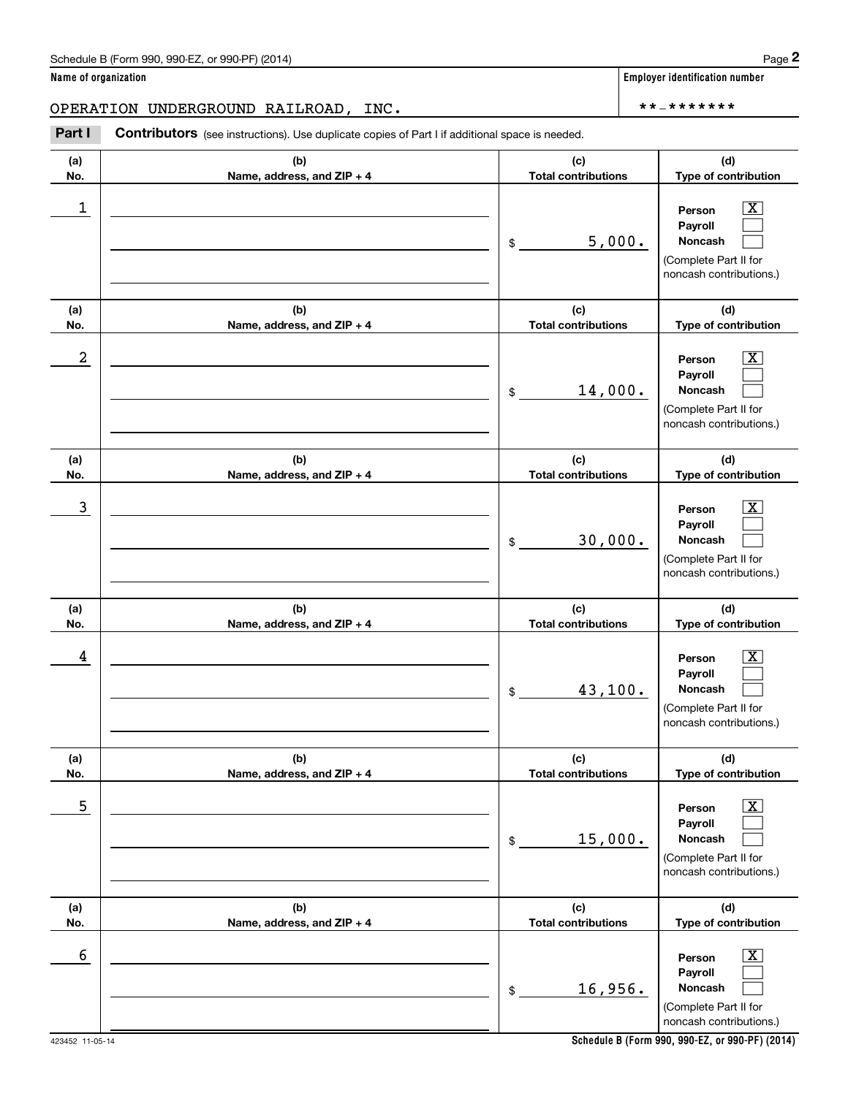(see instructions). Use duplicate copies of Part I if additional space is needed.<br> **2PERATION UNDERGROUND RAILROAD, INC.**<br> **Part I Contributors** (see instructions). Use duplicate copies of Part I if additional space is n

| (a)<br>No.  | (b)<br>Name, address, and ZIP + 4 | (c)<br><b>Total contributions</b>                    | (d)<br>Type of contribution                                                                                        |
|-------------|-----------------------------------|------------------------------------------------------|--------------------------------------------------------------------------------------------------------------------|
| 1           |                                   | 5,000.<br>$\frac{1}{2}$                              | $\mathbf{X}$<br>Person<br>Payroll<br>Noncash<br>(Complete Part II for<br>noncash contributions.)                   |
| (a)<br>No.  | (b)<br>Name, address, and ZIP + 4 | (c)<br><b>Total contributions</b>                    | (d)<br>Type of contribution                                                                                        |
| 2           |                                   | 14,000.<br>$\frac{1}{2}$                             | $\mathbf{X}$<br>Person<br>Payroll<br>Noncash<br>(Complete Part II for<br>noncash contributions.)                   |
| (a)<br>No.  | (b)<br>Name, address, and ZIP + 4 | (c)<br><b>Total contributions</b>                    | (d)<br>Type of contribution                                                                                        |
| 3           |                                   | 30,000.<br>$\frac{1}{2}$                             | $\overline{\mathbf{X}}$<br>Person<br>Payroll<br><b>Noncash</b><br>(Complete Part II for<br>noncash contributions.) |
| (a)<br>No.  | (b)<br>Name, address, and ZIP + 4 | (c)<br><b>Total contributions</b>                    | (d)<br>Type of contribution                                                                                        |
| 4           |                                   | 43,100.<br>$\$\$                                     | $\mathbf{X}$<br>Person<br>Payroll<br>Noncash<br>(Complete Part II for<br>noncash contributions.)                   |
| (a)<br>No.  | (b)<br>Name, address, and ZIP + 4 | (c)<br><b>Total contributions</b>                    | (d)<br>Type of contribution                                                                                        |
| $\mathbf 5$ |                                   | 15,000.<br>$\$$                                      | $\overline{\mathbf{x}}$<br>Person<br>Payroll<br>Noncash<br>(Complete Part II for<br>noncash contributions.)        |
| (a)<br>No.  | (b)<br>Name, address, and ZIP + 4 | (c)<br><b>Total contributions</b>                    | (d)<br>Type of contribution                                                                                        |
| 6           |                                   | 16,956.<br>$\, \, \raisebox{12pt}{$\scriptstyle \$}$ | $\overline{\mathbf{X}}$<br>Person<br>Payroll<br>Noncash<br>(Complete Part II for<br>noncash contributions.)        |

423452 11-05-14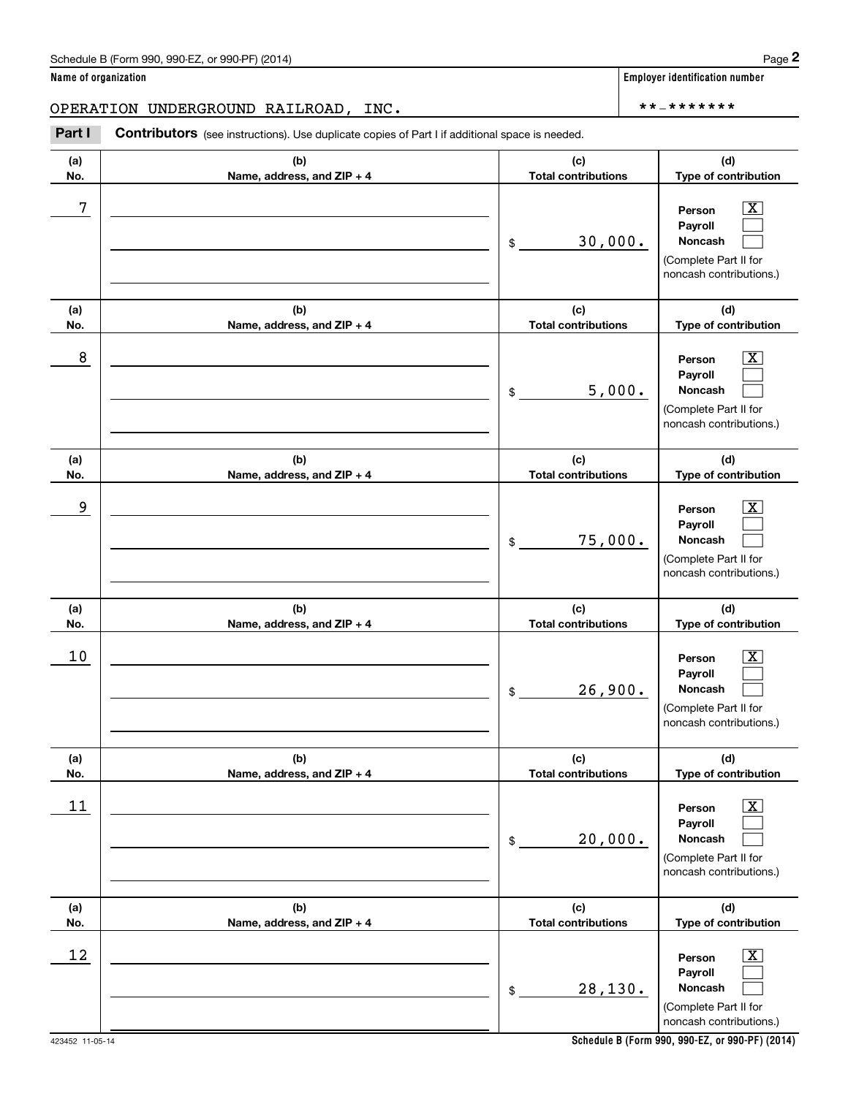(see instructions). Use duplicate copies of Part I if additional space is needed.<br> **2PERATION UNDERGROUND RAILROAD, INC.**<br> **Part I Contributors** (see instructions). Use duplicate copies of Part I if additional space is n

| (a)<br>No. | (b)<br>Name, address, and ZIP + 4 | (c)<br><b>Total contributions</b> | (d)<br>Type of contribution                                                                                        |
|------------|-----------------------------------|-----------------------------------|--------------------------------------------------------------------------------------------------------------------|
| 7          |                                   | 30,000.<br>\$                     | $\overline{\textbf{X}}$<br>Person<br>Payroll<br><b>Noncash</b><br>(Complete Part II for<br>noncash contributions.) |
| (a)<br>No. | (b)<br>Name, address, and ZIP + 4 | (c)<br><b>Total contributions</b> | (d)<br>Type of contribution                                                                                        |
| 8          |                                   | 5,000.<br>\$                      | $\overline{\mathbf{x}}$<br>Person<br>Payroll<br>Noncash<br>(Complete Part II for<br>noncash contributions.)        |
| (a)<br>No. | (b)<br>Name, address, and ZIP + 4 | (c)<br><b>Total contributions</b> | (d)<br>Type of contribution                                                                                        |
| 9          |                                   | 75,000.<br>\$                     | $\overline{\texttt{X}}$<br>Person<br>Payroll<br><b>Noncash</b><br>(Complete Part II for<br>noncash contributions.) |
| (a)<br>No. | (b)<br>Name, address, and ZIP + 4 | (c)<br><b>Total contributions</b> | (d)<br>Type of contribution                                                                                        |
| 10         |                                   | 26,900.<br>\$                     | x<br>Person<br>Payroll<br><b>Noncash</b><br>(Complete Part II for<br>noncash contributions.)                       |
| (a)<br>No. | (b)<br>Name, address, and ZIP + 4 | (c)<br><b>Total contributions</b> | (d)<br>Type of contribution                                                                                        |
| $11\,$     |                                   | 20,000.<br>$\$$                   | $\overline{\text{X}}$<br>Person<br>Payroll<br>Noncash<br>(Complete Part II for<br>noncash contributions.)          |
| (a)<br>No. | (b)<br>Name, address, and ZIP + 4 | (c)<br><b>Total contributions</b> | (d)<br>Type of contribution                                                                                        |
| <u>12</u>  |                                   | 28,130.<br>\$                     | $\overline{\mathbf{x}}$<br>Person<br>Payroll<br>Noncash<br>(Complete Part II for<br>noncash contributions.)        |

| on |  |
|----|--|
| ∩" |  |

**Schedule B (Form 990, 990-EZ, or 990-PF) (2014)**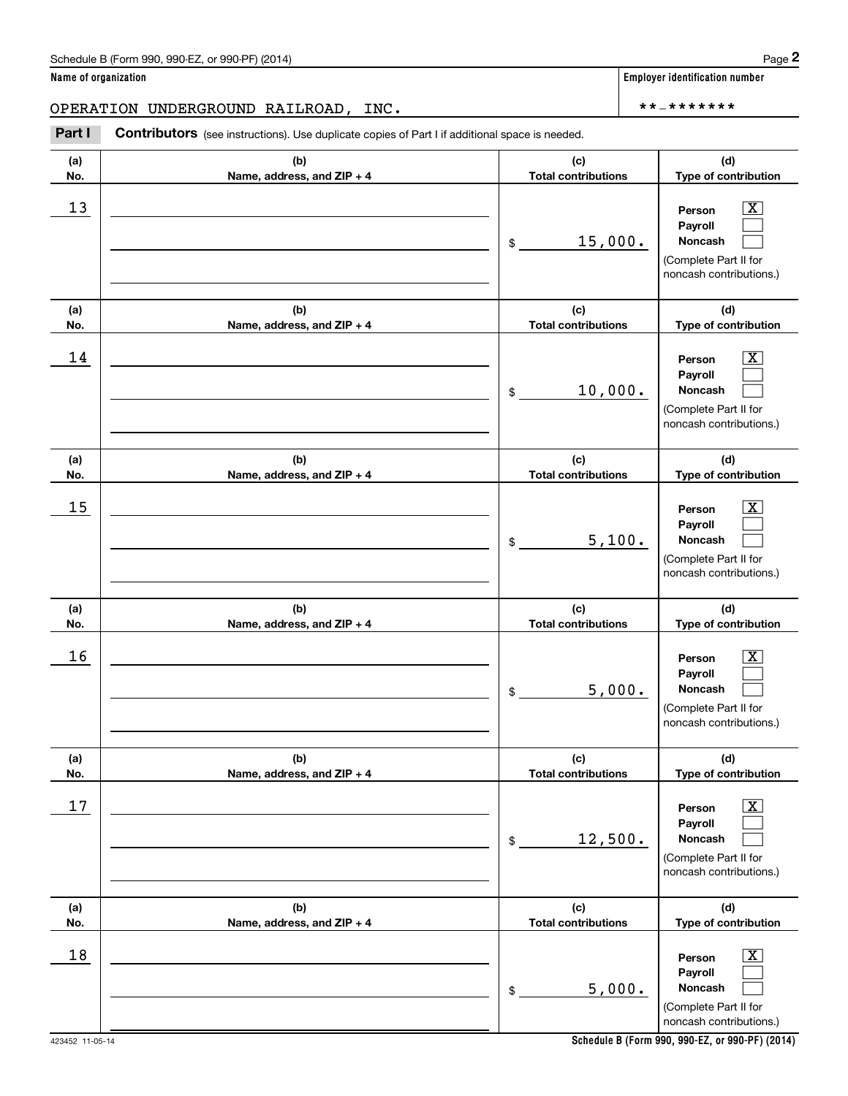(see instructions). Use duplicate copies of Part I if additional space is needed.<br> **2PERATION UNDERGROUND RAILROAD, INC.**<br> **Part I Contributors** (see instructions). Use duplicate copies of Part I if additional space is n

| (a)<br>No. | (b)<br>Name, address, and ZIP + 4 | (c)<br><b>Total contributions</b> | (d)<br>Type of contribution                                                                                        |
|------------|-----------------------------------|-----------------------------------|--------------------------------------------------------------------------------------------------------------------|
| 13         |                                   | 15,000.<br>\$                     | $\overline{\mathbf{X}}$<br>Person<br>Payroll<br>Noncash<br>(Complete Part II for<br>noncash contributions.)        |
| (a)<br>No. | (b)<br>Name, address, and ZIP + 4 | (c)<br><b>Total contributions</b> | (d)<br>Type of contribution                                                                                        |
| 14         |                                   | 10,000.<br>\$                     | $\overline{\mathbf{X}}$<br>Person<br>Payroll<br><b>Noncash</b><br>(Complete Part II for<br>noncash contributions.) |
| (a)<br>No. | (b)<br>Name, address, and ZIP + 4 | (c)<br><b>Total contributions</b> | (d)<br>Type of contribution                                                                                        |
| 15         |                                   | 5,100.<br>$\frac{1}{2}$           | $\overline{\mathbf{X}}$<br>Person<br>Payroll<br><b>Noncash</b><br>(Complete Part II for<br>noncash contributions.) |
| (a)<br>No. | (b)<br>Name, address, and ZIP + 4 | (c)<br><b>Total contributions</b> | (d)<br>Type of contribution                                                                                        |
| 16         |                                   | 5,000.<br>\$                      | $\overline{\mathbf{X}}$<br>Person<br>Payroll<br><b>Noncash</b><br>(Complete Part II for<br>noncash contributions.) |
| (a)<br>No. | (b)<br>Name, address, and ZIP + 4 | (c)<br><b>Total contributions</b> | (d)<br>Type of contribution                                                                                        |
| 17         |                                   | 12,500.<br>\$                     | $\boxed{\text{X}}$<br>Person<br>Payroll<br>Noncash<br>(Complete Part II for<br>noncash contributions.)             |
| (a)<br>No. | (b)<br>Name, address, and ZIP + 4 | (c)<br><b>Total contributions</b> | (d)<br>Type of contribution                                                                                        |
| 18         |                                   | 5,000.<br>$\frac{1}{2}$           | $\boxed{\text{X}}$<br>Person<br>Payroll<br>Noncash<br>(Complete Part II for<br>noncash contributions.)             |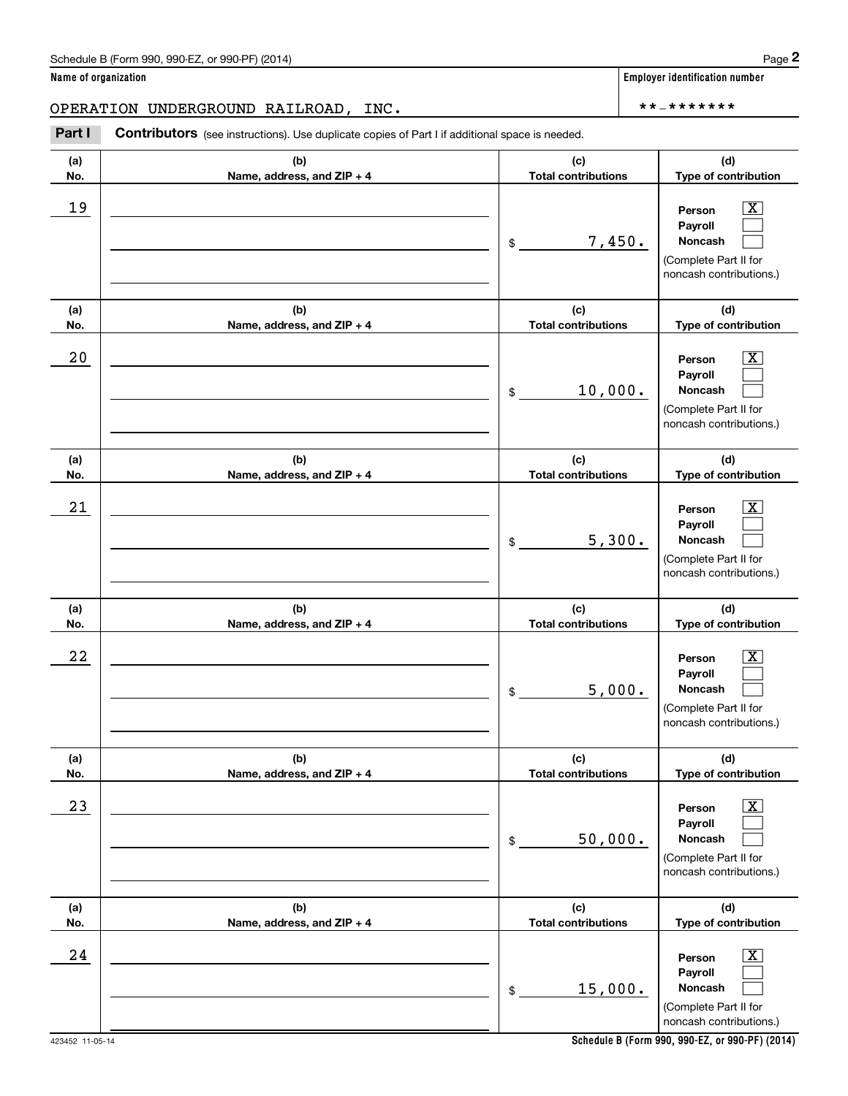(see instructions). Use duplicate copies of Part I if additional space is needed.<br> **2PERATION UNDERGROUND RAILROAD, INC.**<br> **Part I Contributors** (see instructions). Use duplicate copies of Part I if additional space is n

| (a) | (b)                        | (c)                        | (d)                                                                                                    |
|-----|----------------------------|----------------------------|--------------------------------------------------------------------------------------------------------|
| No. | Name, address, and ZIP + 4 | <b>Total contributions</b> | Type of contribution                                                                                   |
| 19  |                            | 7,450.<br>$\frac{1}{2}$    | $\mathbf{X}$<br>Person<br>Payroll<br>Noncash<br>(Complete Part II for<br>noncash contributions.)       |
| (a) | (b)                        | (c)                        | (d)                                                                                                    |
| No. | Name, address, and ZIP + 4 | <b>Total contributions</b> | Type of contribution                                                                                   |
| 20  |                            | 10,000.<br>\$              | х<br>Person<br>Payroll<br>Noncash<br>(Complete Part II for<br>noncash contributions.)                  |
| (a) | (b)                        | (c)                        | (d)                                                                                                    |
| No. | Name, address, and ZIP + 4 | <b>Total contributions</b> | Type of contribution                                                                                   |
| 21  |                            | 5,300.<br>\$               | х<br>Person<br>Payroll<br>Noncash<br>(Complete Part II for<br>noncash contributions.)                  |
| (a) | (b)                        | (c)                        | (d)                                                                                                    |
| No. | Name, address, and ZIP + 4 | <b>Total contributions</b> | Type of contribution                                                                                   |
| 22  |                            | 5,000.<br>\$               | х<br>Person<br>Payroll<br>Noncash<br>(Complete Part II for<br>noncash contributions.)                  |
| (a) | (b)                        | (c)                        | (d)                                                                                                    |
| No. | Name, address, and ZIP + 4 | <b>Total contributions</b> | Type of contribution                                                                                   |
| 23  |                            | 50,000.<br>\$              | $\boxed{\text{X}}$<br>Person<br>Payroll<br>Noncash<br>(Complete Part II for<br>noncash contributions.) |
| (a) | (b)                        | (c)                        | (d)                                                                                                    |
| No. | Name, address, and ZIP + 4 | <b>Total contributions</b> | Type of contribution                                                                                   |
| 24  |                            | 15,000.<br>\$              | $\boxed{\text{X}}$<br>Person<br>Payroll<br>Noncash<br>(Complete Part II for<br>noncash contributions.) |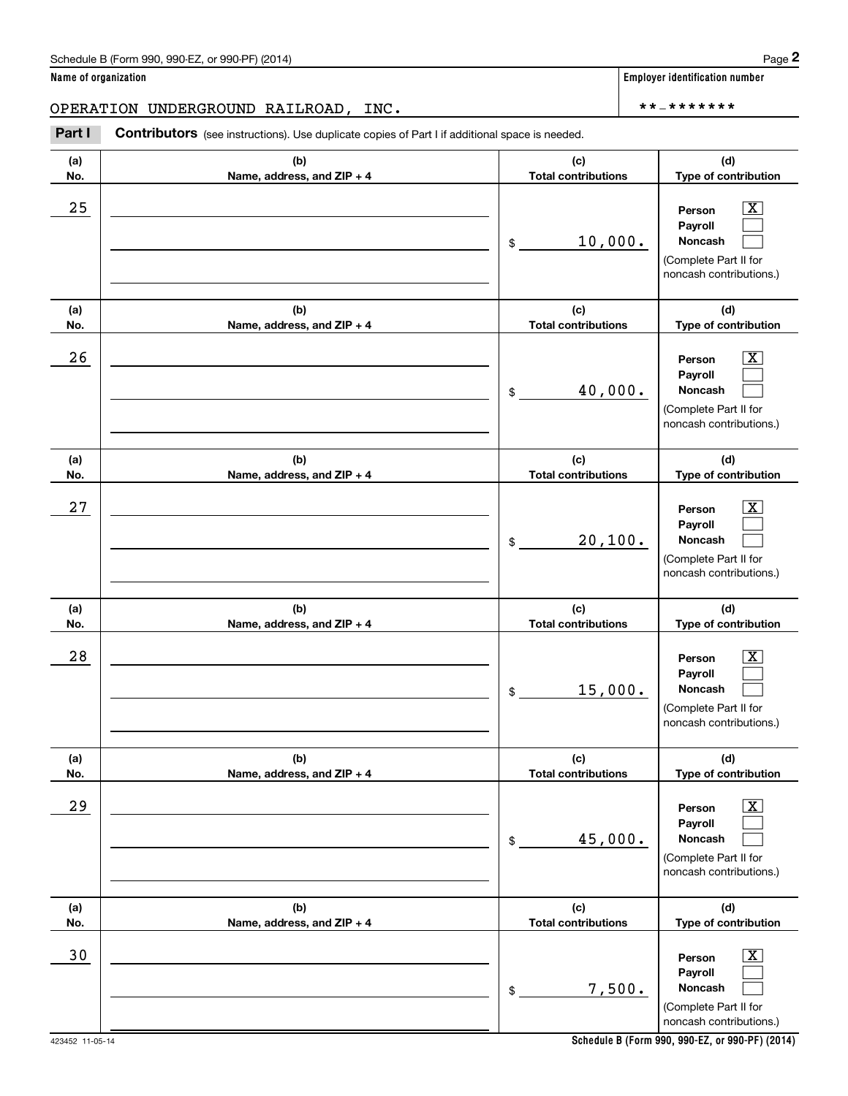(see instructions). Use duplicate copies of Part I if additional space is needed.<br> **2PERATION UNDERGROUND RAILROAD, INC.**<br> **Part I Contributors** (see instructions). Use duplicate copies of Part I if additional space is n

| (a)        | (b)                               | (c)                               | (d)                                                                                                         |
|------------|-----------------------------------|-----------------------------------|-------------------------------------------------------------------------------------------------------------|
| No.        | Name, address, and ZIP + 4        | <b>Total contributions</b>        | Type of contribution                                                                                        |
| 25         |                                   | 10,000.<br>$\frac{1}{2}$          | $\overline{\text{X}}$<br>Person<br>Pavroll<br>Noncash<br>(Complete Part II for<br>noncash contributions.)   |
| (a)<br>No. | (b)<br>Name, address, and ZIP + 4 | (c)<br><b>Total contributions</b> | (d)<br>Type of contribution                                                                                 |
| 26         |                                   | 40,000.<br>$\frac{1}{2}$          | $\overline{\text{X}}$<br>Person<br>Payroll<br>Noncash<br>(Complete Part II for<br>noncash contributions.)   |
| (a)<br>No. | (b)<br>Name, address, and ZIP + 4 | (c)<br><b>Total contributions</b> | (d)<br>Type of contribution                                                                                 |
| 27         |                                   | 20,100.<br>$\frac{1}{2}$          | $\mathbf{X}$<br>Person<br>Payroll<br>Noncash<br>(Complete Part II for<br>noncash contributions.)            |
| (a)<br>No. | (b)<br>Name, address, and ZIP + 4 | (c)<br><b>Total contributions</b> | (d)<br>Type of contribution                                                                                 |
| 28         |                                   | 15,000.<br>$\frac{1}{2}$          | $\overline{\text{X}}$<br>Person<br>Payroll<br>Noncash                                                       |
|            |                                   |                                   | (Complete Part II for<br>noncash contributions.)                                                            |
| (a)<br>No. | (b)<br>Name, address, and ZIP + 4 | (c)<br><b>Total contributions</b> | (d)<br>Type of contribution                                                                                 |
| 29         |                                   | 45,000.<br>\$                     | $\overline{\mathbf{X}}$<br>Person<br>Payroll<br>Noncash<br>(Complete Part II for<br>noncash contributions.) |
| (a)<br>No. | (b)<br>Name, address, and ZIP + 4 | (c)<br><b>Total contributions</b> | (d)<br>Type of contribution                                                                                 |

**Schedule B (Form 990, 990-EZ, or 990-PF) (2014)**

423452 11-05-14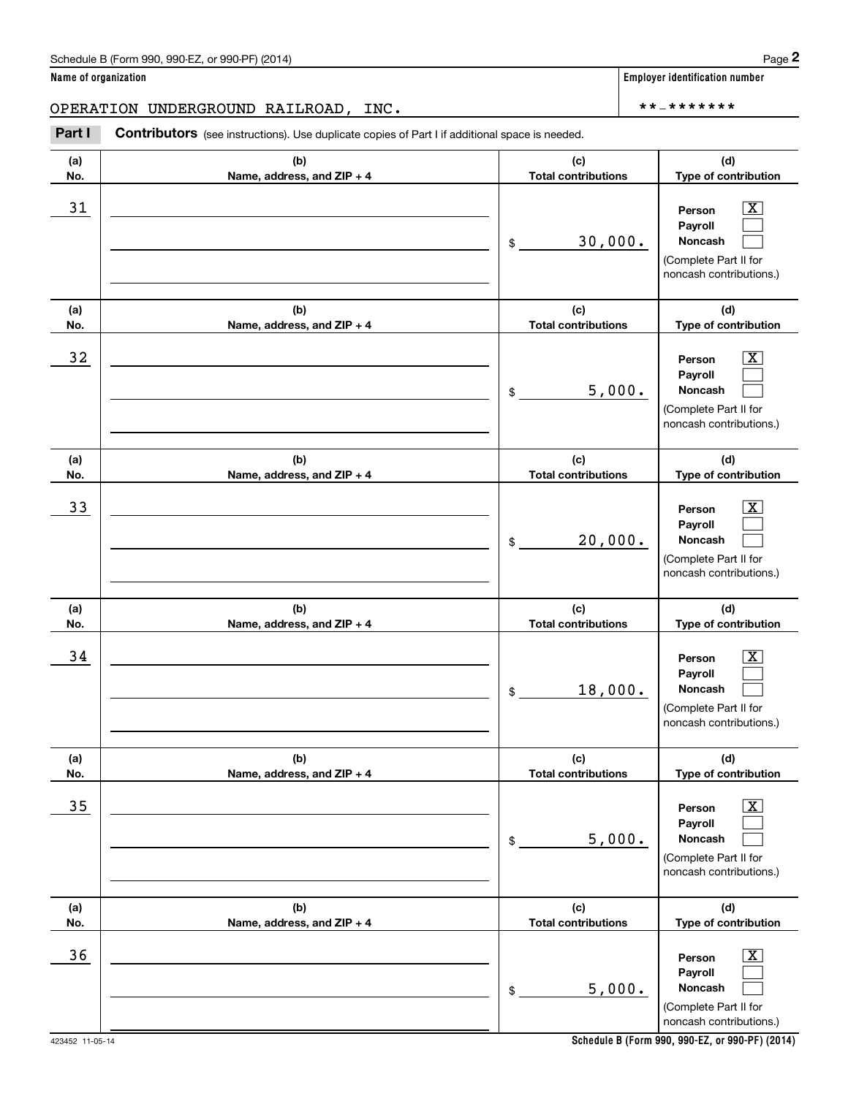(see instructions). Use duplicate copies of Part I if additional space is needed.<br> **2PERATION UNDERGROUND RAILROAD, INC.**<br> **Part I Contributors** (see instructions). Use duplicate copies of Part I if additional space is n

| (a) | (b)                        | (c)                        | (d)                                                                                                              |
|-----|----------------------------|----------------------------|------------------------------------------------------------------------------------------------------------------|
| No. | Name, address, and ZIP + 4 | <b>Total contributions</b> | Type of contribution                                                                                             |
| 31  |                            | 30,000.<br>\$              | $\overline{\mathbf{X}}$<br>Person<br>Payroll<br>Noncash<br>(Complete Part II for<br>noncash contributions.)      |
| (a) | (b)                        | (c)                        | (d)                                                                                                              |
| No. | Name, address, and ZIP + 4 | <b>Total contributions</b> | Type of contribution                                                                                             |
| 32  |                            | 5,000.<br>\$               | $\overline{\mathbf{X}}$<br>Person<br>Payroll<br>Noncash<br>(Complete Part II for<br>noncash contributions.)      |
| (a) | (b)                        | (c)                        | (d)                                                                                                              |
| No. | Name, address, and ZIP + 4 | <b>Total contributions</b> | Type of contribution                                                                                             |
| 33  |                            | 20,000.<br>\$              | $\overline{\text{X}}$<br>Person<br>Payroll<br><b>Noncash</b><br>(Complete Part II for<br>noncash contributions.) |
| (a) | (b)                        | (c)                        | (d)                                                                                                              |
| No. | Name, address, and ZIP + 4 | <b>Total contributions</b> | Type of contribution                                                                                             |
| 34  |                            | 18,000.<br>\$              | $\overline{\text{X}}$<br>Person<br>Payroll<br>Noncash<br>(Complete Part II for<br>noncash contributions.)        |
| (a) | (b)                        | (c)                        | (d)                                                                                                              |
| No. | Name, address, and ZIP + 4 | <b>Total contributions</b> | Type of contribution                                                                                             |
| 35  |                            | 5,000.<br>\$               | $\boxed{\text{X}}$<br>Person<br>Payroll<br>Noncash<br>(Complete Part II for<br>noncash contributions.)           |
| (a) | (b)                        | (c)                        | (d)                                                                                                              |
| No. | Name, address, and ZIP + 4 | <b>Total contributions</b> | Type of contribution                                                                                             |
| 36  |                            | 5,000.<br>\$               | $\boxed{\text{X}}$<br>Person<br>Payroll<br>Noncash<br>(Complete Part II for<br>noncash contributions.)           |

**Name of organization Employer identification number**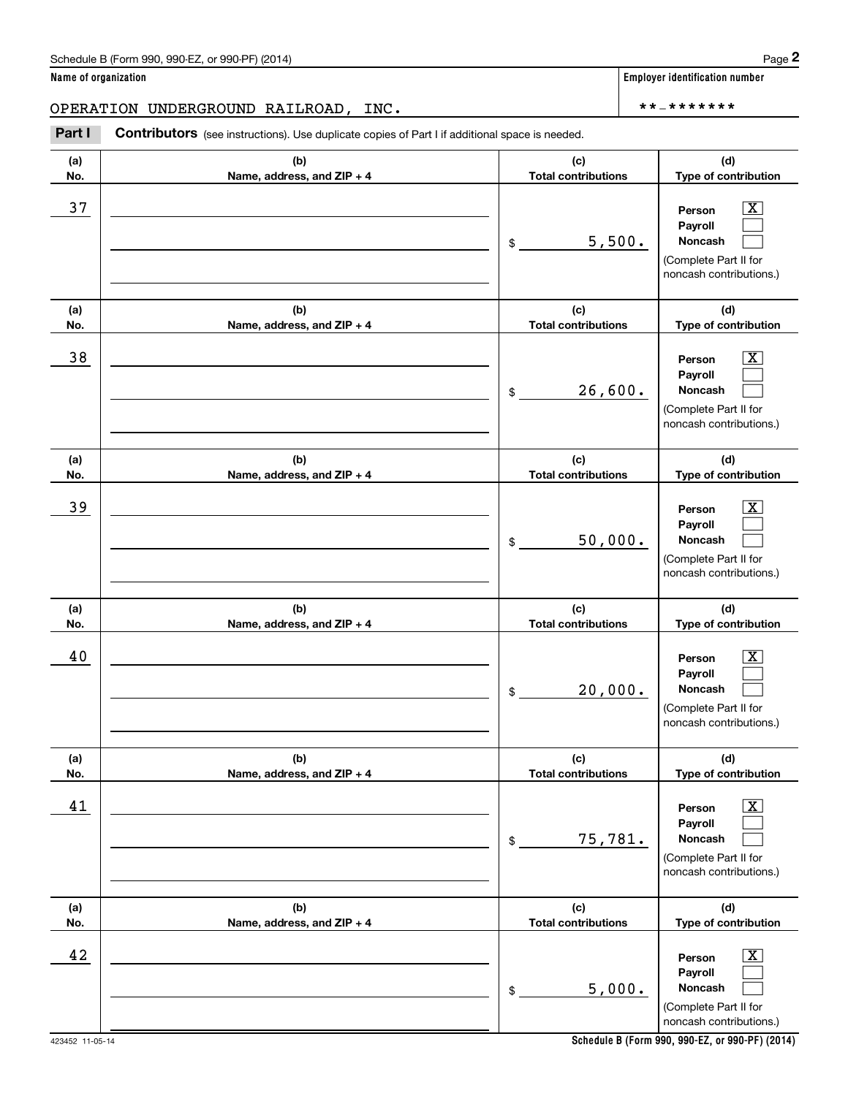(see instructions). Use duplicate copies of Part I if additional space is needed.<br> **2PERATION UNDERGROUND RAILROAD, INC.**<br> **Part I Contributors** (see instructions). Use duplicate copies of Part I if additional space is n

| (a)<br>No. | (b)<br>Name, address, and ZIP + 4 | (c)<br><b>Total contributions</b> | (d)<br>Type of contribution                                                                                 |
|------------|-----------------------------------|-----------------------------------|-------------------------------------------------------------------------------------------------------------|
| 37         |                                   | 5,500.<br>$\frac{1}{2}$           | $\mathbf{X}$<br>Person<br>Payroll<br>Noncash<br>(Complete Part II for<br>noncash contributions.)            |
| (a)<br>No. | (b)<br>Name, address, and ZIP + 4 | (c)<br><b>Total contributions</b> | (d)<br>Type of contribution                                                                                 |
| 38         |                                   | 26,600.<br>$\mathfrak{S}$         | $\mathbf{X}$<br>Person<br>Payroll<br>Noncash<br>(Complete Part II for<br>noncash contributions.)            |
| (a)<br>No. | (b)<br>Name, address, and ZIP + 4 | (c)<br><b>Total contributions</b> | (d)<br>Type of contribution                                                                                 |
| 39         |                                   | 50,000.<br>\$                     | $\overline{\mathbf{X}}$<br>Person<br>Payroll<br>Noncash<br>(Complete Part II for<br>noncash contributions.) |
| (a)<br>No. | (b)<br>Name, address, and ZIP + 4 | (c)<br><b>Total contributions</b> | (d)<br>Type of contribution                                                                                 |
| 40         |                                   | 20,000.<br>\$                     | $\mathbf{X}$<br>Person<br>Payroll<br>Noncash<br>(Complete Part II for<br>noncash contributions.)            |
| (a)<br>No. | (b)<br>Name, address, and ZIP + 4 | (c)<br><b>Total contributions</b> | (d)<br>Type of contribution                                                                                 |
| 41         |                                   | 75,781.<br>\$                     | $\overline{\mathbf{x}}$<br>Person<br>Payroll<br>Noncash<br>(Complete Part II for<br>noncash contributions.) |
| (a)<br>No. | (b)<br>Name, address, and ZIP + 4 | (c)<br><b>Total contributions</b> | (d)<br>Type of contribution                                                                                 |
| 42         |                                   | 5,000.<br>\$                      | $\boxed{\text{X}}$<br>Person<br>Payroll<br>Noncash<br>(Complete Part II for<br>noncash contributions.)      |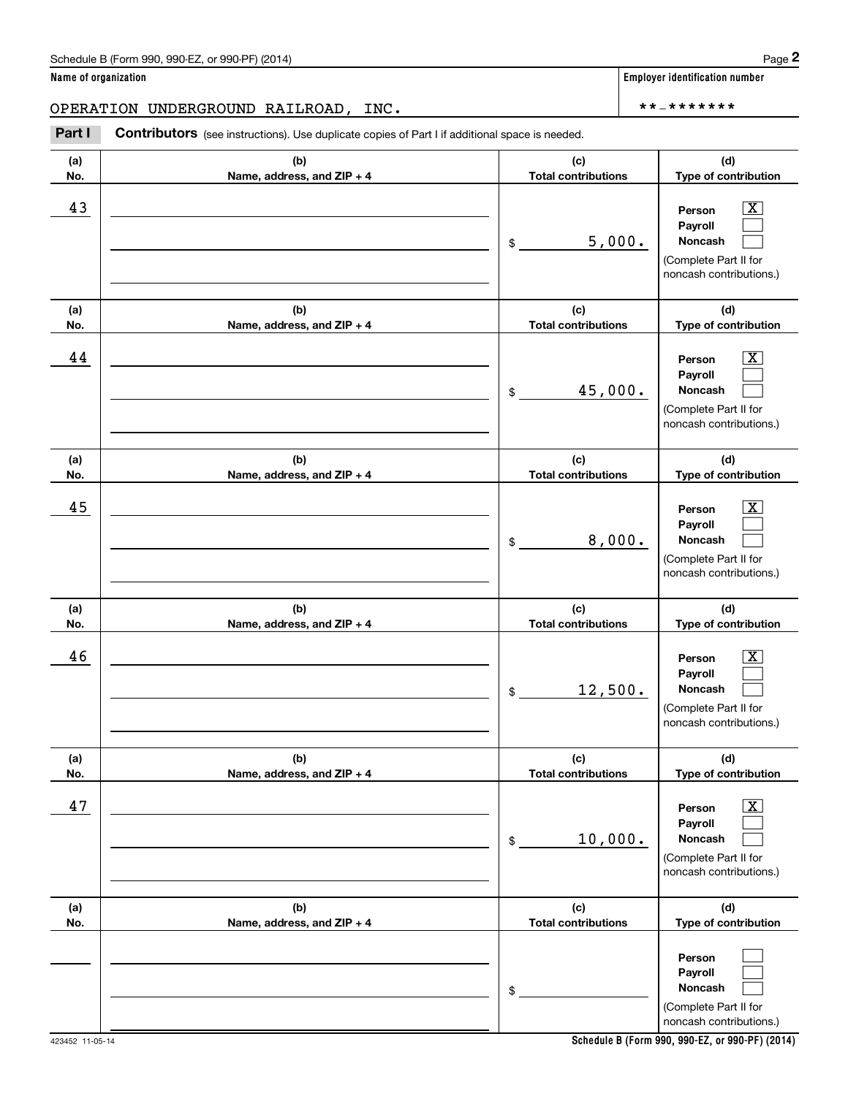(see instructions). Use duplicate copies of Part I if additional space is needed.<br> **2PERATION UNDERGROUND RAILROAD, INC.**<br> **Part I Contributors** (see instructions). Use duplicate copies of Part I if additional space is n

| (a) | (b)                        | (c)                        | (d)                                                                                                         |
|-----|----------------------------|----------------------------|-------------------------------------------------------------------------------------------------------------|
| No. | Name, address, and ZIP + 4 | <b>Total contributions</b> | Type of contribution                                                                                        |
| 43  |                            | 5,000.<br>\$               | х<br>Person<br>Payroll<br>Noncash<br>(Complete Part II for<br>noncash contributions.)                       |
| (a) | (b)                        | (c)                        | (d)                                                                                                         |
| No. | Name, address, and ZIP + 4 | <b>Total contributions</b> | Type of contribution                                                                                        |
| 44  |                            | 45,000.<br>\$              | х<br>Person<br>Payroll<br>Noncash<br>(Complete Part II for<br>noncash contributions.)                       |
| (a) | (b)                        | (c)                        | (d)                                                                                                         |
| No. | Name, address, and ZIP + 4 | <b>Total contributions</b> | Type of contribution                                                                                        |
| 45  |                            | 8,000.<br>\$               | х<br>Person<br>Payroll<br>Noncash<br>(Complete Part II for<br>noncash contributions.)                       |
| (a) | (b)                        | (c)                        | (d)                                                                                                         |
| No. | Name, address, and ZIP + 4 | <b>Total contributions</b> | Type of contribution                                                                                        |
| 46  |                            | 12,500.<br>\$              | х<br>Person<br>Payroll<br>Noncash<br>(Complete Part II for<br>noncash contributions.)                       |
| (a) | (b)                        | (c)                        | (d)                                                                                                         |
| No. | Name, address, and ZIP + 4 | <b>Total contributions</b> | Type of contribution                                                                                        |
| 47  |                            | 10,000.<br>$$\mathbb{S}$$  | $\overline{\mathbf{X}}$<br>Person<br>Payroll<br>Noncash<br>(Complete Part II for<br>noncash contributions.) |
| (a) | (b)                        | (c)                        | (d)                                                                                                         |
| No. | Name, address, and ZIP + 4 | <b>Total contributions</b> | Type of contribution                                                                                        |
|     |                            | \$                         | Person<br>Payroll<br>Noncash<br>(Complete Part II for<br>noncash contributions.)                            |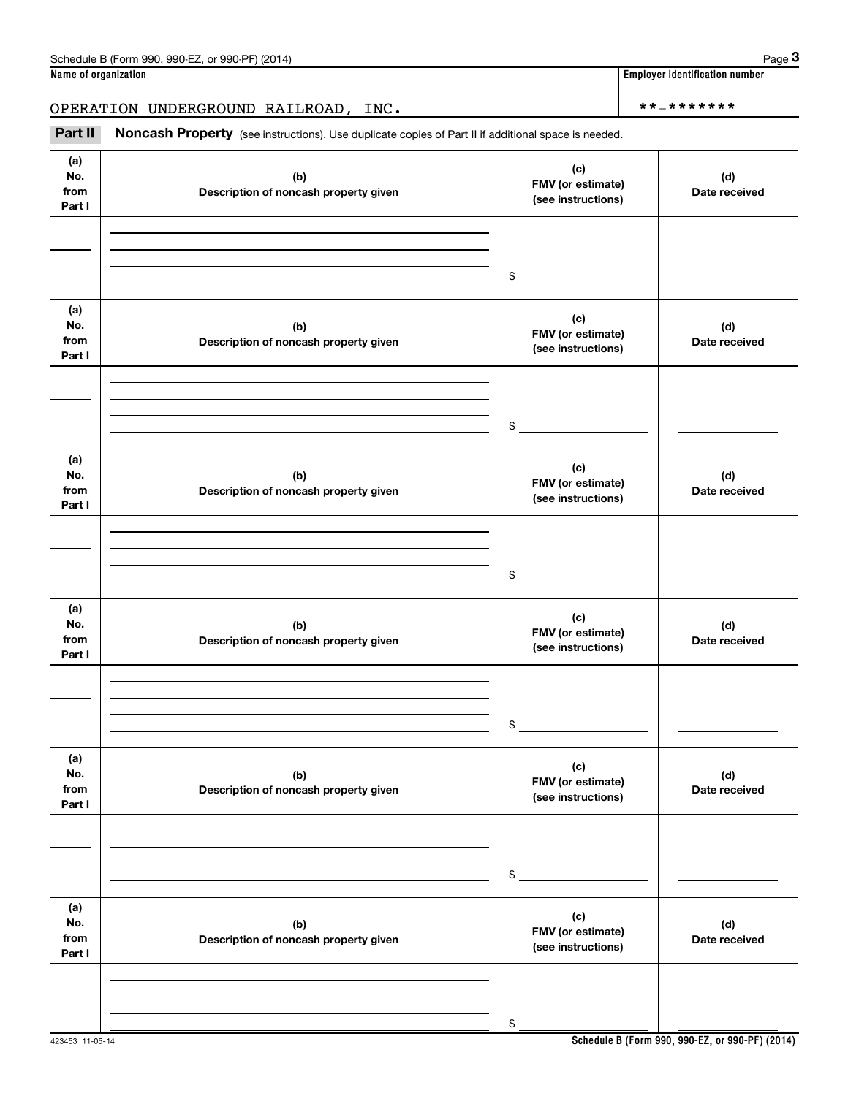(see instructions). Use duplicate copies of Part II if additional space is needed.<br> **PERATION UNDERGROUND RAILROAD, INC.**<br> **Part II Noncash Property** (see instructions). Use duplicate copies of Part II if additional spac

| (a)<br>No.<br>from<br>Part I | (b)<br>Description of noncash property given | (c)<br>FMV (or estimate)<br>(see instructions) | (d)<br>Date received |
|------------------------------|----------------------------------------------|------------------------------------------------|----------------------|
|                              |                                              |                                                |                      |
|                              |                                              | \$                                             |                      |
| (a)<br>No.<br>from<br>Part I | (b)<br>Description of noncash property given | (c)<br>FMV (or estimate)<br>(see instructions) | (d)<br>Date received |
|                              |                                              |                                                |                      |
|                              |                                              | $$\mathbb{S}$$                                 |                      |
| (a)<br>No.<br>from<br>Part I | (b)<br>Description of noncash property given | (c)<br>FMV (or estimate)<br>(see instructions) | (d)<br>Date received |
|                              |                                              |                                                |                      |
|                              |                                              | $\$$                                           |                      |
| (a)<br>No.<br>from<br>Part I | (b)<br>Description of noncash property given | (c)<br>FMV (or estimate)<br>(see instructions) | (d)<br>Date received |
|                              |                                              |                                                |                      |
|                              |                                              | \$                                             |                      |
| (a)<br>No.<br>from<br>Part I | (b)<br>Description of noncash property given | (c)<br>FMV (or estimate)<br>(see instructions) | (d)<br>Date received |
|                              |                                              |                                                |                      |
|                              |                                              | \$                                             |                      |
| (a)<br>No.<br>from<br>Part I | (b)<br>Description of noncash property given | (c)<br>FMV (or estimate)<br>(see instructions) | (d)<br>Date received |
|                              |                                              |                                                |                      |
|                              |                                              | \$                                             |                      |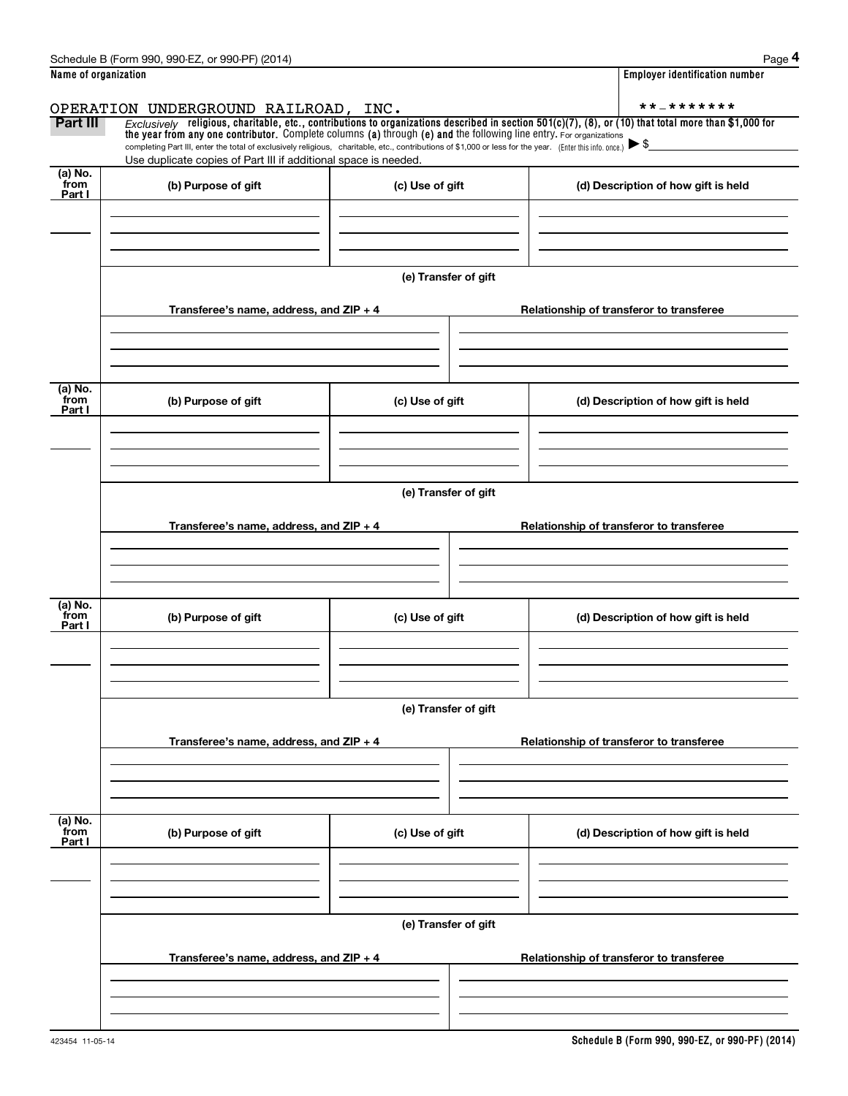|                      | Schedule B (Form 990, 990-EZ, or 990-PF) (2014)                                                                                                                                                                                                                                                          |                      |                                          |  | Page 4                                   |  |  |  |  |  |  |
|----------------------|----------------------------------------------------------------------------------------------------------------------------------------------------------------------------------------------------------------------------------------------------------------------------------------------------------|----------------------|------------------------------------------|--|------------------------------------------|--|--|--|--|--|--|
| Name of organization |                                                                                                                                                                                                                                                                                                          |                      |                                          |  | <b>Employer identification number</b>    |  |  |  |  |  |  |
|                      |                                                                                                                                                                                                                                                                                                          |                      |                                          |  | **_*******                               |  |  |  |  |  |  |
| Part III             | OPERATION UNDERGROUND RAILROAD, INC.<br>Exclusively religious, charitable, etc., contributions to organizations described in section $501(c)(7)$ , (8), or (10) that total more than \$1,000 for                                                                                                         |                      |                                          |  |                                          |  |  |  |  |  |  |
|                      | the year from any one contributor. Complete columns (a) through (e) and the following line entry. For organizations<br>completing Part III, enter the total of exclusively religious, charitable, etc., contributions of \$1,000 or less for the year. (Enter this info. once.) $\blacktriangleright$ \$ |                      |                                          |  |                                          |  |  |  |  |  |  |
|                      | Use duplicate copies of Part III if additional space is needed.                                                                                                                                                                                                                                          |                      |                                          |  |                                          |  |  |  |  |  |  |
| (a) No.<br>from      | (b) Purpose of gift                                                                                                                                                                                                                                                                                      | (c) Use of gift      |                                          |  | (d) Description of how gift is held      |  |  |  |  |  |  |
| Part I               |                                                                                                                                                                                                                                                                                                          |                      |                                          |  |                                          |  |  |  |  |  |  |
|                      |                                                                                                                                                                                                                                                                                                          |                      |                                          |  |                                          |  |  |  |  |  |  |
|                      |                                                                                                                                                                                                                                                                                                          |                      |                                          |  |                                          |  |  |  |  |  |  |
|                      |                                                                                                                                                                                                                                                                                                          |                      |                                          |  |                                          |  |  |  |  |  |  |
|                      |                                                                                                                                                                                                                                                                                                          | (e) Transfer of gift |                                          |  |                                          |  |  |  |  |  |  |
|                      | Transferee's name, address, and $ZIP + 4$                                                                                                                                                                                                                                                                |                      |                                          |  | Relationship of transferor to transferee |  |  |  |  |  |  |
|                      |                                                                                                                                                                                                                                                                                                          |                      |                                          |  |                                          |  |  |  |  |  |  |
|                      |                                                                                                                                                                                                                                                                                                          |                      |                                          |  |                                          |  |  |  |  |  |  |
|                      |                                                                                                                                                                                                                                                                                                          |                      |                                          |  |                                          |  |  |  |  |  |  |
| (a) No.              |                                                                                                                                                                                                                                                                                                          |                      |                                          |  |                                          |  |  |  |  |  |  |
| from<br>Part I       | (b) Purpose of gift                                                                                                                                                                                                                                                                                      | (c) Use of gift      |                                          |  | (d) Description of how gift is held      |  |  |  |  |  |  |
|                      |                                                                                                                                                                                                                                                                                                          |                      |                                          |  |                                          |  |  |  |  |  |  |
|                      |                                                                                                                                                                                                                                                                                                          |                      |                                          |  |                                          |  |  |  |  |  |  |
|                      |                                                                                                                                                                                                                                                                                                          |                      |                                          |  |                                          |  |  |  |  |  |  |
|                      |                                                                                                                                                                                                                                                                                                          |                      |                                          |  |                                          |  |  |  |  |  |  |
|                      | (e) Transfer of gift                                                                                                                                                                                                                                                                                     |                      |                                          |  |                                          |  |  |  |  |  |  |
|                      | Transferee's name, address, and $ZIP + 4$                                                                                                                                                                                                                                                                |                      |                                          |  | Relationship of transferor to transferee |  |  |  |  |  |  |
|                      |                                                                                                                                                                                                                                                                                                          |                      |                                          |  |                                          |  |  |  |  |  |  |
|                      |                                                                                                                                                                                                                                                                                                          |                      |                                          |  |                                          |  |  |  |  |  |  |
|                      |                                                                                                                                                                                                                                                                                                          |                      |                                          |  |                                          |  |  |  |  |  |  |
| (a) No.<br>from      |                                                                                                                                                                                                                                                                                                          |                      |                                          |  |                                          |  |  |  |  |  |  |
| Part I               | (b) Purpose of gift                                                                                                                                                                                                                                                                                      | (c) Use of gift      |                                          |  | (d) Description of how gift is held      |  |  |  |  |  |  |
|                      |                                                                                                                                                                                                                                                                                                          |                      |                                          |  |                                          |  |  |  |  |  |  |
|                      |                                                                                                                                                                                                                                                                                                          |                      |                                          |  |                                          |  |  |  |  |  |  |
|                      |                                                                                                                                                                                                                                                                                                          |                      |                                          |  |                                          |  |  |  |  |  |  |
|                      |                                                                                                                                                                                                                                                                                                          | (e) Transfer of gift |                                          |  |                                          |  |  |  |  |  |  |
|                      |                                                                                                                                                                                                                                                                                                          |                      |                                          |  |                                          |  |  |  |  |  |  |
|                      | Transferee's name, address, and ZIP + 4                                                                                                                                                                                                                                                                  |                      |                                          |  | Relationship of transferor to transferee |  |  |  |  |  |  |
|                      |                                                                                                                                                                                                                                                                                                          |                      |                                          |  |                                          |  |  |  |  |  |  |
|                      |                                                                                                                                                                                                                                                                                                          |                      |                                          |  |                                          |  |  |  |  |  |  |
| (a) No.              |                                                                                                                                                                                                                                                                                                          |                      |                                          |  |                                          |  |  |  |  |  |  |
| from<br>Part I       | (b) Purpose of gift                                                                                                                                                                                                                                                                                      | (c) Use of gift      |                                          |  | (d) Description of how gift is held      |  |  |  |  |  |  |
|                      |                                                                                                                                                                                                                                                                                                          |                      |                                          |  |                                          |  |  |  |  |  |  |
|                      |                                                                                                                                                                                                                                                                                                          |                      |                                          |  |                                          |  |  |  |  |  |  |
|                      |                                                                                                                                                                                                                                                                                                          |                      |                                          |  |                                          |  |  |  |  |  |  |
|                      |                                                                                                                                                                                                                                                                                                          |                      |                                          |  |                                          |  |  |  |  |  |  |
|                      | (e) Transfer of gift                                                                                                                                                                                                                                                                                     |                      |                                          |  |                                          |  |  |  |  |  |  |
|                      | Transferee's name, address, and ZIP + 4                                                                                                                                                                                                                                                                  |                      | Relationship of transferor to transferee |  |                                          |  |  |  |  |  |  |
|                      |                                                                                                                                                                                                                                                                                                          |                      |                                          |  |                                          |  |  |  |  |  |  |
|                      |                                                                                                                                                                                                                                                                                                          |                      |                                          |  |                                          |  |  |  |  |  |  |
|                      |                                                                                                                                                                                                                                                                                                          |                      |                                          |  |                                          |  |  |  |  |  |  |
|                      |                                                                                                                                                                                                                                                                                                          |                      |                                          |  |                                          |  |  |  |  |  |  |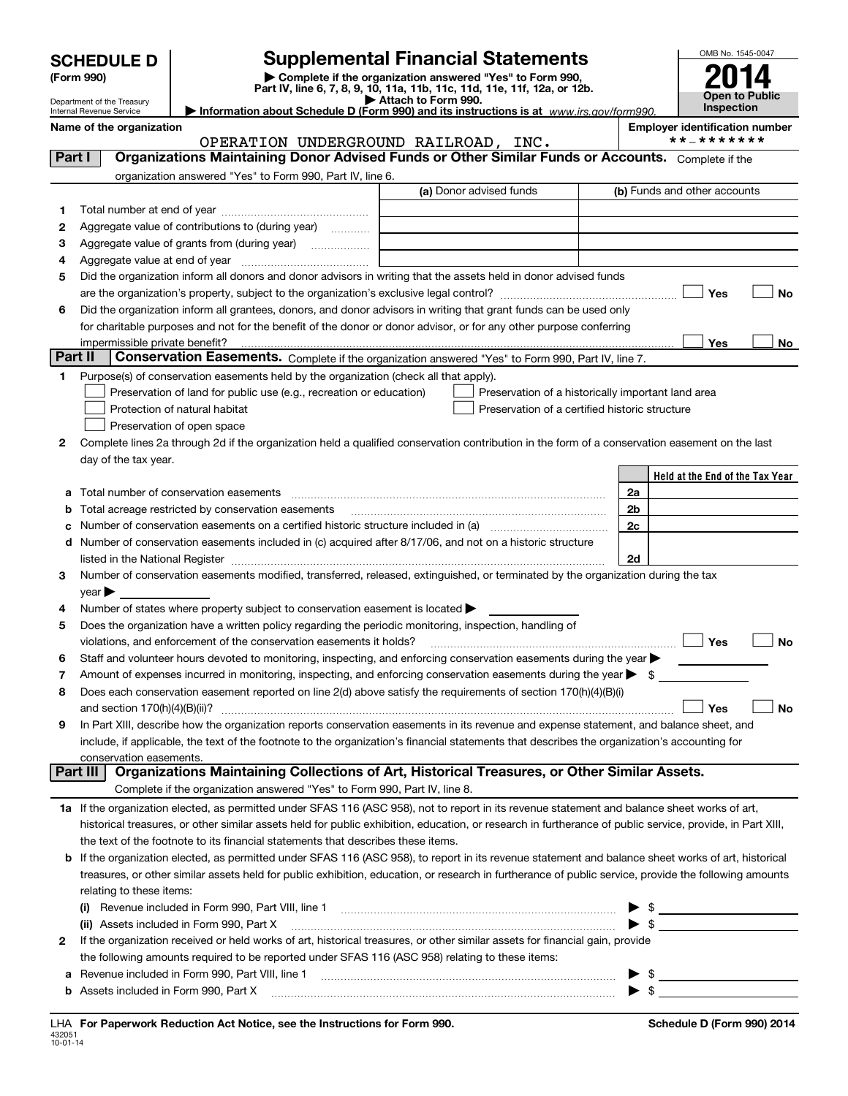| <b>SCHEDULE D</b> |  |
|-------------------|--|
|-------------------|--|

 $\mathsf{D}$ f the Treasury

| (Form 990) |  |
|------------|--|
|------------|--|

# **SCHEDULE D Supplemental Financial Statements**

**(Form 990) and Solution 200 Complete if the organization answered "Yes" to Form 990,<br>Part IV, line 6, 7, 8, 9, 10, 11a, 11b, 11c, 11d, 11e, 11f, 12a, or 12b.<br><b>Department of the Treasury** 

|  |                                         |  | Attach to Form 990. |  |
|--|-----------------------------------------|--|---------------------|--|
|  | $\sim$ D (Ferm 000) and its instruction |  |                     |  |



|         |                                                                                                                                                           | Department or the Treasur<br>Internal Revenue Service                                 |  |  |  |  |  |            |  |  | Information about Schedule D (Form 990) and its instructions is at www.irs.gov/form990.                                                        |  |                          |    |  | Inspection                   |                                                             |    |
|---------|-----------------------------------------------------------------------------------------------------------------------------------------------------------|---------------------------------------------------------------------------------------|--|--|--|--|--|------------|--|--|------------------------------------------------------------------------------------------------------------------------------------------------|--|--------------------------|----|--|------------------------------|-------------------------------------------------------------|----|
|         | Name of the organization                                                                                                                                  |                                                                                       |  |  |  |  |  |            |  |  | <b>Employer identification number</b>                                                                                                          |  |                          |    |  |                              |                                                             |    |
|         | OPERATION UNDERGROUND RAILROAD, INC.<br>Organizations Maintaining Donor Advised Funds or Other Similar Funds or Accounts. Complete if the                 |                                                                                       |  |  |  |  |  | **_******* |  |  |                                                                                                                                                |  |                          |    |  |                              |                                                             |    |
| Part I  |                                                                                                                                                           |                                                                                       |  |  |  |  |  |            |  |  |                                                                                                                                                |  |                          |    |  |                              |                                                             |    |
|         |                                                                                                                                                           | organization answered "Yes" to Form 990, Part IV, line 6.                             |  |  |  |  |  |            |  |  |                                                                                                                                                |  |                          |    |  |                              |                                                             |    |
|         |                                                                                                                                                           |                                                                                       |  |  |  |  |  |            |  |  | (a) Donor advised funds                                                                                                                        |  |                          |    |  | (b) Funds and other accounts |                                                             |    |
| 1.      |                                                                                                                                                           |                                                                                       |  |  |  |  |  |            |  |  |                                                                                                                                                |  |                          |    |  |                              |                                                             |    |
| 2       |                                                                                                                                                           | Aggregate value of contributions to (during year)                                     |  |  |  |  |  |            |  |  |                                                                                                                                                |  |                          |    |  |                              |                                                             |    |
| з       |                                                                                                                                                           | Aggregate value of grants from (during year)                                          |  |  |  |  |  |            |  |  |                                                                                                                                                |  |                          |    |  |                              |                                                             |    |
| 4       |                                                                                                                                                           |                                                                                       |  |  |  |  |  |            |  |  |                                                                                                                                                |  |                          |    |  |                              |                                                             |    |
| 5       |                                                                                                                                                           |                                                                                       |  |  |  |  |  |            |  |  | Did the organization inform all donors and donor advisors in writing that the assets held in donor advised funds                               |  |                          |    |  |                              |                                                             |    |
|         |                                                                                                                                                           |                                                                                       |  |  |  |  |  |            |  |  |                                                                                                                                                |  |                          |    |  | Yes                          |                                                             | No |
| 6       |                                                                                                                                                           |                                                                                       |  |  |  |  |  |            |  |  | Did the organization inform all grantees, donors, and donor advisors in writing that grant funds can be used only                              |  |                          |    |  |                              |                                                             |    |
|         |                                                                                                                                                           |                                                                                       |  |  |  |  |  |            |  |  | for charitable purposes and not for the benefit of the donor or donor advisor, or for any other purpose conferring                             |  |                          |    |  |                              |                                                             |    |
|         |                                                                                                                                                           | impermissible private benefit?                                                        |  |  |  |  |  |            |  |  |                                                                                                                                                |  |                          |    |  | Yes                          |                                                             | No |
| Part II |                                                                                                                                                           |                                                                                       |  |  |  |  |  |            |  |  | Conservation Easements. Complete if the organization answered "Yes" to Form 990, Part IV, line 7.                                              |  |                          |    |  |                              |                                                             |    |
| 1       |                                                                                                                                                           | Purpose(s) of conservation easements held by the organization (check all that apply). |  |  |  |  |  |            |  |  |                                                                                                                                                |  |                          |    |  |                              |                                                             |    |
|         |                                                                                                                                                           | Preservation of land for public use (e.g., recreation or education)                   |  |  |  |  |  |            |  |  | Preservation of a historically important land area                                                                                             |  |                          |    |  |                              |                                                             |    |
|         |                                                                                                                                                           | Protection of natural habitat                                                         |  |  |  |  |  |            |  |  | Preservation of a certified historic structure                                                                                                 |  |                          |    |  |                              |                                                             |    |
|         |                                                                                                                                                           | Preservation of open space                                                            |  |  |  |  |  |            |  |  |                                                                                                                                                |  |                          |    |  |                              |                                                             |    |
| 2       |                                                                                                                                                           |                                                                                       |  |  |  |  |  |            |  |  | Complete lines 2a through 2d if the organization held a qualified conservation contribution in the form of a conservation easement on the last |  |                          |    |  |                              |                                                             |    |
|         |                                                                                                                                                           | day of the tax year.                                                                  |  |  |  |  |  |            |  |  |                                                                                                                                                |  |                          |    |  |                              |                                                             |    |
|         |                                                                                                                                                           |                                                                                       |  |  |  |  |  |            |  |  |                                                                                                                                                |  |                          |    |  |                              | Held at the End of the Tax Year                             |    |
| a       |                                                                                                                                                           | Total number of conservation easements                                                |  |  |  |  |  |            |  |  |                                                                                                                                                |  | 2a                       |    |  |                              |                                                             |    |
| b       |                                                                                                                                                           | Total acreage restricted by conservation easements                                    |  |  |  |  |  |            |  |  |                                                                                                                                                |  | 2b                       |    |  |                              |                                                             |    |
| с       |                                                                                                                                                           |                                                                                       |  |  |  |  |  |            |  |  |                                                                                                                                                |  | 2c                       |    |  |                              |                                                             |    |
| d       |                                                                                                                                                           |                                                                                       |  |  |  |  |  |            |  |  | Number of conservation easements included in (c) acquired after 8/17/06, and not on a historic structure                                       |  |                          |    |  |                              |                                                             |    |
|         |                                                                                                                                                           |                                                                                       |  |  |  |  |  |            |  |  |                                                                                                                                                |  | 2d                       |    |  |                              |                                                             |    |
| 3       |                                                                                                                                                           |                                                                                       |  |  |  |  |  |            |  |  | Number of conservation easements modified, transferred, released, extinguished, or terminated by the organization during the tax               |  |                          |    |  |                              |                                                             |    |
|         | $\mathsf{year}$                                                                                                                                           |                                                                                       |  |  |  |  |  |            |  |  |                                                                                                                                                |  |                          |    |  |                              |                                                             |    |
| 4       |                                                                                                                                                           | Number of states where property subject to conservation easement is located >         |  |  |  |  |  |            |  |  |                                                                                                                                                |  |                          |    |  |                              |                                                             |    |
| 5       |                                                                                                                                                           |                                                                                       |  |  |  |  |  |            |  |  | Does the organization have a written policy regarding the periodic monitoring, inspection, handling of                                         |  |                          |    |  |                              |                                                             |    |
|         |                                                                                                                                                           | violations, and enforcement of the conservation easements it holds?                   |  |  |  |  |  |            |  |  |                                                                                                                                                |  |                          |    |  | Yes                          |                                                             | No |
| 6       |                                                                                                                                                           |                                                                                       |  |  |  |  |  |            |  |  | Staff and volunteer hours devoted to monitoring, inspecting, and enforcing conservation easements during the year                              |  |                          |    |  |                              |                                                             |    |
| 7       |                                                                                                                                                           |                                                                                       |  |  |  |  |  |            |  |  | Amount of expenses incurred in monitoring, inspecting, and enforcing conservation easements during the year $\blacktriangleright$ \$           |  |                          |    |  |                              |                                                             |    |
| 8       |                                                                                                                                                           |                                                                                       |  |  |  |  |  |            |  |  | Does each conservation easement reported on line 2(d) above satisfy the requirements of section 170(h)(4)(B)(i)                                |  |                          |    |  |                              |                                                             |    |
|         |                                                                                                                                                           |                                                                                       |  |  |  |  |  |            |  |  |                                                                                                                                                |  |                          |    |  | <b>Yes</b>                   |                                                             | No |
|         |                                                                                                                                                           |                                                                                       |  |  |  |  |  |            |  |  | In Part XIII, describe how the organization reports conservation easements in its revenue and expense statement, and balance sheet, and        |  |                          |    |  |                              |                                                             |    |
|         | include, if applicable, the text of the footnote to the organization's financial statements that describes the organization's accounting for              |                                                                                       |  |  |  |  |  |            |  |  |                                                                                                                                                |  |                          |    |  |                              |                                                             |    |
|         |                                                                                                                                                           | conservation easements.                                                               |  |  |  |  |  |            |  |  |                                                                                                                                                |  |                          |    |  |                              |                                                             |    |
|         | Part III                                                                                                                                                  |                                                                                       |  |  |  |  |  |            |  |  | Organizations Maintaining Collections of Art, Historical Treasures, or Other Similar Assets.                                                   |  |                          |    |  |                              |                                                             |    |
|         |                                                                                                                                                           | Complete if the organization answered "Yes" to Form 990, Part IV, line 8.             |  |  |  |  |  |            |  |  |                                                                                                                                                |  |                          |    |  |                              |                                                             |    |
|         |                                                                                                                                                           |                                                                                       |  |  |  |  |  |            |  |  | 1a If the organization elected, as permitted under SFAS 116 (ASC 958), not to report in its revenue statement and balance sheet works of art,  |  |                          |    |  |                              |                                                             |    |
|         | historical treasures, or other similar assets held for public exhibition, education, or research in furtherance of public service, provide, in Part XIII, |                                                                                       |  |  |  |  |  |            |  |  |                                                                                                                                                |  |                          |    |  |                              |                                                             |    |
|         | the text of the footnote to its financial statements that describes these items.                                                                          |                                                                                       |  |  |  |  |  |            |  |  |                                                                                                                                                |  |                          |    |  |                              |                                                             |    |
| b       | If the organization elected, as permitted under SFAS 116 (ASC 958), to report in its revenue statement and balance sheet works of art, historical         |                                                                                       |  |  |  |  |  |            |  |  |                                                                                                                                                |  |                          |    |  |                              |                                                             |    |
|         | treasures, or other similar assets held for public exhibition, education, or research in furtherance of public service, provide the following amounts     |                                                                                       |  |  |  |  |  |            |  |  |                                                                                                                                                |  |                          |    |  |                              |                                                             |    |
|         |                                                                                                                                                           | relating to these items:                                                              |  |  |  |  |  |            |  |  |                                                                                                                                                |  |                          |    |  |                              |                                                             |    |
|         |                                                                                                                                                           |                                                                                       |  |  |  |  |  |            |  |  |                                                                                                                                                |  | ▶                        | \$ |  |                              | <u>and the state of the state of the state of the state</u> |    |
|         |                                                                                                                                                           | (ii) Assets included in Form 990, Part X                                              |  |  |  |  |  |            |  |  |                                                                                                                                                |  | $\blacktriangleright$ \$ |    |  |                              |                                                             |    |
| 2       |                                                                                                                                                           |                                                                                       |  |  |  |  |  |            |  |  | If the organization received or held works of art, historical treasures, or other similar assets for financial gain, provide                   |  |                          |    |  |                              |                                                             |    |

the following amounts required to be reported under SFAS 116 (ASC 958) relating to these items:

| a Revenue included in Form 990, Part VIII, line 1 |  |
|---------------------------------------------------|--|
| h Assats included in Form 000 Part Y              |  |

 $\blacktriangleright$  \$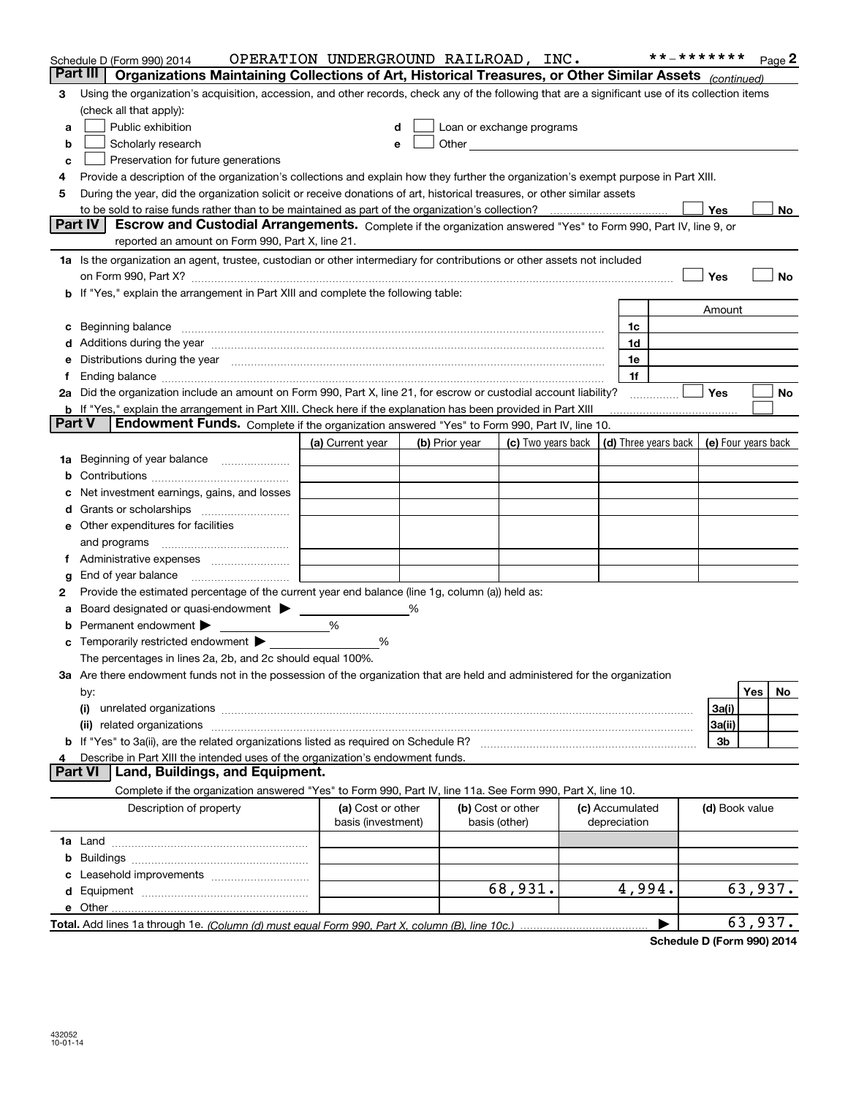|               | Schedule D (Form 990) 2014<br>Part III<br>Organizations Maintaining Collections of Art, Historical Treasures, or Other Similar Assets (continued)                                                                              | OPERATION UNDERGROUND RAILROAD, INC. |   |                |                                         |            |                 | **_******* |                     |         | Page 2 |
|---------------|--------------------------------------------------------------------------------------------------------------------------------------------------------------------------------------------------------------------------------|--------------------------------------|---|----------------|-----------------------------------------|------------|-----------------|------------|---------------------|---------|--------|
| 3             | Using the organization's acquisition, accession, and other records, check any of the following that are a significant use of its collection items<br>(check all that apply):                                                   |                                      |   |                |                                         |            |                 |            |                     |         |        |
| a             | Public exhibition                                                                                                                                                                                                              | d                                    |   |                | Loan or exchange programs               |            |                 |            |                     |         |        |
| b             | Scholarly research                                                                                                                                                                                                             | е                                    |   |                |                                         |            |                 |            |                     |         |        |
| c             | Preservation for future generations                                                                                                                                                                                            |                                      |   |                |                                         |            |                 |            |                     |         |        |
| 4             | Provide a description of the organization's collections and explain how they further the organization's exempt purpose in Part XIII.                                                                                           |                                      |   |                |                                         |            |                 |            |                     |         |        |
| 5             | During the year, did the organization solicit or receive donations of art, historical treasures, or other similar assets                                                                                                       |                                      |   |                |                                         |            |                 |            |                     |         |        |
|               | to be sold to raise funds rather than to be maintained as part of the organization's collection?                                                                                                                               |                                      |   |                |                                         | . <u>.</u> |                 |            | Yes                 |         | No     |
| Part IV       | Escrow and Custodial Arrangements. Complete if the organization answered "Yes" to Form 990, Part IV, line 9, or                                                                                                                |                                      |   |                |                                         |            |                 |            |                     |         |        |
|               | reported an amount on Form 990, Part X, line 21.                                                                                                                                                                               |                                      |   |                |                                         |            |                 |            |                     |         |        |
|               | 1a Is the organization an agent, trustee, custodian or other intermediary for contributions or other assets not included                                                                                                       |                                      |   |                |                                         |            |                 |            |                     |         |        |
|               | on Form 990, Part X? [11] matter contracts and contracts and contracts are contracted as a form 990, Part X?                                                                                                                   |                                      |   |                |                                         |            |                 |            | Yes                 |         | No     |
|               | b If "Yes," explain the arrangement in Part XIII and complete the following table:                                                                                                                                             |                                      |   |                |                                         |            |                 |            |                     |         |        |
|               |                                                                                                                                                                                                                                |                                      |   |                |                                         |            |                 |            | Amount              |         |        |
|               | c Beginning balance measurements and the contract of the contract of the contract of the contract of the contract of the contract of the contract of the contract of the contract of the contract of the contract of the contr |                                      |   |                |                                         |            | 1c              |            |                     |         |        |
|               | d Additions during the year measurements are all an according to the year measurement of the year measurement of the state of the state of the state of the state of the state of the state of the state of the state of the s |                                      |   |                |                                         |            | 1d              |            |                     |         |        |
|               | e Distributions during the year manufactured and continuum control of the control of the control of the control of the control of the control of the control of the control of the control of the control of the control of th |                                      |   |                |                                         |            | 1e              |            |                     |         |        |
| Ť.            | Ending balance material continuum contract and a state of the contract of the contract of the contract of the contract of the contract of the contract of the contract of the contract of the contract of the contract of the  |                                      |   |                |                                         |            | 1f              |            |                     |         |        |
|               | 2a Did the organization include an amount on Form 990, Part X, line 21, for escrow or custodial account liability?                                                                                                             |                                      |   |                |                                         |            |                 |            | Yes                 |         | No     |
|               | <b>b</b> If "Yes," explain the arrangement in Part XIII. Check here if the explanation has been provided in Part XIII                                                                                                          |                                      |   |                |                                         |            |                 |            |                     |         |        |
| <b>Part V</b> | Endowment Funds. Complete if the organization answered "Yes" to Form 990, Part IV, line 10.                                                                                                                                    |                                      |   |                |                                         |            |                 |            |                     |         |        |
|               |                                                                                                                                                                                                                                | (a) Current year                     |   | (b) Prior year | (c) Two years back (d) Three years back |            |                 |            | (e) Four years back |         |        |
|               | 1a Beginning of year balance                                                                                                                                                                                                   |                                      |   |                |                                         |            |                 |            |                     |         |        |
|               |                                                                                                                                                                                                                                |                                      |   |                |                                         |            |                 |            |                     |         |        |
|               | c Net investment earnings, gains, and losses                                                                                                                                                                                   |                                      |   |                |                                         |            |                 |            |                     |         |        |
|               |                                                                                                                                                                                                                                |                                      |   |                |                                         |            |                 |            |                     |         |        |
|               | e Other expenditures for facilities                                                                                                                                                                                            |                                      |   |                |                                         |            |                 |            |                     |         |        |
|               | and programs                                                                                                                                                                                                                   |                                      |   |                |                                         |            |                 |            |                     |         |        |
|               |                                                                                                                                                                                                                                |                                      |   |                |                                         |            |                 |            |                     |         |        |
| g             |                                                                                                                                                                                                                                |                                      |   |                |                                         |            |                 |            |                     |         |        |
| 2             | Provide the estimated percentage of the current year end balance (line 1g, column (a)) held as:                                                                                                                                |                                      |   |                |                                         |            |                 |            |                     |         |        |
|               | a Board designated or quasi-endowment > _____                                                                                                                                                                                  |                                      | % |                |                                         |            |                 |            |                     |         |        |
|               | <b>b</b> Permanent endowment $\blacktriangleright$                                                                                                                                                                             | %                                    |   |                |                                         |            |                 |            |                     |         |        |
|               | <b>c</b> Temporarily restricted endowment $\blacktriangleright$                                                                                                                                                                | %                                    |   |                |                                         |            |                 |            |                     |         |        |
|               | The percentages in lines 2a, 2b, and 2c should equal 100%.                                                                                                                                                                     |                                      |   |                |                                         |            |                 |            |                     |         |        |
|               | 3a Are there endowment funds not in the possession of the organization that are held and administered for the organization                                                                                                     |                                      |   |                |                                         |            |                 |            |                     |         |        |
|               | by:                                                                                                                                                                                                                            |                                      |   |                |                                         |            |                 |            |                     | Yes     | No     |
|               | (i)                                                                                                                                                                                                                            |                                      |   |                |                                         |            |                 |            | 3a(i)               |         |        |
|               |                                                                                                                                                                                                                                |                                      |   |                |                                         |            |                 |            | 3a(ii)              |         |        |
|               | b If "Yes" to 3a(ii), are the related organizations listed as required on Schedule R?                                                                                                                                          |                                      |   |                |                                         |            |                 |            | 3b                  |         |        |
| 4             | Describe in Part XIII the intended uses of the organization's endowment funds.                                                                                                                                                 |                                      |   |                |                                         |            |                 |            |                     |         |        |
|               | Land, Buildings, and Equipment.<br><b>Part VI</b>                                                                                                                                                                              |                                      |   |                |                                         |            |                 |            |                     |         |        |
|               | Complete if the organization answered "Yes" to Form 990, Part IV, line 11a. See Form 990, Part X, line 10.                                                                                                                     |                                      |   |                |                                         |            |                 |            |                     |         |        |
|               | Description of property                                                                                                                                                                                                        | (a) Cost or other                    |   |                | (b) Cost or other                       |            | (c) Accumulated |            | (d) Book value      |         |        |
|               |                                                                                                                                                                                                                                | basis (investment)                   |   |                | basis (other)                           |            | depreciation    |            |                     |         |        |
|               |                                                                                                                                                                                                                                |                                      |   |                |                                         |            |                 |            |                     |         |        |
|               |                                                                                                                                                                                                                                |                                      |   |                |                                         |            |                 |            |                     |         |        |
|               |                                                                                                                                                                                                                                |                                      |   |                |                                         |            |                 |            |                     |         |        |
|               |                                                                                                                                                                                                                                |                                      |   |                | 68,931.                                 |            | 4,994.          |            |                     | 63,937. |        |
|               |                                                                                                                                                                                                                                |                                      |   |                |                                         |            |                 |            |                     |         |        |
|               |                                                                                                                                                                                                                                |                                      |   |                |                                         |            |                 |            |                     | 63,937. |        |

**Schedule D (Form 990) 2014**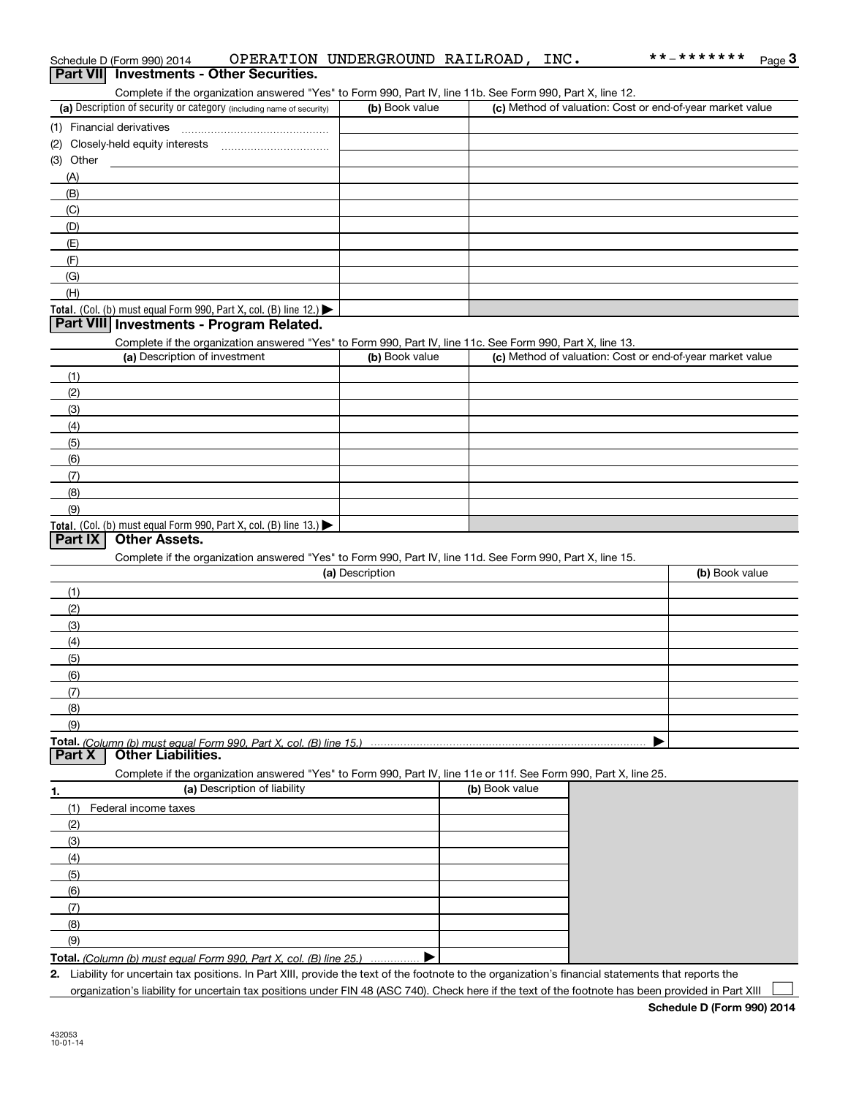| Schedule D (Form 990) 2014 |                                          | OPERATION UNDERGROUND RAILROAD, | INC. | **_******* | <b>ം</b> ം |
|----------------------------|------------------------------------------|---------------------------------|------|------------|------------|
|                            | Part VII Investments - Other Securities. |                                 |      |            |            |

Complete if the organization answered "Yes" to Form 990, Part IV, line 11b. See Form 990, Part X, line 12.

| (a) Description of security or category (including name of security) | (b) Book value | (c) Method of valuation: Cost or end-of-year market value |
|----------------------------------------------------------------------|----------------|-----------------------------------------------------------|
| (1) Financial derivatives                                            |                |                                                           |
| (2) Closely-held equity interests                                    |                |                                                           |
| (3) Other                                                            |                |                                                           |
| (A)                                                                  |                |                                                           |
| (B)                                                                  |                |                                                           |
| (C)                                                                  |                |                                                           |
| (D)                                                                  |                |                                                           |
| (E)                                                                  |                |                                                           |
| (F)                                                                  |                |                                                           |
| (G)                                                                  |                |                                                           |
| (H)                                                                  |                |                                                           |
| Total. (Col. (b) must equal Form 990, Part X, col. (B) line $12$ .)  |                |                                                           |

#### **Part VIII Investments - Program Related.**

Complete if the organization answered "Yes" to Form 990, Part IV, line 11c. See Form 990, Part X, line 13.

| (a) Description of investment                                                          | (b) Book value | (c) Method of valuation: Cost or end-of-year market value |
|----------------------------------------------------------------------------------------|----------------|-----------------------------------------------------------|
| (1)                                                                                    |                |                                                           |
| (2)                                                                                    |                |                                                           |
| (3)                                                                                    |                |                                                           |
| (4)                                                                                    |                |                                                           |
| (5)                                                                                    |                |                                                           |
| (6)                                                                                    |                |                                                           |
| (7)                                                                                    |                |                                                           |
| (8)                                                                                    |                |                                                           |
| (9)                                                                                    |                |                                                           |
| Total. (Col. (b) must equal Form 990, Part X, col. (B) line 13.) $\blacktriangleright$ |                |                                                           |

### **Part IX Other Assets.**

Complete if the organization answered "Yes" to Form 990, Part IV, line 11d. See Form 990, Part X, line 15.

| (a) Description                                                 | (b) Book value |
|-----------------------------------------------------------------|----------------|
| (1)                                                             |                |
| (2)                                                             |                |
| (3)                                                             |                |
| (4)                                                             |                |
| (5)                                                             |                |
| (6)                                                             |                |
| (7)                                                             |                |
| (8)                                                             |                |
| (9)                                                             |                |
| Total, $(Column(h) must equal Form 990 Part X col (R) line 15)$ |                |

**Total.**  *(Column (b) must equal Form 990, Part X, col. (B) line 15.)* **Part X Other Liabilities.**

Complete if the organization answered "Yes" to Form 990, Part IV, line 11e or 11f. See Form 990, Part X, line 25.

| 1.  | (a) Description of liability                                                       | (b) Book value |
|-----|------------------------------------------------------------------------------------|----------------|
| (1) | Federal income taxes                                                               |                |
| (2) |                                                                                    |                |
| (3) |                                                                                    |                |
| (4) |                                                                                    |                |
| (5) |                                                                                    |                |
| (6) |                                                                                    |                |
| (7) |                                                                                    |                |
| (8) |                                                                                    |                |
| (9) |                                                                                    |                |
|     | <b>Total.</b> (Column (b) must equal Form 990. Part X, col. (B) line 25.) $\ldots$ |                |

**Total.**  *(Column (b) must equal Form 990, Part X, col. (B) line 25.)* . . . . . . . . . . . . . . .

**2.** Liability for uncertain tax positions. In Part XIII, provide the text of the footnote to the organization's financial statements that reports the organization's liability for uncertain tax positions under FIN 48 (ASC 740). Check here if the text of the footnote has been provided in Part XIII  $\mathcal{L}^{\text{max}}$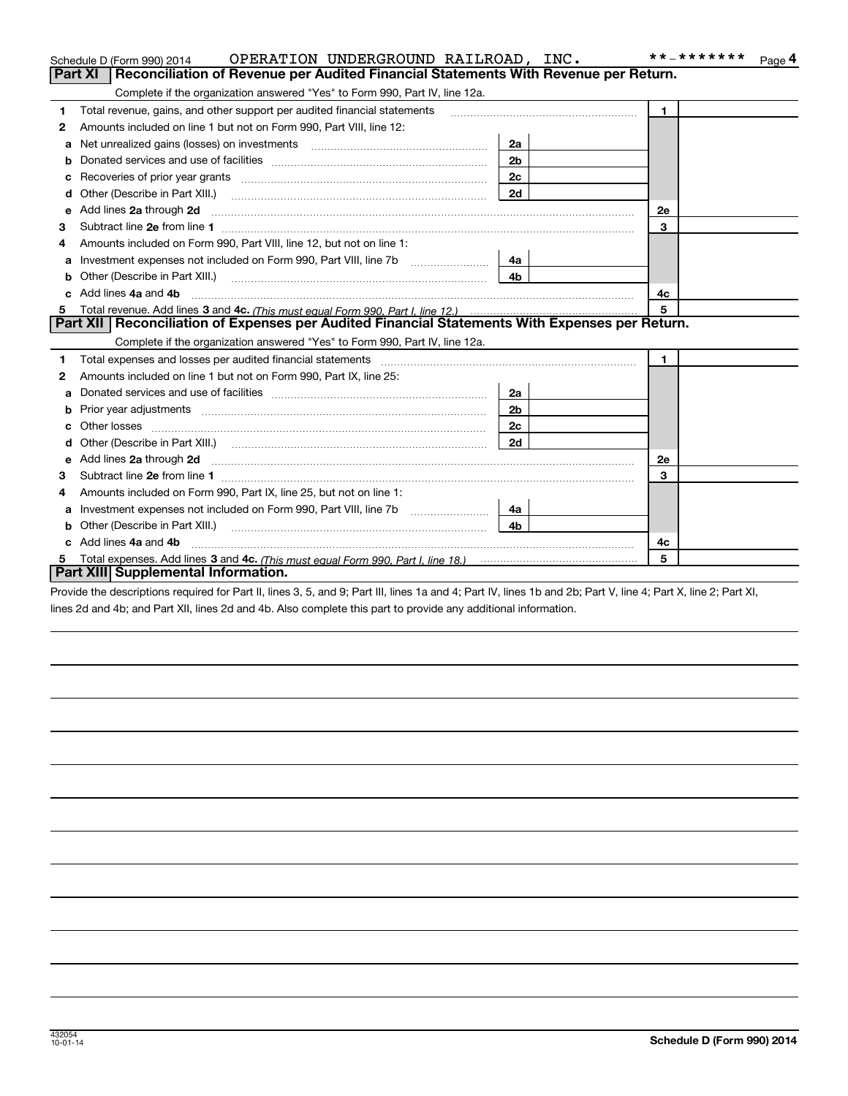|    | OPERATION UNDERGROUND RAILROAD, INC.<br>Schedule D (Form 990) 2014                                                                                                                                                                  |                | * * _ * * * * * * *<br>Page 4 |
|----|-------------------------------------------------------------------------------------------------------------------------------------------------------------------------------------------------------------------------------------|----------------|-------------------------------|
|    | Part XI<br>Reconciliation of Revenue per Audited Financial Statements With Revenue per Return.                                                                                                                                      |                |                               |
|    | Complete if the organization answered "Yes" to Form 990, Part IV, line 12a.                                                                                                                                                         |                |                               |
| 1  | Total revenue, gains, and other support per audited financial statements                                                                                                                                                            |                | $\blacksquare$                |
| 2  | Amounts included on line 1 but not on Form 990, Part VIII, line 12:                                                                                                                                                                 |                |                               |
| a  | Net unrealized gains (losses) on investments [11] matter contracts and the unrealized gains (losses) on investments                                                                                                                 | 2a             |                               |
| b  |                                                                                                                                                                                                                                     | 2 <sub>b</sub> |                               |
|    | Recoveries of prior year grants [111] [12] matter contracts are prior year grants [11] matter contracts and are recovered in the contracts of prior year grants [11] matter contracts are recovered in the contracts of prior       | 2c             |                               |
| d  |                                                                                                                                                                                                                                     | 2d             |                               |
| е  | Add lines 2a through 2d                                                                                                                                                                                                             |                | 2e                            |
| 3  |                                                                                                                                                                                                                                     |                | 3                             |
| 4  | Amounts included on Form 990, Part VIII, line 12, but not on line 1:                                                                                                                                                                |                |                               |
| a  | Investment expenses not included on Form 990, Part VIII, line 7b [111] [11] Investment expenses not included on Form 990, Part VIII, line 7b                                                                                        | 4a             |                               |
|    |                                                                                                                                                                                                                                     | 4 <sub>b</sub> |                               |
| c. | Add lines 4a and 4b                                                                                                                                                                                                                 | 4c             |                               |
|    |                                                                                                                                                                                                                                     |                | 5                             |
|    | Part XII   Reconciliation of Expenses per Audited Financial Statements With Expenses per Return.                                                                                                                                    |                |                               |
|    | Complete if the organization answered "Yes" to Form 990, Part IV, line 12a.                                                                                                                                                         |                |                               |
| 1  | Total expenses and losses per audited financial statements [11] [12] manuscription control expenses and losses per audited financial statements [12] manuscription of the statements [12] manuscription of the statements [12]      |                | $\blacksquare$                |
| 2  | Amounts included on line 1 but not on Form 990, Part IX, line 25:                                                                                                                                                                   |                |                               |
| a  |                                                                                                                                                                                                                                     | 2a             |                               |
| b  | Prior year adjustments entitled and the control of the control of the control of the control of the control of                                                                                                                      | 2 <sub>b</sub> |                               |
|    |                                                                                                                                                                                                                                     | 2c             |                               |
| d  |                                                                                                                                                                                                                                     | 2d             |                               |
| е  | Add lines 2a through 2d <b>must be a constructed as the constant of the S</b> and S and S and S and S and S and S and S and S and S and S and S and S and S and S and S and S and S and S and S and S and S and S and S and S and S |                | <b>2e</b>                     |
| 3  |                                                                                                                                                                                                                                     |                | 3                             |
| 4  | Amounts included on Form 990, Part IX, line 25, but not on line 1:                                                                                                                                                                  |                |                               |
| a  | Investment expenses not included on Form 990, Part VIII, line 7b [111] [11] Investment expenses not included on Form 990, Part VIII, line 7b                                                                                        | 4a l           |                               |
|    | Other (Describe in Part XIII.)                                                                                                                                                                                                      | 4 <sub>b</sub> |                               |
| c  | Add lines 4a and 4b                                                                                                                                                                                                                 |                | 4c                            |
|    |                                                                                                                                                                                                                                     |                | 5                             |
|    | Part XIII Supplemental Information.                                                                                                                                                                                                 |                |                               |

Provide the descriptions required for Part II, lines 3, 5, and 9; Part III, lines 1a and 4; Part IV, lines 1b and 2b; Part V, line 4; Part X, line 2; Part XI, lines 2d and 4b; and Part XII, lines 2d and 4b. Also complete this part to provide any additional information.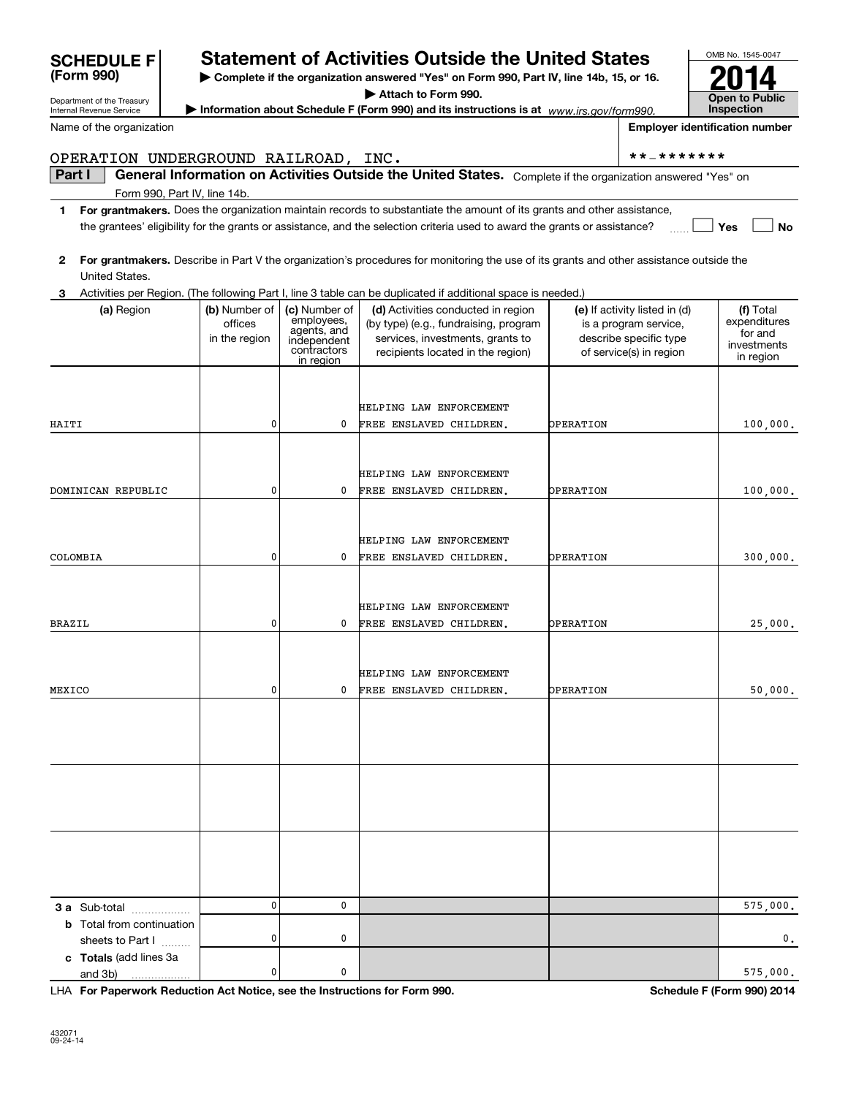| OPERATION UNDERGROUND RAILROAD, INC. |               |                            |                                                                                                                                         | **_*******                    |                        |
|--------------------------------------|---------------|----------------------------|-----------------------------------------------------------------------------------------------------------------------------------------|-------------------------------|------------------------|
| Part I                               |               |                            | General Information on Activities Outside the United States. Complete if the organization answered "Yes" on                             |                               |                        |
| Form 990, Part IV, line 14b.         |               |                            |                                                                                                                                         |                               |                        |
| 1                                    |               |                            | For grantmakers. Does the organization maintain records to substantiate the amount of its grants and other assistance,                  |                               |                        |
|                                      |               |                            | the grantees' eligibility for the grants or assistance, and the selection criteria used to award the grants or assistance?              |                               | Yes<br>No              |
|                                      |               |                            |                                                                                                                                         |                               |                        |
| 2                                    |               |                            | For grantmakers. Describe in Part V the organization's procedures for monitoring the use of its grants and other assistance outside the |                               |                        |
| United States.                       |               |                            |                                                                                                                                         |                               |                        |
| 3                                    |               |                            | Activities per Region. (The following Part I, line 3 table can be duplicated if additional space is needed.)                            |                               |                        |
| (a) Region                           | (b) Number of | (c) Number of              | (d) Activities conducted in region                                                                                                      | (e) If activity listed in (d) | (f) Total              |
|                                      | offices       | employees,<br>agents, and  | (by type) (e.g., fundraising, program                                                                                                   | is a program service,         | expenditures           |
|                                      | in the region | independent<br>contractors | services, investments, grants to                                                                                                        | describe specific type        | for and<br>investments |
|                                      |               | in region                  | recipients located in the region)                                                                                                       | of service(s) in region       | in region              |
|                                      |               |                            |                                                                                                                                         |                               |                        |
|                                      |               |                            |                                                                                                                                         |                               |                        |
|                                      |               |                            | HELPING LAW ENFORCEMENT                                                                                                                 |                               |                        |
| HAITI                                | 0             | 0                          | FREE ENSLAVED CHILDREN.                                                                                                                 | <b>OPERATION</b>              | 100,000.               |
|                                      |               |                            |                                                                                                                                         |                               |                        |
|                                      |               |                            |                                                                                                                                         |                               |                        |
|                                      |               |                            | HELPING LAW ENFORCEMENT                                                                                                                 |                               |                        |
| DOMINICAN REPUBLIC                   | 0             | 0                          | FREE ENSLAVED CHILDREN.                                                                                                                 | <b>OPERATION</b>              | 100,000.               |
|                                      |               |                            |                                                                                                                                         |                               |                        |
|                                      |               |                            |                                                                                                                                         |                               |                        |
|                                      |               |                            | HELPING LAW ENFORCEMENT                                                                                                                 |                               |                        |
| COLOMBIA                             | 0             | 0                          | FREE ENSLAVED CHILDREN.                                                                                                                 | <b>OPERATION</b>              | 300,000.               |
|                                      |               |                            |                                                                                                                                         |                               |                        |
|                                      |               |                            |                                                                                                                                         |                               |                        |
|                                      |               |                            | HELPING LAW ENFORCEMENT                                                                                                                 |                               |                        |
| <b>BRAZIL</b>                        | 0             | 0                          | FREE ENSLAVED CHILDREN.                                                                                                                 | <b>OPERATION</b>              | 25,000.                |
|                                      |               |                            |                                                                                                                                         |                               |                        |
|                                      |               |                            |                                                                                                                                         |                               |                        |
|                                      |               |                            | HELPING LAW ENFORCEMENT                                                                                                                 |                               |                        |
| MEXICO                               | 0             | 0                          | FREE ENSLAVED CHILDREN.                                                                                                                 | <b>OPERATION</b>              | 50,000.                |
|                                      |               |                            |                                                                                                                                         |                               |                        |
|                                      |               |                            |                                                                                                                                         |                               |                        |
|                                      |               |                            |                                                                                                                                         |                               |                        |
|                                      |               |                            |                                                                                                                                         |                               |                        |
|                                      |               |                            |                                                                                                                                         |                               |                        |
|                                      |               |                            |                                                                                                                                         |                               |                        |
|                                      |               |                            |                                                                                                                                         |                               |                        |
|                                      |               |                            |                                                                                                                                         |                               |                        |
|                                      |               |                            |                                                                                                                                         |                               |                        |
|                                      |               |                            |                                                                                                                                         |                               |                        |
|                                      |               |                            |                                                                                                                                         |                               |                        |
|                                      |               |                            |                                                                                                                                         |                               |                        |
| 3 a Sub-total                        | 0             | 0                          |                                                                                                                                         |                               | 575,000.               |
| <b>b</b> Total from continuation     |               |                            |                                                                                                                                         |                               |                        |
| sheets to Part I                     | 0             | 0                          |                                                                                                                                         |                               | 0,                     |
| c Totals (add lines 3a               |               |                            |                                                                                                                                         |                               |                        |
| and 3b)                              | 0             | 0                          |                                                                                                                                         |                               | 575,000.               |
|                                      |               |                            |                                                                                                                                         |                               |                        |

LHA For Paperwork Reduction Act Notice, see the Instructions for Form 990. Schedule F (Form 990) 2014

**(Form 990)**

| <b>SCHEDULE F</b> I | <b>Statement of Activities Outside the United States</b> |  |  |
|---------------------|----------------------------------------------------------|--|--|
|                     |                                                          |  |  |

**| Complete if the organization answered "Yes" on Form 990, Part IV, line 14b, 15, or 16.**

**| Attach to Form 990.**

**| Information about Schedule F (Form 990) and its instructions is at**  *www.irs.gov/form990.*

OMB No. 1545-0047 **Open to Public Inspection2014**

**Employer identification number**

432071 09-24-14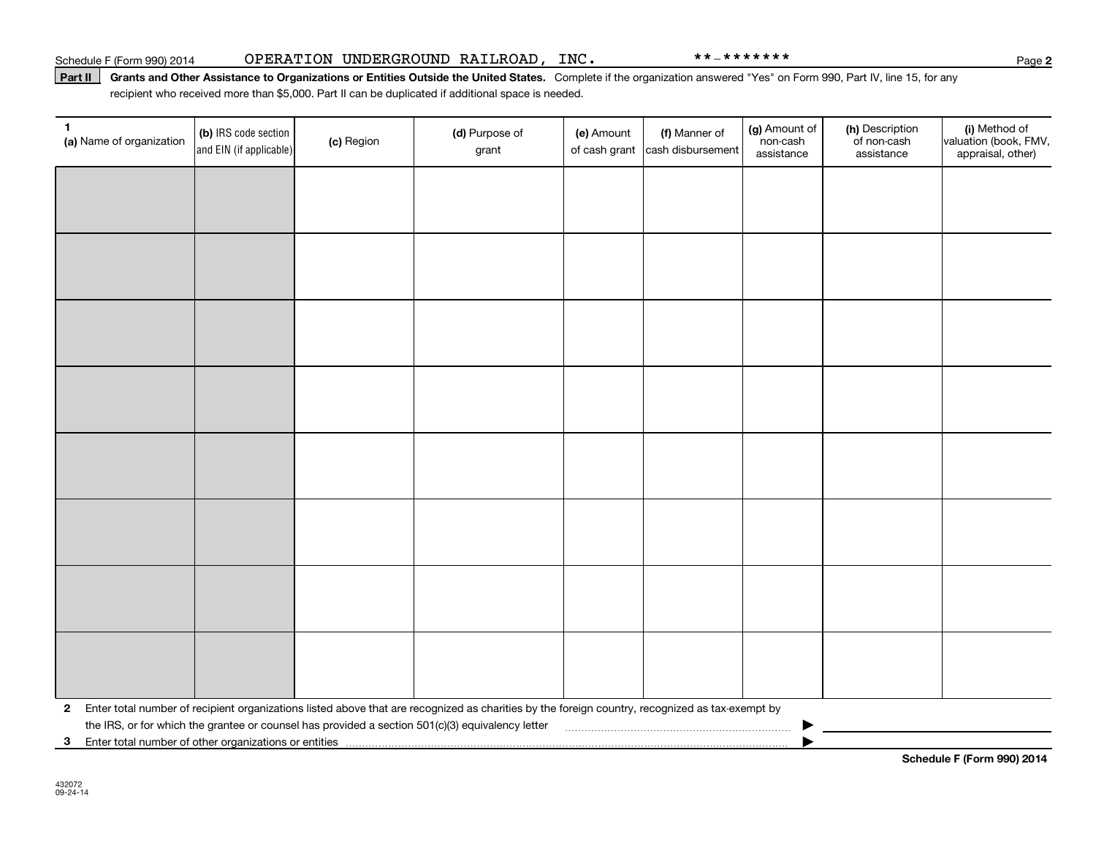#### Schedule F (Form 990) 2014 Page OPERATION UNDERGROUND RAILROAD, INC. \*\*-\*\*\*\*\*\*\*

#### Part II | Grants and Other Assistance to Organizations or Entities Outside the United States. Complete if the organization answered "Yes" on Form 990, Part IV, line 15, for any recipient who received more than \$5,000. Part II can be duplicated if additional space is needed.

| 1<br>(a) Name of organization                           | (b) IRS code section<br>and EIN (if applicable) | (c) Region | (d) Purpose of<br>grant                                                                                                                         | (e) Amount | (f) Manner of<br>of cash grant cash disbursement | (g) Amount of<br>non-cash<br>assistance | (h) Description<br>of non-cash<br>assistance | (i) Method of<br>valuation (book, FMV,<br>appraisal, other) |
|---------------------------------------------------------|-------------------------------------------------|------------|-------------------------------------------------------------------------------------------------------------------------------------------------|------------|--------------------------------------------------|-----------------------------------------|----------------------------------------------|-------------------------------------------------------------|
|                                                         |                                                 |            |                                                                                                                                                 |            |                                                  |                                         |                                              |                                                             |
|                                                         |                                                 |            |                                                                                                                                                 |            |                                                  |                                         |                                              |                                                             |
|                                                         |                                                 |            |                                                                                                                                                 |            |                                                  |                                         |                                              |                                                             |
|                                                         |                                                 |            |                                                                                                                                                 |            |                                                  |                                         |                                              |                                                             |
|                                                         |                                                 |            |                                                                                                                                                 |            |                                                  |                                         |                                              |                                                             |
|                                                         |                                                 |            |                                                                                                                                                 |            |                                                  |                                         |                                              |                                                             |
|                                                         |                                                 |            |                                                                                                                                                 |            |                                                  |                                         |                                              |                                                             |
|                                                         |                                                 |            |                                                                                                                                                 |            |                                                  |                                         |                                              |                                                             |
|                                                         |                                                 |            |                                                                                                                                                 |            |                                                  |                                         |                                              |                                                             |
|                                                         |                                                 |            |                                                                                                                                                 |            |                                                  |                                         |                                              |                                                             |
|                                                         |                                                 |            |                                                                                                                                                 |            |                                                  |                                         |                                              |                                                             |
|                                                         |                                                 |            |                                                                                                                                                 |            |                                                  |                                         |                                              |                                                             |
|                                                         |                                                 |            |                                                                                                                                                 |            |                                                  |                                         |                                              |                                                             |
|                                                         |                                                 |            |                                                                                                                                                 |            |                                                  |                                         |                                              |                                                             |
|                                                         |                                                 |            |                                                                                                                                                 |            |                                                  |                                         |                                              |                                                             |
|                                                         |                                                 |            |                                                                                                                                                 |            |                                                  |                                         |                                              |                                                             |
| $\mathbf{2}$                                            |                                                 |            | Enter total number of recipient organizations listed above that are recognized as charities by the foreign country, recognized as tax-exempt by |            |                                                  |                                         |                                              |                                                             |
| 3 Enter total number of other organizations or entities |                                                 |            | the IRS, or for which the grantee or counsel has provided a section 501(c)(3) equivalency letter                                                |            |                                                  |                                         |                                              |                                                             |

**Schedule F (Form 990) 2014**

**2**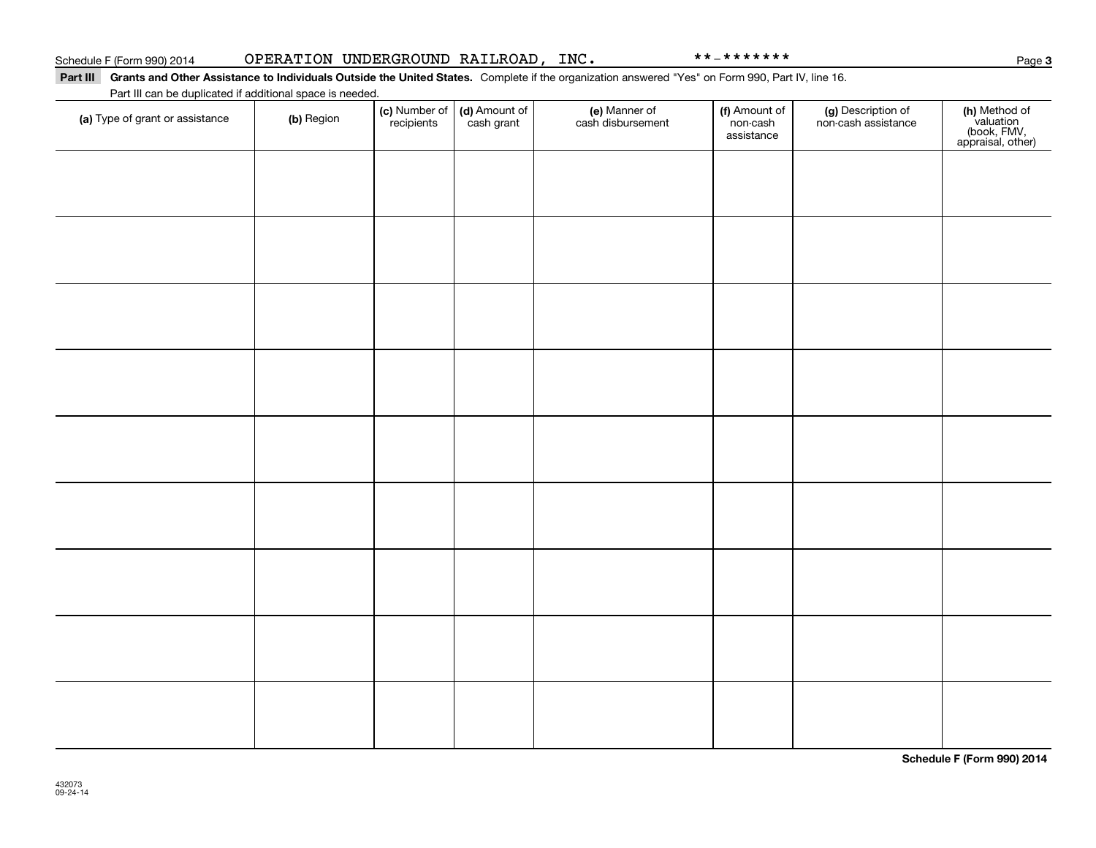#### Part III Grants and Other Assistance to Individuals Outside the United States. Complete if the organization answered "Yes" on Form 990, Part IV, line 16. Part III can be duplicated if additional space is needed.

| Fait in car be duplicated if additional space is needed.<br>(a) Type of grant or assistance | (b) Region | (c) Number of<br>recipients | (d) Amount of<br>cash grant | (e) Manner of<br>cash disbursement | (f) Amount of<br>non-cash<br>assistance | (g) Description of<br>non-cash assistance | (h) Method of<br>valuation<br>(book, FMV,<br>appraisal, other) |
|---------------------------------------------------------------------------------------------|------------|-----------------------------|-----------------------------|------------------------------------|-----------------------------------------|-------------------------------------------|----------------------------------------------------------------|
|                                                                                             |            |                             |                             |                                    |                                         |                                           |                                                                |
|                                                                                             |            |                             |                             |                                    |                                         |                                           |                                                                |
|                                                                                             |            |                             |                             |                                    |                                         |                                           |                                                                |
|                                                                                             |            |                             |                             |                                    |                                         |                                           |                                                                |
|                                                                                             |            |                             |                             |                                    |                                         |                                           |                                                                |
|                                                                                             |            |                             |                             |                                    |                                         |                                           |                                                                |
|                                                                                             |            |                             |                             |                                    |                                         |                                           |                                                                |
|                                                                                             |            |                             |                             |                                    |                                         |                                           |                                                                |
|                                                                                             |            |                             |                             |                                    |                                         |                                           |                                                                |
|                                                                                             |            |                             |                             |                                    |                                         |                                           |                                                                |
|                                                                                             |            |                             |                             |                                    |                                         |                                           |                                                                |

**Schedule F (Form 990) 2014**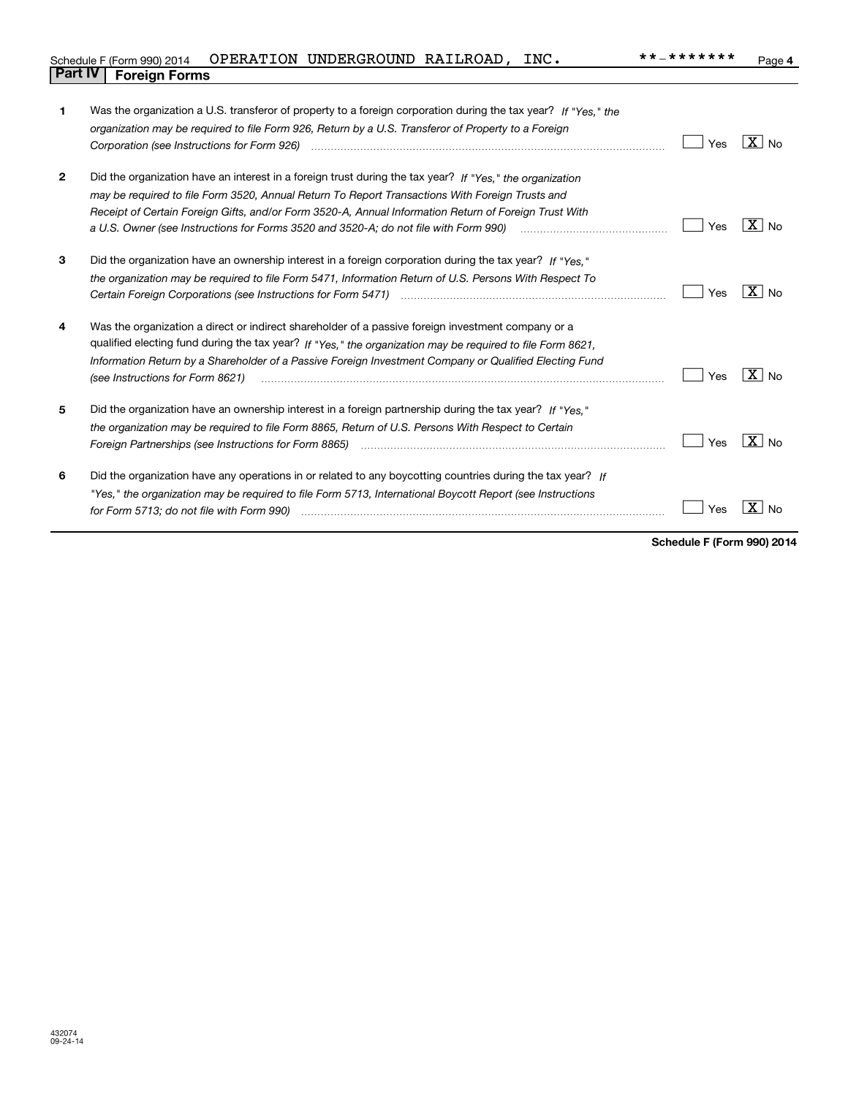| Schedule F (Form 990) 2014     | OPERATION UNDERGROUND RAILROAD, | INC. | **_******* | $P$ age |
|--------------------------------|---------------------------------|------|------------|---------|
| <b>Part IV   Foreign Forms</b> |                                 |      |            |         |

| 1              | Was the organization a U.S. transferor of property to a foreign corporation during the tax year? If "Yes." the                             |     |                  |
|----------------|--------------------------------------------------------------------------------------------------------------------------------------------|-----|------------------|
|                | organization may be required to file Form 926, Return by a U.S. Transferor of Property to a Foreign                                        |     |                  |
|                |                                                                                                                                            | Yes | $X _{\text{No}}$ |
| $\overline{2}$ | Did the organization have an interest in a foreign trust during the tax year? If "Yes," the organization                                   |     |                  |
|                | may be required to file Form 3520, Annual Return To Report Transactions With Foreign Trusts and                                            |     |                  |
|                | Receipt of Certain Foreign Gifts, and/or Form 3520-A, Annual Information Return of Foreign Trust With                                      |     |                  |
|                | a U.S. Owner (see Instructions for Forms 3520 and 3520-A; do not file with Form 990)                                                       | Yes | $X \mid N_{0}$   |
| 3              | Did the organization have an ownership interest in a foreign corporation during the tax year? If "Yes."                                    |     |                  |
|                | the organization may be required to file Form 5471, Information Return of U.S. Persons With Respect To                                     |     |                  |
|                |                                                                                                                                            | Yes | $X _{\text{No}}$ |
| 4              | Was the organization a direct or indirect shareholder of a passive foreign investment company or a                                         |     |                  |
|                | qualified electing fund during the tax year? If "Yes," the organization may be required to file Form 8621,                                 |     |                  |
|                | Information Return by a Shareholder of a Passive Foreign Investment Company or Qualified Electing Fund<br>(see Instructions for Form 8621) | Yes | $X _{\text{No}}$ |
| 5              | Did the organization have an ownership interest in a foreign partnership during the tax year? If "Yes."                                    |     |                  |
|                | the organization may be required to file Form 8865, Return of U.S. Persons With Respect to Certain                                         |     |                  |
|                |                                                                                                                                            | Yes | $X _{N_Q}$       |
| 6              | Did the organization have any operations in or related to any boycotting countries during the tax year? If                                 |     |                  |
|                | "Yes," the organization may be required to file Form 5713, International Boycott Report (see Instructions                                  |     |                  |
|                |                                                                                                                                            | Yes | x<br>No          |
|                |                                                                                                                                            |     |                  |

**Schedule F (Form 990) 2014**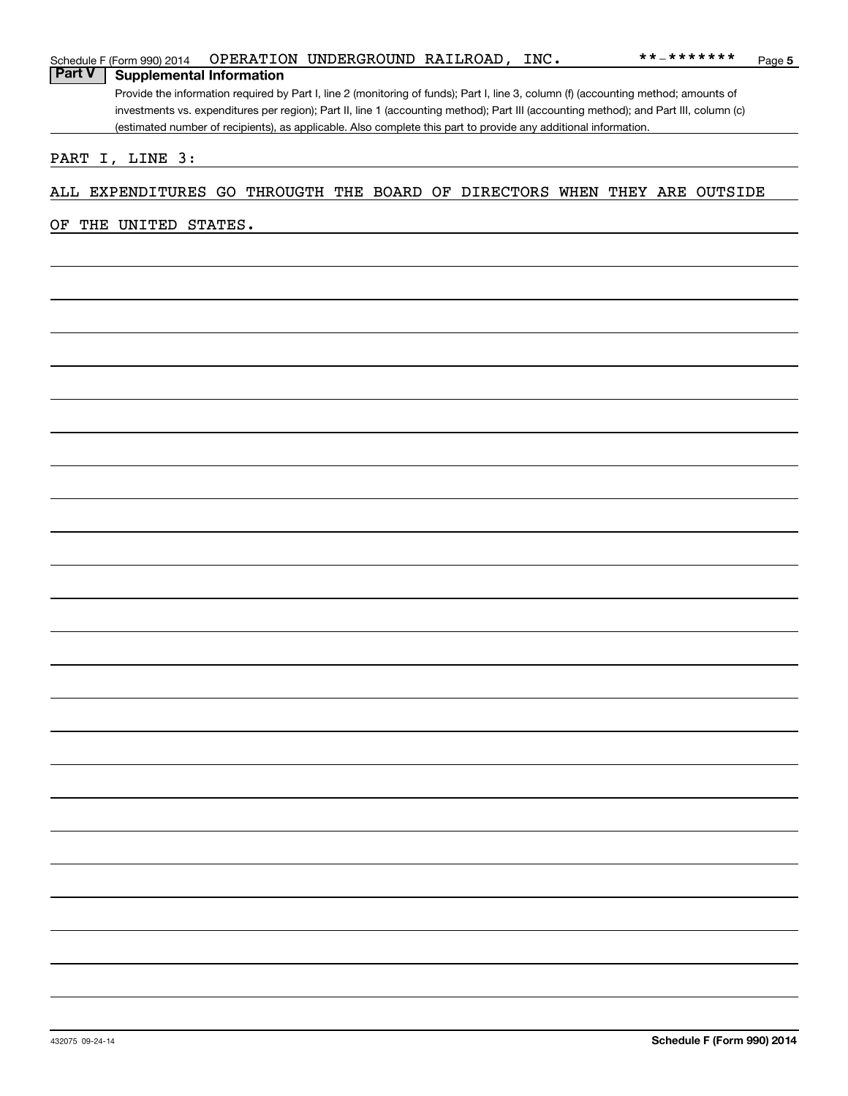| <b>Part V</b> | Schedule F (Form 990) 2014                                                |  | OPERATION UNDERGROUND RAILROAD, INC.                                                                                                                                                                                                                                         |  |  |  |  | **_******* | Page 5 |
|---------------|---------------------------------------------------------------------------|--|------------------------------------------------------------------------------------------------------------------------------------------------------------------------------------------------------------------------------------------------------------------------------|--|--|--|--|------------|--------|
|               | <b>Supplemental Information</b>                                           |  |                                                                                                                                                                                                                                                                              |  |  |  |  |            |        |
|               |                                                                           |  | Provide the information required by Part I, line 2 (monitoring of funds); Part I, line 3, column (f) (accounting method; amounts of<br>investments vs. expenditures per region); Part II, line 1 (accounting method); Part III (accounting method); and Part III, column (c) |  |  |  |  |            |        |
|               |                                                                           |  | (estimated number of recipients), as applicable. Also complete this part to provide any additional information.                                                                                                                                                              |  |  |  |  |            |        |
|               |                                                                           |  |                                                                                                                                                                                                                                                                              |  |  |  |  |            |        |
|               | PART I, LINE 3:                                                           |  |                                                                                                                                                                                                                                                                              |  |  |  |  |            |        |
|               | ALL EXPENDITURES GO THROUGTH THE BOARD OF DIRECTORS WHEN THEY ARE OUTSIDE |  |                                                                                                                                                                                                                                                                              |  |  |  |  |            |        |
|               |                                                                           |  |                                                                                                                                                                                                                                                                              |  |  |  |  |            |        |
| OF            | THE UNITED STATES.                                                        |  |                                                                                                                                                                                                                                                                              |  |  |  |  |            |        |
|               |                                                                           |  |                                                                                                                                                                                                                                                                              |  |  |  |  |            |        |
|               |                                                                           |  |                                                                                                                                                                                                                                                                              |  |  |  |  |            |        |
|               |                                                                           |  |                                                                                                                                                                                                                                                                              |  |  |  |  |            |        |
|               |                                                                           |  |                                                                                                                                                                                                                                                                              |  |  |  |  |            |        |
|               |                                                                           |  |                                                                                                                                                                                                                                                                              |  |  |  |  |            |        |
|               |                                                                           |  |                                                                                                                                                                                                                                                                              |  |  |  |  |            |        |
|               |                                                                           |  |                                                                                                                                                                                                                                                                              |  |  |  |  |            |        |
|               |                                                                           |  |                                                                                                                                                                                                                                                                              |  |  |  |  |            |        |
|               |                                                                           |  |                                                                                                                                                                                                                                                                              |  |  |  |  |            |        |
|               |                                                                           |  |                                                                                                                                                                                                                                                                              |  |  |  |  |            |        |
|               |                                                                           |  |                                                                                                                                                                                                                                                                              |  |  |  |  |            |        |
|               |                                                                           |  |                                                                                                                                                                                                                                                                              |  |  |  |  |            |        |
|               |                                                                           |  |                                                                                                                                                                                                                                                                              |  |  |  |  |            |        |
|               |                                                                           |  |                                                                                                                                                                                                                                                                              |  |  |  |  |            |        |
|               |                                                                           |  |                                                                                                                                                                                                                                                                              |  |  |  |  |            |        |
|               |                                                                           |  |                                                                                                                                                                                                                                                                              |  |  |  |  |            |        |
|               |                                                                           |  |                                                                                                                                                                                                                                                                              |  |  |  |  |            |        |
|               |                                                                           |  |                                                                                                                                                                                                                                                                              |  |  |  |  |            |        |
|               |                                                                           |  |                                                                                                                                                                                                                                                                              |  |  |  |  |            |        |
|               |                                                                           |  |                                                                                                                                                                                                                                                                              |  |  |  |  |            |        |
|               |                                                                           |  |                                                                                                                                                                                                                                                                              |  |  |  |  |            |        |
|               |                                                                           |  |                                                                                                                                                                                                                                                                              |  |  |  |  |            |        |
|               |                                                                           |  |                                                                                                                                                                                                                                                                              |  |  |  |  |            |        |
|               |                                                                           |  |                                                                                                                                                                                                                                                                              |  |  |  |  |            |        |
|               |                                                                           |  |                                                                                                                                                                                                                                                                              |  |  |  |  |            |        |
|               |                                                                           |  |                                                                                                                                                                                                                                                                              |  |  |  |  |            |        |
|               |                                                                           |  |                                                                                                                                                                                                                                                                              |  |  |  |  |            |        |
|               |                                                                           |  |                                                                                                                                                                                                                                                                              |  |  |  |  |            |        |
|               |                                                                           |  |                                                                                                                                                                                                                                                                              |  |  |  |  |            |        |
|               |                                                                           |  |                                                                                                                                                                                                                                                                              |  |  |  |  |            |        |
|               |                                                                           |  |                                                                                                                                                                                                                                                                              |  |  |  |  |            |        |
|               |                                                                           |  |                                                                                                                                                                                                                                                                              |  |  |  |  |            |        |
|               |                                                                           |  |                                                                                                                                                                                                                                                                              |  |  |  |  |            |        |
|               |                                                                           |  |                                                                                                                                                                                                                                                                              |  |  |  |  |            |        |
|               |                                                                           |  |                                                                                                                                                                                                                                                                              |  |  |  |  |            |        |
|               |                                                                           |  |                                                                                                                                                                                                                                                                              |  |  |  |  |            |        |
|               |                                                                           |  |                                                                                                                                                                                                                                                                              |  |  |  |  |            |        |
|               |                                                                           |  |                                                                                                                                                                                                                                                                              |  |  |  |  |            |        |
|               |                                                                           |  |                                                                                                                                                                                                                                                                              |  |  |  |  |            |        |
|               |                                                                           |  |                                                                                                                                                                                                                                                                              |  |  |  |  |            |        |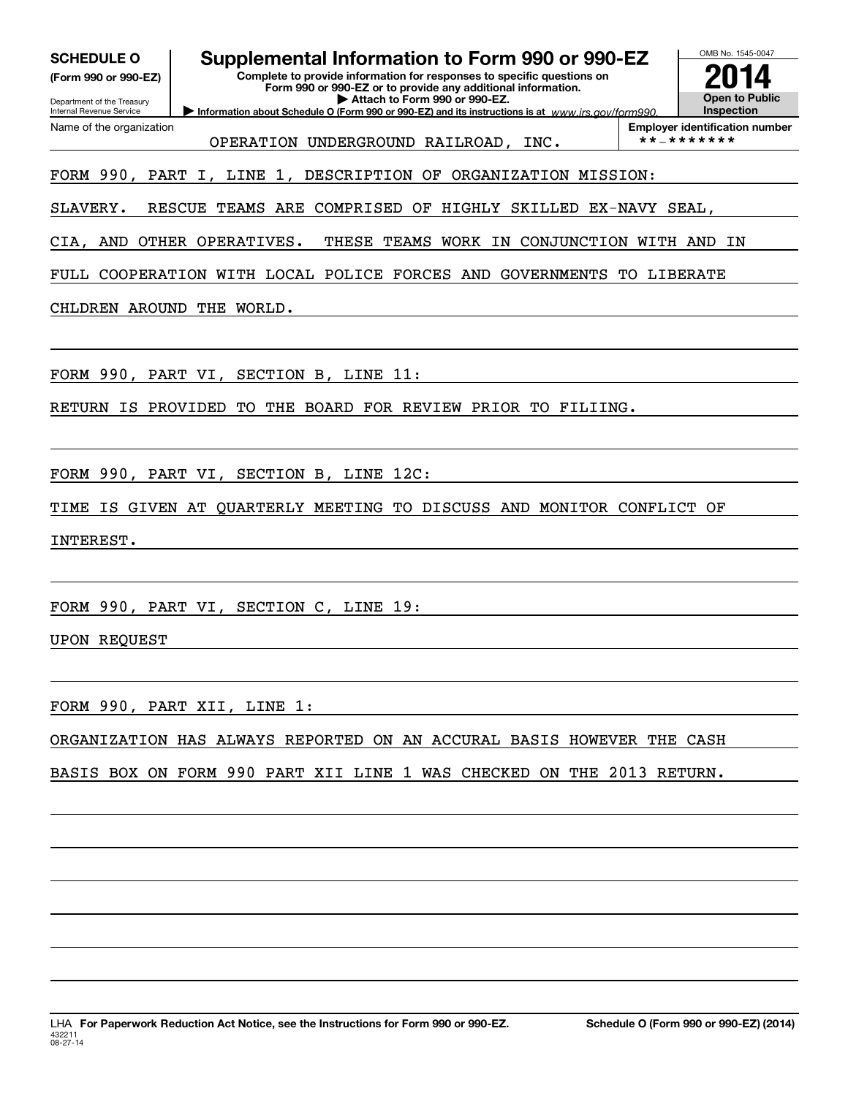| <b>SCHEDULE O</b><br>(Form 990 or 990-EZ)<br>Department of the Treasury<br>Internal Revenue Service | Supplemental Information to Form 990 or 990-EZ<br>Complete to provide information for responses to specific questions on<br>Form 990 or 990-EZ or to provide any additional information.<br>Attach to Form 990 or 990-EZ.<br>Information about Schedule O (Form 990 or 990-EZ) and its instructions is at www.irs.gov/form990. | OMB No. 1545-0047<br><b>Open to Public</b><br>Inspection |
|-----------------------------------------------------------------------------------------------------|--------------------------------------------------------------------------------------------------------------------------------------------------------------------------------------------------------------------------------------------------------------------------------------------------------------------------------|----------------------------------------------------------|
| Name of the organization                                                                            | OPERATION UNDERGROUND RAILROAD, INC.                                                                                                                                                                                                                                                                                           | <b>Employer identification number</b><br>**_*******      |
|                                                                                                     | FORM 990, PART I, LINE 1, DESCRIPTION OF ORGANIZATION MISSION:                                                                                                                                                                                                                                                                 |                                                          |
| SLAVERY.                                                                                            | RESCUE TEAMS ARE COMPRISED OF HIGHLY SKILLED EX-NAVY SEAL,                                                                                                                                                                                                                                                                     |                                                          |
|                                                                                                     | CIA, AND OTHER OPERATIVES.<br>THESE TEAMS WORK IN CONJUNCTION WITH AND IN                                                                                                                                                                                                                                                      |                                                          |
|                                                                                                     | FULL COOPERATION WITH LOCAL POLICE FORCES AND GOVERNMENTS TO LIBERATE                                                                                                                                                                                                                                                          |                                                          |
|                                                                                                     | CHLDREN AROUND THE WORLD.                                                                                                                                                                                                                                                                                                      |                                                          |
|                                                                                                     |                                                                                                                                                                                                                                                                                                                                |                                                          |
|                                                                                                     | FORM 990, PART VI, SECTION B, LINE 11:                                                                                                                                                                                                                                                                                         |                                                          |
|                                                                                                     | RETURN IS PROVIDED TO THE BOARD FOR REVIEW PRIOR TO FILIING.                                                                                                                                                                                                                                                                   |                                                          |
|                                                                                                     |                                                                                                                                                                                                                                                                                                                                |                                                          |
|                                                                                                     | FORM 990, PART VI, SECTION B, LINE 12C:                                                                                                                                                                                                                                                                                        |                                                          |
| TIME                                                                                                | IS GIVEN AT QUARTERLY MEETING TO DISCUSS AND MONITOR CONFLICT OF                                                                                                                                                                                                                                                               |                                                          |
| INTEREST.                                                                                           |                                                                                                                                                                                                                                                                                                                                |                                                          |
|                                                                                                     |                                                                                                                                                                                                                                                                                                                                |                                                          |
|                                                                                                     | FORM 990, PART VI, SECTION C, LINE 19:                                                                                                                                                                                                                                                                                         |                                                          |
| <b>UPON REQUEST</b>                                                                                 |                                                                                                                                                                                                                                                                                                                                |                                                          |
|                                                                                                     | FORM 990, PART XII, LINE 1:                                                                                                                                                                                                                                                                                                    |                                                          |
|                                                                                                     | ORGANIZATION HAS ALWAYS REPORTED ON AN ACCURAL BASIS HOWEVER THE CASH                                                                                                                                                                                                                                                          |                                                          |
|                                                                                                     | BASIS BOX ON FORM 990 PART XII LINE 1 WAS CHECKED ON THE 2013 RETURN.                                                                                                                                                                                                                                                          |                                                          |
|                                                                                                     |                                                                                                                                                                                                                                                                                                                                |                                                          |
|                                                                                                     |                                                                                                                                                                                                                                                                                                                                |                                                          |
|                                                                                                     |                                                                                                                                                                                                                                                                                                                                |                                                          |
|                                                                                                     |                                                                                                                                                                                                                                                                                                                                |                                                          |
|                                                                                                     |                                                                                                                                                                                                                                                                                                                                |                                                          |
|                                                                                                     |                                                                                                                                                                                                                                                                                                                                |                                                          |
|                                                                                                     |                                                                                                                                                                                                                                                                                                                                |                                                          |
|                                                                                                     | LHA For Paperwork Reduction Act Notice, see the Instructions for Form 990 or 990-EZ.                                                                                                                                                                                                                                           | Schedule O (Form 990 or 990-EZ) (2014)                   |

432211 08-27-14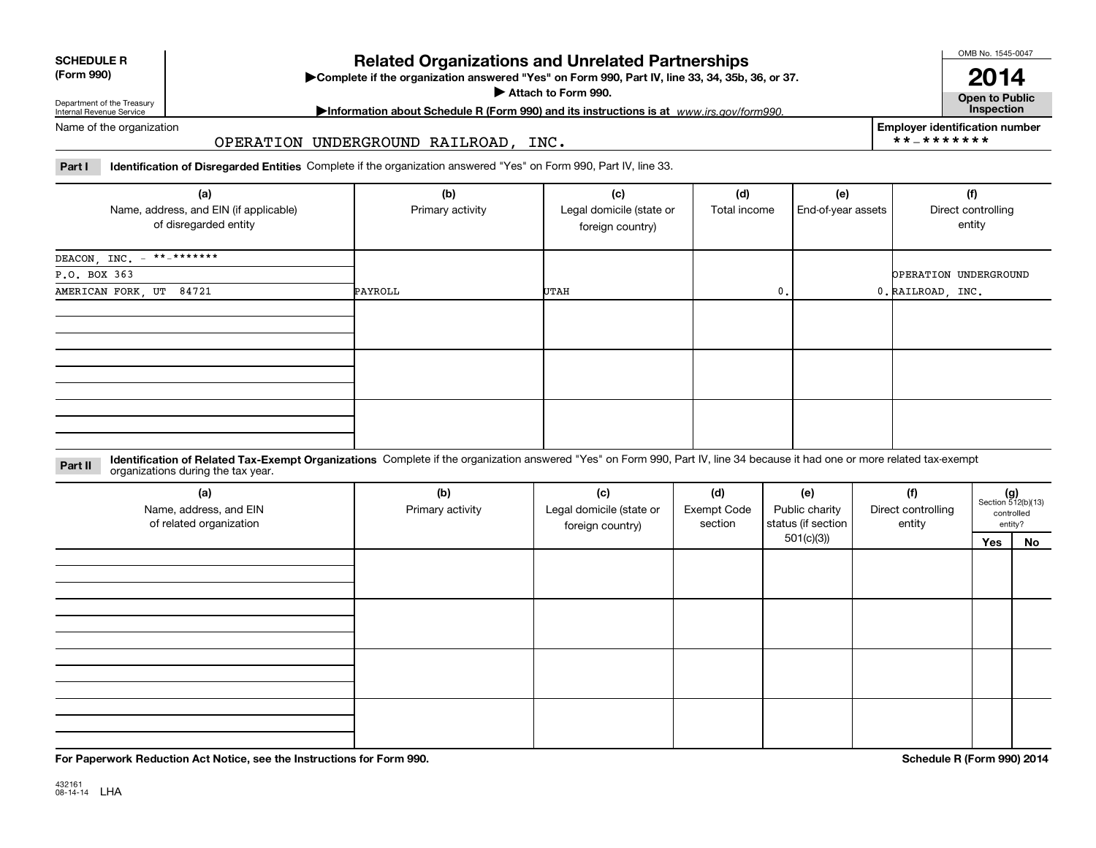### **SCHEDULE R**

**(Form 990)**

## **Related Organizations and Unrelated Partnerships**

**Complete if the organization answered "Yes" on Form 990, Part IV, line 33, 34, 35b, 36, or 37.** |

**Attach to Form 990.**  |

OMB No. 1545-0047

**Open to Public 2014**

**Employer identification number**

\*\*-\*\*\*\*\*\*\*

Department of the Treasury Internal Revenue Service

## **Morton about Schedule R (Form 990) and its instructions is at www.irs.gov/form990.** And **inspection**

Name of the organization

#### OPERATION UNDERGROUND RAILROAD, INC.

**Part I Identification of Disregarded Entities**  Complete if the organization answered "Yes" on Form 990, Part IV, line 33.

| (a)<br>Name, address, and EIN (if applicable)<br>of disregarded entity | (b)<br>Primary activity | (c)<br>Legal domicile (state or<br>foreign country) | (d)<br>Total income | (e)<br>End-of-year assets | (f)<br>Direct controlling<br>entity |
|------------------------------------------------------------------------|-------------------------|-----------------------------------------------------|---------------------|---------------------------|-------------------------------------|
| DEACON, INC. $-$ **-*******                                            |                         |                                                     |                     |                           |                                     |
| P.O. BOX 363                                                           |                         |                                                     |                     |                           | OPERATION UNDERGROUND               |
| AMERICAN FORK, UT 84721                                                | PAYROLL                 | UTAH                                                | 0.                  |                           | 0. RAILROAD, INC.                   |
|                                                                        |                         |                                                     |                     |                           |                                     |
|                                                                        |                         |                                                     |                     |                           |                                     |
|                                                                        |                         |                                                     |                     |                           |                                     |

**Identification of Related Tax-Exempt Organizations** Complete if the organization answered "Yes" on Form 990, Part IV, line 34 because it had one or more related tax-exempt **Part II** organizations during the tax year.

| (a)<br>Name, address, and EIN<br>of related organization | (b)<br>Primary activity | (c)<br>Legal domicile (state or<br>foreign country) | (d)<br><b>Exempt Code</b><br>section | (e)<br>Public charity<br>status (if section | (f)<br>Direct controlling<br>entity |     | $(g)$<br>Section 512(b)(13)<br>controlled<br>entity? |
|----------------------------------------------------------|-------------------------|-----------------------------------------------------|--------------------------------------|---------------------------------------------|-------------------------------------|-----|------------------------------------------------------|
|                                                          |                         |                                                     |                                      | 501(c)(3)                                   |                                     | Yes | No                                                   |
|                                                          |                         |                                                     |                                      |                                             |                                     |     |                                                      |
|                                                          |                         |                                                     |                                      |                                             |                                     |     |                                                      |
|                                                          |                         |                                                     |                                      |                                             |                                     |     |                                                      |
|                                                          |                         |                                                     |                                      |                                             |                                     |     |                                                      |

**For Paperwork Reduction Act Notice, see the Instructions for Form 990. Schedule R (Form 990) 2014**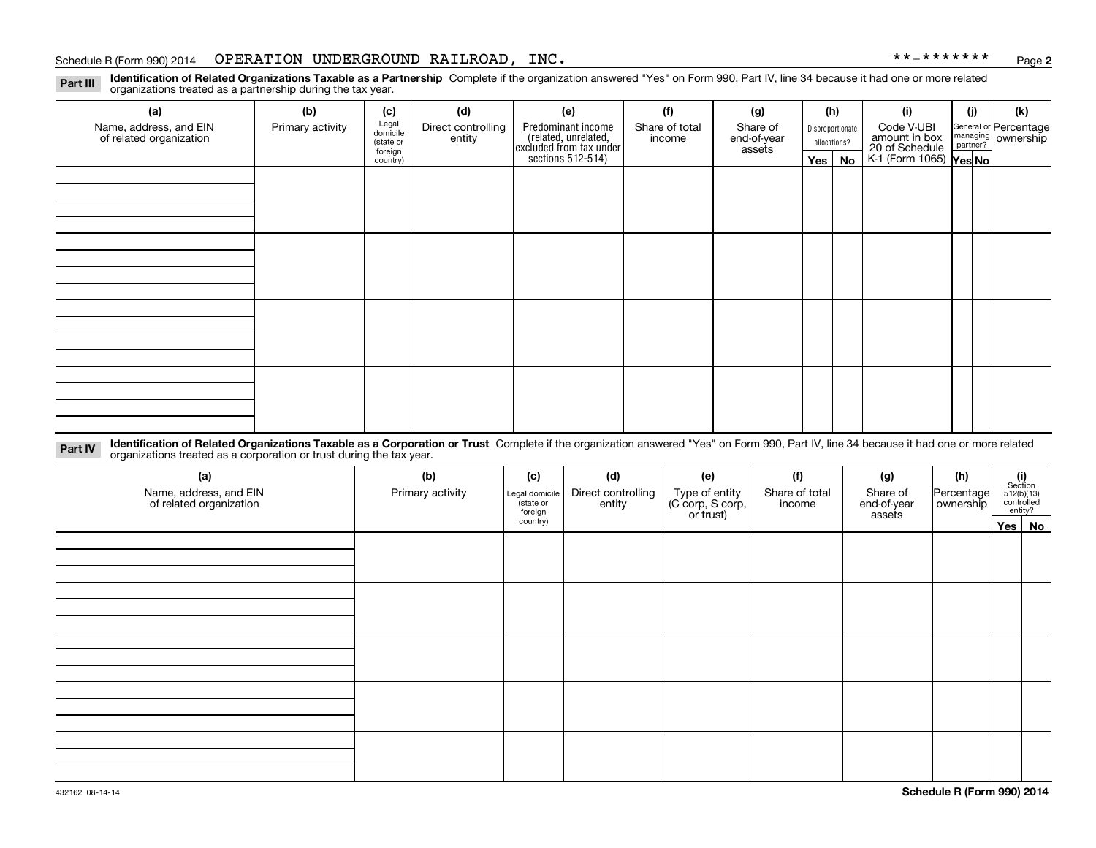#### Schedule R (Form 990) 2014 Page OPERATION UNDERGROUND RAILROAD, INC. \*\*-\*\*\*\*\*\*\*

**2**

**Identification of Related Organizations Taxable as a Partnership** Complete if the organization answered "Yes" on Form 990, Part IV, line 34 because it had one or more related **Part III** organizations treated as a partnership during the tax year.

| (a)<br>Name, address, and EIN<br>of related organization | (b)<br>Primary activity | (c)<br>Legal<br>domicile<br>(state or<br>foreign<br>country) | (d)<br>Direct controlling<br>entity | (e)<br>Predominant income<br>related, unrelated,<br>excluded from tax under<br>sections 512-514) | (f)<br>Share of total<br>income | (g)<br>Share of<br>end-of-year<br>assets | (h) | Disproportionate<br>allocations?<br>Yes   No | (i)<br>Code V-UBI<br>amount in box<br>20 of Schedule<br>K-1 (Form 1065) <b>Yes No</b> | (j) | (k)<br>General or Percentage<br>managing<br>partner?<br>partner? |
|----------------------------------------------------------|-------------------------|--------------------------------------------------------------|-------------------------------------|--------------------------------------------------------------------------------------------------|---------------------------------|------------------------------------------|-----|----------------------------------------------|---------------------------------------------------------------------------------------|-----|------------------------------------------------------------------|
|                                                          |                         |                                                              |                                     |                                                                                                  |                                 |                                          |     |                                              |                                                                                       |     |                                                                  |
|                                                          |                         |                                                              |                                     |                                                                                                  |                                 |                                          |     |                                              |                                                                                       |     |                                                                  |
|                                                          |                         |                                                              |                                     |                                                                                                  |                                 |                                          |     |                                              |                                                                                       |     |                                                                  |
|                                                          |                         |                                                              |                                     |                                                                                                  |                                 |                                          |     |                                              |                                                                                       |     |                                                                  |

**Identification of Related Organizations Taxable as a Corporation or Trust** Complete if the organization answered "Yes" on Form 990, Part IV, line 34 because it had one or more related **Part IV** organizations treated as a corporation or trust during the tax year.

| (a)<br>Name, address, and EIN<br>of related organization | (b)<br>Primary activity | (c)<br>Legal domicile<br>(state or<br>foreign | (d)<br>Direct controlling<br>entity | (e)<br>Type of entity<br>(C corp, S corp,<br>or trust) | (f)<br>Share of total<br>income | (g)<br>Share of<br>end-of-year<br>assets | (h)<br>Percentage<br>  ownership | $\begin{array}{c} \textbf{(i)}\\ \text{Section}\\ 512 \text{(b)} \text{(13)}\\ \text{controlled}\\ \text{entity?} \end{array}$ |
|----------------------------------------------------------|-------------------------|-----------------------------------------------|-------------------------------------|--------------------------------------------------------|---------------------------------|------------------------------------------|----------------------------------|--------------------------------------------------------------------------------------------------------------------------------|
|                                                          |                         | country)                                      |                                     |                                                        |                                 |                                          |                                  | Yes No                                                                                                                         |
|                                                          |                         |                                               |                                     |                                                        |                                 |                                          |                                  |                                                                                                                                |
|                                                          |                         |                                               |                                     |                                                        |                                 |                                          |                                  |                                                                                                                                |
|                                                          |                         |                                               |                                     |                                                        |                                 |                                          |                                  |                                                                                                                                |
|                                                          |                         |                                               |                                     |                                                        |                                 |                                          |                                  |                                                                                                                                |
|                                                          |                         |                                               |                                     |                                                        |                                 |                                          |                                  |                                                                                                                                |
|                                                          |                         |                                               |                                     |                                                        |                                 |                                          |                                  |                                                                                                                                |
|                                                          |                         |                                               |                                     |                                                        |                                 |                                          |                                  |                                                                                                                                |
|                                                          |                         |                                               |                                     |                                                        |                                 |                                          |                                  |                                                                                                                                |
|                                                          |                         |                                               |                                     |                                                        |                                 |                                          |                                  |                                                                                                                                |
|                                                          |                         |                                               |                                     |                                                        |                                 |                                          |                                  |                                                                                                                                |
|                                                          |                         |                                               |                                     |                                                        |                                 |                                          |                                  |                                                                                                                                |
|                                                          |                         |                                               |                                     |                                                        |                                 |                                          |                                  |                                                                                                                                |
|                                                          |                         |                                               |                                     |                                                        |                                 |                                          |                                  |                                                                                                                                |
|                                                          |                         |                                               |                                     |                                                        |                                 |                                          |                                  |                                                                                                                                |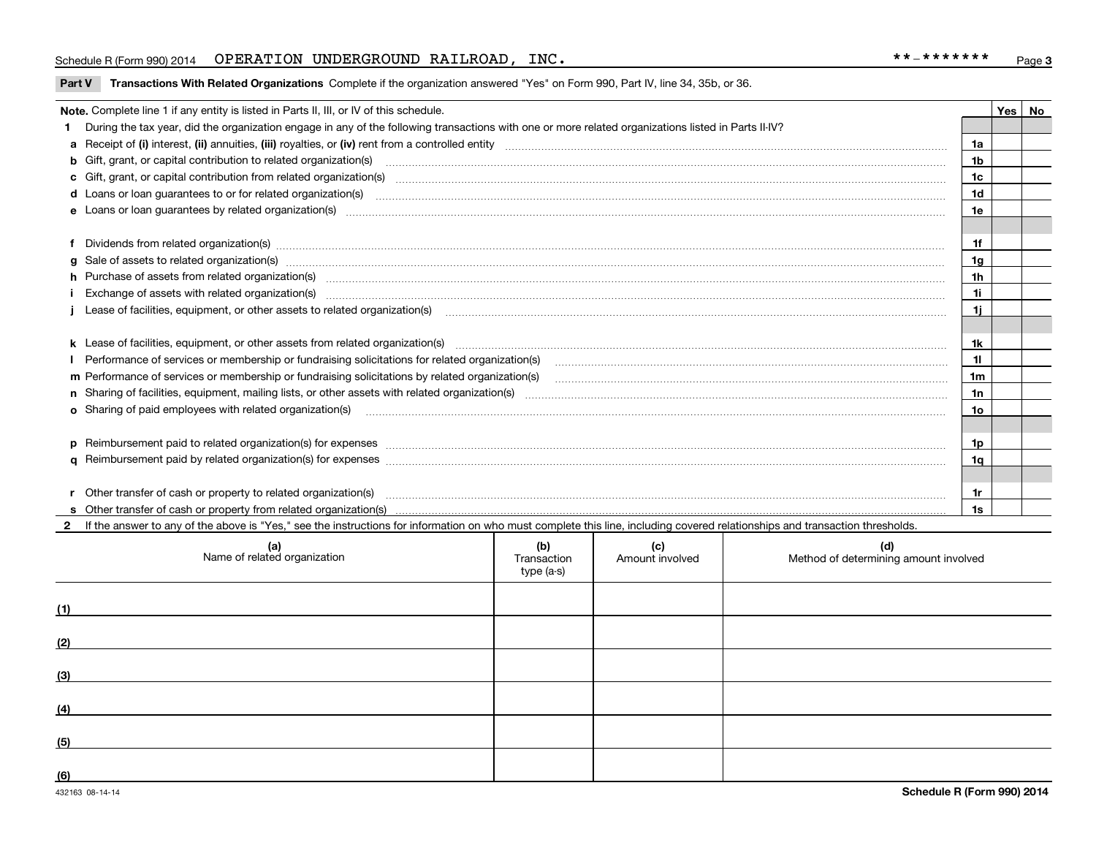#### Schedule R (Form 990) 2014 Page OPERATION UNDERGROUND RAILROAD, INC. \*\*-\*\*\*\*\*\*\*

#### **Part V** Transactions With Related Organizations Complete if the organization answered "Yes" on Form 990, Part IV, line 34, 35b, or 36.

| Note. Complete line 1 if any entity is listed in Parts II, III, or IV of this schedule.                                                                                                                                        |                | Yes   No |
|--------------------------------------------------------------------------------------------------------------------------------------------------------------------------------------------------------------------------------|----------------|----------|
| During the tax year, did the organization engage in any of the following transactions with one or more related organizations listed in Parts II-IV?                                                                            |                |          |
|                                                                                                                                                                                                                                | 1a             |          |
| b Gift, grant, or capital contribution to related organization(s) manufactured contains and contribution to related organization(s)                                                                                            | 1 <sub>b</sub> |          |
| c Gift, grant, or capital contribution from related organization(s) maturities are constructed and contribution from related organization(s) maturities constructed and contribution from related organization(s) maturities c | 1c             |          |
|                                                                                                                                                                                                                                | 1 <sub>d</sub> |          |
|                                                                                                                                                                                                                                | 1e             |          |
|                                                                                                                                                                                                                                |                |          |
| f Dividends from related organization(s) manufactured and contract and contract of the contract of the contract of the contract of the contract of the contract of the contract of the contract of the contract of the contrac | 1f             |          |
| g Sale of assets to related organization(s) www.assettion.com/www.assettion.com/www.assettion.com/www.assettion.com/www.assettion.com/www.assettion.com/www.assettion.com/www.assettion.com/www.assettion.com/www.assettion.co | 1g             |          |
| h Purchase of assets from related organization(s) manufactured and content to the content of the content of the content of the content of the content of the content of the content of the content of the content of the conte | 1h             |          |
| Exchange of assets with related organization(s) www.communicallycommunicallycommunicallycommunicallycommunicallycommunicallycommunicallycommunicallycommunicallycommunicallycommunicallycommunicallycommunicallycommunicallyco | 1i             |          |
| Lease of facilities, equipment, or other assets to related organization(s) The manuform manuform manuform manuform manuform manuform manuform manuform manuform manuform manuform manuform manuform manuform manuform manuform | 1i             |          |
|                                                                                                                                                                                                                                |                |          |
|                                                                                                                                                                                                                                | 1k             |          |
| Performance of services or membership or fundraising solicitations for related organization(s) [10] process content to the services or membership or fundraising solicitations for related organization(s) [10] process conten | 11             |          |
|                                                                                                                                                                                                                                | 1m             |          |
|                                                                                                                                                                                                                                | 1n             |          |
| <b>o</b> Sharing of paid employees with related organization(s)                                                                                                                                                                | 10             |          |
|                                                                                                                                                                                                                                |                |          |
| p Reimbursement paid to related organization(s) for expenses [111] resummand content to content the set of the set of the set of the set of the set of the set of the set of the set of the set of the set of the set of the s | 1p             |          |
|                                                                                                                                                                                                                                | 1q             |          |
|                                                                                                                                                                                                                                |                |          |
| r Other transfer of cash or property to related organization(s)                                                                                                                                                                | 1r             |          |
|                                                                                                                                                                                                                                | 1s             |          |

**2**If the answer to any of the above is "Yes," see the instructions for information on who must complete this line, including covered relationships and transaction thresholds.

|     | (a)<br>Name of related organization | (b)<br>Transaction<br>type (a-s) | (c)<br>Amount involved | (d)<br>Method of determining amount involved |
|-----|-------------------------------------|----------------------------------|------------------------|----------------------------------------------|
| (1) |                                     |                                  |                        |                                              |
| (2) |                                     |                                  |                        |                                              |
| (3) |                                     |                                  |                        |                                              |
| (4) |                                     |                                  |                        |                                              |
| (5) |                                     |                                  |                        |                                              |
| (6) |                                     |                                  |                        |                                              |

 $\overline{\phantom{a}}$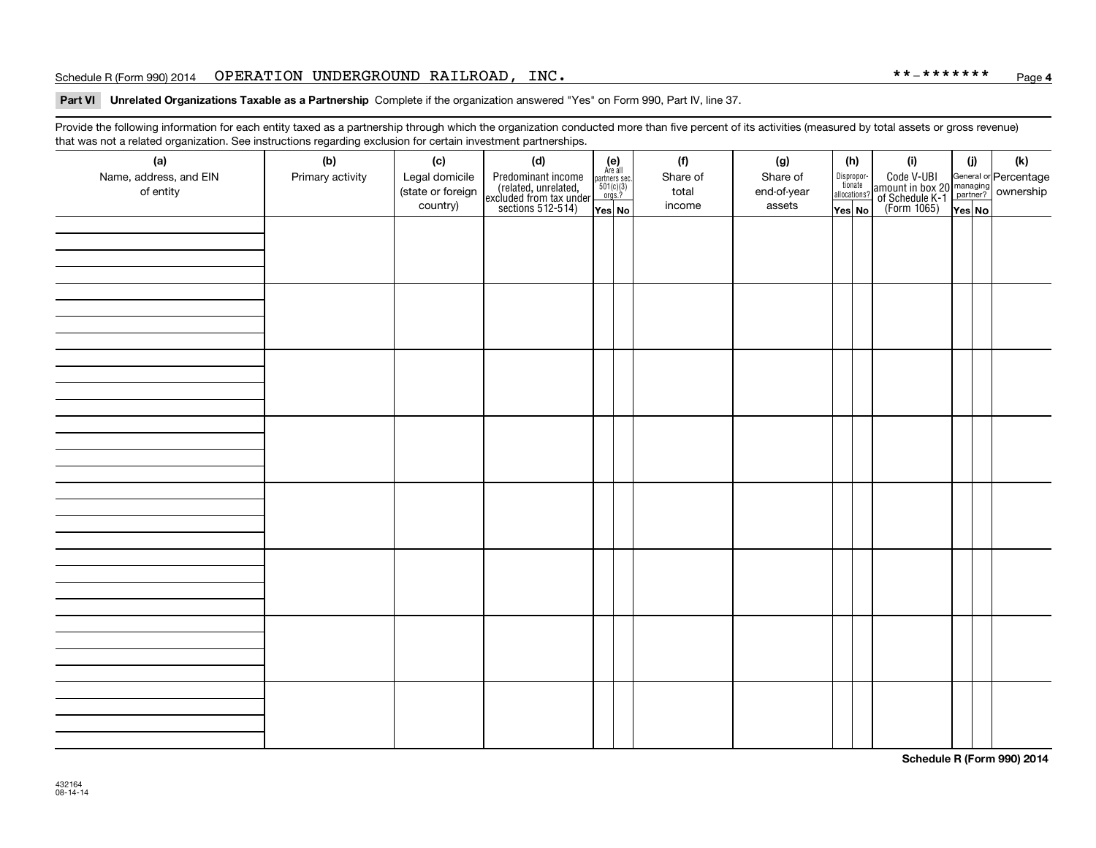#### Schedule R (Form 990) 2014 Page OPERATION UNDERGROUND RAILROAD, INC. \*\*-\*\*\*\*\*\*\*

#### **Part VI Unrelated Organizations Taxable as a Partnership Complete if the organization answered "Yes" on Form 990, Part IV, line 37.**

Provide the following information for each entity taxed as a partnership through which the organization conducted more than five percent of its activities (measured by total assets or gross revenue) that was not a related organization. See instructions regarding exclusion for certain investment partnerships.

| . . <b>. . .</b> . <b>.</b><br>(a)<br>Name, address, and EIN<br>of entity | (b)<br>Primary activity | (c)<br>Legal domicile<br>(state or foreign<br>country) | (d)<br>Predominant income<br>(related, unrelated,<br>excluded from tax under<br>sections 512-514) | $\begin{array}{c} \textbf{(e)}\\ \text{Are all} \\ \text{partners sec.}\\ 501(c)(3)\\ \text{orgs.?} \end{array}$ | (f)<br>Share of<br>total<br>income | (g)<br>Share of<br>end-of-year<br>assets | allocations? | (h)<br>Dispropor-<br>tionate | (i)<br>Code V-UBI<br>  amount in box 20 managing<br>  of Schedule K-1 partner? ownership<br>  of Schedule K-1 partner? ownership<br>  Yes No | (i)   | (k) |
|---------------------------------------------------------------------------|-------------------------|--------------------------------------------------------|---------------------------------------------------------------------------------------------------|------------------------------------------------------------------------------------------------------------------|------------------------------------|------------------------------------------|--------------|------------------------------|----------------------------------------------------------------------------------------------------------------------------------------------|-------|-----|
|                                                                           |                         |                                                        |                                                                                                   | Yes No                                                                                                           |                                    |                                          | Yes No       |                              |                                                                                                                                              | YesNO |     |
|                                                                           |                         |                                                        |                                                                                                   |                                                                                                                  |                                    |                                          |              |                              |                                                                                                                                              |       |     |
|                                                                           |                         |                                                        |                                                                                                   |                                                                                                                  |                                    |                                          |              |                              |                                                                                                                                              |       |     |
|                                                                           |                         |                                                        |                                                                                                   |                                                                                                                  |                                    |                                          |              |                              |                                                                                                                                              |       |     |
|                                                                           |                         |                                                        |                                                                                                   |                                                                                                                  |                                    |                                          |              |                              |                                                                                                                                              |       |     |
|                                                                           |                         |                                                        |                                                                                                   |                                                                                                                  |                                    |                                          |              |                              |                                                                                                                                              |       |     |
|                                                                           |                         |                                                        |                                                                                                   |                                                                                                                  |                                    |                                          |              |                              |                                                                                                                                              |       |     |
|                                                                           |                         |                                                        |                                                                                                   |                                                                                                                  |                                    |                                          |              |                              |                                                                                                                                              |       |     |
|                                                                           |                         |                                                        |                                                                                                   |                                                                                                                  |                                    |                                          |              |                              |                                                                                                                                              |       |     |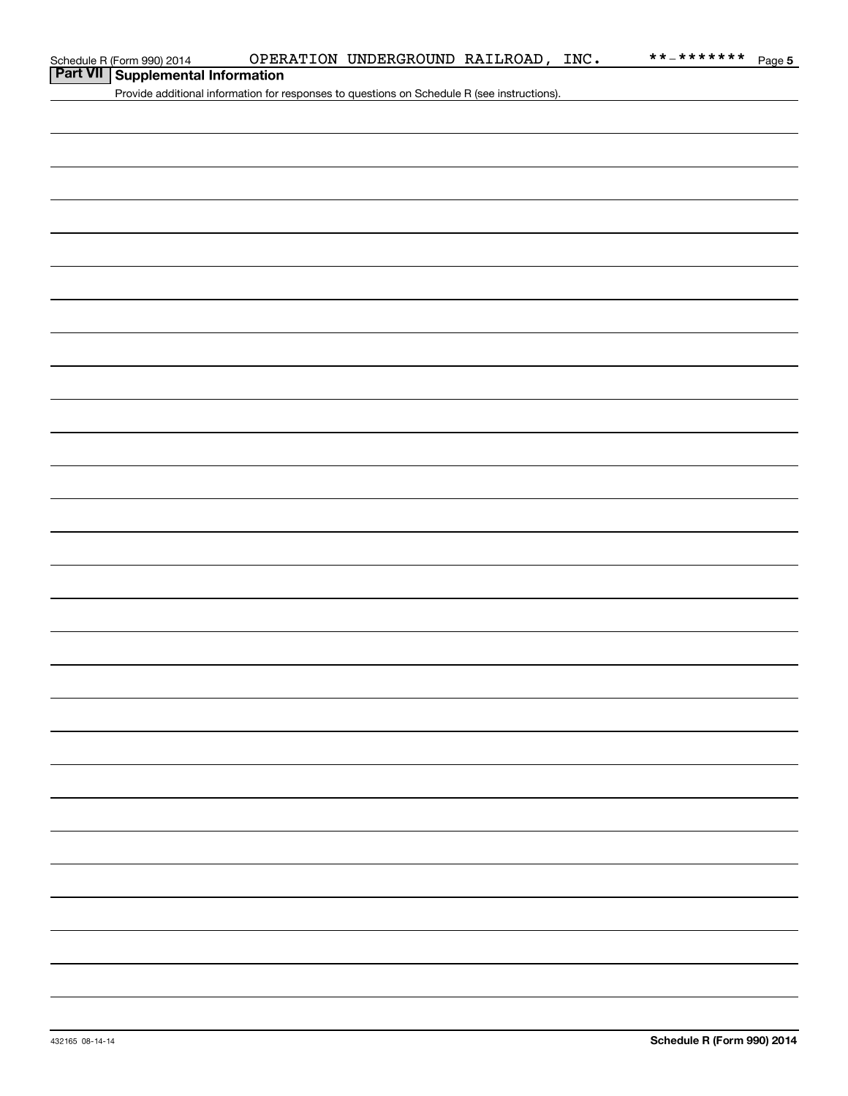# **Part VII Supplemental Information**

Provide additional information for responses to questions on Schedule R (see instructions).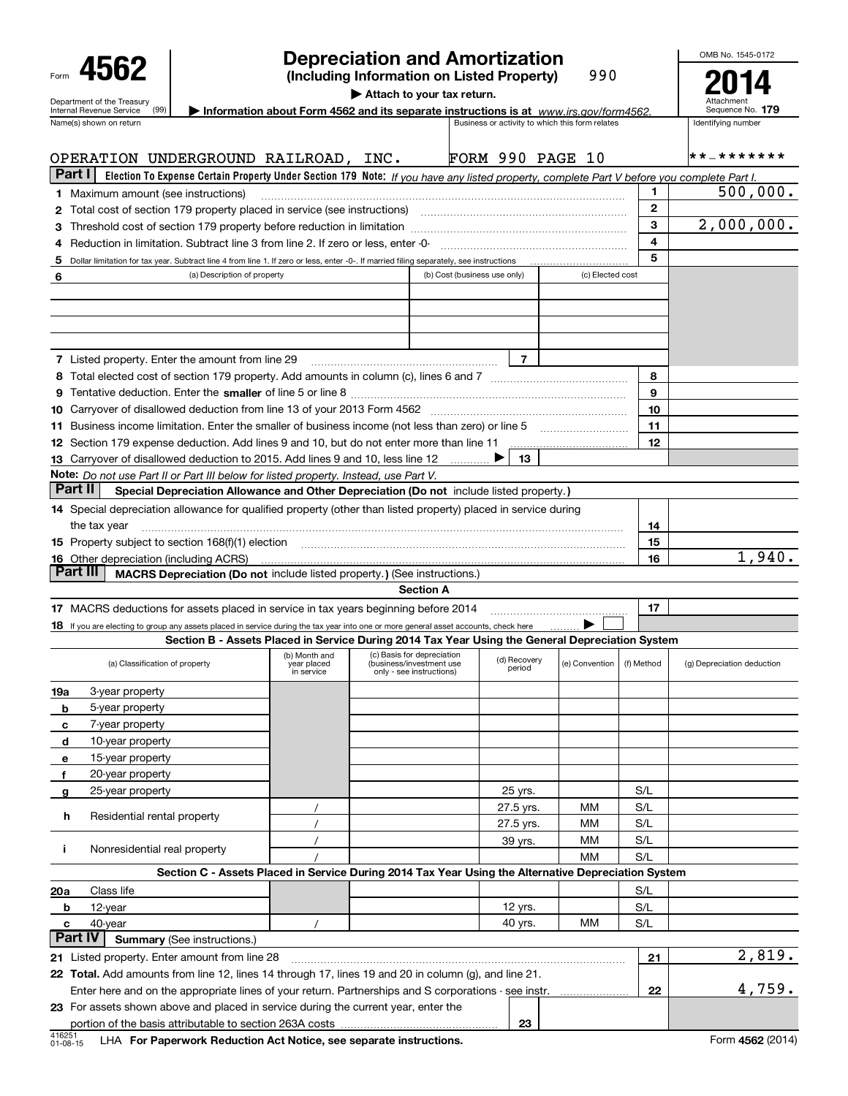| Form |                                                               |  |
|------|---------------------------------------------------------------|--|
|      | Department of the Treasury<br><b>Internal Revenue Service</b> |  |

# **Depreciation and Amortization**

**(Including Information on Listed Property)** 990 OMB No. 1545-0172 **2014**

**| Attach to your tax return.**

|     | Department of the Treasury<br>(99)<br>Internal Revenue Service                                                                                                             | Information about Form 4562 and its separate instructions is at www.irs.gov/form4562. |                                                                                    |                              |                        |                                                 |                   | Attachment<br>Sequence No. 179 |
|-----|----------------------------------------------------------------------------------------------------------------------------------------------------------------------------|---------------------------------------------------------------------------------------|------------------------------------------------------------------------------------|------------------------------|------------------------|-------------------------------------------------|-------------------|--------------------------------|
|     | Name(s) shown on return                                                                                                                                                    |                                                                                       |                                                                                    |                              |                        | Business or activity to which this form relates |                   | Identifying number             |
|     |                                                                                                                                                                            |                                                                                       |                                                                                    |                              |                        |                                                 |                   |                                |
|     | OPERATION UNDERGROUND RAILROAD, INC.                                                                                                                                       |                                                                                       |                                                                                    |                              |                        | FORM 990 PAGE 10                                |                   | * * _ * * * * * * *            |
|     | Part I<br>Election To Expense Certain Property Under Section 179 Note: If you have any listed property, complete Part V before you complete Part I.                        |                                                                                       |                                                                                    |                              |                        |                                                 |                   |                                |
|     | 1 Maximum amount (see instructions)                                                                                                                                        |                                                                                       |                                                                                    |                              |                        |                                                 | 1.                | 500,000.                       |
|     | 2 Total cost of section 179 property placed in service (see instructions) manufactured cost of section 179 property placed in service (see instructions)                   |                                                                                       |                                                                                    |                              |                        |                                                 | $\mathbf{2}$<br>3 |                                |
|     |                                                                                                                                                                            |                                                                                       |                                                                                    |                              |                        |                                                 | $\overline{a}$    | 2,000,000.                     |
|     | 4 Reduction in limitation. Subtract line 3 from line 2. If zero or less, enter -0-                                                                                         |                                                                                       |                                                                                    |                              |                        |                                                 | 5                 |                                |
|     | (a) Description of property                                                                                                                                                |                                                                                       |                                                                                    | (b) Cost (business use only) |                        | (c) Elected cost                                |                   |                                |
|     |                                                                                                                                                                            |                                                                                       |                                                                                    |                              |                        |                                                 |                   |                                |
|     |                                                                                                                                                                            |                                                                                       |                                                                                    |                              |                        |                                                 |                   |                                |
|     |                                                                                                                                                                            |                                                                                       |                                                                                    |                              |                        |                                                 |                   |                                |
|     |                                                                                                                                                                            |                                                                                       |                                                                                    |                              |                        |                                                 |                   |                                |
|     | <b>7</b> Listed property. Enter the amount from line 29                                                                                                                    |                                                                                       |                                                                                    |                              | $\overline{7}$         |                                                 |                   |                                |
|     |                                                                                                                                                                            |                                                                                       |                                                                                    |                              |                        |                                                 | 8                 |                                |
|     |                                                                                                                                                                            |                                                                                       |                                                                                    |                              |                        |                                                 | 9                 |                                |
|     |                                                                                                                                                                            |                                                                                       |                                                                                    |                              |                        |                                                 | 10                |                                |
|     | 11 Business income limitation. Enter the smaller of business income (not less than zero) or line 5                                                                         |                                                                                       |                                                                                    |                              |                        |                                                 | 11<br>12          |                                |
|     | 12 Section 179 expense deduction. Add lines 9 and 10, but do not enter more than line 11<br>13 Carryover of disallowed deduction to 2015. Add lines 9 and 10, less line 12 |                                                                                       |                                                                                    |                              | 13                     |                                                 |                   |                                |
|     | <b>Note:</b> Do not use Part II or Part III below for listed property. Instead, use Part V.                                                                                |                                                                                       |                                                                                    |                              |                        |                                                 |                   |                                |
|     | Part II<br>Special Depreciation Allowance and Other Depreciation (Do not include listed property.)                                                                         |                                                                                       |                                                                                    |                              |                        |                                                 |                   |                                |
|     | 14 Special depreciation allowance for qualified property (other than listed property) placed in service during                                                             |                                                                                       |                                                                                    |                              |                        |                                                 |                   |                                |
|     | the tax year                                                                                                                                                               |                                                                                       |                                                                                    |                              |                        |                                                 | 14                |                                |
|     | 15 Property subject to section 168(f)(1) election manufactured contains and contained a section 168(f)(1) election                                                         |                                                                                       |                                                                                    |                              |                        |                                                 | 15                |                                |
|     | <b>16</b> Other depreciation (including ACRS)                                                                                                                              |                                                                                       |                                                                                    |                              |                        |                                                 | 16                | 1,940.                         |
|     | Part III<br>MACRS Depreciation (Do not include listed property.) (See instructions.)                                                                                       |                                                                                       |                                                                                    |                              |                        |                                                 |                   |                                |
|     |                                                                                                                                                                            |                                                                                       | <b>Section A</b>                                                                   |                              |                        |                                                 |                   |                                |
|     | 17 MACRS deductions for assets placed in service in tax years beginning before 2014                                                                                        |                                                                                       |                                                                                    |                              |                        |                                                 | 17                |                                |
|     | 18 If you are electing to group any assets placed in service during the tax year into one or more general asset accounts, check here                                       |                                                                                       |                                                                                    |                              |                        |                                                 |                   |                                |
|     | Section B - Assets Placed in Service During 2014 Tax Year Using the General Depreciation System                                                                            |                                                                                       |                                                                                    |                              |                        |                                                 |                   |                                |
|     | (a) Classification of property                                                                                                                                             | (b) Month and<br>year placed<br>in service                                            | (c) Basis for depreciation<br>(business/investment use<br>only - see instructions) |                              | (d) Recovery<br>period | (e) Convention                                  | (f) Method        | (g) Depreciation deduction     |
| 19a | 3-year property                                                                                                                                                            |                                                                                       |                                                                                    |                              |                        |                                                 |                   |                                |
| b   | 5-year property                                                                                                                                                            |                                                                                       |                                                                                    |                              |                        |                                                 |                   |                                |
| c   | 7-year property                                                                                                                                                            |                                                                                       |                                                                                    |                              |                        |                                                 |                   |                                |
| d   | 10-year property                                                                                                                                                           |                                                                                       |                                                                                    |                              |                        |                                                 |                   |                                |
| е   | 15-year property                                                                                                                                                           |                                                                                       |                                                                                    |                              |                        |                                                 |                   |                                |
| f   | 20-year property                                                                                                                                                           |                                                                                       |                                                                                    |                              |                        |                                                 |                   |                                |
| g   | 25-year property                                                                                                                                                           |                                                                                       |                                                                                    |                              | 25 yrs.                |                                                 | S/L               |                                |
| h   | Residential rental property                                                                                                                                                |                                                                                       |                                                                                    |                              | 27.5 yrs.              | MМ                                              | S/L               |                                |
|     |                                                                                                                                                                            |                                                                                       |                                                                                    |                              | 27.5 yrs.              | MМ                                              | S/L               |                                |
| j.  | Nonresidential real property                                                                                                                                               |                                                                                       |                                                                                    |                              | 39 yrs.                | MМ                                              | S/L               |                                |
|     | Section C - Assets Placed in Service During 2014 Tax Year Using the Alternative Depreciation System                                                                        |                                                                                       |                                                                                    |                              |                        | MМ                                              | S/L               |                                |
| 20a | Class life                                                                                                                                                                 |                                                                                       |                                                                                    |                              |                        |                                                 | S/L               |                                |
| b   | 12-year                                                                                                                                                                    |                                                                                       |                                                                                    |                              | 12 yrs.                |                                                 | S/L               |                                |
| c   | 40-year                                                                                                                                                                    |                                                                                       |                                                                                    |                              | 40 yrs.                | MМ                                              | S/L               |                                |
|     |                                                                                                                                                                            |                                                                                       |                                                                                    |                              |                        |                                                 |                   |                                |
|     | Part IV<br><b>Summary (See instructions.)</b>                                                                                                                              |                                                                                       |                                                                                    |                              |                        |                                                 |                   |                                |
|     | 21 Listed property. Enter amount from line 28                                                                                                                              |                                                                                       |                                                                                    |                              |                        |                                                 | 21                | 2,819.                         |
|     | 22 Total. Add amounts from line 12, lines 14 through 17, lines 19 and 20 in column (g), and line 21.                                                                       |                                                                                       |                                                                                    |                              |                        |                                                 |                   |                                |

**23**